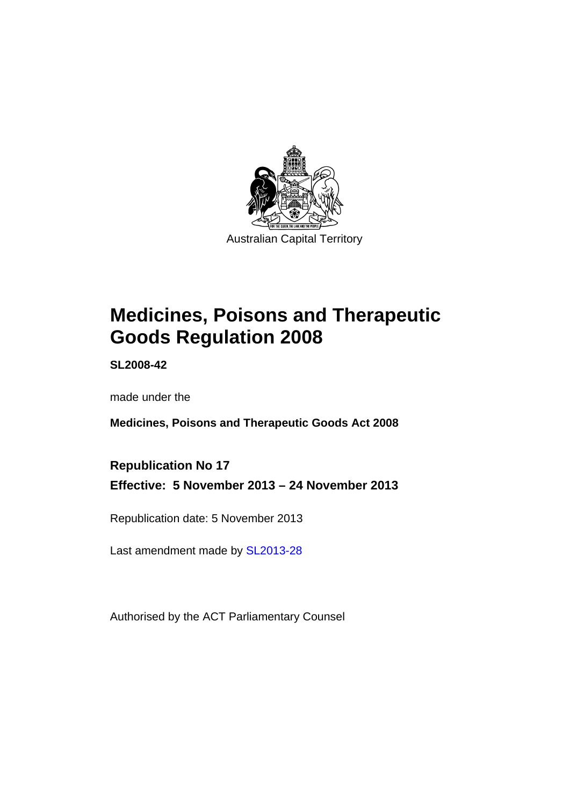

# **Medicines, Poisons and Therapeutic Goods Regulation 2008**

**SL2008-42** 

made under the

**Medicines, Poisons and Therapeutic Goods Act 2008** 

**Republication No 17 Effective: 5 November 2013 – 24 November 2013** 

Republication date: 5 November 2013

Last amendment made by [SL2013-28](http://www.legislation.act.gov.au/sl/2013-28)

Authorised by the ACT Parliamentary Counsel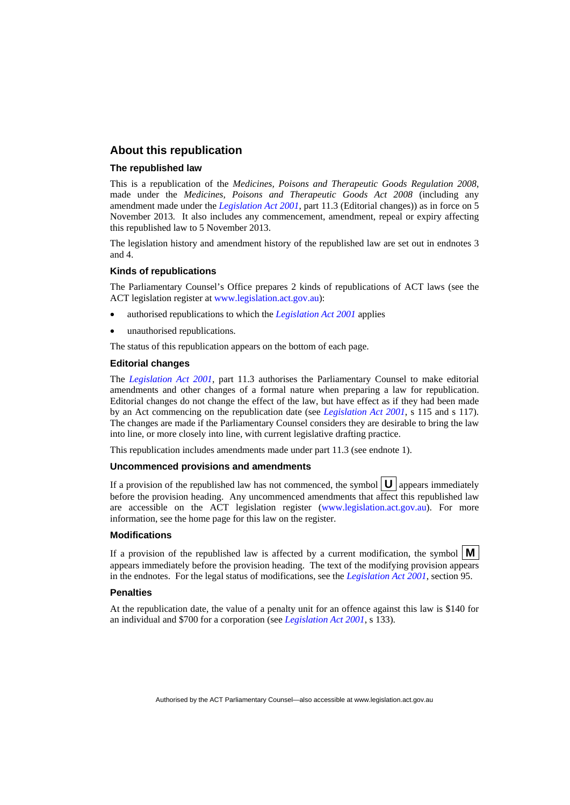#### **About this republication**

#### **The republished law**

This is a republication of the *Medicines, Poisons and Therapeutic Goods Regulation 2008*, made under the *Medicines, Poisons and Therapeutic Goods Act 2008* (including any amendment made under the *[Legislation Act 2001](http://www.legislation.act.gov.au/a/2001-14)*, part 11.3 (Editorial changes)) as in force on 5 November 2013*.* It also includes any commencement, amendment, repeal or expiry affecting this republished law to 5 November 2013.

The legislation history and amendment history of the republished law are set out in endnotes 3 and 4.

#### **Kinds of republications**

The Parliamentary Counsel's Office prepares 2 kinds of republications of ACT laws (see the ACT legislation register at [www.legislation.act.gov.au](http://www.legislation.act.gov.au/)):

- authorised republications to which the *[Legislation Act 2001](http://www.legislation.act.gov.au/a/2001-14)* applies
- unauthorised republications.

The status of this republication appears on the bottom of each page.

#### **Editorial changes**

The *[Legislation Act 2001](http://www.legislation.act.gov.au/a/2001-14)*, part 11.3 authorises the Parliamentary Counsel to make editorial amendments and other changes of a formal nature when preparing a law for republication. Editorial changes do not change the effect of the law, but have effect as if they had been made by an Act commencing on the republication date (see *[Legislation Act 2001](http://www.legislation.act.gov.au/a/2001-14)*, s 115 and s 117). The changes are made if the Parliamentary Counsel considers they are desirable to bring the law into line, or more closely into line, with current legislative drafting practice.

This republication includes amendments made under part 11.3 (see endnote 1).

#### **Uncommenced provisions and amendments**

If a provision of the republished law has not commenced, the symbol  $\mathbf{U}$  appears immediately before the provision heading. Any uncommenced amendments that affect this republished law are accessible on the ACT legislation register [\(www.legislation.act.gov.au\)](http://www.legislation.act.gov.au/). For more information, see the home page for this law on the register.

#### **Modifications**

If a provision of the republished law is affected by a current modification, the symbol  $\mathbf{M}$ appears immediately before the provision heading. The text of the modifying provision appears in the endnotes. For the legal status of modifications, see the *[Legislation Act 2001](http://www.legislation.act.gov.au/a/2001-14)*, section 95.

#### **Penalties**

At the republication date, the value of a penalty unit for an offence against this law is \$140 for an individual and \$700 for a corporation (see *[Legislation Act 2001](http://www.legislation.act.gov.au/a/2001-14)*, s 133).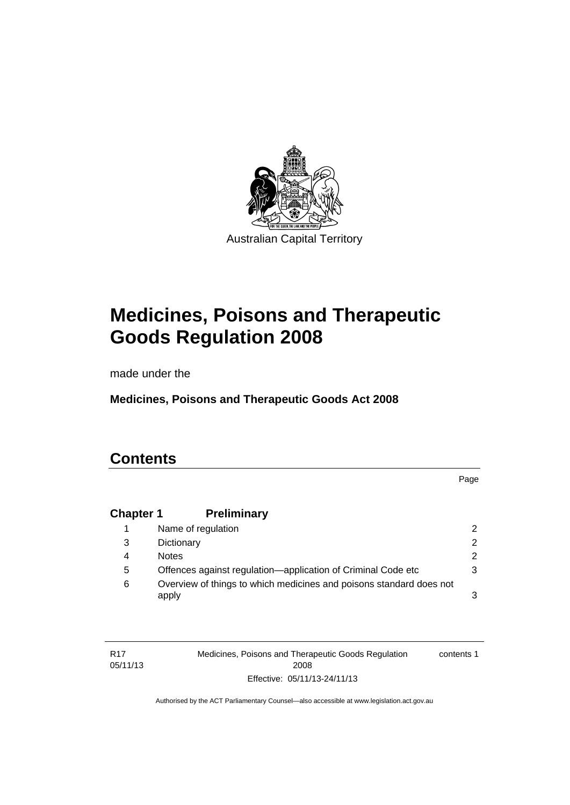

# **Medicines, Poisons and Therapeutic Goods Regulation 2008**

made under the

**Medicines, Poisons and Therapeutic Goods Act 2008** 

### **Contents**

Page

### **Chapter 1 [Preliminary](#page-25-0)**

| Name of regulation                                                           | $\mathcal{P}$ |
|------------------------------------------------------------------------------|---------------|
| Dictionary                                                                   | 2.            |
| <b>Notes</b>                                                                 | 2             |
| Offences against regulation—application of Criminal Code etc                 | 3             |
| Overview of things to which medicines and poisons standard does not<br>apply |               |
|                                                                              |               |

| R17      | Medicines, Poisons and Therapeutic Goods Regulation | contents 1 |
|----------|-----------------------------------------------------|------------|
| 05/11/13 | 2008                                                |            |
|          | Effective: 05/11/13-24/11/13                        |            |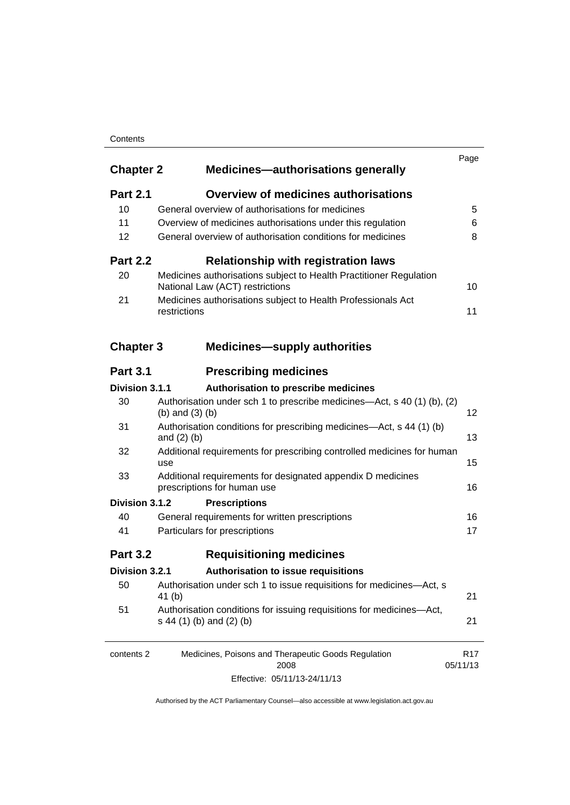#### **Contents**

| <b>Chapter 2</b> | <b>Medicines-authorisations generally</b>                                                             | Page                        |
|------------------|-------------------------------------------------------------------------------------------------------|-----------------------------|
| <b>Part 2.1</b>  | <b>Overview of medicines authorisations</b>                                                           |                             |
| 10               | General overview of authorisations for medicines                                                      | 5                           |
| 11               | Overview of medicines authorisations under this regulation                                            | 6                           |
| 12               | General overview of authorisation conditions for medicines                                            | 8                           |
| <b>Part 2.2</b>  | <b>Relationship with registration laws</b>                                                            |                             |
| 20               | Medicines authorisations subject to Health Practitioner Regulation<br>National Law (ACT) restrictions | 10                          |
| 21               | Medicines authorisations subject to Health Professionals Act<br>restrictions                          | 11                          |
| <b>Chapter 3</b> | <b>Medicines-supply authorities</b>                                                                   |                             |
| <b>Part 3.1</b>  | <b>Prescribing medicines</b>                                                                          |                             |
| Division 3.1.1   | Authorisation to prescribe medicines                                                                  |                             |
| 30               | Authorisation under sch 1 to prescribe medicines—Act, s 40 (1) (b), (2)<br>(b) and $(3)$ (b)          | 12                          |
| 31               | Authorisation conditions for prescribing medicines—Act, s 44 (1) (b)<br>and $(2)$ $(b)$               | 13                          |
| 32               | Additional requirements for prescribing controlled medicines for human<br>use                         | 15                          |
| 33               | Additional requirements for designated appendix D medicines<br>prescriptions for human use            | 16                          |
| Division 3.1.2   | <b>Prescriptions</b>                                                                                  |                             |
| 40               | General requirements for written prescriptions                                                        | 16                          |
| 41               | Particulars for prescriptions                                                                         | 17                          |
| <b>Part 3.2</b>  | <b>Requisitioning medicines</b>                                                                       |                             |
| Division 3.2.1   | Authorisation to issue requisitions                                                                   |                             |
| 50               | Authorisation under sch 1 to issue requisitions for medicines-Act, s<br>41 (b)                        | 21                          |
| 51               | Authorisation conditions for issuing requisitions for medicines-Act,<br>s 44 (1) (b) and (2) (b)      | 21                          |
| contents 2       | Medicines, Poisons and Therapeutic Goods Regulation<br>2008                                           | R <sub>17</sub><br>05/11/13 |
|                  | Effective: 05/11/13-24/11/13                                                                          |                             |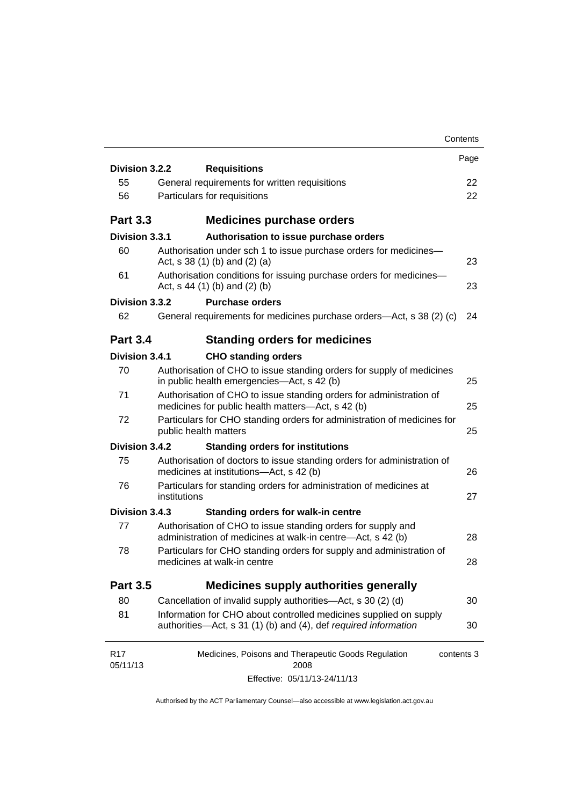|                 |                                 |                                                                                                                                      | Contents   |
|-----------------|---------------------------------|--------------------------------------------------------------------------------------------------------------------------------------|------------|
| Division 3.2.2  | <b>Requisitions</b>             |                                                                                                                                      | Page       |
| 55              |                                 | General requirements for written requisitions                                                                                        | 22         |
| 56              | Particulars for requisitions    |                                                                                                                                      | 22         |
|                 |                                 |                                                                                                                                      |            |
| <b>Part 3.3</b> |                                 | <b>Medicines purchase orders</b>                                                                                                     |            |
| Division 3.3.1  |                                 | Authorisation to issue purchase orders                                                                                               |            |
| 60              | Act, $s$ 38 (1) (b) and (2) (a) | Authorisation under sch 1 to issue purchase orders for medicines-                                                                    | 23         |
| 61              | Act, $s$ 44 (1) (b) and (2) (b) | Authorisation conditions for issuing purchase orders for medicines-                                                                  | 23         |
| Division 3.3.2  |                                 | <b>Purchase orders</b>                                                                                                               |            |
| 62              |                                 | General requirements for medicines purchase orders—Act, s 38 (2) (c)                                                                 | 24         |
| <b>Part 3.4</b> |                                 | <b>Standing orders for medicines</b>                                                                                                 |            |
| Division 3.4.1  |                                 | <b>CHO standing orders</b>                                                                                                           |            |
| 70              |                                 | Authorisation of CHO to issue standing orders for supply of medicines<br>in public health emergencies—Act, s 42 (b)                  | 25         |
| 71              |                                 | Authorisation of CHO to issue standing orders for administration of<br>medicines for public health matters-Act, s 42 (b)             | 25         |
| 72              | public health matters           | Particulars for CHO standing orders for administration of medicines for                                                              | 25         |
| Division 3.4.2  |                                 | <b>Standing orders for institutions</b>                                                                                              |            |
| 75              |                                 | Authorisation of doctors to issue standing orders for administration of<br>medicines at institutions-Act, s 42 (b)                   | 26         |
| 76              | institutions                    | Particulars for standing orders for administration of medicines at                                                                   | 27         |
| Division 3.4.3  |                                 | <b>Standing orders for walk-in centre</b>                                                                                            |            |
| 77              |                                 | Authorisation of CHO to issue standing orders for supply and<br>administration of medicines at walk-in centre-Act, s 42 (b)          | 28         |
| 78              | medicines at walk-in centre     | Particulars for CHO standing orders for supply and administration of                                                                 | 28         |
| <b>Part 3.5</b> |                                 | <b>Medicines supply authorities generally</b>                                                                                        |            |
| 80              |                                 | Cancellation of invalid supply authorities—Act, s 30 (2) (d)                                                                         | 30         |
| 81              |                                 | Information for CHO about controlled medicines supplied on supply<br>authorities—Act, s 31 (1) (b) and (4), def required information | 30         |
| <b>R17</b>      |                                 | Medicines, Poisons and Therapeutic Goods Regulation                                                                                  | contents 3 |
| 05/11/13        |                                 | 2008                                                                                                                                 |            |
|                 |                                 | Effective: 05/11/13-24/11/13                                                                                                         |            |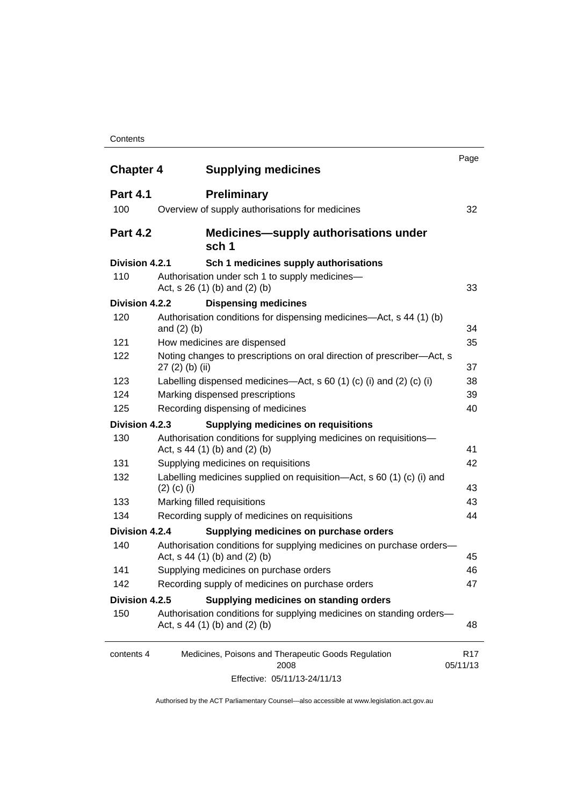#### **Contents**

| <b>Chapter 4</b> | <b>Supplying medicines</b>                                                                              | Page                        |
|------------------|---------------------------------------------------------------------------------------------------------|-----------------------------|
| <b>Part 4.1</b>  | <b>Preliminary</b>                                                                                      |                             |
| 100              | Overview of supply authorisations for medicines                                                         | 32                          |
| <b>Part 4.2</b>  | <b>Medicines—supply authorisations under</b><br>sch 1                                                   |                             |
| Division 4.2.1   | Sch 1 medicines supply authorisations                                                                   |                             |
| 110              | Authorisation under sch 1 to supply medicines-<br>Act, s 26 (1) (b) and (2) (b)                         | 33                          |
| Division 4.2.2   | <b>Dispensing medicines</b>                                                                             |                             |
| 120              | Authorisation conditions for dispensing medicines—Act, s 44 (1) (b)<br>and $(2)$ $(b)$                  | 34                          |
| 121              | How medicines are dispensed                                                                             | 35                          |
| 122              | Noting changes to prescriptions on oral direction of prescriber-Act, s<br>$27(2)$ (b) (ii)              | 37                          |
| 123              | Labelling dispensed medicines—Act, s 60 (1) (c) (i) and (2) (c) (i)                                     | 38                          |
| 124              | Marking dispensed prescriptions                                                                         | 39                          |
| 125              | Recording dispensing of medicines                                                                       | 40                          |
| Division 4.2.3   | <b>Supplying medicines on requisitions</b>                                                              |                             |
| 130              | Authorisation conditions for supplying medicines on requisitions-<br>Act, $s$ 44 (1) (b) and (2) (b)    | 41                          |
| 131              | Supplying medicines on requisitions                                                                     | 42                          |
| 132              | Labelling medicines supplied on requisition—Act, s 60 (1) (c) (i) and<br>$(2)$ (c) (i)                  | 43                          |
| 133              | Marking filled requisitions                                                                             | 43                          |
| 134              | Recording supply of medicines on requisitions                                                           | 44                          |
| Division 4.2.4   | Supplying medicines on purchase orders                                                                  |                             |
| 140              | Authorisation conditions for supplying medicines on purchase orders-<br>Act, $s$ 44 (1) (b) and (2) (b) | 45                          |
| 141              | Supplying medicines on purchase orders                                                                  | 46                          |
| 142              | Recording supply of medicines on purchase orders                                                        | 47                          |
| Division 4.2.5   | Supplying medicines on standing orders                                                                  |                             |
| 150              | Authorisation conditions for supplying medicines on standing orders-<br>Act, $s$ 44 (1) (b) and (2) (b) | 48                          |
| contents 4       | Medicines, Poisons and Therapeutic Goods Regulation<br>2008                                             | R <sub>17</sub><br>05/11/13 |
|                  | Effective: 05/11/13-24/11/13                                                                            |                             |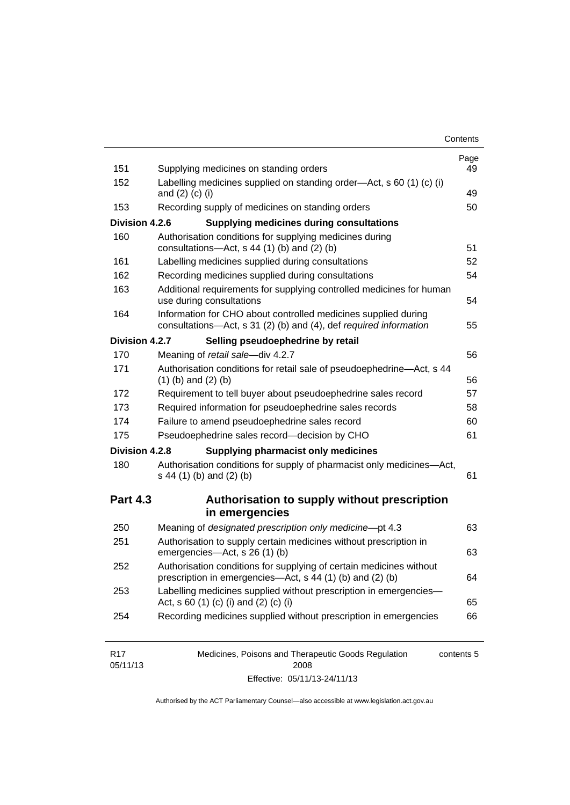| Contents |
|----------|
|----------|

| 151             | Supplying medicines on standing orders                                                                                              | Page<br>49 |
|-----------------|-------------------------------------------------------------------------------------------------------------------------------------|------------|
| 152             | Labelling medicines supplied on standing order-Act, s 60 (1) (c) (i)<br>and $(2)$ $(c)$ $(i)$                                       | 49         |
| 153             | Recording supply of medicines on standing orders                                                                                    | 50         |
| Division 4.2.6  | <b>Supplying medicines during consultations</b>                                                                                     |            |
| 160             | Authorisation conditions for supplying medicines during<br>consultations-Act, s 44 (1) (b) and (2) (b)                              | 51         |
| 161             | Labelling medicines supplied during consultations                                                                                   | 52         |
| 162             | Recording medicines supplied during consultations                                                                                   | 54         |
| 163             | Additional requirements for supplying controlled medicines for human<br>use during consultations                                    | 54         |
| 164             | Information for CHO about controlled medicines supplied during<br>consultations-Act, s 31 (2) (b) and (4), def required information | 55         |
| Division 4.2.7  | Selling pseudoephedrine by retail                                                                                                   |            |
| 170             | Meaning of retail sale-div 4.2.7                                                                                                    | 56         |
| 171             | Authorisation conditions for retail sale of pseudoephedrine-Act, s 44<br>$(1)$ (b) and $(2)$ (b)                                    | 56         |
| 172             | Requirement to tell buyer about pseudoephedrine sales record                                                                        | 57         |
| 173             | Required information for pseudoephedrine sales records                                                                              | 58         |
| 174             | Failure to amend pseudoephedrine sales record                                                                                       | 60         |
| 175             | Pseudoephedrine sales record-decision by CHO                                                                                        | 61         |
| Division 4.2.8  | <b>Supplying pharmacist only medicines</b>                                                                                          |            |
| 180             | Authorisation conditions for supply of pharmacist only medicines-Act,<br>s 44 (1) (b) and (2) (b)                                   | 61         |
| <b>Part 4.3</b> | Authorisation to supply without prescription                                                                                        |            |
|                 | in emergencies                                                                                                                      |            |
| 250             | Meaning of designated prescription only medicine-pt 4.3                                                                             | 63         |
| 251             | Authorisation to supply certain medicines without prescription in<br>emergencies-Act, s 26 (1) (b)                                  | 63         |
| 252             | Authorisation conditions for supplying of certain medicines without<br>prescription in emergencies-Act, s 44 (1) (b) and (2) (b)    | 64         |
| 253             | Labelling medicines supplied without prescription in emergencies-<br>Act, s 60 (1) (c) (i) and (2) (c) (i)                          | 65         |
| 254             | Recording medicines supplied without prescription in emergencies                                                                    | 66         |
| R <sub>17</sub> | Medicines, Poisons and Therapeutic Goods Regulation                                                                                 | contents 5 |

| R17      | Medicines, Poisons and Therapeutic Goods Regulation | contents 5 |
|----------|-----------------------------------------------------|------------|
| 05/11/13 | 2008                                                |            |
|          | Effective: 05/11/13-24/11/13                        |            |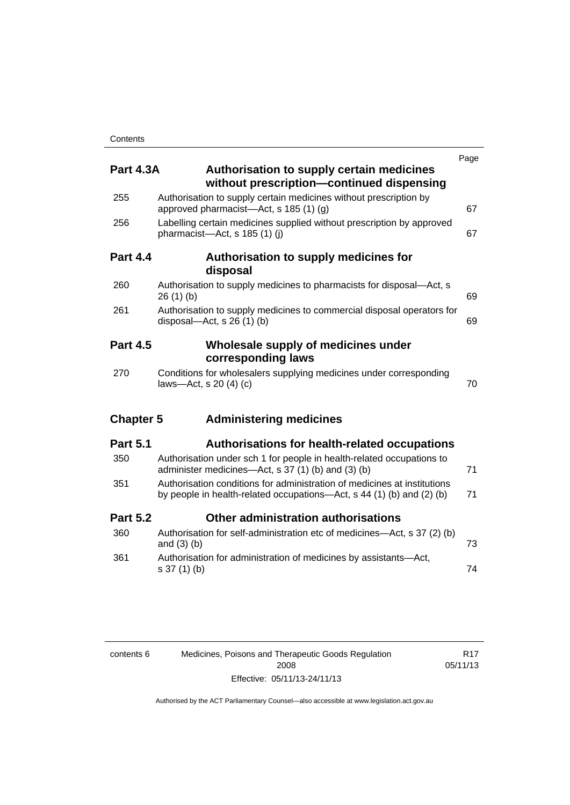| <b>Part 4.3A</b> | <b>Authorisation to supply certain medicines</b><br>without prescription-continued dispensing                                                     | Page |
|------------------|---------------------------------------------------------------------------------------------------------------------------------------------------|------|
| 255              | Authorisation to supply certain medicines without prescription by<br>approved pharmacist—Act, s 185 (1) (g)                                       | 67   |
| 256              | Labelling certain medicines supplied without prescription by approved<br>pharmacist-Act, s 185 (1) (j)                                            | 67   |
| <b>Part 4.4</b>  | Authorisation to supply medicines for<br>disposal                                                                                                 |      |
| 260              | Authorisation to supply medicines to pharmacists for disposal-Act, s<br>26(1)(b)                                                                  | 69   |
| 261              | Authorisation to supply medicines to commercial disposal operators for<br>disposal—Act, s $26(1)(b)$                                              | 69   |
| <b>Part 4.5</b>  | Wholesale supply of medicines under<br>corresponding laws                                                                                         |      |
| 270              | Conditions for wholesalers supplying medicines under corresponding<br>laws-Act, s 20 (4) (c)                                                      | 70   |
| <b>Chapter 5</b> | <b>Administering medicines</b>                                                                                                                    |      |
| <b>Part 5.1</b>  | <b>Authorisations for health-related occupations</b>                                                                                              |      |
| 350              | Authorisation under sch 1 for people in health-related occupations to<br>administer medicines—Act, s 37 (1) (b) and (3) (b)                       | 71   |
| 351              | Authorisation conditions for administration of medicines at institutions<br>by people in health-related occupations-Act, s 44 (1) (b) and (2) (b) | 71   |
| <b>Part 5.2</b>  | Other administration authorisations                                                                                                               |      |
| 360              | Authorisation for self-administration etc of medicines-Act, s 37 (2) (b)<br>and $(3)$ $(b)$                                                       | 73   |
| 361              | Authorisation for administration of medicines by assistants-Act,<br>s 37 (1) (b)                                                                  | 74   |

| contents 6 | Medicines, Poisons and Therapeutic Goods Regulation |  |  |
|------------|-----------------------------------------------------|--|--|
|            | 2008                                                |  |  |
|            | Effective: 05/11/13-24/11/13                        |  |  |

R17 05/11/13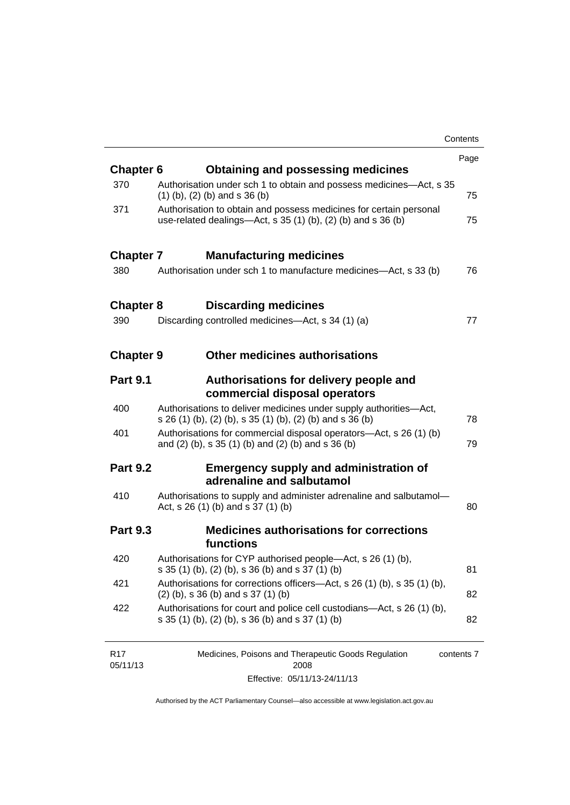|                  |                                                                                                                                        | Contents |
|------------------|----------------------------------------------------------------------------------------------------------------------------------------|----------|
|                  |                                                                                                                                        | Page     |
| <b>Chapter 6</b> | <b>Obtaining and possessing medicines</b>                                                                                              |          |
| 370              | Authorisation under sch 1 to obtain and possess medicines—Act, s 35<br>$(1)$ (b), (2) (b) and s 36 (b)                                 | 75       |
| 371              | Authorisation to obtain and possess medicines for certain personal<br>use-related dealings- $Act$ , s 35 (1) (b), (2) (b) and s 36 (b) | 75       |
| <b>Chapter 7</b> | <b>Manufacturing medicines</b>                                                                                                         |          |
| 380              | Authorisation under sch 1 to manufacture medicines—Act, s 33 (b)                                                                       | 76       |
| <b>Chapter 8</b> | <b>Discarding medicines</b>                                                                                                            |          |
| 390              | Discarding controlled medicines—Act, s 34 (1) (a)                                                                                      | 77       |
| <b>Chapter 9</b> | <b>Other medicines authorisations</b>                                                                                                  |          |
| <b>Part 9.1</b>  | Authorisations for delivery people and<br>commercial disposal operators                                                                |          |
| 400              | Authorisations to deliver medicines under supply authorities-Act,<br>s 26 (1) (b), (2) (b), s 35 (1) (b), (2) (b) and s 36 (b)         | 78       |
| 401              | Authorisations for commercial disposal operators-Act, s 26 (1) (b)<br>and (2) (b), s 35 (1) (b) and (2) (b) and s 36 (b)               | 79       |
| <b>Part 9.2</b>  | <b>Emergency supply and administration of</b><br>adrenaline and salbutamol                                                             |          |
| 410              | Authorisations to supply and administer adrenaline and salbutamol-<br>Act, s 26 (1) (b) and s 37 (1) (b)                               | 80       |
| <b>Part 9.3</b>  | <b>Medicines authorisations for corrections</b><br>functions                                                                           |          |
| 420              | Authorisations for CYP authorised people-Act, s 26 (1) (b),<br>s 35 (1) (b), (2) (b), s 36 (b) and s 37 (1) (b)                        | 81       |
| 421              | Authorisations for corrections officers-Act, s 26 (1) (b), s 35 (1) (b),<br>$(2)$ (b), s 36 (b) and s 37 (1) (b)                       | 82       |
| 422              | Authorisations for court and police cell custodians-Act, s 26 (1) (b),<br>s 35 (1) (b), (2) (b), s 36 (b) and s 37 (1) (b)             | 82       |
| <b>D</b> 17      | Medicines Dejeans and Therepautic Coode Dequiption                                                                                     |          |

| R17      | Medicines, Poisons and Therapeutic Goods Regulation | contents 7 |
|----------|-----------------------------------------------------|------------|
| 05/11/13 | 2008                                                |            |
|          | Effective: 05/11/13-24/11/13                        |            |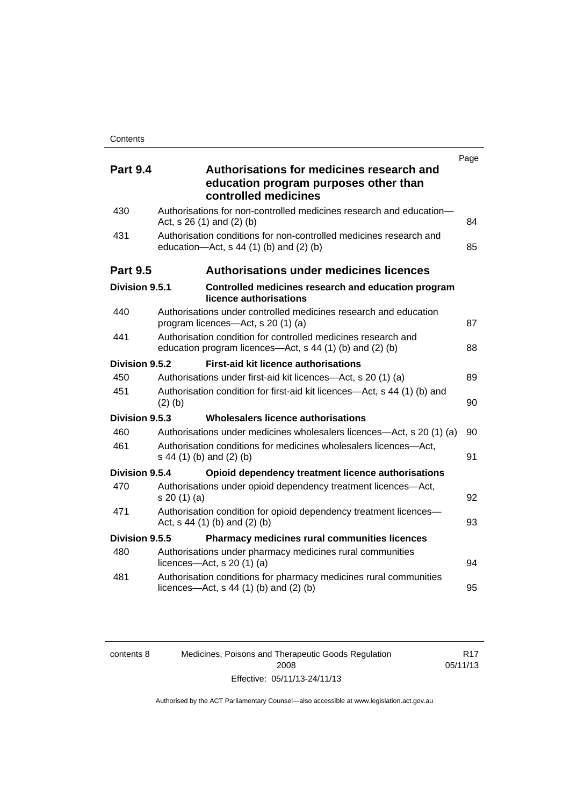| <b>Part 9.4</b> | Authorisations for medicines research and<br>education program purposes other than<br>controlled medicines                | Page |
|-----------------|---------------------------------------------------------------------------------------------------------------------------|------|
| 430             | Authorisations for non-controlled medicines research and education-<br>Act, $s$ 26 (1) and (2) (b)                        | 84   |
| 431             | Authorisation conditions for non-controlled medicines research and<br>education- $Act$ , s 44 (1) (b) and (2) (b)         | 85   |
| <b>Part 9.5</b> | <b>Authorisations under medicines licences</b>                                                                            |      |
| Division 9.5.1  | Controlled medicines research and education program<br>licence authorisations                                             |      |
| 440             | Authorisations under controlled medicines research and education<br>program licences—Act, s 20 (1) (a)                    | 87   |
| 441             | Authorisation condition for controlled medicines research and<br>education program licences—Act, s 44 (1) (b) and (2) (b) | 88   |
| Division 9.5.2  | <b>First-aid kit licence authorisations</b>                                                                               |      |
| 450             | Authorisations under first-aid kit licences—Act, s 20 (1) (a)                                                             | 89   |
| 451             | Authorisation condition for first-aid kit licences—Act, s 44 (1) (b) and<br>$(2)$ (b)                                     | 90   |
| Division 9.5.3  | Wholesalers licence authorisations                                                                                        |      |
| 460             | Authorisations under medicines wholesalers licences—Act, s 20 (1) (a)                                                     | 90   |
| 461             | Authorisation conditions for medicines wholesalers licences-Act,<br>s 44 (1) (b) and (2) (b)                              | 91   |
| Division 9.5.4  | Opioid dependency treatment licence authorisations                                                                        |      |
| 470             | Authorisations under opioid dependency treatment licences-Act,<br>s 20(1)(a)                                              | 92   |
| 471             | Authorisation condition for opioid dependency treatment licences-<br>Act, $s$ 44 (1) (b) and (2) (b)                      | 93   |
| Division 9.5.5  | <b>Pharmacy medicines rural communities licences</b>                                                                      |      |
| 480             | Authorisations under pharmacy medicines rural communities<br>licences- $-\text{Act}$ , s 20 (1) (a)                       | 94   |
| 481             | Authorisation conditions for pharmacy medicines rural communities<br>licences—Act, $s$ 44 (1) (b) and (2) (b)             | 95   |

| contents 8 | Medicines, Poisons and Therapeutic Goods Regulation | R <sub>17</sub> |
|------------|-----------------------------------------------------|-----------------|
|            | 2008                                                | 05/11/13        |
|            | Effective: 05/11/13-24/11/13                        |                 |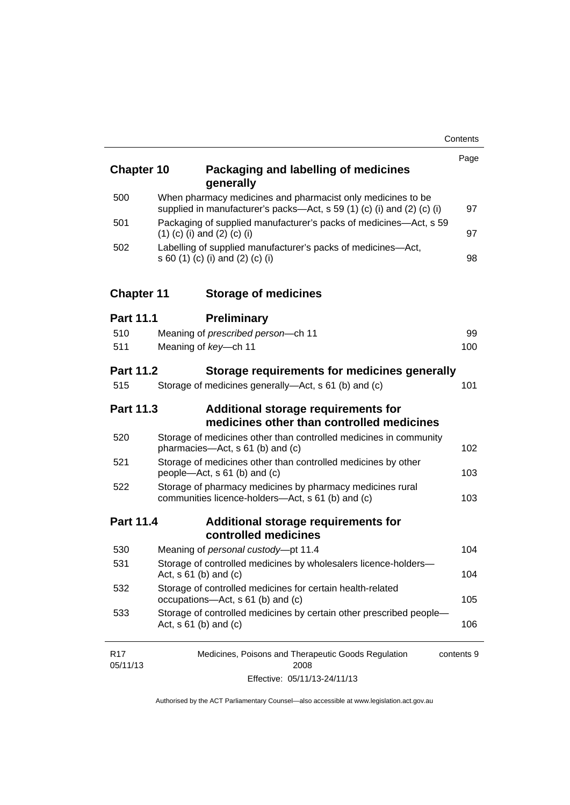| <b>Chapter 10</b> | Packaging and labelling of medicines<br>generally                                                                                     | Page       |
|-------------------|---------------------------------------------------------------------------------------------------------------------------------------|------------|
| 500               | When pharmacy medicines and pharmacist only medicines to be<br>supplied in manufacturer's packs—Act, s 59 (1) (c) (i) and (2) (c) (i) | 97         |
| 501               | Packaging of supplied manufacturer's packs of medicines—Act, s 59<br>$(1)$ (c) (i) and (2) (c) (i)                                    | 97         |
| 502               | Labelling of supplied manufacturer's packs of medicines-Act,<br>s 60 (1) (c) (i) and (2) (c) (i)                                      | 98         |
| <b>Chapter 11</b> | <b>Storage of medicines</b>                                                                                                           |            |
| <b>Part 11.1</b>  | <b>Preliminary</b>                                                                                                                    |            |
| 510               | Meaning of prescribed person-ch 11                                                                                                    | 99         |
| 511               | Meaning of key-ch 11                                                                                                                  | 100        |
| <b>Part 11.2</b>  | Storage requirements for medicines generally                                                                                          |            |
| 515               | Storage of medicines generally—Act, s 61 (b) and (c)                                                                                  | 101        |
| <b>Part 11.3</b>  | Additional storage requirements for<br>medicines other than controlled medicines                                                      |            |
| 520               | Storage of medicines other than controlled medicines in community<br>pharmacies-Act, s 61 (b) and (c)                                 | 102        |
| 521               | Storage of medicines other than controlled medicines by other<br>people-Act, s 61 (b) and (c)                                         | 103        |
| 522               | Storage of pharmacy medicines by pharmacy medicines rural<br>communities licence-holders-Act, s 61 (b) and (c)                        | 103        |
| <b>Part 11.4</b>  | Additional storage requirements for<br>controlled medicines                                                                           |            |
| 530               | Meaning of personal custody-pt 11.4                                                                                                   | 104        |
| 531               | Storage of controlled medicines by wholesalers licence-holders-<br>Act, $s \ 61$ (b) and (c)                                          | 104        |
| 532               | Storage of controlled medicines for certain health-related<br>occupations-Act, s 61 (b) and (c)                                       | 105        |
| 533               | Storage of controlled medicines by certain other prescribed people-<br>Act, $s \ 61$ (b) and (c)                                      | 106        |
| R17<br>05/11/13   | Medicines, Poisons and Therapeutic Goods Regulation<br>2008                                                                           | contents 9 |

Effective: 05/11/13-24/11/13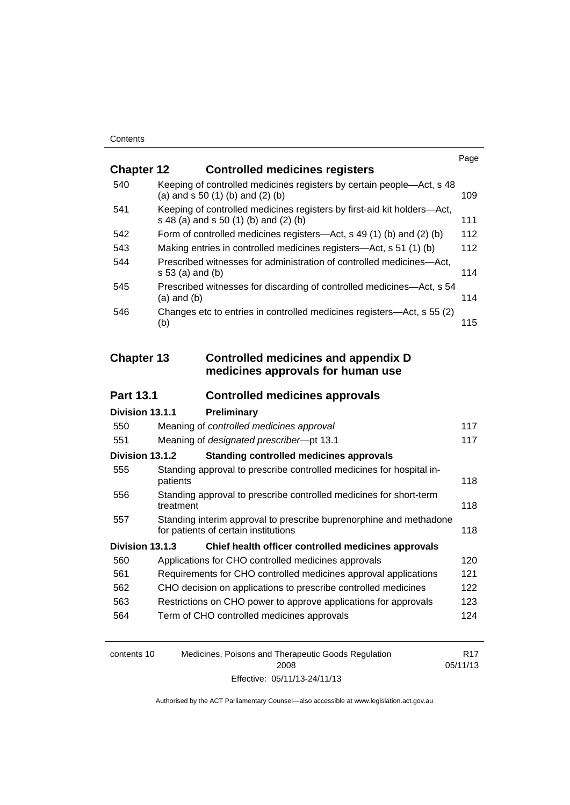|                   |                                                                                                                  | Page |
|-------------------|------------------------------------------------------------------------------------------------------------------|------|
| <b>Chapter 12</b> | <b>Controlled medicines registers</b>                                                                            |      |
| 540               | Keeping of controlled medicines registers by certain people-Act, s 48<br>(a) and $s$ 50 (1) (b) and (2) (b)      | 109  |
| 541               | Keeping of controlled medicines registers by first-aid kit holders-Act,<br>s 48 (a) and s 50 (1) (b) and (2) (b) | 111  |
| 542               | Form of controlled medicines registers—Act, s 49 (1) (b) and (2) (b)                                             | 112  |
| 543               | Making entries in controlled medicines registers—Act, s 51 (1) (b)                                               | 112  |
| 544               | Prescribed witnesses for administration of controlled medicines-Act,<br>$s 53$ (a) and (b)                       | 114  |
| 545               | Prescribed witnesses for discarding of controlled medicines-Act, s 54<br>$(a)$ and $(b)$                         | 114  |
| 546               | Changes etc to entries in controlled medicines registers-Act, s 55 (2)<br>(b)                                    | 115  |
| <b>Chapter 13</b> | <b>Controlled medicines and appendix D</b><br>medicines approvals for human use                                  |      |
| <b>Part 13.1</b>  | <b>Controlled medicines approvals</b>                                                                            |      |
|                   |                                                                                                                  |      |
| Division 13.1.1   | Preliminary                                                                                                      |      |
| 550               | Meaning of controlled medicines approval                                                                         | 117  |
| 551               | Meaning of designated prescriber-pt 13.1                                                                         | 117  |
| Division 13.1.2   | <b>Standing controlled medicines approvals</b>                                                                   |      |
| 555               | Standing approval to prescribe controlled medicines for hospital in-<br>patients                                 | 118  |
| 556               | Standing approval to prescribe controlled medicines for short-term<br>treatment                                  | 118  |
| 557               | Standing interim approval to prescribe buprenorphine and methadone<br>for patients of certain institutions       | 118  |
| Division 13.1.3   | Chief health officer controlled medicines approvals                                                              |      |
| 560               | Applications for CHO controlled medicines approvals                                                              | 120  |
| 561               | Requirements for CHO controlled medicines approval applications                                                  | 121  |
| 562               | CHO decision on applications to prescribe controlled medicines                                                   | 122  |
| 563               | Restrictions on CHO power to approve applications for approvals                                                  | 123  |
| 564               | Term of CHO controlled medicines approvals                                                                       | 124  |
|                   |                                                                                                                  |      |

| contents 10 | Medicines, Poisons and Therapeutic Goods Regulation | R <sub>17</sub> |
|-------------|-----------------------------------------------------|-----------------|
|             | 2008                                                | 05/11/13        |
|             | Effective: 05/11/13-24/11/13                        |                 |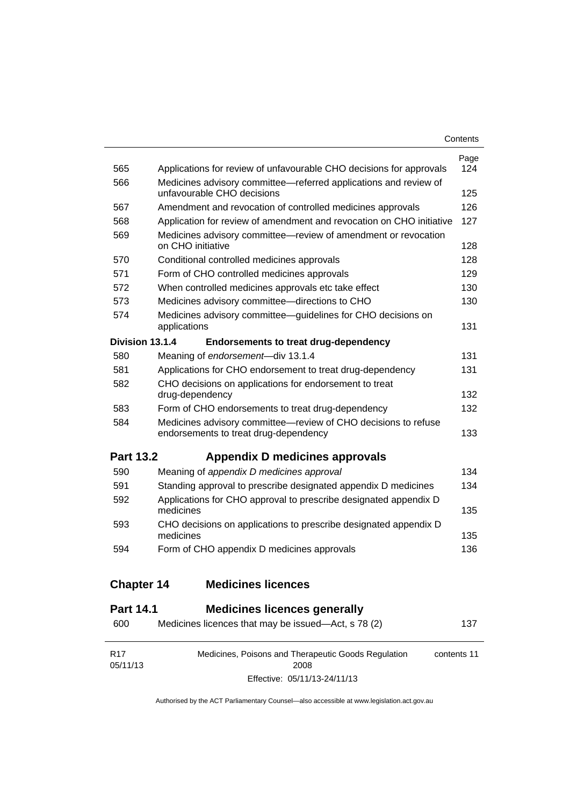| Contents |
|----------|
|----------|

| 565               | Applications for review of unfavourable CHO decisions for approvals                                     | Page<br>124 |
|-------------------|---------------------------------------------------------------------------------------------------------|-------------|
| 566               | Medicines advisory committee-referred applications and review of<br>unfavourable CHO decisions          | 125         |
| 567               | Amendment and revocation of controlled medicines approvals                                              | 126         |
| 568               | Application for review of amendment and revocation on CHO initiative                                    | 127         |
| 569               | Medicines advisory committee—review of amendment or revocation                                          |             |
|                   | on CHO initiative                                                                                       | 128         |
| 570               | Conditional controlled medicines approvals                                                              | 128         |
| 571               | Form of CHO controlled medicines approvals                                                              | 129         |
| 572               | When controlled medicines approvals etc take effect                                                     | 130         |
| 573               | Medicines advisory committee-directions to CHO                                                          | 130         |
| 574               | Medicines advisory committee-guidelines for CHO decisions on                                            |             |
|                   | applications                                                                                            | 131         |
| Division 13.1.4   | <b>Endorsements to treat drug-dependency</b>                                                            |             |
| 580               | Meaning of endorsement-div 13.1.4                                                                       | 131         |
| 581               | Applications for CHO endorsement to treat drug-dependency                                               | 131         |
| 582               | CHO decisions on applications for endorsement to treat<br>drug-dependency                               | 132         |
| 583               | Form of CHO endorsements to treat drug-dependency                                                       | 132         |
| 584               | Medicines advisory committee-review of CHO decisions to refuse<br>endorsements to treat drug-dependency | 133         |
| <b>Part 13.2</b>  | Appendix D medicines approvals                                                                          |             |
| 590               | Meaning of appendix D medicines approval                                                                | 134         |
| 591               | Standing approval to prescribe designated appendix D medicines                                          | 134         |
| 592               | Applications for CHO approval to prescribe designated appendix D                                        |             |
|                   | medicines                                                                                               | 135         |
| 593               | CHO decisions on applications to prescribe designated appendix D<br>medicines                           | 135         |
| 594               | Form of CHO appendix D medicines approvals                                                              | 136         |
| <b>Chapter 14</b> | <b>Medicines licences</b>                                                                               |             |

### **Part 14.1 [Medicines licences generally](#page-160-1)**

| 600                         | Medicines licences that may be issued—Act, s 78 (2)         | 137         |
|-----------------------------|-------------------------------------------------------------|-------------|
| R <sub>17</sub><br>05/11/13 | Medicines, Poisons and Therapeutic Goods Regulation<br>2008 | contents 11 |
|                             | Effective: 05/11/13-24/11/13                                |             |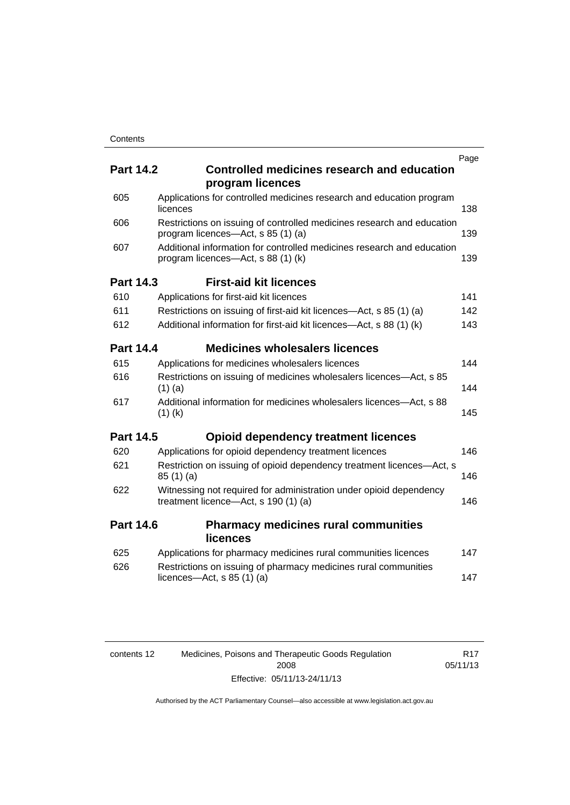|                  |                                                                                                              | Page |
|------------------|--------------------------------------------------------------------------------------------------------------|------|
| <b>Part 14.2</b> | <b>Controlled medicines research and education</b><br>program licences                                       |      |
| 605              | Applications for controlled medicines research and education program<br>licences                             | 138  |
| 606              | Restrictions on issuing of controlled medicines research and education<br>program licences—Act, s 85 (1) (a) | 139  |
| 607              | Additional information for controlled medicines research and education<br>program licences—Act, s 88 (1) (k) | 139  |
| <b>Part 14.3</b> | <b>First-aid kit licences</b>                                                                                |      |
| 610              | Applications for first-aid kit licences                                                                      | 141  |
| 611              | Restrictions on issuing of first-aid kit licences—Act, s 85 (1) (a)                                          | 142  |
| 612              | Additional information for first-aid kit licences—Act, s 88 (1) (k)                                          | 143  |
| <b>Part 14.4</b> | <b>Medicines wholesalers licences</b>                                                                        |      |
| 615              | Applications for medicines wholesalers licences                                                              | 144  |
| 616              | Restrictions on issuing of medicines wholesalers licences—Act, s 85<br>$(1)$ (a)                             | 144  |
| 617              | Additional information for medicines wholesalers licences—Act, s 88<br>$(1)$ (k)                             | 145  |
| <b>Part 14.5</b> | <b>Opioid dependency treatment licences</b>                                                                  |      |
| 620              | Applications for opioid dependency treatment licences                                                        | 146  |
| 621              | Restriction on issuing of opioid dependency treatment licences-Act, s<br>85(1)(a)                            | 146  |
| 622              | Witnessing not required for administration under opioid dependency<br>treatment licence-Act, s 190 (1) (a)   | 146  |
| <b>Part 14.6</b> | <b>Pharmacy medicines rural communities</b><br><b>licences</b>                                               |      |
| 625              | Applications for pharmacy medicines rural communities licences                                               | 147  |
| 626              | Restrictions on issuing of pharmacy medicines rural communities<br>licences—Act, $s$ 85 (1) (a)              | 147  |
|                  |                                                                                                              |      |

| contents 12 | Medicines, Poisons and Therapeutic Goods Regulation | R <sub>17</sub> |
|-------------|-----------------------------------------------------|-----------------|
|             | 2008                                                | 05/11/13        |
|             | Effective: 05/11/13-24/11/13                        |                 |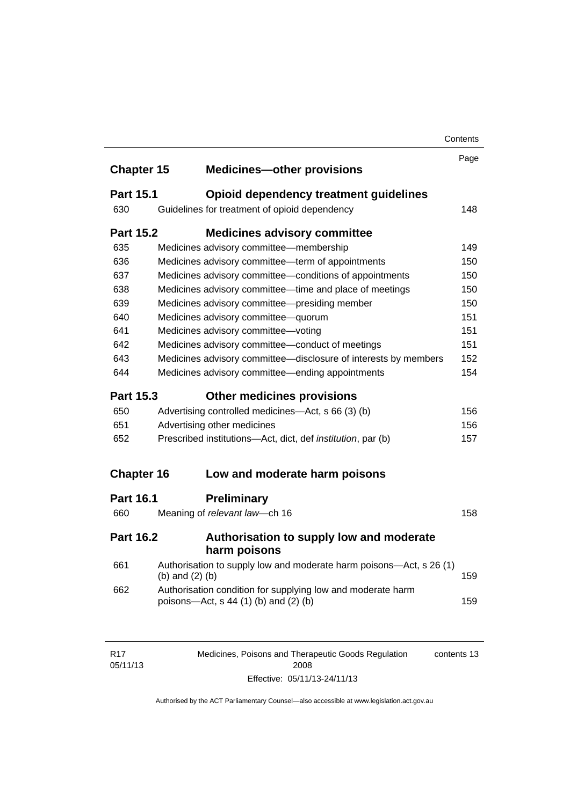|                   |                   |                                                                                                      | Contents |
|-------------------|-------------------|------------------------------------------------------------------------------------------------------|----------|
|                   |                   |                                                                                                      | Page     |
| <b>Chapter 15</b> |                   | <b>Medicines-other provisions</b>                                                                    |          |
| <b>Part 15.1</b>  |                   | Opioid dependency treatment guidelines                                                               |          |
| 630               |                   | Guidelines for treatment of opioid dependency                                                        | 148      |
| <b>Part 15.2</b>  |                   | <b>Medicines advisory committee</b>                                                                  |          |
| 635               |                   | Medicines advisory committee-membership                                                              | 149      |
| 636               |                   | Medicines advisory committee-term of appointments                                                    | 150      |
| 637               |                   | Medicines advisory committee-conditions of appointments                                              | 150      |
| 638               |                   | Medicines advisory committee-time and place of meetings                                              | 150      |
| 639               |                   | Medicines advisory committee-presiding member                                                        | 150      |
| 640               |                   | Medicines advisory committee-quorum                                                                  | 151      |
| 641               |                   | Medicines advisory committee-voting                                                                  | 151      |
| 642               |                   | Medicines advisory committee-conduct of meetings                                                     | 151      |
| 643               |                   | Medicines advisory committee-disclosure of interests by members                                      | 152      |
| 644               |                   | Medicines advisory committee—ending appointments                                                     | 154      |
| <b>Part 15.3</b>  |                   | <b>Other medicines provisions</b>                                                                    |          |
| 650               |                   | Advertising controlled medicines—Act, s 66 (3) (b)                                                   | 156      |
| 651               |                   | Advertising other medicines                                                                          | 156      |
| 652               |                   | Prescribed institutions-Act, dict, def <i>institution</i> , par (b)                                  | 157      |
| <b>Chapter 16</b> |                   | Low and moderate harm poisons                                                                        |          |
|                   |                   |                                                                                                      |          |
| <b>Part 16.1</b>  |                   | <b>Preliminary</b>                                                                                   |          |
| 660               |                   | Meaning of relevant law-ch 16                                                                        | 158      |
| <b>Part 16.2</b>  |                   | Authorisation to supply low and moderate<br>harm poisons                                             |          |
| 661               | (b) and $(2)$ (b) | Authorisation to supply low and moderate harm poisons-Act, s 26 (1)                                  | 159      |
| 662               |                   | Authorisation condition for supplying low and moderate harm<br>poisons—Act, s 44 (1) (b) and (2) (b) | 159      |
|                   |                   |                                                                                                      |          |
|                   |                   |                                                                                                      |          |

| R <sub>17</sub> | Medicines, Poisons and Therapeutic Goods Regulation | contents 13 |
|-----------------|-----------------------------------------------------|-------------|
| 05/11/13        | 2008                                                |             |
|                 | Effective: 05/11/13-24/11/13                        |             |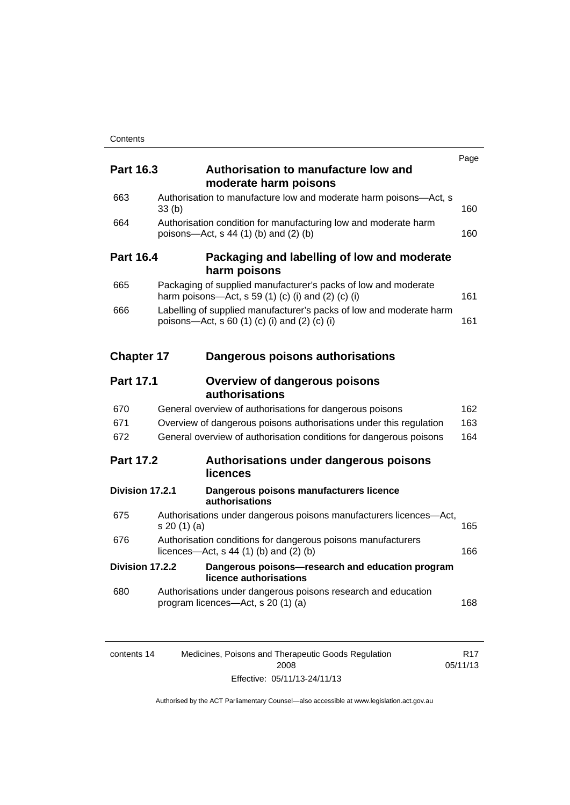| <b>Part 16.3</b>  | Authorisation to manufacture low and                                                                                 | Page |
|-------------------|----------------------------------------------------------------------------------------------------------------------|------|
|                   | moderate harm poisons                                                                                                |      |
| 663               | Authorisation to manufacture low and moderate harm poisons-Act, s<br>33(b)                                           | 160  |
| 664               | Authorisation condition for manufacturing low and moderate harm<br>poisons-Act, s 44 (1) (b) and (2) (b)             | 160  |
| <b>Part 16.4</b>  | Packaging and labelling of low and moderate<br>harm poisons                                                          |      |
| 665               | Packaging of supplied manufacturer's packs of low and moderate<br>harm poisons—Act, s 59 (1) (c) (i) and (2) (c) (i) | 161  |
| 666               | Labelling of supplied manufacturer's packs of low and moderate harm<br>poisons—Act, s 60 (1) (c) (i) and (2) (c) (i) | 161  |
| <b>Chapter 17</b> | Dangerous poisons authorisations                                                                                     |      |
| <b>Part 17.1</b>  | <b>Overview of dangerous poisons</b><br>authorisations                                                               |      |
| 670               | General overview of authorisations for dangerous poisons                                                             | 162  |
| 671               | Overview of dangerous poisons authorisations under this regulation                                                   | 163  |
| 672               | General overview of authorisation conditions for dangerous poisons                                                   | 164  |
| <b>Part 17.2</b>  | Authorisations under dangerous poisons<br>licences                                                                   |      |
|                   | Division 17.2.1<br>Dangerous poisons manufacturers licence<br>authorisations                                         |      |
| 675               | Authorisations under dangerous poisons manufacturers licences-Act,<br>s 20(1)(a)                                     | 165  |
| 676               | Authorisation conditions for dangerous poisons manufacturers<br>licences—Act, $s$ 44 (1) (b) and (2) (b)             | 166  |
|                   | Division 17.2.2<br>Dangerous poisons-research and education program<br>licence authorisations                        |      |
| 680               | Authorisations under dangerous poisons research and education<br>program licences-Act, s 20 (1) (a)                  | 168  |
|                   |                                                                                                                      |      |

| contents 14 | Medicines, Poisons and Therapeutic Goods Regulation | R17      |
|-------------|-----------------------------------------------------|----------|
|             | 2008                                                | 05/11/13 |
|             | Effective: 05/11/13-24/11/13                        |          |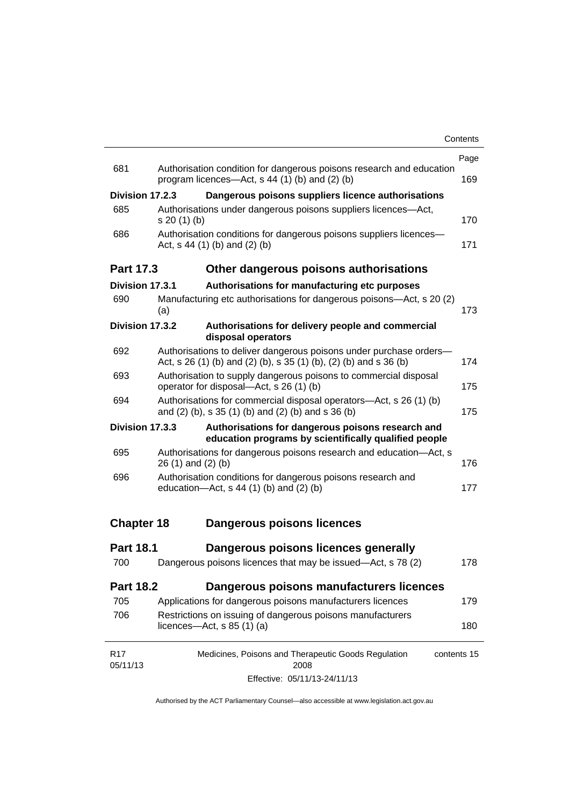|                             |                      |                                                                                                                                         | Page        |
|-----------------------------|----------------------|-----------------------------------------------------------------------------------------------------------------------------------------|-------------|
| 681                         |                      | Authorisation condition for dangerous poisons research and education<br>program licences—Act, s 44 (1) (b) and (2) (b)                  | 169         |
| Division 17.2.3             |                      | Dangerous poisons suppliers licence authorisations                                                                                      |             |
| 685                         | s 20(1)(b)           | Authorisations under dangerous poisons suppliers licences-Act,                                                                          | 170         |
| 686                         |                      | Authorisation conditions for dangerous poisons suppliers licences-<br>Act, $s$ 44 (1) (b) and (2) (b)                                   | 171         |
| Part 17.3                   |                      | Other dangerous poisons authorisations                                                                                                  |             |
| Division 17.3.1             |                      | Authorisations for manufacturing etc purposes                                                                                           |             |
| 690                         | (a)                  | Manufacturing etc authorisations for dangerous poisons-Act, s 20 (2)                                                                    | 173         |
| Division 17.3.2             |                      | Authorisations for delivery people and commercial<br>disposal operators                                                                 |             |
| 692                         |                      | Authorisations to deliver dangerous poisons under purchase orders-<br>Act, s 26 (1) (b) and (2) (b), s 35 (1) (b), (2) (b) and s 36 (b) | 174         |
| 693                         |                      | Authorisation to supply dangerous poisons to commercial disposal<br>operator for disposal-Act, s 26 (1) (b)                             | 175         |
| 694                         |                      | Authorisations for commercial disposal operators-Act, s 26 (1) (b)<br>and (2) (b), s 35 (1) (b) and (2) (b) and s 36 (b)                | 175         |
| Division 17.3.3             |                      | Authorisations for dangerous poisons research and<br>education programs by scientifically qualified people                              |             |
| 695                         | $26(1)$ and $(2)(b)$ | Authorisations for dangerous poisons research and education-Act, s                                                                      | 176         |
| 696                         |                      | Authorisation conditions for dangerous poisons research and<br>education- $Act$ , s 44 (1) (b) and (2) (b)                              | 177         |
| <b>Chapter 18</b>           |                      | Dangerous poisons licences                                                                                                              |             |
| <b>Part 18.1</b>            |                      | Dangerous poisons licences generally                                                                                                    |             |
| 700                         |                      | Dangerous poisons licences that may be issued-Act, s 78 (2)                                                                             | 178         |
| <b>Part 18.2</b>            |                      | Dangerous poisons manufacturers licences                                                                                                |             |
| 705                         |                      | Applications for dangerous poisons manufacturers licences                                                                               | 179         |
| 706                         |                      | Restrictions on issuing of dangerous poisons manufacturers<br>licences—Act, $s$ 85 (1) (a)                                              | 180         |
| R <sub>17</sub><br>05/11/13 |                      | Medicines, Poisons and Therapeutic Goods Regulation<br>2008                                                                             | contents 15 |
|                             |                      | Effective: 05/11/13-24/11/13                                                                                                            |             |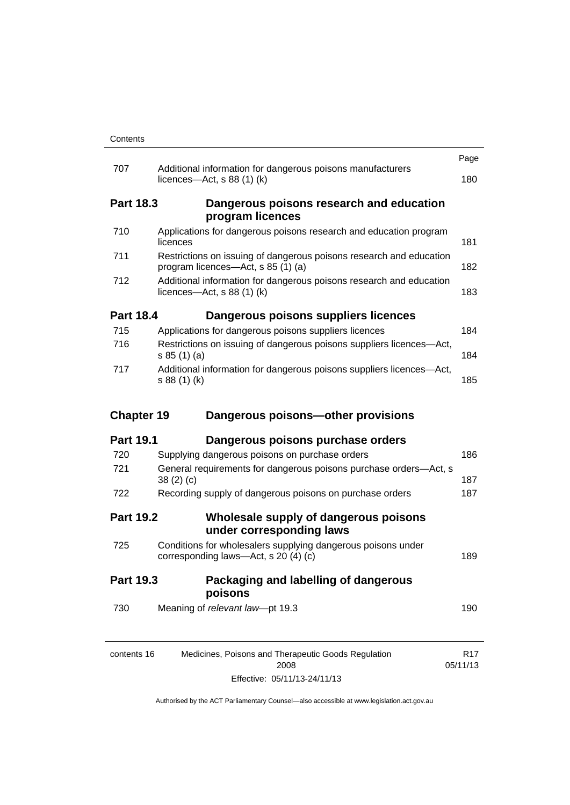|                   |                                                                                                           | Page                        |
|-------------------|-----------------------------------------------------------------------------------------------------------|-----------------------------|
| 707               | Additional information for dangerous poisons manufacturers<br>licences- $-\text{Act}$ , s 88 (1) (k)      | 180                         |
| <b>Part 18.3</b>  | Dangerous poisons research and education<br>program licences                                              |                             |
| 710               | Applications for dangerous poisons research and education program<br>licences                             | 181                         |
| 711               | Restrictions on issuing of dangerous poisons research and education<br>program licences—Act, s 85 (1) (a) | 182                         |
| 712               | Additional information for dangerous poisons research and education<br>licences—Act, $s$ 88 (1) (k)       | 183                         |
| <b>Part 18.4</b>  | Dangerous poisons suppliers licences                                                                      |                             |
| 715               | Applications for dangerous poisons suppliers licences                                                     | 184                         |
| 716               | Restrictions on issuing of dangerous poisons suppliers licences-Act,<br>s 85(1)(a)                        | 184                         |
| 717               | Additional information for dangerous poisons suppliers licences-Act,<br>s 88 (1) (k)                      | 185                         |
| <b>Chapter 19</b> | Dangerous poisons-other provisions                                                                        |                             |
| <b>Part 19.1</b>  | Dangerous poisons purchase orders                                                                         |                             |
| 720               | Supplying dangerous poisons on purchase orders                                                            | 186                         |
| 721               | General requirements for dangerous poisons purchase orders-Act, s<br>38(2)(c)                             | 187                         |
| 722               | Recording supply of dangerous poisons on purchase orders                                                  | 187                         |
| <b>Part 19.2</b>  | Wholesale supply of dangerous poisons<br>under corresponding laws                                         |                             |
| 725               | Conditions for wholesalers supplying dangerous poisons under<br>corresponding laws-Act, s 20 (4) (c)      | 189                         |
| <b>Part 19.3</b>  |                                                                                                           |                             |
|                   | Packaging and labelling of dangerous<br>poisons                                                           |                             |
| 730               | Meaning of relevant law-pt 19.3                                                                           | 190                         |
| contents 16       | Medicines, Poisons and Therapeutic Goods Regulation<br>2008                                               | R <sub>17</sub><br>05/11/13 |

Effective: 05/11/13-24/11/13

05/11/13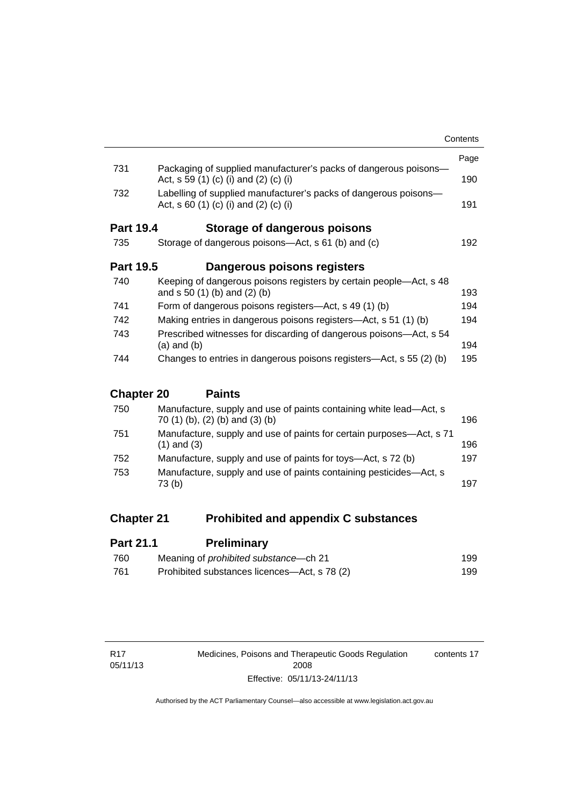|                   |                                                                                                           | Contents |
|-------------------|-----------------------------------------------------------------------------------------------------------|----------|
|                   |                                                                                                           | Page     |
| 731               | Packaging of supplied manufacturer's packs of dangerous poisons-<br>Act, s 59 (1) (c) (i) and (2) (c) (i) | 190      |
| 732               | Labelling of supplied manufacturer's packs of dangerous poisons—<br>Act, s 60 (1) (c) (i) and (2) (c) (i) | 191      |
| <b>Part 19.4</b>  | Storage of dangerous poisons                                                                              |          |
| 735               | Storage of dangerous poisons—Act, s 61 (b) and (c)                                                        | 192      |
| <b>Part 19.5</b>  | Dangerous poisons registers                                                                               |          |
| 740               | Keeping of dangerous poisons registers by certain people—Act, s 48<br>and $s 50 (1) (b)$ and $(2) (b)$    | 193      |
| 741               | Form of dangerous poisons registers—Act, s 49 (1) (b)                                                     | 194      |
| 742               | Making entries in dangerous poisons registers—Act, s 51 (1) (b)<br>194                                    |          |
| 743               | Prescribed witnesses for discarding of dangerous poisons—Act, s 54<br>$(a)$ and $(b)$                     | 194      |
| 744               | Changes to entries in dangerous poisons registers—Act, s 55 (2) (b)                                       | 195      |
| <b>Chapter 20</b> | <b>Paints</b>                                                                                             |          |
| 750               | Manufacture, supply and use of paints containing white lead—Act s                                         |          |

| 750 | Manufacture, supply and use of paints containing white lead—Act, s<br>70 (1) (b), (2) (b) and (3) (b) | 196 |
|-----|-------------------------------------------------------------------------------------------------------|-----|
| 751 | Manufacture, supply and use of paints for certain purposes—Act, s 71<br>$(1)$ and $(3)$               | 196 |
| 752 | Manufacture, supply and use of paints for toys—Act, s 72 (b)                                          | 197 |
| 753 | Manufacture, supply and use of paints containing pesticides-Act, s<br>73 (b)                          | 197 |
|     |                                                                                                       |     |

### **Chapter 21 [Prohibited and appendix C substances](#page-222-0)**

| <b>Part 21.1</b> | <b>Preliminary</b>                           |     |
|------------------|----------------------------------------------|-----|
| 760              | Meaning of <i>prohibited</i> substance—ch 21 | 199 |
| 761              | Prohibited substances licences—Act, s 78 (2) | 199 |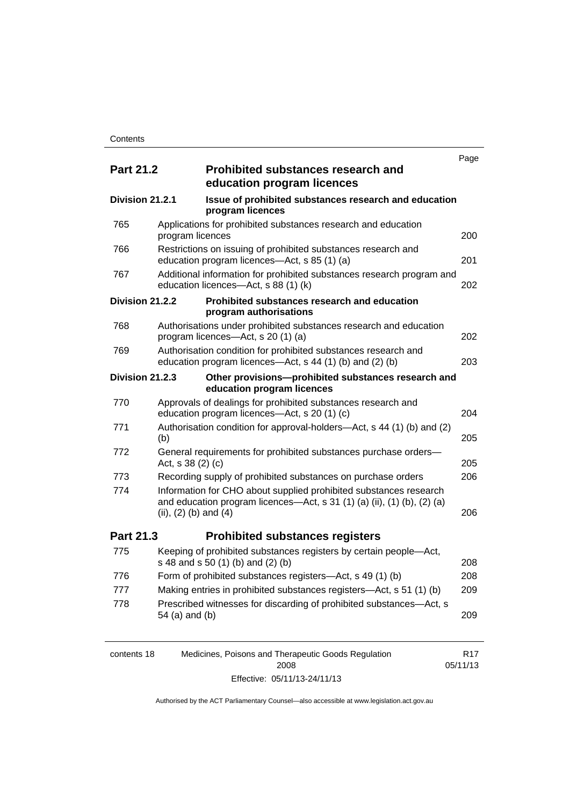|                  |                           |                                                                                                                                              | Page |
|------------------|---------------------------|----------------------------------------------------------------------------------------------------------------------------------------------|------|
| <b>Part 21.2</b> |                           | <b>Prohibited substances research and</b><br>education program licences                                                                      |      |
| Division 21.2.1  |                           | Issue of prohibited substances research and education<br>program licences                                                                    |      |
| 765              | program licences          | Applications for prohibited substances research and education                                                                                | 200  |
| 766              |                           | Restrictions on issuing of prohibited substances research and<br>education program licences—Act, s 85 (1) (a)                                | 201  |
| 767              |                           | Additional information for prohibited substances research program and<br>education licences-Act, s 88 (1) (k)                                | 202  |
| Division 21.2.2  |                           | Prohibited substances research and education<br>program authorisations                                                                       |      |
| 768              |                           | Authorisations under prohibited substances research and education<br>program licences—Act, s 20 (1) (a)                                      | 202  |
| 769              |                           | Authorisation condition for prohibited substances research and<br>education program licences—Act, s 44 (1) (b) and (2) (b)                   | 203  |
| Division 21.2.3  |                           | Other provisions-prohibited substances research and<br>education program licences                                                            |      |
| 770              |                           | Approvals of dealings for prohibited substances research and<br>education program licences-Act, s 20 (1) (c)                                 | 204  |
| 771              | (b)                       | Authorisation condition for approval-holders—Act, s 44 (1) (b) and (2)                                                                       | 205  |
| 772              | Act, s 38 (2) (c)         | General requirements for prohibited substances purchase orders-                                                                              | 205  |
| 773              |                           | Recording supply of prohibited substances on purchase orders                                                                                 | 206  |
| 774              |                           | Information for CHO about supplied prohibited substances research<br>and education program licences-Act, s 31 (1) (a) (ii), (1) (b), (2) (a) |      |
|                  | (ii), $(2)$ (b) and $(4)$ |                                                                                                                                              | 206  |
| Part 21.3        |                           | <b>Prohibited substances registers</b>                                                                                                       |      |
| 775              |                           | Keeping of prohibited substances registers by certain people-Act,<br>s 48 and s 50 (1) (b) and (2) (b)                                       | 208  |
| 776              |                           | Form of prohibited substances registers—Act, s 49 (1) (b)                                                                                    | 208  |
| 777              |                           | Making entries in prohibited substances registers—Act, s 51 (1) (b)                                                                          | 209  |
| 778              | 54 (a) and (b)            | Prescribed witnesses for discarding of prohibited substances-Act, s                                                                          | 209  |
|                  |                           |                                                                                                                                              |      |

| contents 18 | Medicines, Poisons and Therapeutic Goods Regulation | R <sub>17</sub> |
|-------------|-----------------------------------------------------|-----------------|
|             | 2008                                                | 05/11/13        |
|             | Effective: 05/11/13-24/11/13                        |                 |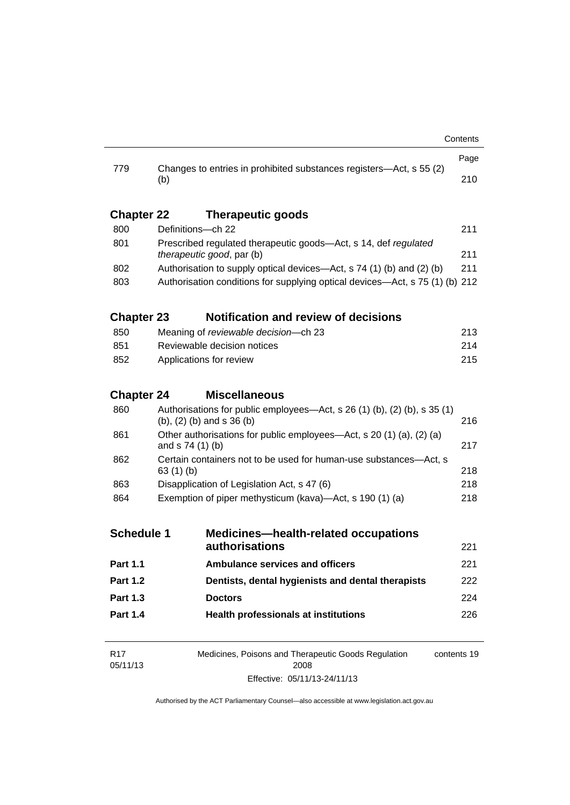|                   |                                                                                                     |                                                                                                                | Page        |
|-------------------|-----------------------------------------------------------------------------------------------------|----------------------------------------------------------------------------------------------------------------|-------------|
| 779               | (b)                                                                                                 | Changes to entries in prohibited substances registers—Act, s 55 (2)                                            | 210         |
| <b>Chapter 22</b> |                                                                                                     | <b>Therapeutic goods</b>                                                                                       |             |
| 800               | Definitions-ch 22                                                                                   |                                                                                                                | 211         |
| 801               | Prescribed regulated therapeutic goods-Act, s 14, def regulated<br><i>therapeutic good, par (b)</i> |                                                                                                                | 211         |
| 802               | Authorisation to supply optical devices—Act, s 74 (1) (b) and (2) (b)                               |                                                                                                                | 211         |
| 803               | Authorisation conditions for supplying optical devices—Act, s 75 (1) (b) 212                        |                                                                                                                |             |
| <b>Chapter 23</b> |                                                                                                     | <b>Notification and review of decisions</b>                                                                    |             |
| 850               |                                                                                                     | Meaning of reviewable decision--- ch 23                                                                        | 213         |
| 851               |                                                                                                     | Reviewable decision notices                                                                                    | 214         |
| 852               | 215<br>Applications for review                                                                      |                                                                                                                |             |
| <b>Chapter 24</b> |                                                                                                     | <b>Miscellaneous</b>                                                                                           |             |
| 860               |                                                                                                     | Authorisations for public employees—Act, s 26 (1) (b), (2) (b), s 35 (1)<br>$(b)$ , $(2)$ $(b)$ and s 36 $(b)$ | 216         |
| 861               | Other authorisations for public employees—Act, s 20 (1) (a), (2) (a)<br>and s 74 (1) (b)            |                                                                                                                | 217         |
| 862               | Certain containers not to be used for human-use substances—Act, s<br>63 $(1)$ $(b)$                 |                                                                                                                | 218         |
| 863               | Disapplication of Legislation Act, s 47 (6)                                                         |                                                                                                                | 218         |
| 864               |                                                                                                     | Exemption of piper methysticum (kava)—Act, s 190 (1) (a)                                                       | 218         |
| <b>Schedule 1</b> |                                                                                                     | <b>Medicines-health-related occupations</b>                                                                    |             |
|                   |                                                                                                     | authorisations                                                                                                 | 221         |
| <b>Part 1.1</b>   |                                                                                                     | <b>Ambulance services and officers</b>                                                                         | 221         |
| <b>Part 1.2</b>   |                                                                                                     | Dentists, dental hygienists and dental therapists                                                              | 222         |
| <b>Part 1.3</b>   |                                                                                                     | <b>Doctors</b>                                                                                                 | 224         |
| <b>Part 1.4</b>   |                                                                                                     | <b>Health professionals at institutions</b>                                                                    | 226         |
| R <sub>17</sub>   |                                                                                                     | Medicines, Poisons and Therapeutic Goods Regulation                                                            | contents 19 |

| R17      | Medicines, Poisons and Therapeutic Goods Regulation | contents 19 |
|----------|-----------------------------------------------------|-------------|
| 05/11/13 | 2008                                                |             |
|          | Effective: 05/11/13-24/11/13                        |             |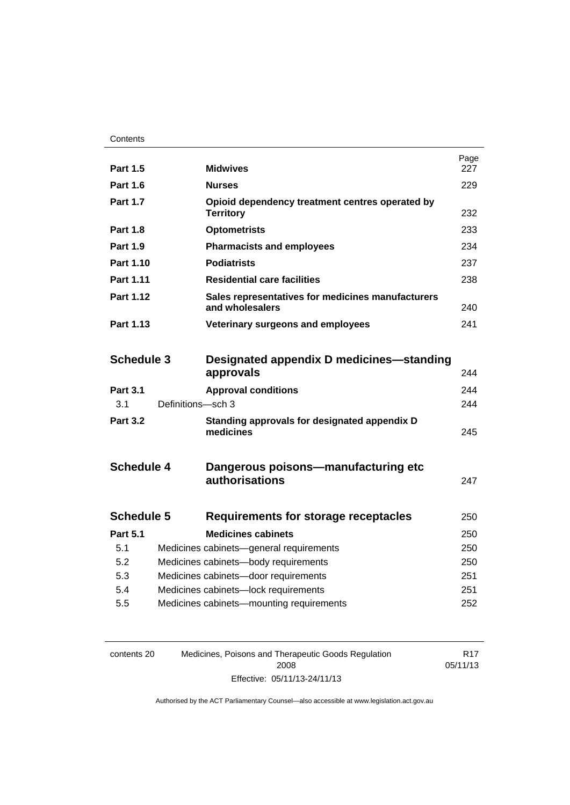| <b>Part 1.5</b>        |                   | <b>Midwives</b>                                                      | Page<br>227 |
|------------------------|-------------------|----------------------------------------------------------------------|-------------|
| <b>Part 1.6</b>        |                   | <b>Nurses</b>                                                        | 229         |
| <b>Part 1.7</b>        |                   | Opioid dependency treatment centres operated by<br><b>Territory</b>  | 232         |
| <b>Part 1.8</b>        |                   | <b>Optometrists</b>                                                  | 233         |
| <b>Part 1.9</b>        |                   | <b>Pharmacists and employees</b>                                     | 234         |
| Part 1.10              |                   | <b>Podiatrists</b>                                                   | 237         |
| Part 1.11              |                   | <b>Residential care facilities</b>                                   | 238         |
| <b>Part 1.12</b>       |                   | Sales representatives for medicines manufacturers<br>and wholesalers | 240         |
| Part 1.13              |                   | Veterinary surgeons and employees                                    | 241         |
| <b>Schedule 3</b>      |                   | Designated appendix D medicines—standing<br>approvals                |             |
|                        |                   |                                                                      | 244         |
| <b>Part 3.1</b><br>3.1 | Definitions-sch 3 | <b>Approval conditions</b>                                           | 244<br>244  |
| <b>Part 3.2</b>        |                   | Standing approvals for designated appendix D<br>medicines            | 245         |
| <b>Schedule 4</b>      |                   | Dangerous poisons—manufacturing etc<br>authorisations                | 247         |
| <b>Schedule 5</b>      |                   | Requirements for storage receptacles                                 | 250         |
| <b>Part 5.1</b>        |                   | <b>Medicines cabinets</b>                                            | 250         |
| 5.1                    |                   | Medicines cabinets-general requirements                              | 250         |
| 5.2                    |                   | Medicines cabinets-body requirements                                 | 250         |
| 5.3                    |                   | Medicines cabinets-door requirements                                 | 251         |
| 5.4                    |                   | Medicines cabinets-lock requirements                                 | 251         |
| 5.5                    |                   | Medicines cabinets-mounting requirements                             | 252         |
|                        |                   |                                                                      |             |

| contents 20 | Medicines, Poisons and Therapeutic Goods Regulation | R17      |
|-------------|-----------------------------------------------------|----------|
|             | 2008                                                | 05/11/13 |
|             | Effective: 05/11/13-24/11/13                        |          |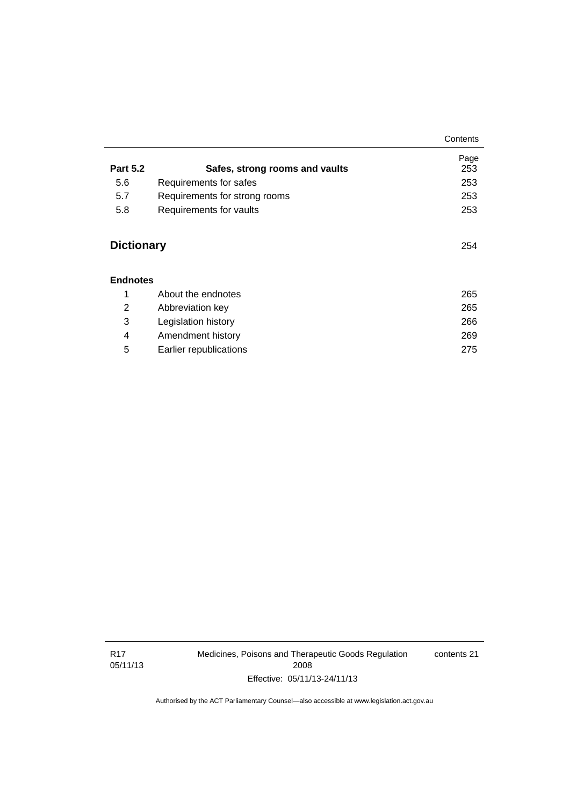|                 |                                | Contents    |
|-----------------|--------------------------------|-------------|
| <b>Part 5.2</b> | Safes, strong rooms and vaults | Page<br>253 |
| 5.6             | Requirements for safes         | 253         |
| 5.7             | Requirements for strong rooms  | 253         |
| 5.8             | Requirements for vaults        | 253         |

#### **[Endnotes](#page-288-0)**

|   | About the endnotes     | 265 |
|---|------------------------|-----|
| 2 | Abbreviation key       | 265 |
| 3 | Legislation history    | 266 |
| 4 | Amendment history      | 269 |
| 5 | Earlier republications | 275 |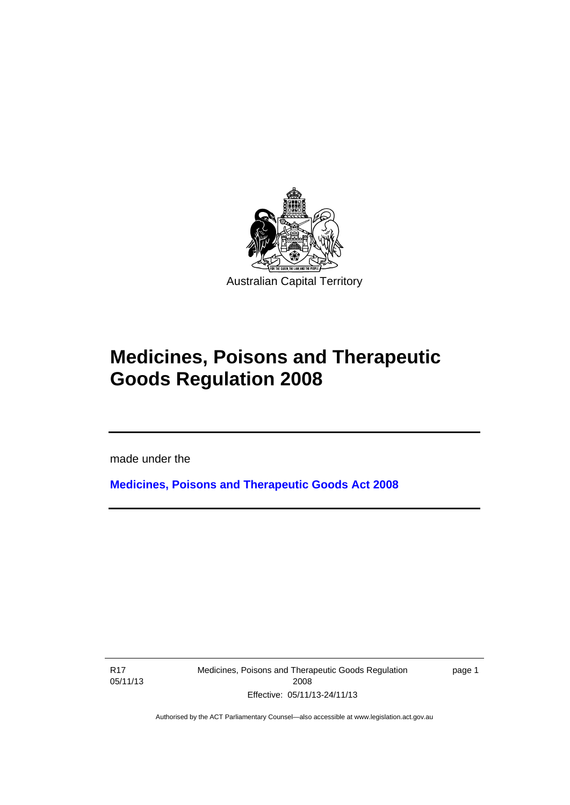

# **Medicines, Poisons and Therapeutic Goods Regulation 2008**

made under the

**[Medicines, Poisons and Therapeutic Goods Act 2008](http://www.legislation.act.gov.au/a/2008-26)**

R17 05/11/13

Ī

Medicines, Poisons and Therapeutic Goods Regulation 2008 Effective: 05/11/13-24/11/13

page 1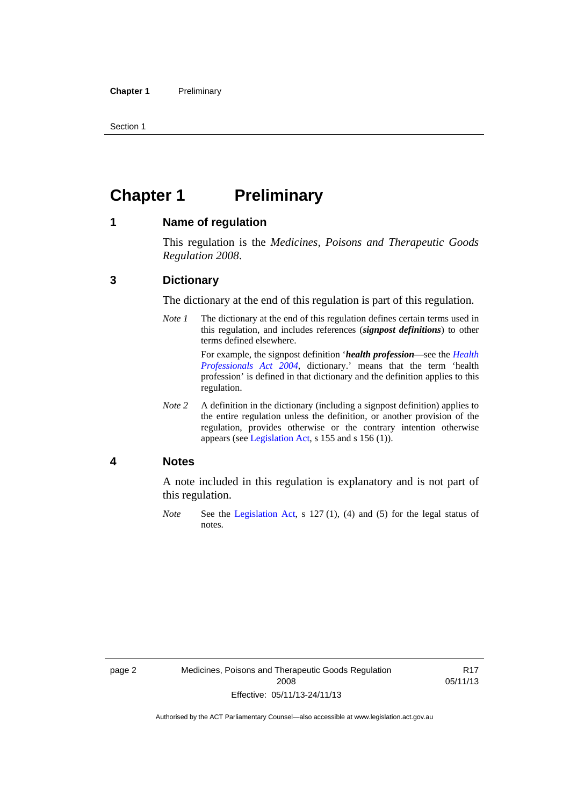Section 1

### <span id="page-25-0"></span>**Chapter 1 Preliminary**

#### <span id="page-25-1"></span>**1 Name of regulation**

This regulation is the *Medicines, Poisons and Therapeutic Goods Regulation 2008*.

#### <span id="page-25-2"></span>**3 Dictionary**

The dictionary at the end of this regulation is part of this regulation.

*Note 1* The dictionary at the end of this regulation defines certain terms used in this regulation, and includes references (*signpost definitions*) to other terms defined elsewhere. For example, the signpost definition '*health profession*—see the *[Health](http://www.legislation.act.gov.au/a/2004-38)* 

*[Professionals Act 2004](http://www.legislation.act.gov.au/a/2004-38)*, dictionary.' means that the term 'health profession' is defined in that dictionary and the definition applies to this regulation.

*Note 2* A definition in the dictionary (including a signpost definition) applies to the entire regulation unless the definition, or another provision of the regulation, provides otherwise or the contrary intention otherwise appears (see [Legislation Act,](http://www.legislation.act.gov.au/a/2001-14) s 155 and s 156 (1)).

#### <span id="page-25-3"></span>**4 Notes**

A note included in this regulation is explanatory and is not part of this regulation.

*Note* See the [Legislation Act,](http://www.legislation.act.gov.au/a/2001-14) s 127 (1), (4) and (5) for the legal status of notes.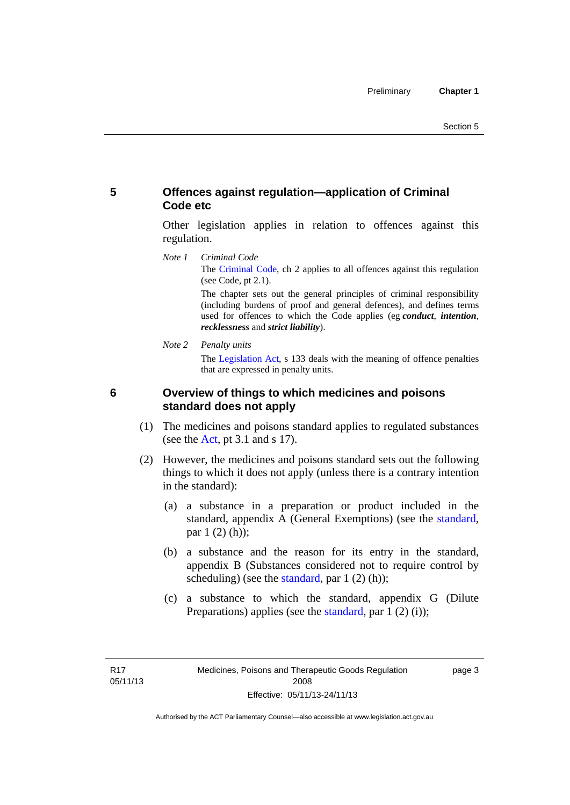#### <span id="page-26-0"></span>**5 Offences against regulation—application of Criminal Code etc**

Other legislation applies in relation to offences against this regulation.

*Note 1 Criminal Code* The [Criminal Code](http://www.legislation.act.gov.au/a/2002-51), ch 2 applies to all offences against this regulation (see Code, pt 2.1).

> The chapter sets out the general principles of criminal responsibility (including burdens of proof and general defences), and defines terms used for offences to which the Code applies (eg *conduct*, *intention*, *recklessness* and *strict liability*).

*Note 2 Penalty units* 

The [Legislation Act](http://www.legislation.act.gov.au/a/2001-14), s 133 deals with the meaning of offence penalties that are expressed in penalty units.

<span id="page-26-1"></span>

#### **6 Overview of things to which medicines and poisons standard does not apply**

- (1) The medicines and poisons standard applies to regulated substances (see the  $Act$ , pt 3.1 and s 17).
- (2) However, the medicines and poisons standard sets out the following things to which it does not apply (unless there is a contrary intention in the standard):
	- (a) a substance in a preparation or product included in the standard, appendix A (General Exemptions) (see the [standard](http://www.comlaw.gov.au/Series/F2012L01200), par 1 (2) (h));
	- (b) a substance and the reason for its entry in the standard, appendix B (Substances considered not to require control by scheduling) (see the [standard,](http://www.comlaw.gov.au/Series/F2012L01200) par  $1(2)(h)$ );
	- (c) a substance to which the standard, appendix G (Dilute Preparations) applies (see the [standard,](http://www.comlaw.gov.au/Series/F2012L01200) par 1 (2) (i));

page 3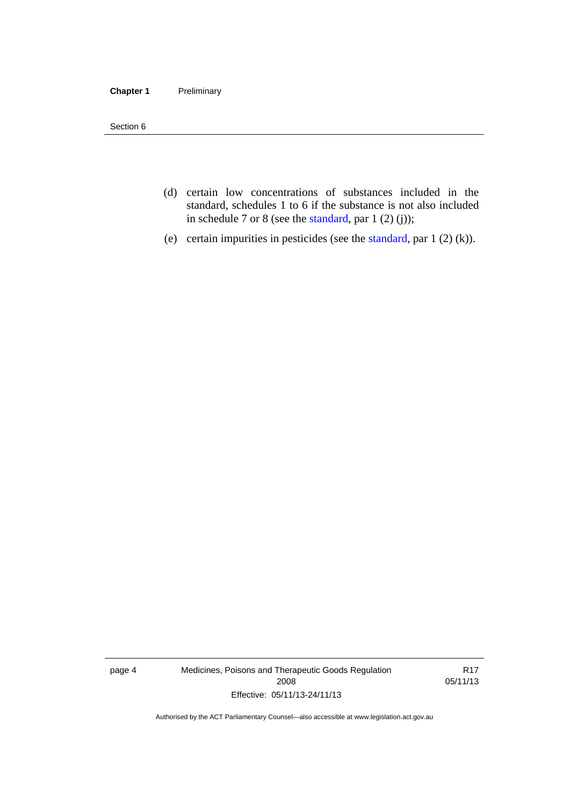#### **Chapter 1** Preliminary

Section 6

- (d) certain low concentrations of substances included in the standard, schedules 1 to 6 if the substance is not also included in schedule 7 or 8 (see the [standard,](http://www.comlaw.gov.au/Series/F2012L01200) par 1 (2) (j));
- (e) certain impurities in pesticides (see the [standard,](http://www.comlaw.gov.au/Series/F2012L01200) par  $1(2)(k)$ ).

page 4 Medicines, Poisons and Therapeutic Goods Regulation 2008 Effective: 05/11/13-24/11/13

R17 05/11/13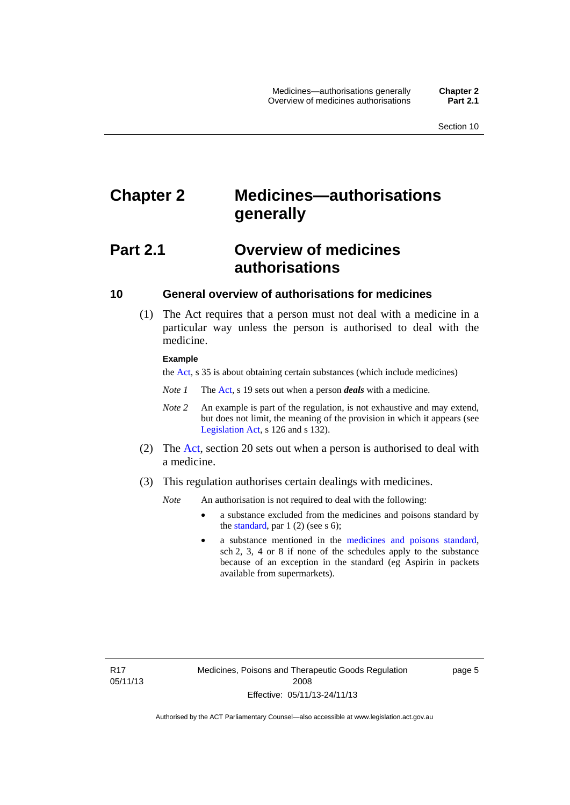## <span id="page-28-0"></span>**Chapter 2 Medicines—authorisations generally**

### <span id="page-28-1"></span>**Part 2.1 Overview of medicines authorisations**

#### <span id="page-28-2"></span>**10 General overview of authorisations for medicines**

 (1) The Act requires that a person must not deal with a medicine in a particular way unless the person is authorised to deal with the medicine.

#### **Example**

the [Act](http://www.legislation.act.gov.au/a/2008-26/default.asp), s 35 is about obtaining certain substances (which include medicines)

- *Note 1* The [Act,](http://www.legislation.act.gov.au/a/2008-26/default.asp) s 19 sets out when a person *deals* with a medicine.
- *Note 2* An example is part of the regulation, is not exhaustive and may extend, but does not limit, the meaning of the provision in which it appears (see [Legislation Act,](http://www.legislation.act.gov.au/a/2001-14) s 126 and s 132).
- (2) The [Act](http://www.legislation.act.gov.au/a/2008-26/default.asp), section 20 sets out when a person is authorised to deal with a medicine.
- (3) This regulation authorises certain dealings with medicines.

*Note* An authorisation is not required to deal with the following:

- a substance excluded from the medicines and poisons standard by the [standard,](http://www.comlaw.gov.au/Series/F2012L01200) par  $1(2)$  (see s 6);
- a substance mentioned in the [medicines and poisons standard,](http://www.comlaw.gov.au/Series/F2012L01200) sch 2, 3, 4 or 8 if none of the schedules apply to the substance because of an exception in the standard (eg Aspirin in packets available from supermarkets).

R17 05/11/13 page 5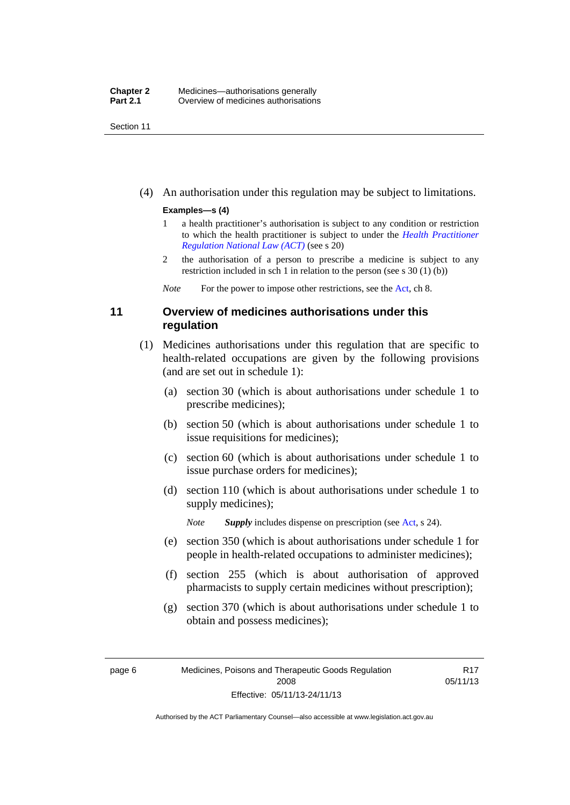Section 11

(4) An authorisation under this regulation may be subject to limitations.

#### **Examples—s (4)**

- 1 a health practitioner's authorisation is subject to any condition or restriction to which the health practitioner is subject to under the *[Health Practitioner](http://www.legislation.act.gov.au/a/db_39269/default.asp)  [Regulation National Law \(ACT\)](http://www.legislation.act.gov.au/a/db_39269/default.asp)* (see s 20)
- 2 the authorisation of a person to prescribe a medicine is subject to any restriction included in sch 1 in relation to the person (see s 30 (1) (b))

*Note* For the power to impose other restrictions, see the [Act](http://www.legislation.act.gov.au/a/2008-26/default.asp), ch 8.

#### <span id="page-29-0"></span>**11 Overview of medicines authorisations under this regulation**

- (1) Medicines authorisations under this regulation that are specific to health-related occupations are given by the following provisions (and are set out in schedule 1):
	- (a) section 30 (which is about authorisations under schedule 1 to prescribe medicines);
	- (b) section 50 (which is about authorisations under schedule 1 to issue requisitions for medicines);
	- (c) section 60 (which is about authorisations under schedule 1 to issue purchase orders for medicines);
	- (d) section 110 (which is about authorisations under schedule 1 to supply medicines);

*Note Supply* includes dispense on prescription (see [Act,](http://www.legislation.act.gov.au/a/2008-26/default.asp) s 24).

- (e) section 350 (which is about authorisations under schedule 1 for people in health-related occupations to administer medicines);
- (f) section 255 (which is about authorisation of approved pharmacists to supply certain medicines without prescription);
- (g) section 370 (which is about authorisations under schedule 1 to obtain and possess medicines);

R17 05/11/13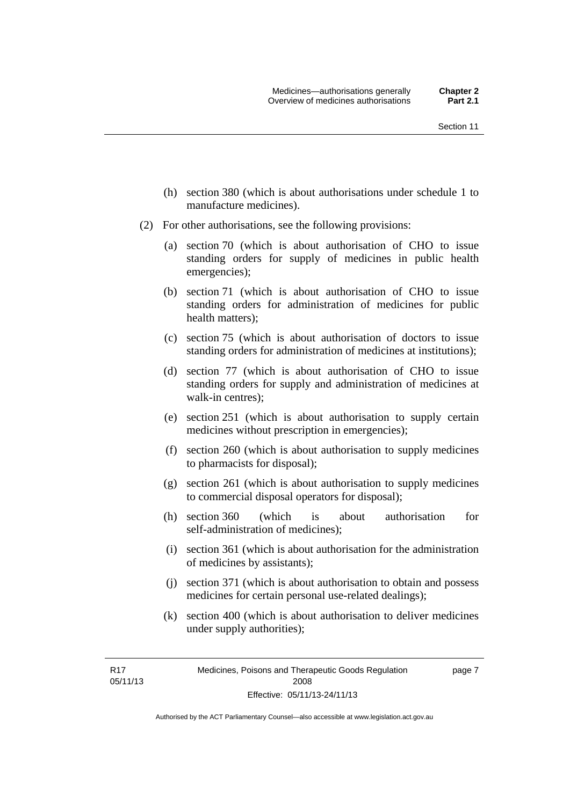- (h) section 380 (which is about authorisations under schedule 1 to manufacture medicines).
- (2) For other authorisations, see the following provisions:
	- (a) section 70 (which is about authorisation of CHO to issue standing orders for supply of medicines in public health emergencies);
	- (b) section 71 (which is about authorisation of CHO to issue standing orders for administration of medicines for public health matters);
	- (c) section 75 (which is about authorisation of doctors to issue standing orders for administration of medicines at institutions);
	- (d) section 77 (which is about authorisation of CHO to issue standing orders for supply and administration of medicines at walk-in centres);
	- (e) section 251 (which is about authorisation to supply certain medicines without prescription in emergencies);
	- (f) section 260 (which is about authorisation to supply medicines to pharmacists for disposal);
	- (g) section 261 (which is about authorisation to supply medicines to commercial disposal operators for disposal);
	- (h) section 360 (which is about authorisation for self-administration of medicines);
	- (i) section 361 (which is about authorisation for the administration of medicines by assistants);
	- (j) section 371 (which is about authorisation to obtain and possess medicines for certain personal use-related dealings);
	- (k) section 400 (which is about authorisation to deliver medicines under supply authorities);

R17 05/11/13 page 7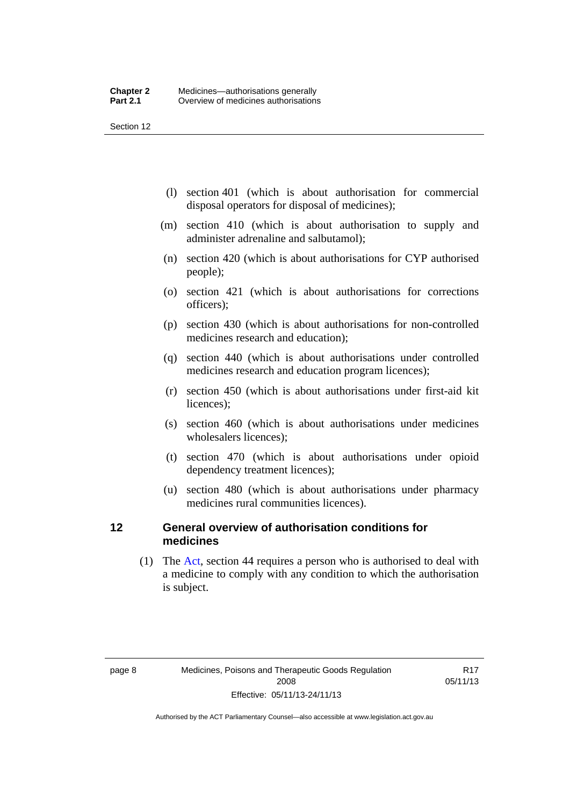Section 12

- (l) section 401 (which is about authorisation for commercial disposal operators for disposal of medicines);
- (m) section 410 (which is about authorisation to supply and administer adrenaline and salbutamol);
- (n) section 420 (which is about authorisations for CYP authorised people);
- (o) section 421 (which is about authorisations for corrections officers);
- (p) section 430 (which is about authorisations for non-controlled medicines research and education);
- (q) section 440 (which is about authorisations under controlled medicines research and education program licences);
- (r) section 450 (which is about authorisations under first-aid kit licences);
- (s) section 460 (which is about authorisations under medicines wholesalers licences);
- (t) section 470 (which is about authorisations under opioid dependency treatment licences);
- (u) section 480 (which is about authorisations under pharmacy medicines rural communities licences).

#### <span id="page-31-0"></span>**12 General overview of authorisation conditions for medicines**

 (1) The [Act](http://www.legislation.act.gov.au/a/2008-26/default.asp), section 44 requires a person who is authorised to deal with a medicine to comply with any condition to which the authorisation is subject.

R17 05/11/13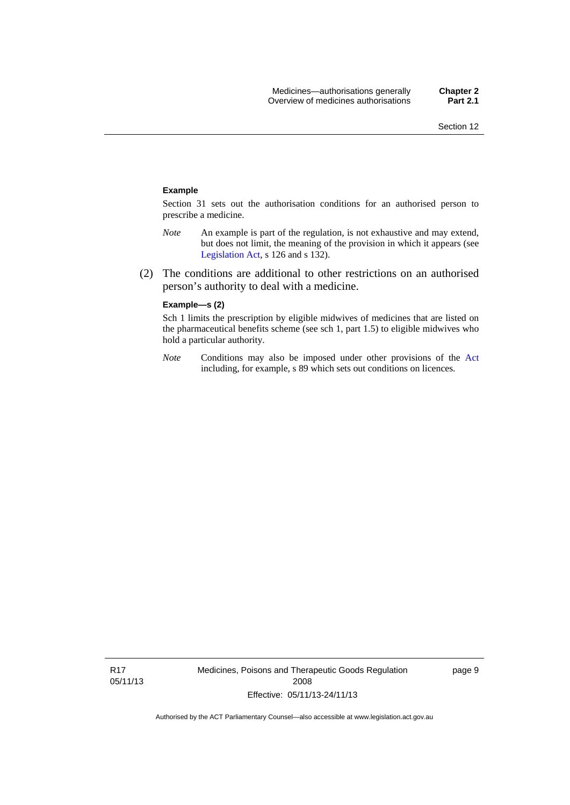#### **Example**

Section 31 sets out the authorisation conditions for an authorised person to prescribe a medicine.

- *Note* An example is part of the regulation, is not exhaustive and may extend, but does not limit, the meaning of the provision in which it appears (see [Legislation Act,](http://www.legislation.act.gov.au/a/2001-14) s 126 and s 132).
- (2) The conditions are additional to other restrictions on an authorised person's authority to deal with a medicine.

#### **Example—s (2)**

Sch 1 limits the prescription by eligible midwives of medicines that are listed on the pharmaceutical benefits scheme (see sch 1, part 1.5) to eligible midwives who hold a particular authority.

*Note* Conditions may also be imposed under other provisions of the [Act](http://www.legislation.act.gov.au/a/2008-26/default.asp) including, for example, s 89 which sets out conditions on licences.

page 9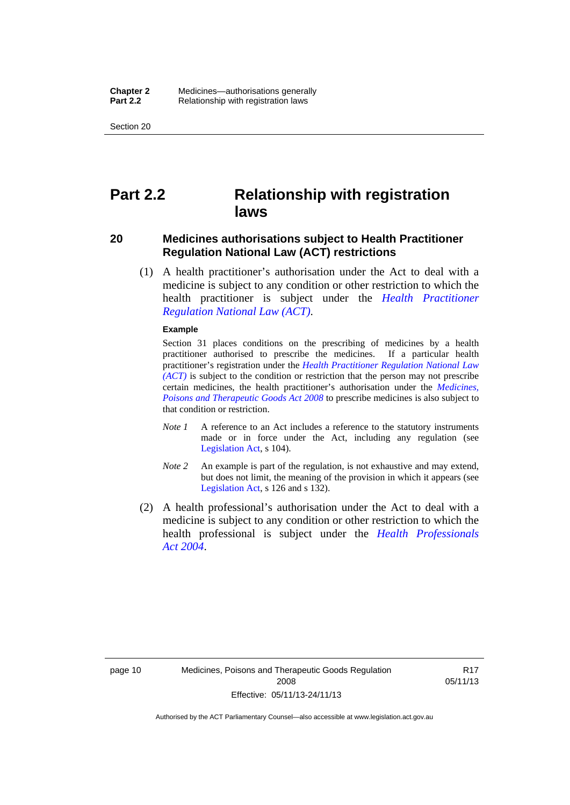Section 20

### <span id="page-33-0"></span>**Part 2.2 Relationship with registration laws**

#### <span id="page-33-1"></span>**20 Medicines authorisations subject to Health Practitioner Regulation National Law (ACT) restrictions**

 (1) A health practitioner's authorisation under the Act to deal with a medicine is subject to any condition or other restriction to which the health practitioner is subject under the *[Health Practitioner](http://www.legislation.act.gov.au/a/db_39269/default.asp)  [Regulation National Law \(ACT\)](http://www.legislation.act.gov.au/a/db_39269/default.asp)*.

#### **Example**

Section 31 places conditions on the prescribing of medicines by a health practitioner authorised to prescribe the medicines. If a particular health practitioner's registration under the *[Health Practitioner Regulation National Law](http://www.legislation.act.gov.au/a/db_39269/default.asp)  [\(ACT\)](http://www.legislation.act.gov.au/a/db_39269/default.asp)* is subject to the condition or restriction that the person may not prescribe certain medicines, the health practitioner's authorisation under the *[Medicines,](http://www.legislation.act.gov.au/a/2008-26)  [Poisons and Therapeutic Goods Act 2008](http://www.legislation.act.gov.au/a/2008-26)* to prescribe medicines is also subject to that condition or restriction.

- *Note 1* A reference to an Act includes a reference to the statutory instruments made or in force under the Act, including any regulation (see [Legislation Act,](http://www.legislation.act.gov.au/a/2001-14) s 104).
- *Note 2* An example is part of the regulation, is not exhaustive and may extend, but does not limit, the meaning of the provision in which it appears (see [Legislation Act,](http://www.legislation.act.gov.au/a/2001-14) s 126 and s 132).
- (2) A health professional's authorisation under the Act to deal with a medicine is subject to any condition or other restriction to which the health professional is subject under the *[Health Professionals](http://www.legislation.act.gov.au/a/2004-38)  [Act 2004](http://www.legislation.act.gov.au/a/2004-38)*.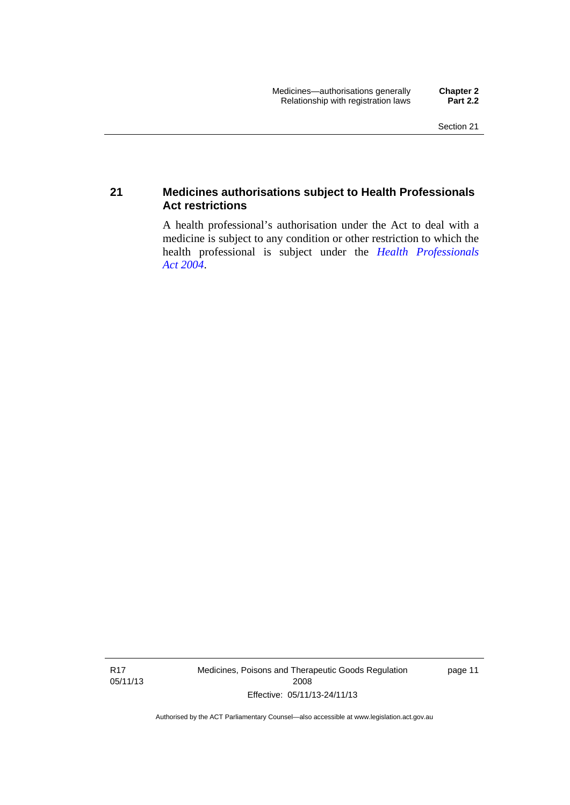#### <span id="page-34-0"></span>**21 Medicines authorisations subject to Health Professionals Act restrictions**

A health professional's authorisation under the Act to deal with a medicine is subject to any condition or other restriction to which the health professional is subject under the *[Health Professionals](http://www.legislation.act.gov.au/a/2004-38)  [Act 2004](http://www.legislation.act.gov.au/a/2004-38)*.

R17 05/11/13 Medicines, Poisons and Therapeutic Goods Regulation 2008 Effective: 05/11/13-24/11/13

page 11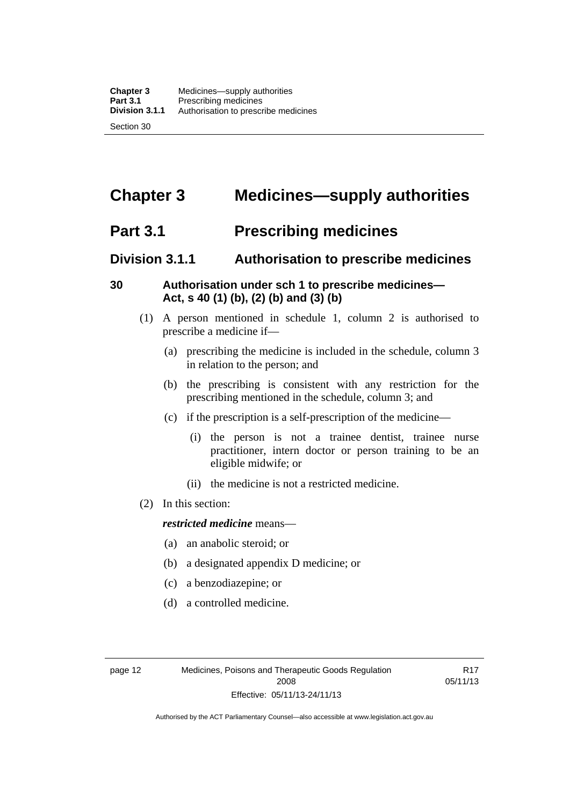### <span id="page-35-0"></span>**Chapter 3 Medicines—supply authorities**

### <span id="page-35-1"></span>**Part 3.1 Prescribing medicines**

### <span id="page-35-2"></span>**Division 3.1.1 Authorisation to prescribe medicines**

#### <span id="page-35-3"></span>**30 Authorisation under sch 1 to prescribe medicines— Act, s 40 (1) (b), (2) (b) and (3) (b)**

- (1) A person mentioned in schedule 1, column 2 is authorised to prescribe a medicine if—
	- (a) prescribing the medicine is included in the schedule, column 3 in relation to the person; and
	- (b) the prescribing is consistent with any restriction for the prescribing mentioned in the schedule, column 3; and
	- (c) if the prescription is a self-prescription of the medicine—
		- (i) the person is not a trainee dentist, trainee nurse practitioner, intern doctor or person training to be an eligible midwife; or
		- (ii) the medicine is not a restricted medicine.
- (2) In this section:

#### *restricted medicine* means—

- (a) an anabolic steroid; or
- (b) a designated appendix D medicine; or
- (c) a benzodiazepine; or
- (d) a controlled medicine.

R17 05/11/13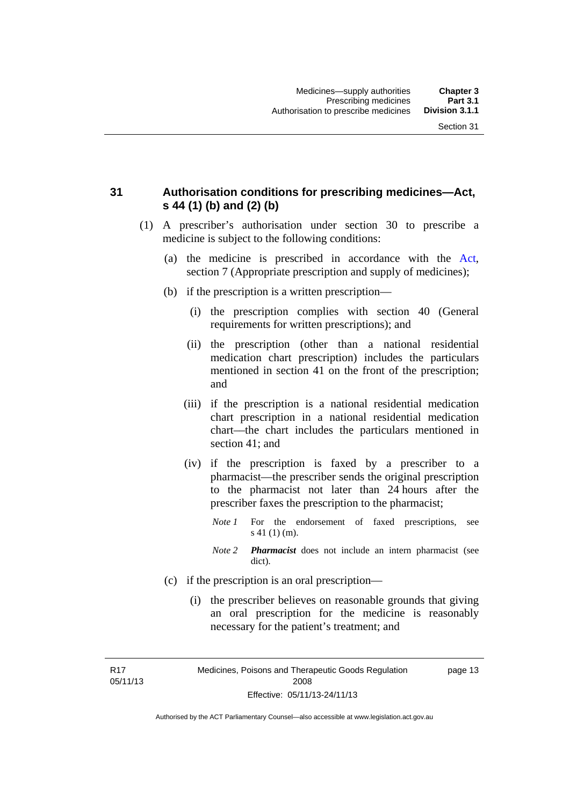## **31 Authorisation conditions for prescribing medicines—Act, s 44 (1) (b) and (2) (b)**

- (1) A prescriber's authorisation under section 30 to prescribe a medicine is subject to the following conditions:
	- (a) the medicine is prescribed in accordance with the [Act](http://www.legislation.act.gov.au/a/2008-26/default.asp), section 7 (Appropriate prescription and supply of medicines);
	- (b) if the prescription is a written prescription—
		- (i) the prescription complies with section 40 (General requirements for written prescriptions); and
		- (ii) the prescription (other than a national residential medication chart prescription) includes the particulars mentioned in section 41 on the front of the prescription; and
		- (iii) if the prescription is a national residential medication chart prescription in a national residential medication chart––the chart includes the particulars mentioned in section 41; and
		- (iv) if the prescription is faxed by a prescriber to a pharmacist—the prescriber sends the original prescription to the pharmacist not later than 24 hours after the prescriber faxes the prescription to the pharmacist;
			- *Note 1* For the endorsement of faxed prescriptions, see s 41 (1) (m).
			- *Note 2 Pharmacist* does not include an intern pharmacist (see dict).
	- (c) if the prescription is an oral prescription—
		- (i) the prescriber believes on reasonable grounds that giving an oral prescription for the medicine is reasonably necessary for the patient's treatment; and

R17 05/11/13 Medicines, Poisons and Therapeutic Goods Regulation 2008 Effective: 05/11/13-24/11/13

page 13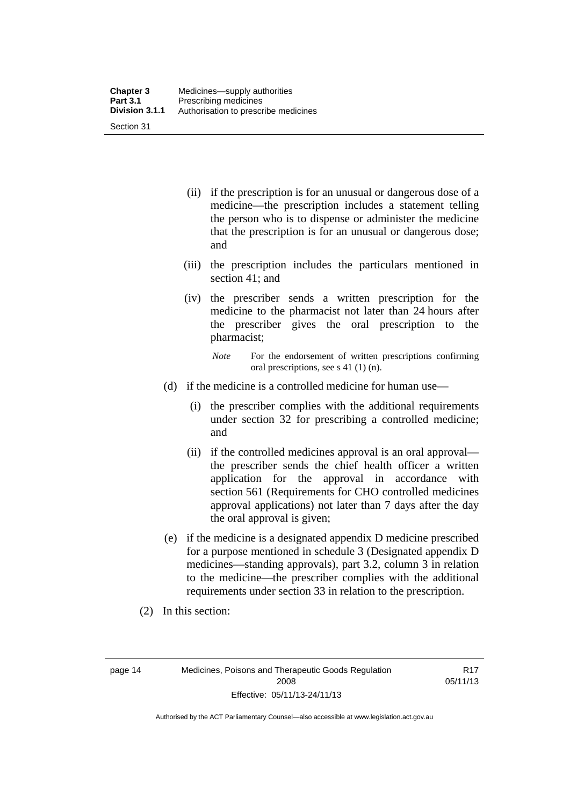| <b>Chapter 3</b> | Medicines—supply authorities         |
|------------------|--------------------------------------|
| <b>Part 3.1</b>  | Prescribing medicines                |
| Division 3.1.1   | Authorisation to prescribe medicines |
| Section 31       |                                      |

- (ii) if the prescription is for an unusual or dangerous dose of a medicine—the prescription includes a statement telling the person who is to dispense or administer the medicine that the prescription is for an unusual or dangerous dose; and
- (iii) the prescription includes the particulars mentioned in section 41; and
- (iv) the prescriber sends a written prescription for the medicine to the pharmacist not later than 24 hours after the prescriber gives the oral prescription to the pharmacist;

- (d) if the medicine is a controlled medicine for human use—
	- (i) the prescriber complies with the additional requirements under section 32 for prescribing a controlled medicine; and
	- (ii) if the controlled medicines approval is an oral approval the prescriber sends the chief health officer a written application for the approval in accordance with section 561 (Requirements for CHO controlled medicines approval applications) not later than 7 days after the day the oral approval is given;
- (e) if the medicine is a designated appendix D medicine prescribed for a purpose mentioned in schedule 3 (Designated appendix D medicines—standing approvals), part 3.2, column 3 in relation to the medicine—the prescriber complies with the additional requirements under section 33 in relation to the prescription.
- (2) In this section:

page 14 Medicines, Poisons and Therapeutic Goods Regulation 2008 Effective: 05/11/13-24/11/13

R17 05/11/13

*Note* For the endorsement of written prescriptions confirming oral prescriptions, see s 41 (1) (n).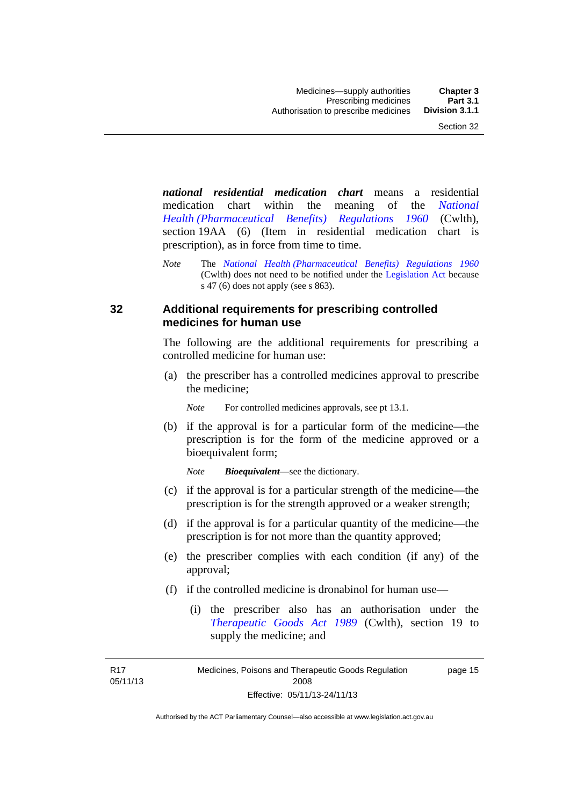*national residential medication chart* means a residential medication chart within the meaning of the *[National](http://www.comlaw.gov.au/Series/F1996B02844)  [Health \(Pharmaceutical Benefits\) Regulations 1960](http://www.comlaw.gov.au/Series/F1996B02844)* (Cwlth), section 19AA (6) (Item in residential medication chart is prescription), as in force from time to time.

*Note* The *[National Health \(Pharmaceutical Benefits\) Regulations 1960](http://www.comlaw.gov.au/Series/F1996B02844)* (Cwlth) does not need to be notified under the [Legislation Act](http://www.legislation.act.gov.au/a/2001-14) because s 47 (6) does not apply (see s 863).

### **32 Additional requirements for prescribing controlled medicines for human use**

The following are the additional requirements for prescribing a controlled medicine for human use:

 (a) the prescriber has a controlled medicines approval to prescribe the medicine;

*Note* For controlled medicines approvals, see pt 13.1.

 (b) if the approval is for a particular form of the medicine—the prescription is for the form of the medicine approved or a bioequivalent form;

*Note Bioequivalent*—see the dictionary.

- (c) if the approval is for a particular strength of the medicine—the prescription is for the strength approved or a weaker strength;
- (d) if the approval is for a particular quantity of the medicine—the prescription is for not more than the quantity approved;
- (e) the prescriber complies with each condition (if any) of the approval;
- (f) if the controlled medicine is dronabinol for human use—
	- (i) the prescriber also has an authorisation under the *[Therapeutic Goods Act 1989](http://www.comlaw.gov.au/Series/C2004A03952)* (Cwlth), section 19 to supply the medicine; and

R17 05/11/13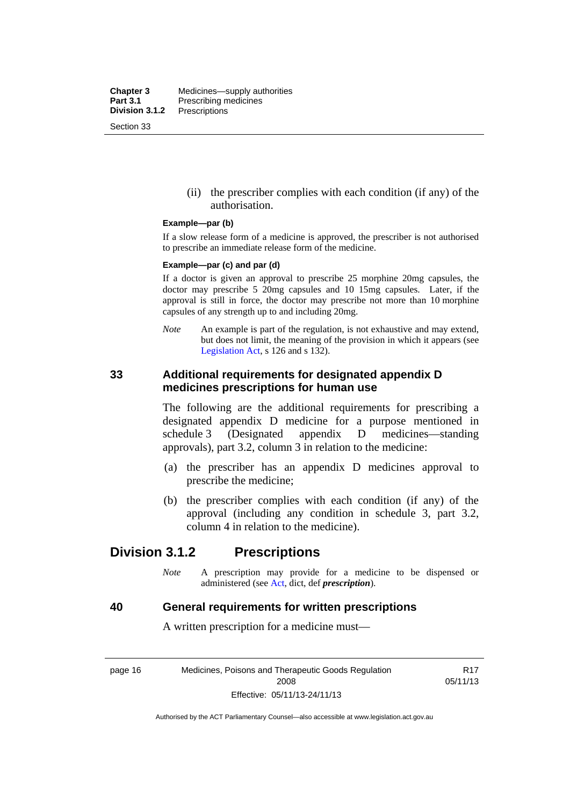**Chapter 3** Medicines—supply authorities<br>**Part 3.1** Prescribing medicines **Part 3.1** Prescribing medicines<br>**Division 3.1.2** Prescriptions **Division 3.1.2** Prescriptions Section 33

> (ii) the prescriber complies with each condition (if any) of the authorisation.

#### **Example—par (b)**

If a slow release form of a medicine is approved, the prescriber is not authorised to prescribe an immediate release form of the medicine.

#### **Example—par (c) and par (d)**

If a doctor is given an approval to prescribe 25 morphine 20mg capsules, the doctor may prescribe 5 20mg capsules and 10 15mg capsules. Later, if the approval is still in force, the doctor may prescribe not more than 10 morphine capsules of any strength up to and including 20mg.

*Note* An example is part of the regulation, is not exhaustive and may extend, but does not limit, the meaning of the provision in which it appears (see [Legislation Act,](http://www.legislation.act.gov.au/a/2001-14) s 126 and s 132).

### **33 Additional requirements for designated appendix D medicines prescriptions for human use**

The following are the additional requirements for prescribing a designated appendix D medicine for a purpose mentioned in schedule 3 (Designated appendix D medicines—standing approvals), part 3.2, column 3 in relation to the medicine:

- (a) the prescriber has an appendix D medicines approval to prescribe the medicine;
- (b) the prescriber complies with each condition (if any) of the approval (including any condition in schedule 3, part 3.2, column 4 in relation to the medicine).

## **Division 3.1.2 Prescriptions**

*Note* A prescription may provide for a medicine to be dispensed or administered (see [Act](http://www.legislation.act.gov.au/a/2008-26/default.asp), dict, def *prescription*).

#### **40 General requirements for written prescriptions**

A written prescription for a medicine must—

page 16 Medicines, Poisons and Therapeutic Goods Regulation 2008 Effective: 05/11/13-24/11/13

R17 05/11/13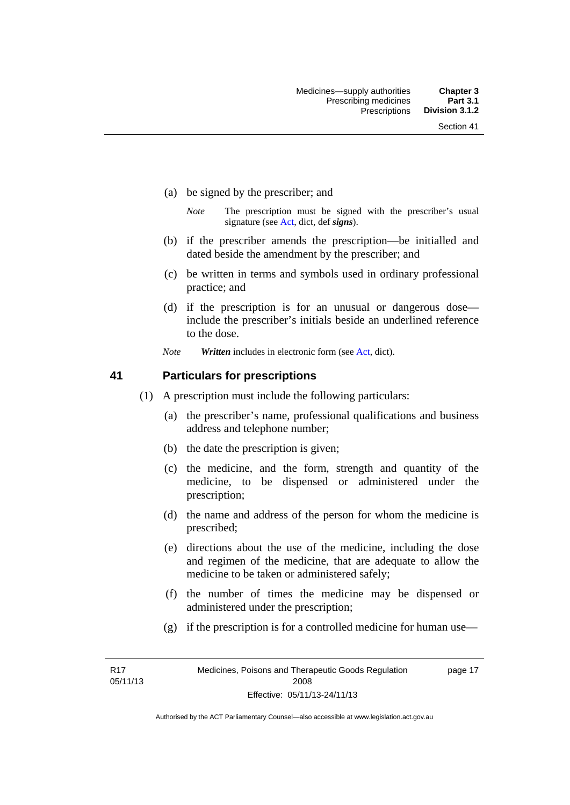- (a) be signed by the prescriber; and
	- *Note* The prescription must be signed with the prescriber's usual signature (see [Act](http://www.legislation.act.gov.au/a/2008-26/default.asp), dict, def *signs*).
- (b) if the prescriber amends the prescription—be initialled and dated beside the amendment by the prescriber; and
- (c) be written in terms and symbols used in ordinary professional practice; and
- (d) if the prescription is for an unusual or dangerous dose include the prescriber's initials beside an underlined reference to the dose.
- *Note Written* includes in electronic form (see [Act,](http://www.legislation.act.gov.au/a/2008-26/default.asp) dict).

### **41 Particulars for prescriptions**

- (1) A prescription must include the following particulars:
	- (a) the prescriber's name, professional qualifications and business address and telephone number;
	- (b) the date the prescription is given;
	- (c) the medicine, and the form, strength and quantity of the medicine, to be dispensed or administered under the prescription;
	- (d) the name and address of the person for whom the medicine is prescribed;
	- (e) directions about the use of the medicine, including the dose and regimen of the medicine, that are adequate to allow the medicine to be taken or administered safely;
	- (f) the number of times the medicine may be dispensed or administered under the prescription;
	- (g) if the prescription is for a controlled medicine for human use—

R17 05/11/13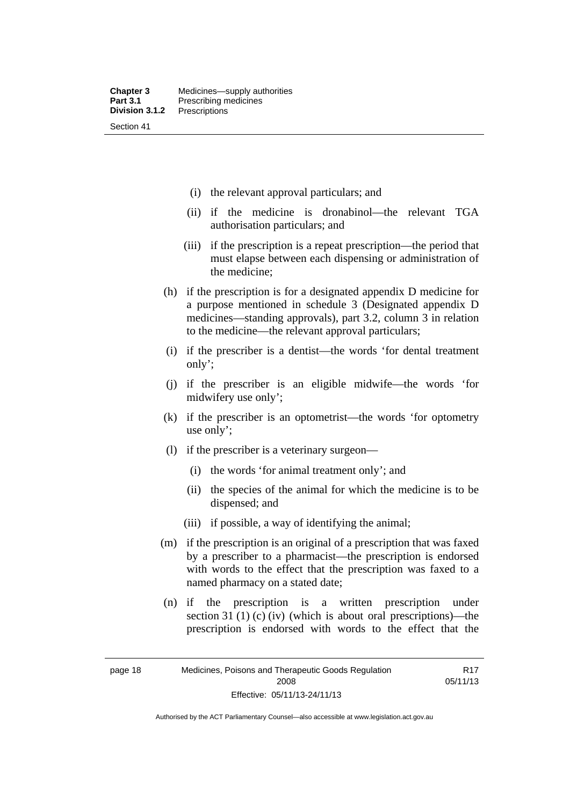- (i) the relevant approval particulars; and
- (ii) if the medicine is dronabinol—the relevant TGA authorisation particulars; and
- (iii) if the prescription is a repeat prescription—the period that must elapse between each dispensing or administration of the medicine;
- (h) if the prescription is for a designated appendix D medicine for a purpose mentioned in schedule 3 (Designated appendix D medicines—standing approvals), part 3.2, column 3 in relation to the medicine—the relevant approval particulars;
- (i) if the prescriber is a dentist—the words 'for dental treatment only';
- (j) if the prescriber is an eligible midwife—the words 'for midwifery use only';
- (k) if the prescriber is an optometrist—the words 'for optometry use only';
- (l) if the prescriber is a veterinary surgeon—
	- (i) the words 'for animal treatment only'; and
	- (ii) the species of the animal for which the medicine is to be dispensed; and
	- (iii) if possible, a way of identifying the animal;
- (m) if the prescription is an original of a prescription that was faxed by a prescriber to a pharmacist—the prescription is endorsed with words to the effect that the prescription was faxed to a named pharmacy on a stated date;
- (n) if the prescription is a written prescription under section 31 (1) (c) (iv) (which is about oral prescriptions)—the prescription is endorsed with words to the effect that the

R17 05/11/13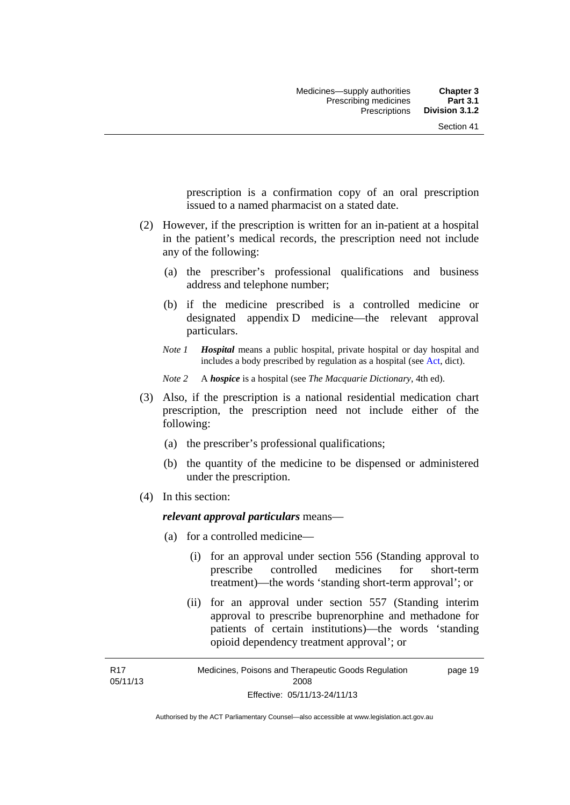prescription is a confirmation copy of an oral prescription issued to a named pharmacist on a stated date.

- (2) However, if the prescription is written for an in-patient at a hospital in the patient's medical records, the prescription need not include any of the following:
	- (a) the prescriber's professional qualifications and business address and telephone number;
	- (b) if the medicine prescribed is a controlled medicine or designated appendix D medicine—the relevant approval particulars.
	- *Note 1 Hospital* means a public hospital, private hospital or day hospital and includes a body prescribed by regulation as a hospital (see [Act,](http://www.legislation.act.gov.au/a/2008-26/default.asp) dict).

*Note 2* A *hospice* is a hospital (see *The Macquarie Dictionary*, 4th ed).

- (3) Also, if the prescription is a national residential medication chart prescription, the prescription need not include either of the following:
	- (a) the prescriber's professional qualifications;
	- (b) the quantity of the medicine to be dispensed or administered under the prescription.
- (4) In this section:

R17

### *relevant approval particulars* means—

- (a) for a controlled medicine—
	- (i) for an approval under section 556 (Standing approval to prescribe controlled medicines for short-term treatment)—the words 'standing short-term approval'; or
	- (ii) for an approval under section 557 (Standing interim approval to prescribe buprenorphine and methadone for patients of certain institutions)—the words 'standing opioid dependency treatment approval'; or

05/11/13 Medicines, Poisons and Therapeutic Goods Regulation 2008 Effective: 05/11/13-24/11/13 page 19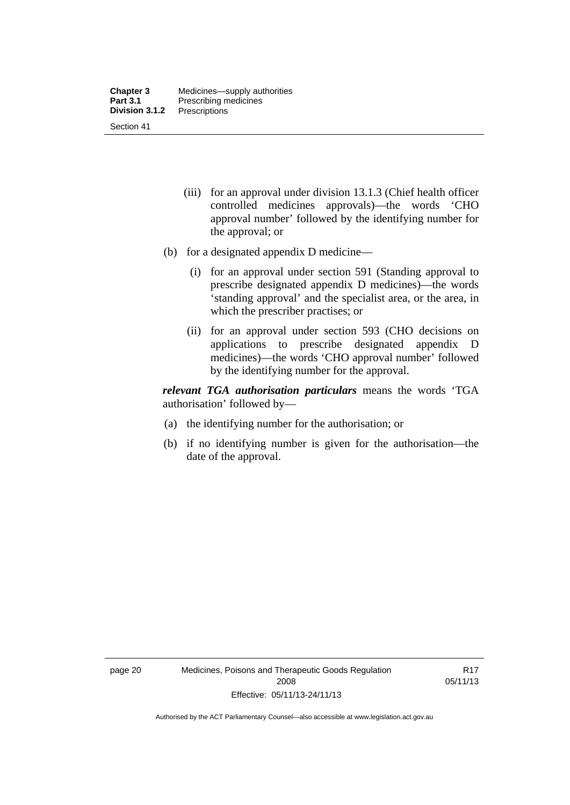- (iii) for an approval under division 13.1.3 (Chief health officer controlled medicines approvals)—the words 'CHO approval number' followed by the identifying number for the approval; or
- (b) for a designated appendix D medicine—
	- (i) for an approval under section 591 (Standing approval to prescribe designated appendix D medicines)—the words 'standing approval' and the specialist area, or the area, in which the prescriber practises; or
	- (ii) for an approval under section 593 (CHO decisions on applications to prescribe designated appendix D medicines)—the words 'CHO approval number' followed by the identifying number for the approval.

*relevant TGA authorisation particulars* means the words 'TGA authorisation' followed by—

- (a) the identifying number for the authorisation; or
- (b) if no identifying number is given for the authorisation—the date of the approval.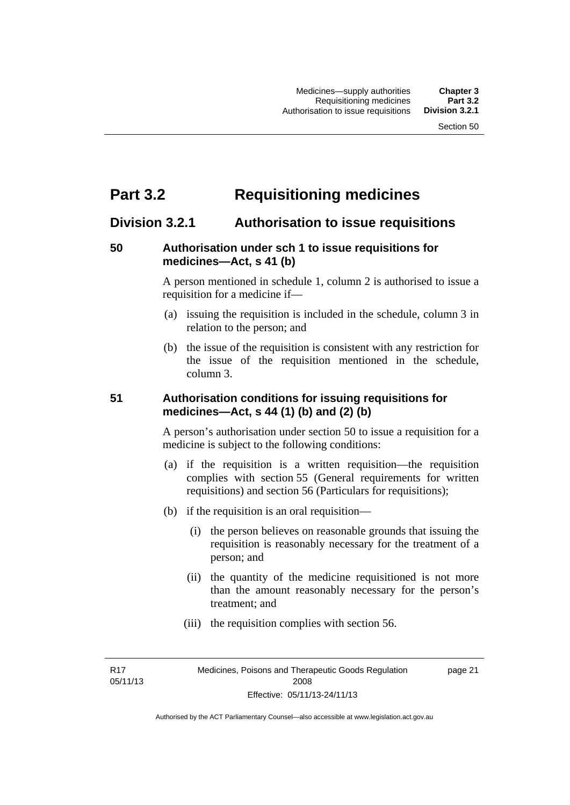# **Part 3.2 Requisitioning medicines**

## **Division 3.2.1 Authorisation to issue requisitions**

## **50 Authorisation under sch 1 to issue requisitions for medicines—Act, s 41 (b)**

A person mentioned in schedule 1, column 2 is authorised to issue a requisition for a medicine if—

- (a) issuing the requisition is included in the schedule, column 3 in relation to the person; and
- (b) the issue of the requisition is consistent with any restriction for the issue of the requisition mentioned in the schedule, column 3.

## **51 Authorisation conditions for issuing requisitions for medicines—Act, s 44 (1) (b) and (2) (b)**

A person's authorisation under section 50 to issue a requisition for a medicine is subject to the following conditions:

- (a) if the requisition is a written requisition—the requisition complies with section 55 (General requirements for written requisitions) and section 56 (Particulars for requisitions);
- (b) if the requisition is an oral requisition—
	- (i) the person believes on reasonable grounds that issuing the requisition is reasonably necessary for the treatment of a person; and
	- (ii) the quantity of the medicine requisitioned is not more than the amount reasonably necessary for the person's treatment; and
	- (iii) the requisition complies with section 56.

R17 05/11/13 page 21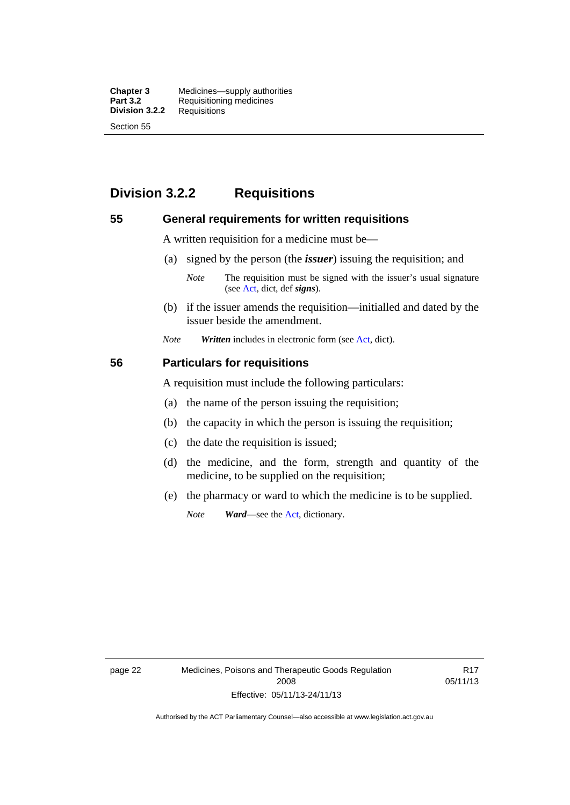**Chapter 3** Medicines—supply authorities<br>**Part 3.2** Requisitioning medicines **Requisitioning medicines**<br>Requisitions **Division 3.2.2** Section 55

## **Division 3.2.2 Requisitions**

#### **55 General requirements for written requisitions**

A written requisition for a medicine must be—

(a) signed by the person (the *issuer*) issuing the requisition; and

 (b) if the issuer amends the requisition—initialled and dated by the issuer beside the amendment.

*Note Written* includes in electronic form (see [Act,](http://www.legislation.act.gov.au/a/2008-26/default.asp) dict).

#### **56 Particulars for requisitions**

A requisition must include the following particulars:

- (a) the name of the person issuing the requisition;
- (b) the capacity in which the person is issuing the requisition;
- (c) the date the requisition is issued;
- (d) the medicine, and the form, strength and quantity of the medicine, to be supplied on the requisition;
- (e) the pharmacy or ward to which the medicine is to be supplied.

*Note Ward*—see the [Act](http://www.legislation.act.gov.au/a/2008-26/default.asp), dictionary.

page 22 Medicines, Poisons and Therapeutic Goods Regulation 2008 Effective: 05/11/13-24/11/13

R17 05/11/13

*Note* The requisition must be signed with the issuer's usual signature (see [Act](http://www.legislation.act.gov.au/a/2008-26/default.asp), dict, def *signs*).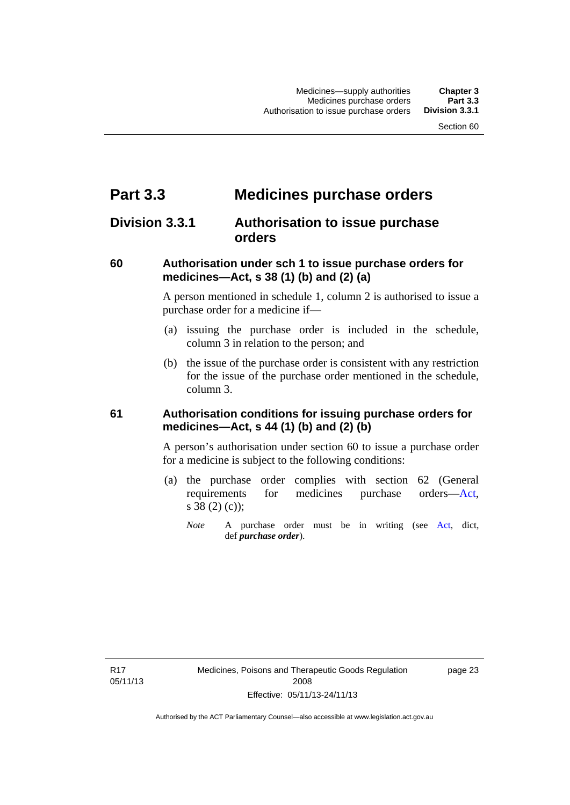# **Part 3.3 Medicines purchase orders**

## **Division 3.3.1 Authorisation to issue purchase orders**

### **60 Authorisation under sch 1 to issue purchase orders for medicines—Act, s 38 (1) (b) and (2) (a)**

A person mentioned in schedule 1, column 2 is authorised to issue a purchase order for a medicine if—

- (a) issuing the purchase order is included in the schedule, column 3 in relation to the person; and
- (b) the issue of the purchase order is consistent with any restriction for the issue of the purchase order mentioned in the schedule, column 3.

### **61 Authorisation conditions for issuing purchase orders for medicines—Act, s 44 (1) (b) and (2) (b)**

A person's authorisation under section 60 to issue a purchase order for a medicine is subject to the following conditions:

- (a) the purchase order complies with section 62 (General requirements for medicines purchase orders[—Act](http://www.legislation.act.gov.au/a/2008-26/default.asp), s 38 (2) (c));
	- *Note* A purchase order must be in writing (see [Act,](http://www.legislation.act.gov.au/a/2008-26/default.asp) dict, def *purchase order*).

R17 05/11/13 page 23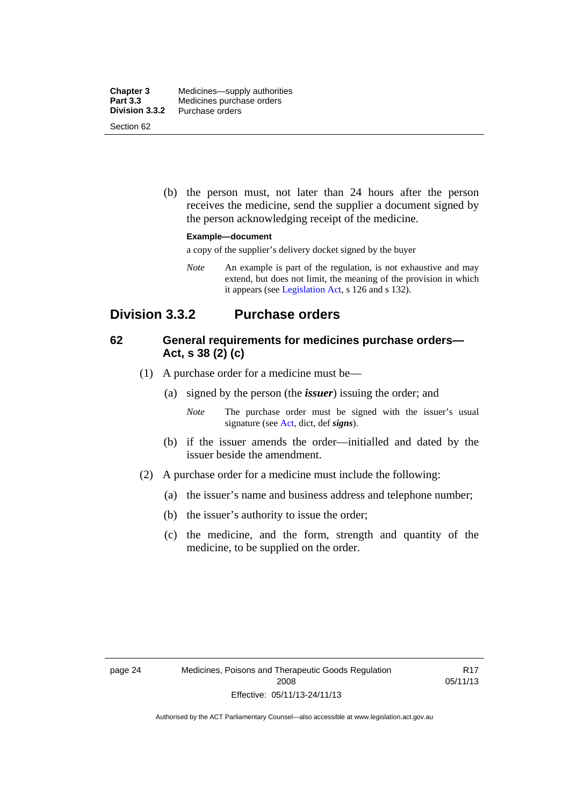| <b>Chapter 3</b> | Medicines—supply authorities |
|------------------|------------------------------|
| <b>Part 3.3</b>  | Medicines purchase orders    |
| Division 3.3.2   | Purchase orders              |
| Section 62       |                              |

 (b) the person must, not later than 24 hours after the person receives the medicine, send the supplier a document signed by the person acknowledging receipt of the medicine.

#### **Example—document**

a copy of the supplier's delivery docket signed by the buyer

*Note* An example is part of the regulation, is not exhaustive and may extend, but does not limit, the meaning of the provision in which it appears (see [Legislation Act,](http://www.legislation.act.gov.au/a/2001-14) s 126 and s 132).

## **Division 3.3.2 Purchase orders**

## **62 General requirements for medicines purchase orders— Act, s 38 (2) (c)**

- (1) A purchase order for a medicine must be—
	- (a) signed by the person (the *issuer*) issuing the order; and
		- *Note* The purchase order must be signed with the issuer's usual signature (see [Act](http://www.legislation.act.gov.au/a/2008-26/default.asp), dict, def *signs*).
	- (b) if the issuer amends the order—initialled and dated by the issuer beside the amendment.
- (2) A purchase order for a medicine must include the following:
	- (a) the issuer's name and business address and telephone number;
	- (b) the issuer's authority to issue the order;
	- (c) the medicine, and the form, strength and quantity of the medicine, to be supplied on the order.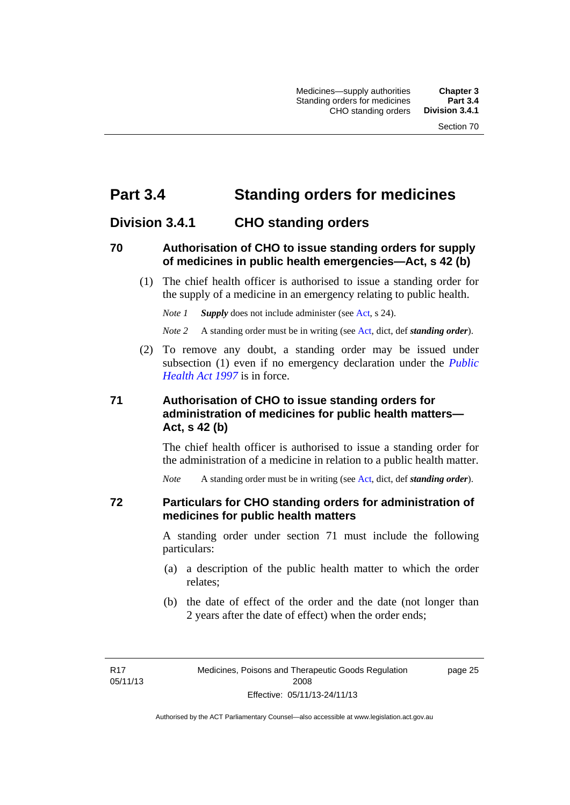# **Part 3.4 Standing orders for medicines**

## **Division 3.4.1 CHO standing orders**

### **70 Authorisation of CHO to issue standing orders for supply of medicines in public health emergencies—Act, s 42 (b)**

 (1) The chief health officer is authorised to issue a standing order for the supply of a medicine in an emergency relating to public health.

*Note 1 Supply* does not include administer (see [Act,](http://www.legislation.act.gov.au/a/2008-26/default.asp) s 24).

*Note 2* A standing order must be in writing (see [Act](http://www.legislation.act.gov.au/a/2008-26/default.asp), dict, def *standing order*).

 (2) To remove any doubt, a standing order may be issued under subsection (1) even if no emergency declaration under the *[Public](http://www.legislation.act.gov.au/a/1997-69)  [Health Act 1997](http://www.legislation.act.gov.au/a/1997-69)* is in force.

## **71 Authorisation of CHO to issue standing orders for administration of medicines for public health matters— Act, s 42 (b)**

The chief health officer is authorised to issue a standing order for the administration of a medicine in relation to a public health matter.

*Note* A standing order must be in writing (see [Act](http://www.legislation.act.gov.au/a/2008-26/default.asp), dict, def *standing order*).

### **72 Particulars for CHO standing orders for administration of medicines for public health matters**

A standing order under section 71 must include the following particulars:

- (a) a description of the public health matter to which the order relates;
- (b) the date of effect of the order and the date (not longer than 2 years after the date of effect) when the order ends;

R17 05/11/13 page 25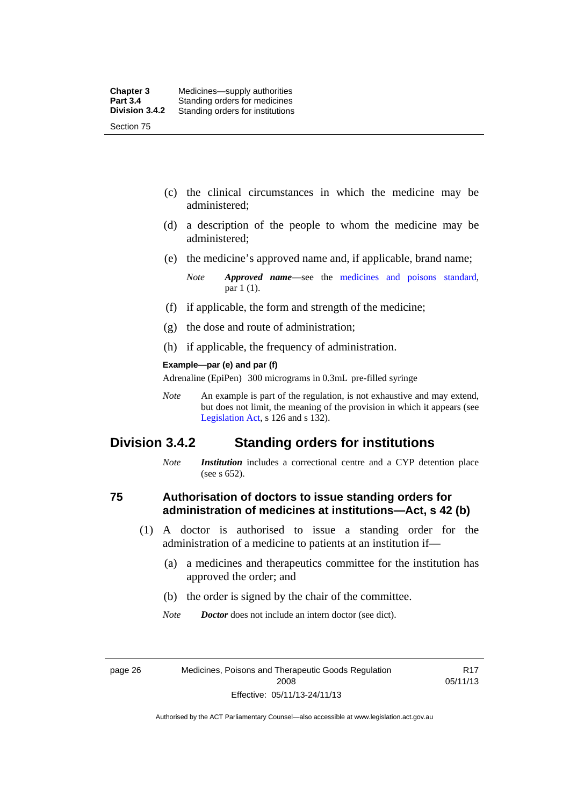- (c) the clinical circumstances in which the medicine may be administered;
- (d) a description of the people to whom the medicine may be administered;
- (e) the medicine's approved name and, if applicable, brand name;

- (f) if applicable, the form and strength of the medicine;
- (g) the dose and route of administration;
- (h) if applicable, the frequency of administration.

#### **Example—par (e) and par (f)**

Adrenaline (EpiPen) 300 micrograms in 0.3mL pre-filled syringe

*Note* An example is part of the regulation, is not exhaustive and may extend, but does not limit, the meaning of the provision in which it appears (see [Legislation Act,](http://www.legislation.act.gov.au/a/2001-14) s 126 and s 132).

## **Division 3.4.2 Standing orders for institutions**

*Note Institution* includes a correctional centre and a CYP detention place (see s 652).

### **75 Authorisation of doctors to issue standing orders for administration of medicines at institutions—Act, s 42 (b)**

- (1) A doctor is authorised to issue a standing order for the administration of a medicine to patients at an institution if—
	- (a) a medicines and therapeutics committee for the institution has approved the order; and
	- (b) the order is signed by the chair of the committee.
	- *Note Doctor* does not include an intern doctor (see dict).

page 26 Medicines, Poisons and Therapeutic Goods Regulation 2008 Effective: 05/11/13-24/11/13

R17 05/11/13

*Note Approved name*—see the [medicines and poisons standard,](http://www.comlaw.gov.au/Series/F2012L01200) par 1 (1).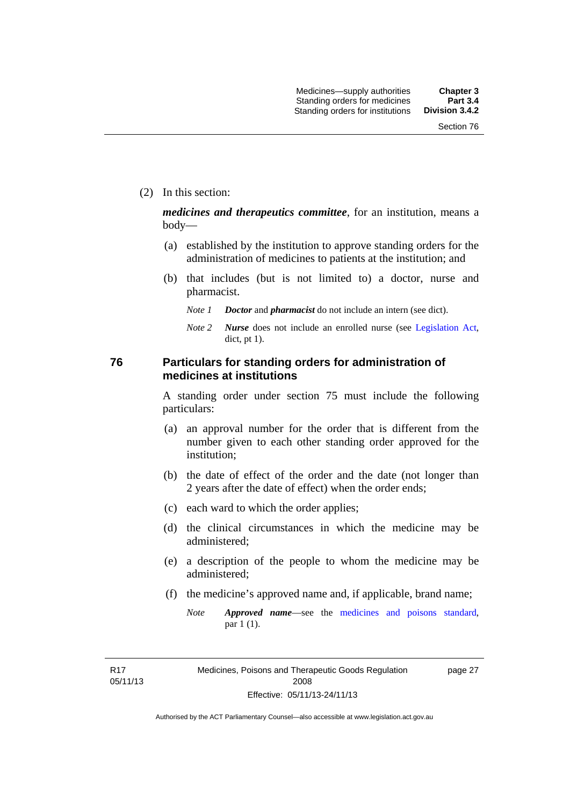(2) In this section:

*medicines and therapeutics committee*, for an institution, means a body—

- (a) established by the institution to approve standing orders for the administration of medicines to patients at the institution; and
- (b) that includes (but is not limited to) a doctor, nurse and pharmacist.
	- *Note 1 Doctor* and *pharmacist* do not include an intern (see dict).
	- *Note 2 Nurse* does not include an enrolled nurse (see [Legislation Act,](http://www.legislation.act.gov.au/a/2001-14) dict, pt 1).

### **76 Particulars for standing orders for administration of medicines at institutions**

A standing order under section 75 must include the following particulars:

- (a) an approval number for the order that is different from the number given to each other standing order approved for the institution;
- (b) the date of effect of the order and the date (not longer than 2 years after the date of effect) when the order ends;
- (c) each ward to which the order applies;
- (d) the clinical circumstances in which the medicine may be administered;
- (e) a description of the people to whom the medicine may be administered;
- (f) the medicine's approved name and, if applicable, brand name;
	- *Note Approved name*—see the [medicines and poisons standard,](http://www.comlaw.gov.au/Series/F2012L01200) par 1 (1).

R17 05/11/13 page 27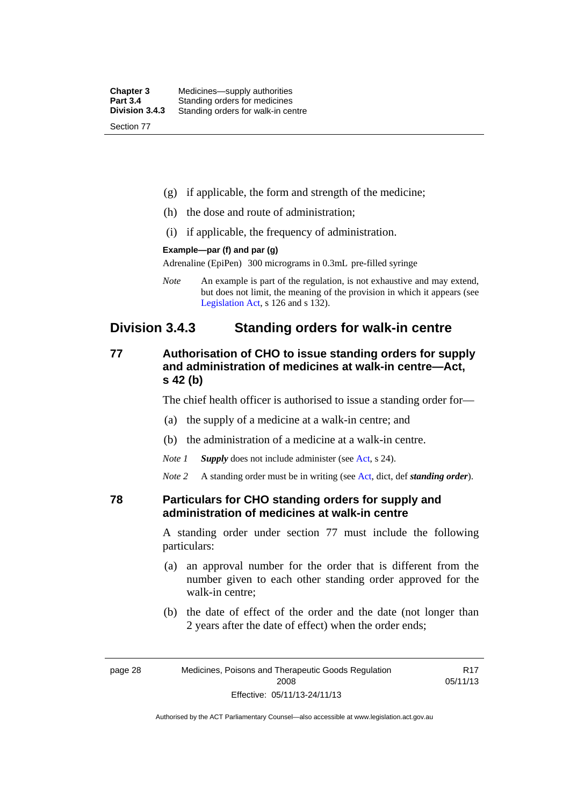| <b>Chapter 3</b> | Medicines—supply authorities       |
|------------------|------------------------------------|
| <b>Part 3.4</b>  | Standing orders for medicines      |
| Division 3.4.3   | Standing orders for walk-in centre |
| Section 77       |                                    |

- (g) if applicable, the form and strength of the medicine;
- (h) the dose and route of administration;
- (i) if applicable, the frequency of administration.

#### **Example—par (f) and par (g)**

Adrenaline (EpiPen) 300 micrograms in 0.3mL pre-filled syringe

*Note* An example is part of the regulation, is not exhaustive and may extend, but does not limit, the meaning of the provision in which it appears (see [Legislation Act,](http://www.legislation.act.gov.au/a/2001-14) s 126 and s 132).

## **Division 3.4.3 Standing orders for walk-in centre**

## **77 Authorisation of CHO to issue standing orders for supply and administration of medicines at walk-in centre—Act, s 42 (b)**

The chief health officer is authorised to issue a standing order for—

- (a) the supply of a medicine at a walk-in centre; and
- (b) the administration of a medicine at a walk-in centre.
- *Note 1 Supply* does not include administer (see [Act,](http://www.legislation.act.gov.au/a/2008-26/default.asp) s 24).

*Note 2* A standing order must be in writing (see [Act](http://www.legislation.act.gov.au/a/2008-26/default.asp), dict, def *standing order*).

### **78 Particulars for CHO standing orders for supply and administration of medicines at walk-in centre**

A standing order under section 77 must include the following particulars:

- (a) an approval number for the order that is different from the number given to each other standing order approved for the walk-in centre;
- (b) the date of effect of the order and the date (not longer than 2 years after the date of effect) when the order ends;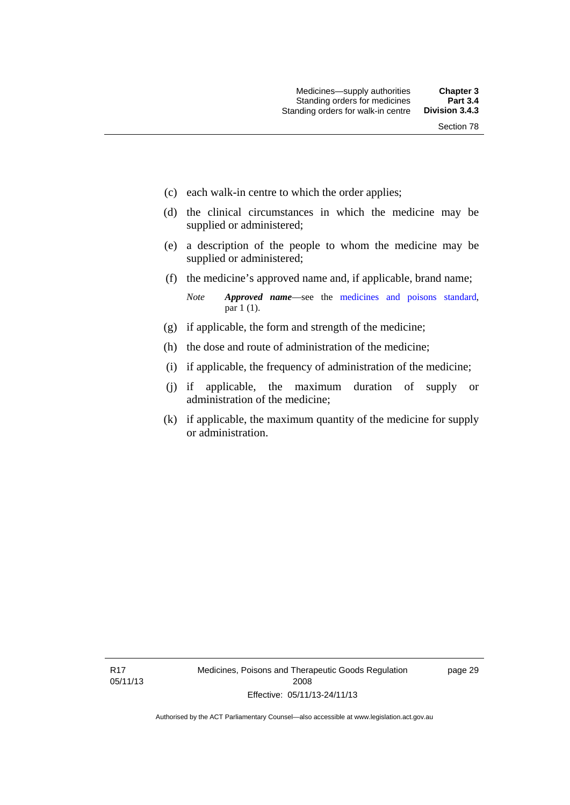- (c) each walk-in centre to which the order applies;
- (d) the clinical circumstances in which the medicine may be supplied or administered;
- (e) a description of the people to whom the medicine may be supplied or administered;
- (f) the medicine's approved name and, if applicable, brand name;

*Note Approved name*—see the [medicines and poisons standard,](http://www.comlaw.gov.au/Series/F2012L01200) par 1 (1).

- (g) if applicable, the form and strength of the medicine;
- (h) the dose and route of administration of the medicine;
- (i) if applicable, the frequency of administration of the medicine;
- (j) if applicable, the maximum duration of supply or administration of the medicine;
- (k) if applicable, the maximum quantity of the medicine for supply or administration.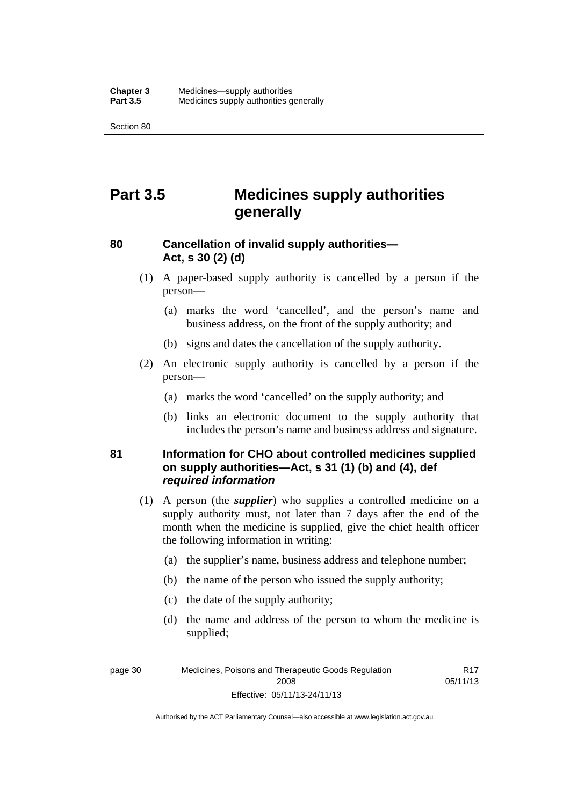Section 80

# **Part 3.5 Medicines supply authorities generally**

## **80 Cancellation of invalid supply authorities— Act, s 30 (2) (d)**

- (1) A paper-based supply authority is cancelled by a person if the person—
	- (a) marks the word 'cancelled', and the person's name and business address, on the front of the supply authority; and
	- (b) signs and dates the cancellation of the supply authority.
- (2) An electronic supply authority is cancelled by a person if the person—
	- (a) marks the word 'cancelled' on the supply authority; and
	- (b) links an electronic document to the supply authority that includes the person's name and business address and signature.

## **81 Information for CHO about controlled medicines supplied on supply authorities—Act, s 31 (1) (b) and (4), def**  *required information*

- (1) A person (the *supplier*) who supplies a controlled medicine on a supply authority must, not later than 7 days after the end of the month when the medicine is supplied, give the chief health officer the following information in writing:
	- (a) the supplier's name, business address and telephone number;
	- (b) the name of the person who issued the supply authority;
	- (c) the date of the supply authority;
	- (d) the name and address of the person to whom the medicine is supplied;

R17 05/11/13

page 30 Medicines, Poisons and Therapeutic Goods Regulation 2008 Effective: 05/11/13-24/11/13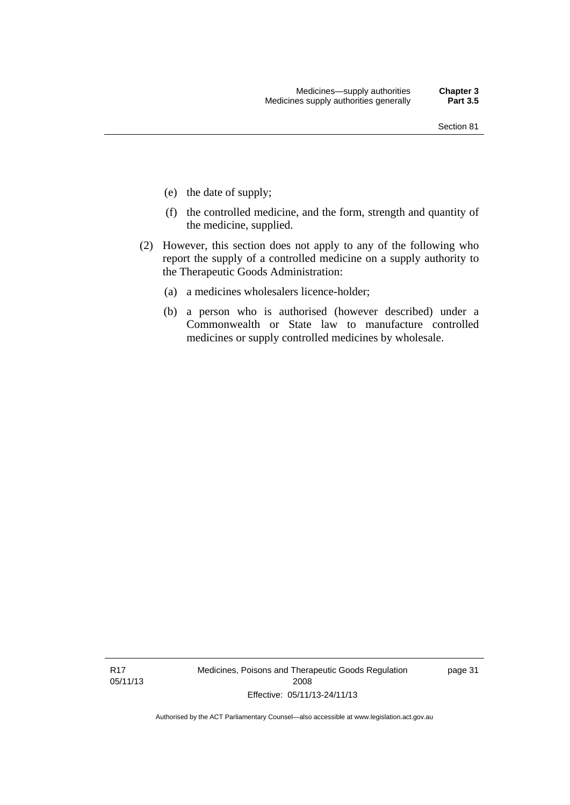- (e) the date of supply;
- (f) the controlled medicine, and the form, strength and quantity of the medicine, supplied.
- (2) However, this section does not apply to any of the following who report the supply of a controlled medicine on a supply authority to the Therapeutic Goods Administration:
	- (a) a medicines wholesalers licence-holder;
	- (b) a person who is authorised (however described) under a Commonwealth or State law to manufacture controlled medicines or supply controlled medicines by wholesale.

R17 05/11/13 Medicines, Poisons and Therapeutic Goods Regulation 2008 Effective: 05/11/13-24/11/13

page 31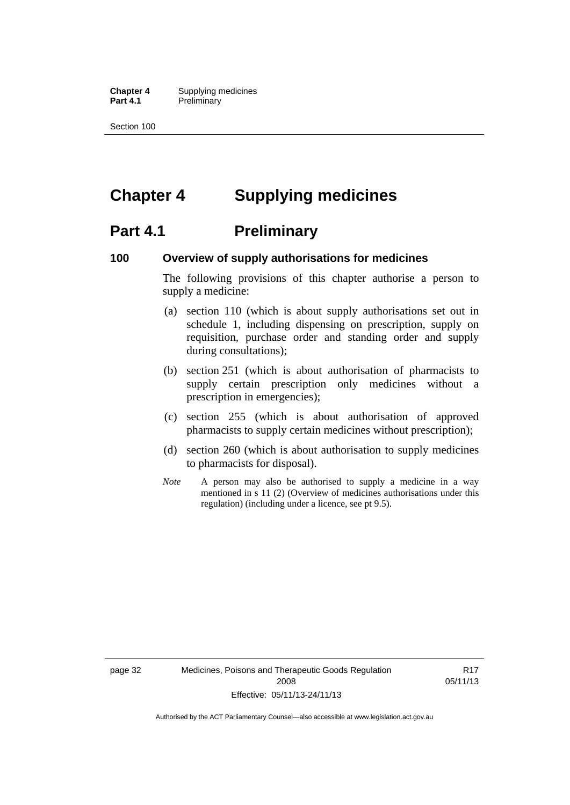**Chapter 4** Supplying medicines **Part 4.1** Preliminary

Section 100

# **Chapter 4 Supplying medicines**

## **Part 4.1** Preliminary

### **100 Overview of supply authorisations for medicines**

The following provisions of this chapter authorise a person to supply a medicine:

- (a) section 110 (which is about supply authorisations set out in schedule 1, including dispensing on prescription, supply on requisition, purchase order and standing order and supply during consultations);
- (b) section 251 (which is about authorisation of pharmacists to supply certain prescription only medicines without a prescription in emergencies);
- (c) section 255 (which is about authorisation of approved pharmacists to supply certain medicines without prescription);
- (d) section 260 (which is about authorisation to supply medicines to pharmacists for disposal).
- *Note* A person may also be authorised to supply a medicine in a way mentioned in s 11 (2) (Overview of medicines authorisations under this regulation) (including under a licence, see pt 9.5).

page 32 Medicines, Poisons and Therapeutic Goods Regulation 2008 Effective: 05/11/13-24/11/13

R17 05/11/13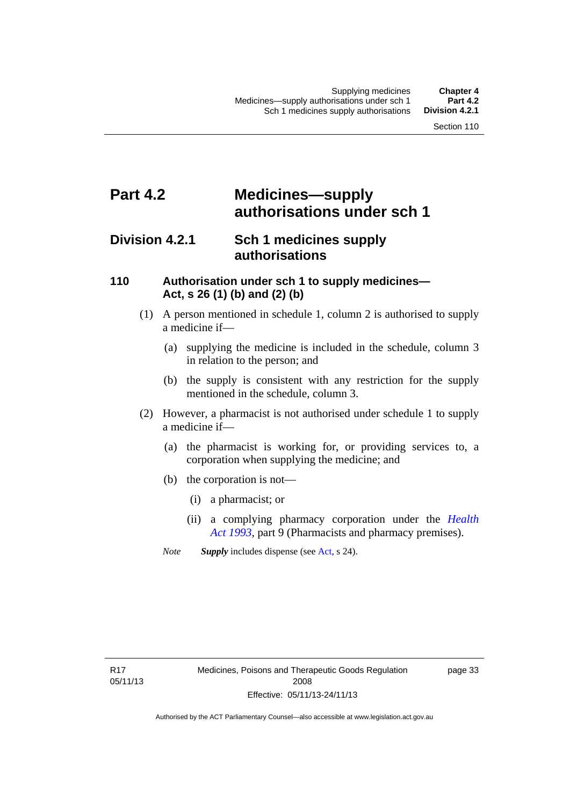# **Part 4.2 Medicines—supply authorisations under sch 1**

## **Division 4.2.1 Sch 1 medicines supply authorisations**

## **110 Authorisation under sch 1 to supply medicines— Act, s 26 (1) (b) and (2) (b)**

- (1) A person mentioned in schedule 1, column 2 is authorised to supply a medicine if—
	- (a) supplying the medicine is included in the schedule, column 3 in relation to the person; and
	- (b) the supply is consistent with any restriction for the supply mentioned in the schedule, column 3.
- (2) However, a pharmacist is not authorised under schedule 1 to supply a medicine if—
	- (a) the pharmacist is working for, or providing services to, a corporation when supplying the medicine; and
	- (b) the corporation is not—
		- (i) a pharmacist; or
		- (ii) a complying pharmacy corporation under the *[Health](http://www.legislation.act.gov.au/a/1993-13)  [Act 1993](http://www.legislation.act.gov.au/a/1993-13)*, part 9 (Pharmacists and pharmacy premises).
	- *Note Supply* includes dispense (see [Act,](http://www.legislation.act.gov.au/a/2008-26/default.asp) s 24).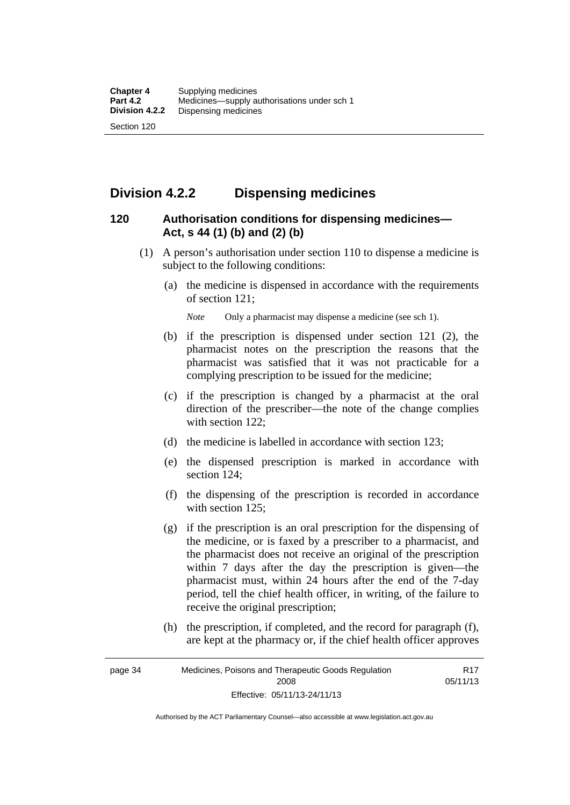## **Division 4.2.2 Dispensing medicines**

## **120 Authorisation conditions for dispensing medicines— Act, s 44 (1) (b) and (2) (b)**

- (1) A person's authorisation under section 110 to dispense a medicine is subject to the following conditions:
	- (a) the medicine is dispensed in accordance with the requirements of section 121;

*Note* Only a pharmacist may dispense a medicine (see sch 1).

- (b) if the prescription is dispensed under section 121 (2), the pharmacist notes on the prescription the reasons that the pharmacist was satisfied that it was not practicable for a complying prescription to be issued for the medicine;
- (c) if the prescription is changed by a pharmacist at the oral direction of the prescriber—the note of the change complies with section 122:
- (d) the medicine is labelled in accordance with section 123;
- (e) the dispensed prescription is marked in accordance with section 124;
- (f) the dispensing of the prescription is recorded in accordance with section 125:
- (g) if the prescription is an oral prescription for the dispensing of the medicine, or is faxed by a prescriber to a pharmacist, and the pharmacist does not receive an original of the prescription within 7 days after the day the prescription is given—the pharmacist must, within 24 hours after the end of the 7-day period, tell the chief health officer, in writing, of the failure to receive the original prescription;
- (h) the prescription, if completed, and the record for paragraph (f), are kept at the pharmacy or, if the chief health officer approves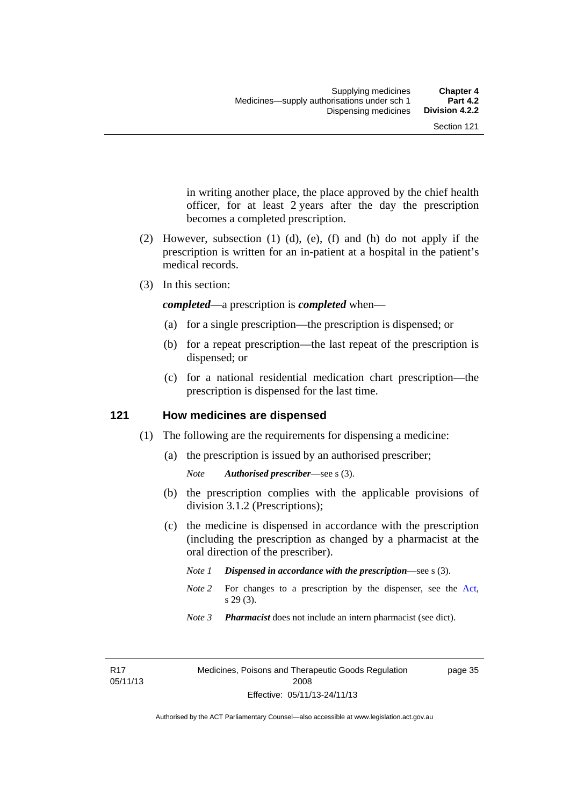in writing another place, the place approved by the chief health officer, for at least 2 years after the day the prescription becomes a completed prescription.

- (2) However, subsection (1) (d), (e), (f) and (h) do not apply if the prescription is written for an in-patient at a hospital in the patient's medical records.
- (3) In this section:

*completed*—a prescription is *completed* when—

- (a) for a single prescription—the prescription is dispensed; or
- (b) for a repeat prescription—the last repeat of the prescription is dispensed; or
- (c) for a national residential medication chart prescription––the prescription is dispensed for the last time.

### **121 How medicines are dispensed**

- (1) The following are the requirements for dispensing a medicine:
	- (a) the prescription is issued by an authorised prescriber;

- (b) the prescription complies with the applicable provisions of division 3.1.2 (Prescriptions);
- (c) the medicine is dispensed in accordance with the prescription (including the prescription as changed by a pharmacist at the oral direction of the prescriber).
	- *Note 1 Dispensed in accordance with the prescription*—see s (3).
	- *Note* 2 For changes to a prescription by the dispenser, see the [Act,](http://www.legislation.act.gov.au/a/2008-26/default.asp) s 29 (3).
	- *Note 3 Pharmacist* does not include an intern pharmacist (see dict).

R17 05/11/13 page 35

*Note Authorised prescriber*—see s (3).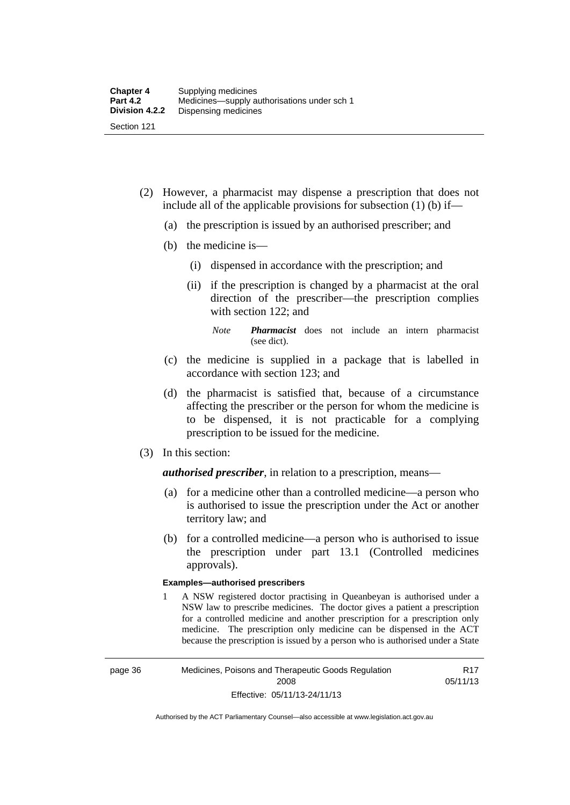- (2) However, a pharmacist may dispense a prescription that does not include all of the applicable provisions for subsection (1) (b) if—
	- (a) the prescription is issued by an authorised prescriber; and
	- (b) the medicine is—
		- (i) dispensed in accordance with the prescription; and
		- (ii) if the prescription is changed by a pharmacist at the oral direction of the prescriber—the prescription complies with section 122; and

*Note Pharmacist* does not include an intern pharmacist (see dict).

- (c) the medicine is supplied in a package that is labelled in accordance with section 123; and
- (d) the pharmacist is satisfied that, because of a circumstance affecting the prescriber or the person for whom the medicine is to be dispensed, it is not practicable for a complying prescription to be issued for the medicine.
- (3) In this section:

*authorised prescriber*, in relation to a prescription, means—

- (a) for a medicine other than a controlled medicine—a person who is authorised to issue the prescription under the Act or another territory law; and
- (b) for a controlled medicine—a person who is authorised to issue the prescription under part 13.1 (Controlled medicines approvals).

#### **Examples—authorised prescribers**

1 A NSW registered doctor practising in Queanbeyan is authorised under a NSW law to prescribe medicines. The doctor gives a patient a prescription for a controlled medicine and another prescription for a prescription only medicine. The prescription only medicine can be dispensed in the ACT because the prescription is issued by a person who is authorised under a State

R17 05/11/13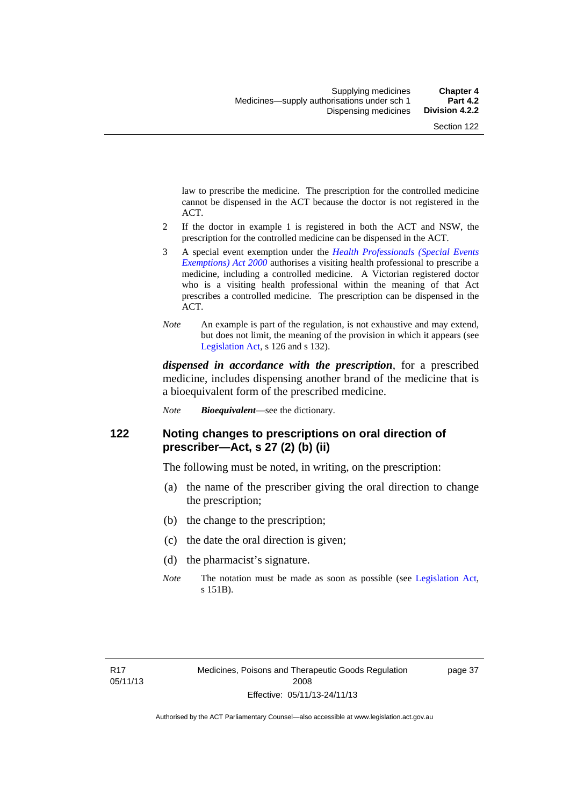law to prescribe the medicine. The prescription for the controlled medicine cannot be dispensed in the ACT because the doctor is not registered in the ACT.

- 2 If the doctor in example 1 is registered in both the ACT and NSW, the prescription for the controlled medicine can be dispensed in the ACT.
- 3 A special event exemption under the *[Health Professionals \(Special Events](http://www.legislation.act.gov.au/a/2000-25)  [Exemptions\) Act 2000](http://www.legislation.act.gov.au/a/2000-25)* authorises a visiting health professional to prescribe a medicine, including a controlled medicine. A Victorian registered doctor who is a visiting health professional within the meaning of that Act prescribes a controlled medicine. The prescription can be dispensed in the ACT.
- *Note* An example is part of the regulation, is not exhaustive and may extend, but does not limit, the meaning of the provision in which it appears (see [Legislation Act,](http://www.legislation.act.gov.au/a/2001-14) s 126 and s 132).

*dispensed in accordance with the prescription*, for a prescribed medicine, includes dispensing another brand of the medicine that is a bioequivalent form of the prescribed medicine.

*Note Bioequivalent*—see the dictionary.

### **122 Noting changes to prescriptions on oral direction of prescriber—Act, s 27 (2) (b) (ii)**

The following must be noted, in writing, on the prescription:

- (a) the name of the prescriber giving the oral direction to change the prescription;
- (b) the change to the prescription;
- (c) the date the oral direction is given;
- (d) the pharmacist's signature.
- *Note* The notation must be made as soon as possible (see [Legislation Act,](http://www.legislation.act.gov.au/a/2001-14) s 151B).

page 37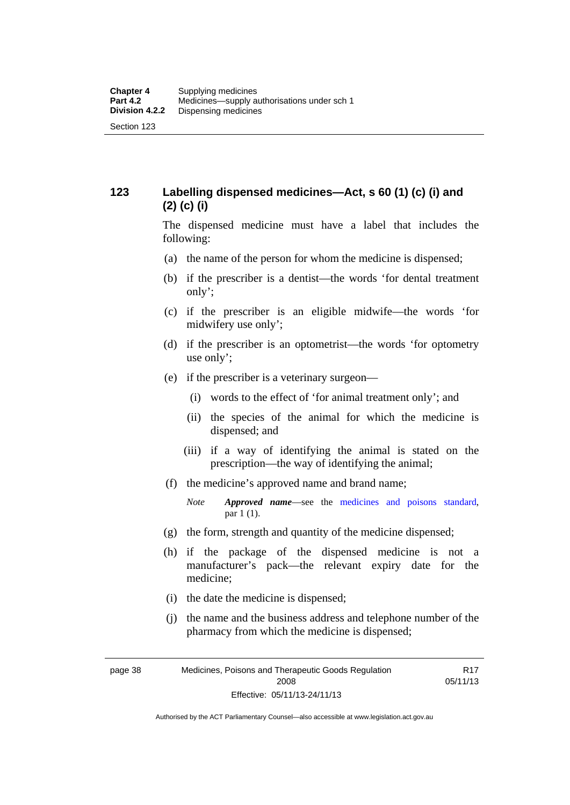## **123 Labelling dispensed medicines—Act, s 60 (1) (c) (i) and (2) (c) (i)**

The dispensed medicine must have a label that includes the following:

- (a) the name of the person for whom the medicine is dispensed;
- (b) if the prescriber is a dentist—the words 'for dental treatment only';
- (c) if the prescriber is an eligible midwife—the words 'for midwifery use only';
- (d) if the prescriber is an optometrist—the words 'for optometry use only';
- (e) if the prescriber is a veterinary surgeon—
	- (i) words to the effect of 'for animal treatment only'; and
	- (ii) the species of the animal for which the medicine is dispensed; and
	- (iii) if a way of identifying the animal is stated on the prescription—the way of identifying the animal;
- (f) the medicine's approved name and brand name;
	- *Note Approved name*—see the [medicines and poisons standard,](http://www.comlaw.gov.au/Series/F2012L01200) par 1 (1).
- (g) the form, strength and quantity of the medicine dispensed;
- (h) if the package of the dispensed medicine is not a manufacturer's pack—the relevant expiry date for the medicine;
- (i) the date the medicine is dispensed;
- (j) the name and the business address and telephone number of the pharmacy from which the medicine is dispensed;

R17 05/11/13

page 38 Medicines, Poisons and Therapeutic Goods Regulation 2008 Effective: 05/11/13-24/11/13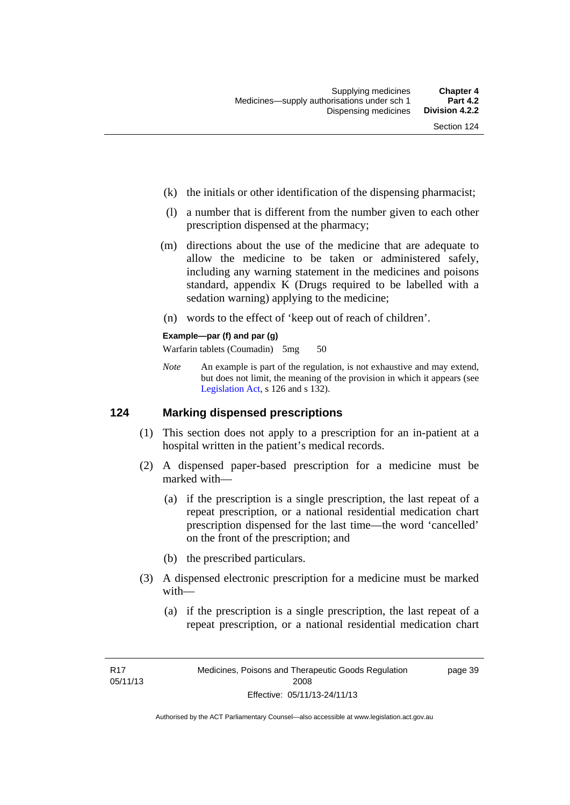- (k) the initials or other identification of the dispensing pharmacist;
- (l) a number that is different from the number given to each other prescription dispensed at the pharmacy;
- (m) directions about the use of the medicine that are adequate to allow the medicine to be taken or administered safely, including any warning statement in the medicines and poisons standard, appendix K (Drugs required to be labelled with a sedation warning) applying to the medicine;
- (n) words to the effect of 'keep out of reach of children'.

#### **Example—par (f) and par (g)**

Warfarin tablets (Coumadin) 5mg 50

*Note* An example is part of the regulation, is not exhaustive and may extend, but does not limit, the meaning of the provision in which it appears (see [Legislation Act,](http://www.legislation.act.gov.au/a/2001-14) s 126 and s 132).

### **124 Marking dispensed prescriptions**

- (1) This section does not apply to a prescription for an in-patient at a hospital written in the patient's medical records.
- (2) A dispensed paper-based prescription for a medicine must be marked with—
	- (a) if the prescription is a single prescription, the last repeat of a repeat prescription, or a national residential medication chart prescription dispensed for the last time––the word 'cancelled' on the front of the prescription; and
	- (b) the prescribed particulars.
- (3) A dispensed electronic prescription for a medicine must be marked with—
	- (a) if the prescription is a single prescription, the last repeat of a repeat prescription, or a national residential medication chart

page 39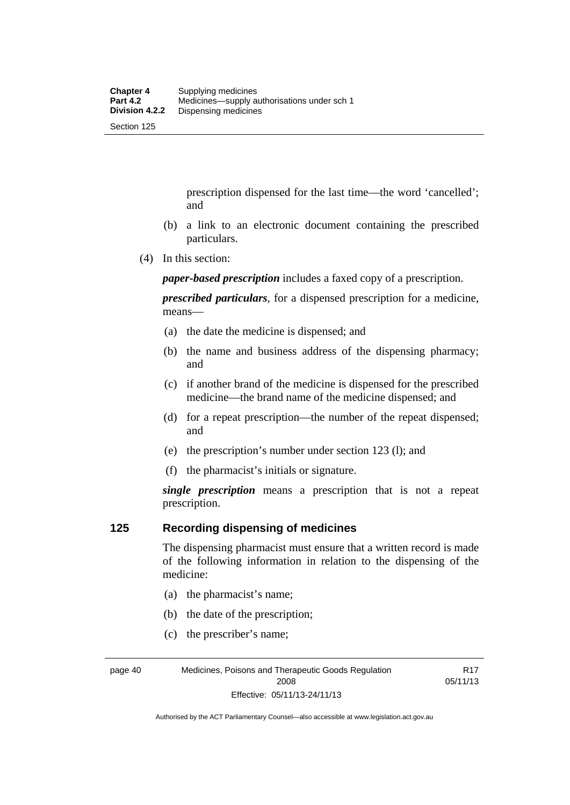prescription dispensed for the last time––the word 'cancelled'; and

- (b) a link to an electronic document containing the prescribed particulars.
- (4) In this section:

*paper-based prescription* includes a faxed copy of a prescription.

*prescribed particulars*, for a dispensed prescription for a medicine, means—

- (a) the date the medicine is dispensed; and
- (b) the name and business address of the dispensing pharmacy; and
- (c) if another brand of the medicine is dispensed for the prescribed medicine—the brand name of the medicine dispensed; and
- (d) for a repeat prescription—the number of the repeat dispensed; and
- (e) the prescription's number under section 123 (l); and
- (f) the pharmacist's initials or signature.

*single prescription* means a prescription that is not a repeat prescription.

### **125 Recording dispensing of medicines**

The dispensing pharmacist must ensure that a written record is made of the following information in relation to the dispensing of the medicine:

- (a) the pharmacist's name;
- (b) the date of the prescription;
- (c) the prescriber's name;

page 40 Medicines, Poisons and Therapeutic Goods Regulation 2008 Effective: 05/11/13-24/11/13

R17 05/11/13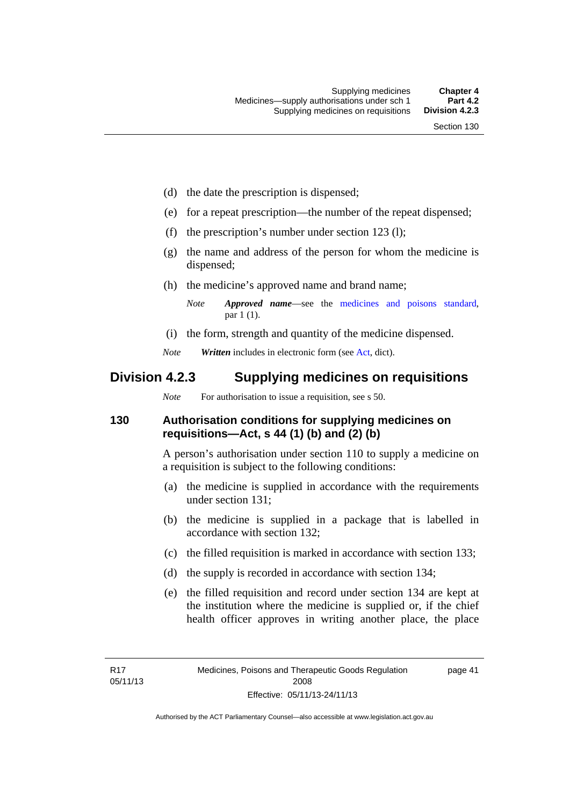- (d) the date the prescription is dispensed;
- (e) for a repeat prescription—the number of the repeat dispensed;
- (f) the prescription's number under section 123 (l);
- (g) the name and address of the person for whom the medicine is dispensed;
- (h) the medicine's approved name and brand name;
	- *Note Approved name*—see the [medicines and poisons standard,](http://www.comlaw.gov.au/Series/F2012L01200) par 1 (1).
- (i) the form, strength and quantity of the medicine dispensed.
- *Note Written* includes in electronic form (see [Act,](http://www.legislation.act.gov.au/a/2008-26/default.asp) dict).

## **Division 4.2.3 Supplying medicines on requisitions**

*Note* For authorisation to issue a requisition, see s 50.

### **130 Authorisation conditions for supplying medicines on requisitions—Act, s 44 (1) (b) and (2) (b)**

A person's authorisation under section 110 to supply a medicine on a requisition is subject to the following conditions:

- (a) the medicine is supplied in accordance with the requirements under section 131;
- (b) the medicine is supplied in a package that is labelled in accordance with section 132;
- (c) the filled requisition is marked in accordance with section 133;
- (d) the supply is recorded in accordance with section 134;
- (e) the filled requisition and record under section 134 are kept at the institution where the medicine is supplied or, if the chief health officer approves in writing another place, the place

page 41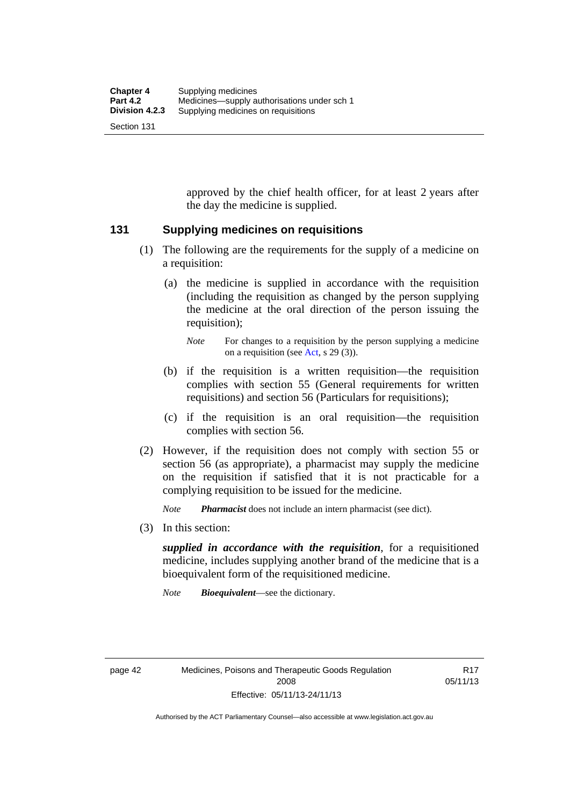approved by the chief health officer, for at least 2 years after the day the medicine is supplied.

### **131 Supplying medicines on requisitions**

- (1) The following are the requirements for the supply of a medicine on a requisition:
	- (a) the medicine is supplied in accordance with the requisition (including the requisition as changed by the person supplying the medicine at the oral direction of the person issuing the requisition);

- (b) if the requisition is a written requisition—the requisition complies with section 55 (General requirements for written requisitions) and section 56 (Particulars for requisitions);
- (c) if the requisition is an oral requisition—the requisition complies with section 56.
- (2) However, if the requisition does not comply with section 55 or section 56 (as appropriate), a pharmacist may supply the medicine on the requisition if satisfied that it is not practicable for a complying requisition to be issued for the medicine.

*Note Pharmacist* does not include an intern pharmacist (see dict).

(3) In this section:

*supplied in accordance with the requisition*, for a requisitioned medicine, includes supplying another brand of the medicine that is a bioequivalent form of the requisitioned medicine.

*Note Bioequivalent*—see the dictionary.

R17 05/11/13

*Note* For changes to a requisition by the person supplying a medicine on a requisition (see [Act,](http://www.legislation.act.gov.au/a/2008-26/default.asp) s 29 (3)).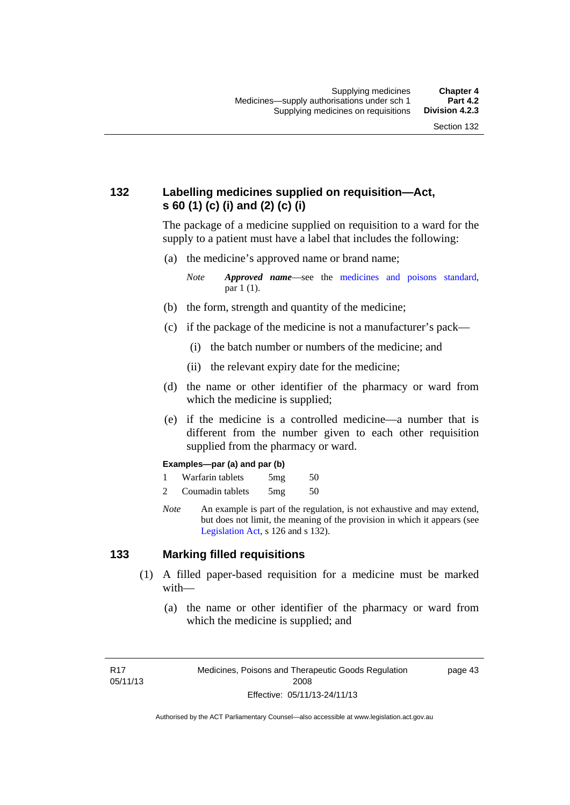## **132 Labelling medicines supplied on requisition—Act, s 60 (1) (c) (i) and (2) (c) (i)**

The package of a medicine supplied on requisition to a ward for the supply to a patient must have a label that includes the following:

(a) the medicine's approved name or brand name;

*Note Approved name*—see the [medicines and poisons standard,](http://www.comlaw.gov.au/Series/F2012L01200) par 1 (1).

- (b) the form, strength and quantity of the medicine;
- (c) if the package of the medicine is not a manufacturer's pack—
	- (i) the batch number or numbers of the medicine; and
	- (ii) the relevant expiry date for the medicine;
- (d) the name or other identifier of the pharmacy or ward from which the medicine is supplied;
- (e) if the medicine is a controlled medicine—a number that is different from the number given to each other requisition supplied from the pharmacy or ward.

#### **Examples—par (a) and par (b)**

- 1 Warfarin tablets 5mg 50
- 2 Coumadin tablets 5mg 50
- *Note* An example is part of the regulation, is not exhaustive and may extend, but does not limit, the meaning of the provision in which it appears (see [Legislation Act,](http://www.legislation.act.gov.au/a/2001-14) s 126 and s 132).

### **133 Marking filled requisitions**

- (1) A filled paper-based requisition for a medicine must be marked with—
	- (a) the name or other identifier of the pharmacy or ward from which the medicine is supplied; and

page 43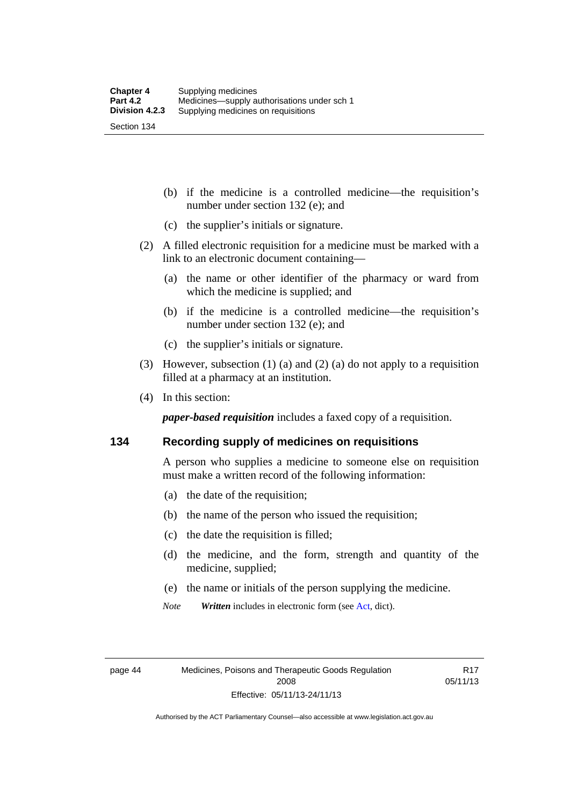(b) if the medicine is a controlled medicine—the requisition's number under section 132 (e); and

- (c) the supplier's initials or signature.
- (2) A filled electronic requisition for a medicine must be marked with a link to an electronic document containing—
	- (a) the name or other identifier of the pharmacy or ward from which the medicine is supplied; and
	- (b) if the medicine is a controlled medicine—the requisition's number under section 132 (e); and
	- (c) the supplier's initials or signature.
- (3) However, subsection (1) (a) and (2) (a) do not apply to a requisition filled at a pharmacy at an institution.
- (4) In this section:

*paper-based requisition* includes a faxed copy of a requisition.

### **134 Recording supply of medicines on requisitions**

A person who supplies a medicine to someone else on requisition must make a written record of the following information:

- (a) the date of the requisition;
- (b) the name of the person who issued the requisition;
- (c) the date the requisition is filled;
- (d) the medicine, and the form, strength and quantity of the medicine, supplied;
- (e) the name or initials of the person supplying the medicine.
- *Note Written* includes in electronic form (see [Act,](http://www.legislation.act.gov.au/a/2008-26/default.asp) dict).

R17 05/11/13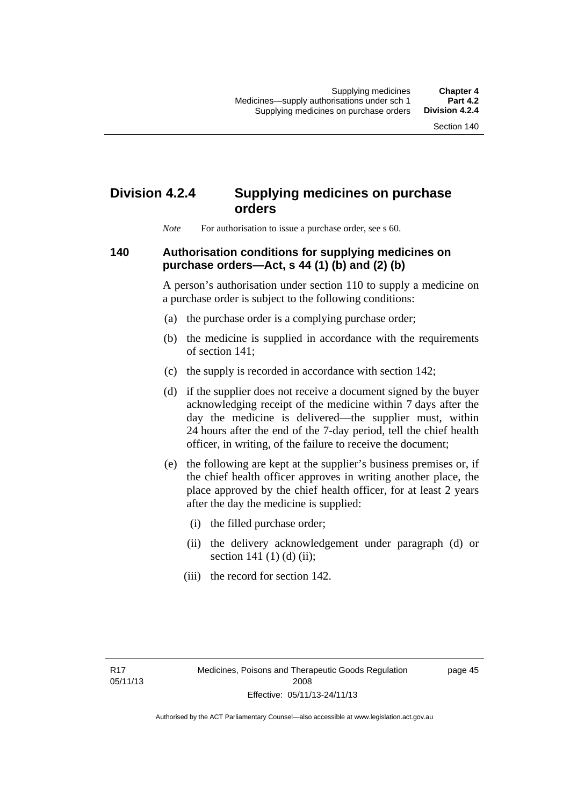# **Division 4.2.4 Supplying medicines on purchase orders**

*Note* For authorisation to issue a purchase order, see s 60.

## **140 Authorisation conditions for supplying medicines on purchase orders—Act, s 44 (1) (b) and (2) (b)**

A person's authorisation under section 110 to supply a medicine on a purchase order is subject to the following conditions:

- (a) the purchase order is a complying purchase order;
- (b) the medicine is supplied in accordance with the requirements of section 141;
- (c) the supply is recorded in accordance with section 142;
- (d) if the supplier does not receive a document signed by the buyer acknowledging receipt of the medicine within 7 days after the day the medicine is delivered—the supplier must, within 24 hours after the end of the 7-day period, tell the chief health officer, in writing, of the failure to receive the document;
- (e) the following are kept at the supplier's business premises or, if the chief health officer approves in writing another place, the place approved by the chief health officer, for at least 2 years after the day the medicine is supplied:
	- (i) the filled purchase order;
	- (ii) the delivery acknowledgement under paragraph (d) or section 141 $(1)$  $(d)$  $(ii)$ ;
	- (iii) the record for section 142.

page 45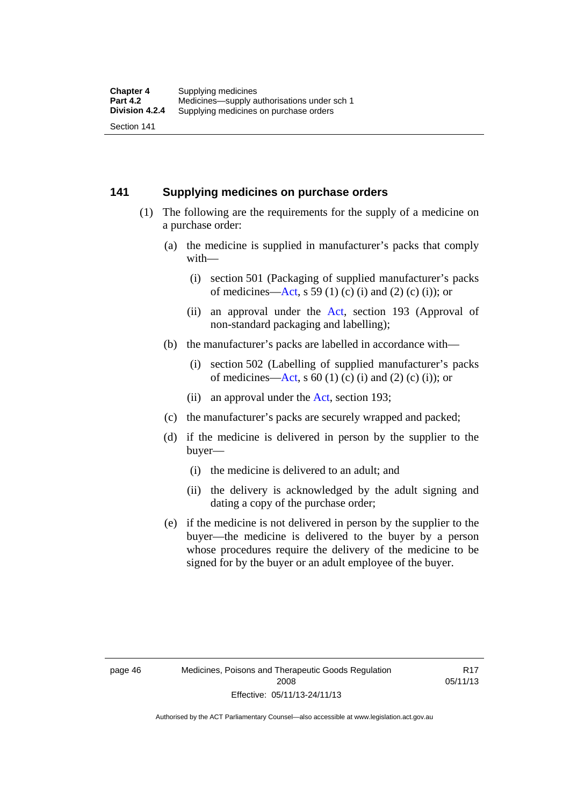### **141 Supplying medicines on purchase orders**

- (1) The following are the requirements for the supply of a medicine on a purchase order:
	- (a) the medicine is supplied in manufacturer's packs that comply with—
		- (i) section 501 (Packaging of supplied manufacturer's packs of medicines—[Act](http://www.legislation.act.gov.au/a/2008-26/default.asp), s 59 (1) (c) (i) and (2) (c) (i)); or
		- (ii) an approval under the [Act](http://www.legislation.act.gov.au/a/2008-26/default.asp), section 193 (Approval of non-standard packaging and labelling);
	- (b) the manufacturer's packs are labelled in accordance with—
		- (i) section 502 (Labelling of supplied manufacturer's packs of medicines—[Act](http://www.legislation.act.gov.au/a/2008-26/default.asp), s  $60(1)$  (c) (i) and (2) (c) (i)); or
		- (ii) an approval under the [Act,](http://www.legislation.act.gov.au/a/2008-26/default.asp) section 193;
	- (c) the manufacturer's packs are securely wrapped and packed;
	- (d) if the medicine is delivered in person by the supplier to the buyer—
		- (i) the medicine is delivered to an adult; and
		- (ii) the delivery is acknowledged by the adult signing and dating a copy of the purchase order;
	- (e) if the medicine is not delivered in person by the supplier to the buyer—the medicine is delivered to the buyer by a person whose procedures require the delivery of the medicine to be signed for by the buyer or an adult employee of the buyer.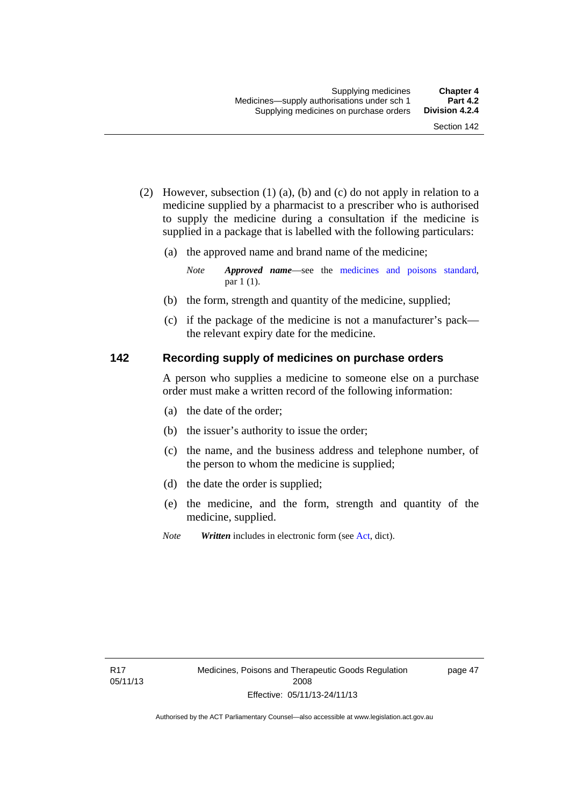- (2) However, subsection (1) (a), (b) and (c) do not apply in relation to a medicine supplied by a pharmacist to a prescriber who is authorised to supply the medicine during a consultation if the medicine is supplied in a package that is labelled with the following particulars:
	- (a) the approved name and brand name of the medicine;

*Note Approved name*—see the [medicines and poisons standard,](http://www.comlaw.gov.au/Series/F2012L01200) par 1 (1).

- (b) the form, strength and quantity of the medicine, supplied;
- (c) if the package of the medicine is not a manufacturer's pack the relevant expiry date for the medicine.

### **142 Recording supply of medicines on purchase orders**

A person who supplies a medicine to someone else on a purchase order must make a written record of the following information:

- (a) the date of the order;
- (b) the issuer's authority to issue the order;
- (c) the name, and the business address and telephone number, of the person to whom the medicine is supplied;
- (d) the date the order is supplied;
- (e) the medicine, and the form, strength and quantity of the medicine, supplied.
- *Note Written* includes in electronic form (see [Act,](http://www.legislation.act.gov.au/a/2008-26/default.asp) dict).

page 47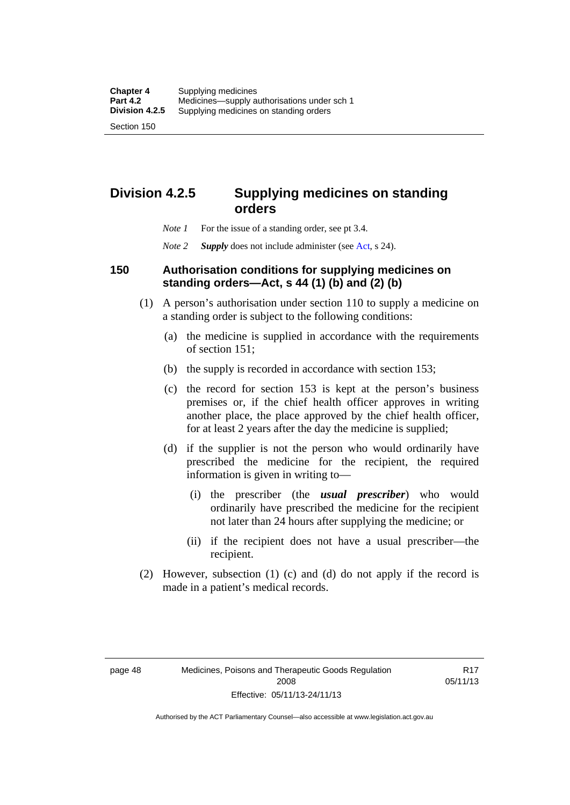## **Division 4.2.5 Supplying medicines on standing orders**

- *Note 1* For the issue of a standing order, see pt 3.4.
- *Note 2 Supply* does not include administer (see [Act,](http://www.legislation.act.gov.au/a/2008-26/default.asp) s 24).

## **150 Authorisation conditions for supplying medicines on standing orders—Act, s 44 (1) (b) and (2) (b)**

- (1) A person's authorisation under section 110 to supply a medicine on a standing order is subject to the following conditions:
	- (a) the medicine is supplied in accordance with the requirements of section 151;
	- (b) the supply is recorded in accordance with section 153;
	- (c) the record for section 153 is kept at the person's business premises or, if the chief health officer approves in writing another place, the place approved by the chief health officer, for at least 2 years after the day the medicine is supplied;
	- (d) if the supplier is not the person who would ordinarily have prescribed the medicine for the recipient, the required information is given in writing to—
		- (i) the prescriber (the *usual prescriber*) who would ordinarily have prescribed the medicine for the recipient not later than 24 hours after supplying the medicine; or
		- (ii) if the recipient does not have a usual prescriber—the recipient.
- (2) However, subsection (1) (c) and (d) do not apply if the record is made in a patient's medical records.

R17 05/11/13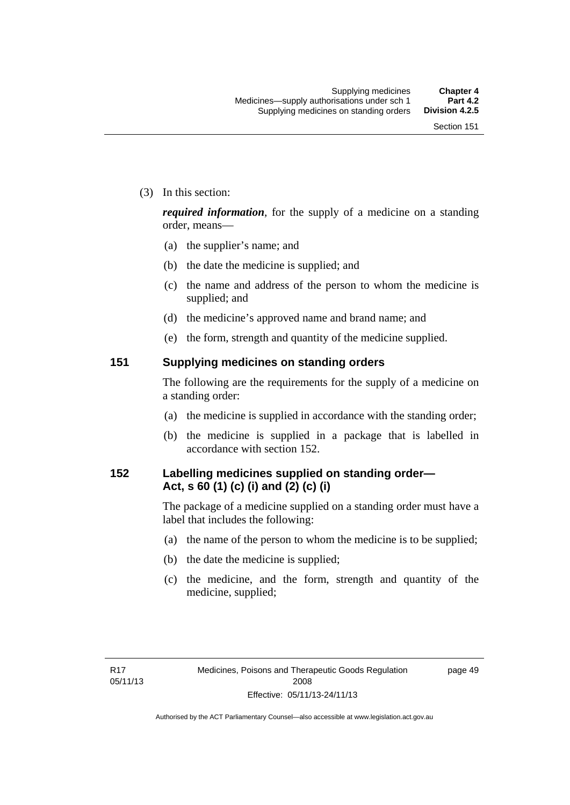(3) In this section:

*required information*, for the supply of a medicine on a standing order, means—

- (a) the supplier's name; and
- (b) the date the medicine is supplied; and
- (c) the name and address of the person to whom the medicine is supplied; and
- (d) the medicine's approved name and brand name; and
- (e) the form, strength and quantity of the medicine supplied.

### **151 Supplying medicines on standing orders**

The following are the requirements for the supply of a medicine on a standing order:

- (a) the medicine is supplied in accordance with the standing order;
- (b) the medicine is supplied in a package that is labelled in accordance with section 152.

## **152 Labelling medicines supplied on standing order— Act, s 60 (1) (c) (i) and (2) (c) (i)**

The package of a medicine supplied on a standing order must have a label that includes the following:

- (a) the name of the person to whom the medicine is to be supplied;
- (b) the date the medicine is supplied;
- (c) the medicine, and the form, strength and quantity of the medicine, supplied;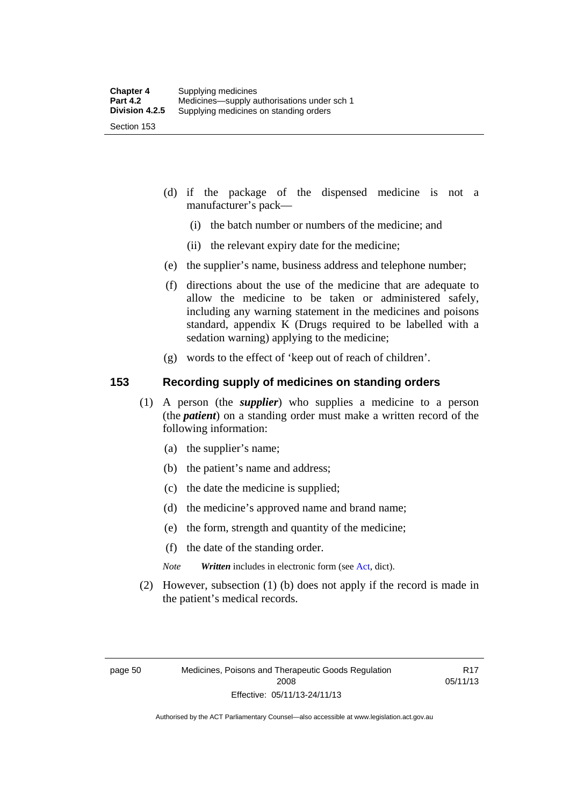- (d) if the package of the dispensed medicine is not a manufacturer's pack—
	- (i) the batch number or numbers of the medicine; and
	- (ii) the relevant expiry date for the medicine;
- (e) the supplier's name, business address and telephone number;
- (f) directions about the use of the medicine that are adequate to allow the medicine to be taken or administered safely, including any warning statement in the medicines and poisons standard, appendix K (Drugs required to be labelled with a sedation warning) applying to the medicine;
- (g) words to the effect of 'keep out of reach of children'.

### **153 Recording supply of medicines on standing orders**

- (1) A person (the *supplier*) who supplies a medicine to a person (the *patient*) on a standing order must make a written record of the following information:
	- (a) the supplier's name;
	- (b) the patient's name and address;
	- (c) the date the medicine is supplied;
	- (d) the medicine's approved name and brand name;
	- (e) the form, strength and quantity of the medicine;
	- (f) the date of the standing order.
	- *Note Written* includes in electronic form (see [Act,](http://www.legislation.act.gov.au/a/2008-26/default.asp) dict).
- (2) However, subsection (1) (b) does not apply if the record is made in the patient's medical records.

R17 05/11/13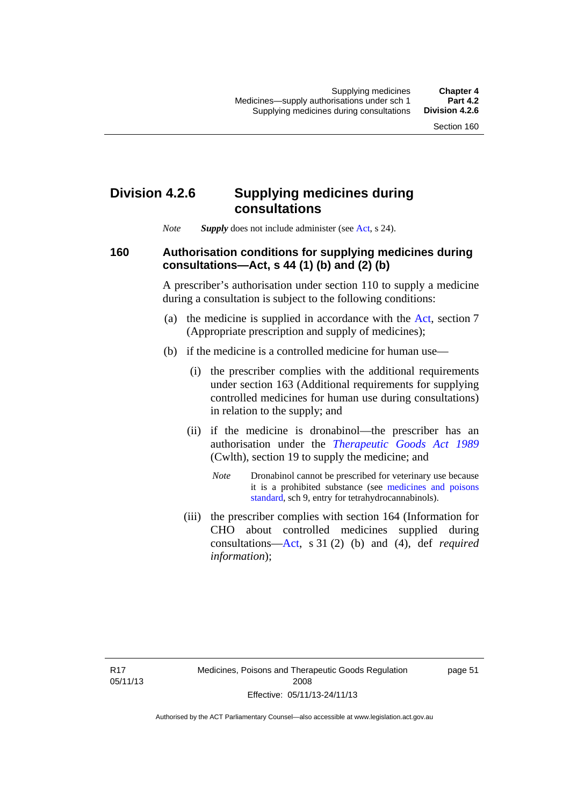## **Division 4.2.6 Supplying medicines during consultations**

*Note Supply* does not include administer (see [Act,](http://www.legislation.act.gov.au/a/2008-26/default.asp) s 24).

### **160 Authorisation conditions for supplying medicines during consultations—Act, s 44 (1) (b) and (2) (b)**

A prescriber's authorisation under section 110 to supply a medicine during a consultation is subject to the following conditions:

- (a) the medicine is supplied in accordance with the [Act](http://www.legislation.act.gov.au/a/2008-26/default.asp), section 7 (Appropriate prescription and supply of medicines);
- (b) if the medicine is a controlled medicine for human use—
	- (i) the prescriber complies with the additional requirements under section 163 (Additional requirements for supplying controlled medicines for human use during consultations) in relation to the supply; and
	- (ii) if the medicine is dronabinol—the prescriber has an authorisation under the *[Therapeutic Goods Act 1989](http://www.comlaw.gov.au/Series/C2004A03952)* (Cwlth), section 19 to supply the medicine; and
		- *Note* Dronabinol cannot be prescribed for veterinary use because it is a prohibited substance (see [medicines and poisons](http://www.comlaw.gov.au/Series/F2012L01200)  [standard,](http://www.comlaw.gov.au/Series/F2012L01200) sch 9, entry for tetrahydrocannabinols).
	- (iii) the prescriber complies with section 164 (Information for CHO about controlled medicines supplied during consultations[—Act,](http://www.legislation.act.gov.au/a/2008-26/default.asp) s 31 (2) (b) and (4), def *required information*);

page 51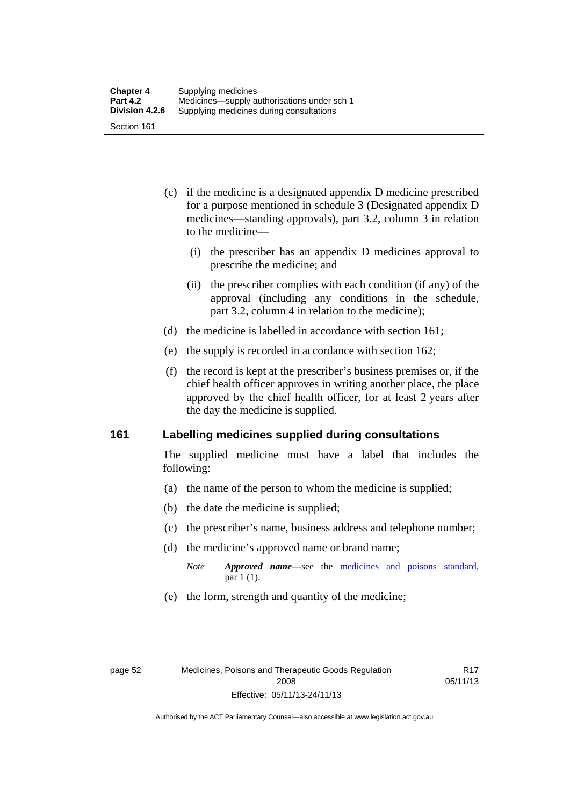- (c) if the medicine is a designated appendix D medicine prescribed for a purpose mentioned in schedule 3 (Designated appendix D medicines—standing approvals), part 3.2, column 3 in relation to the medicine—
	- (i) the prescriber has an appendix D medicines approval to prescribe the medicine; and
	- (ii) the prescriber complies with each condition (if any) of the approval (including any conditions in the schedule, part 3.2, column 4 in relation to the medicine);
- (d) the medicine is labelled in accordance with section 161;
- (e) the supply is recorded in accordance with section 162;
- (f) the record is kept at the prescriber's business premises or, if the chief health officer approves in writing another place, the place approved by the chief health officer, for at least 2 years after the day the medicine is supplied.

### **161 Labelling medicines supplied during consultations**

The supplied medicine must have a label that includes the following:

- (a) the name of the person to whom the medicine is supplied;
- (b) the date the medicine is supplied;
- (c) the prescriber's name, business address and telephone number;
- (d) the medicine's approved name or brand name;
	- *Note Approved name*—see the [medicines and poisons standard,](http://www.comlaw.gov.au/Series/F2012L01200) par 1 (1).
- (e) the form, strength and quantity of the medicine;

R17 05/11/13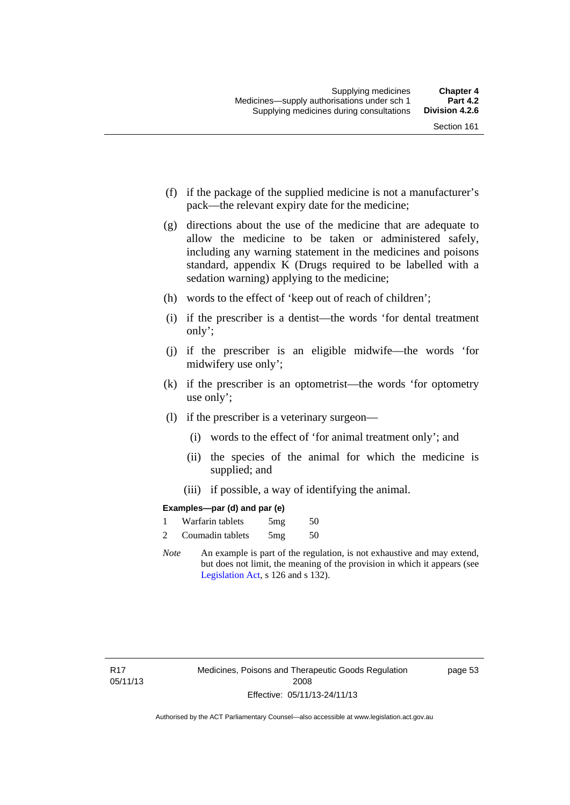- (f) if the package of the supplied medicine is not a manufacturer's pack—the relevant expiry date for the medicine;
- (g) directions about the use of the medicine that are adequate to allow the medicine to be taken or administered safely, including any warning statement in the medicines and poisons standard, appendix K (Drugs required to be labelled with a sedation warning) applying to the medicine;
- (h) words to the effect of 'keep out of reach of children';
- (i) if the prescriber is a dentist—the words 'for dental treatment only';
- (j) if the prescriber is an eligible midwife—the words 'for midwifery use only';
- (k) if the prescriber is an optometrist—the words 'for optometry use only';
- (l) if the prescriber is a veterinary surgeon—
	- (i) words to the effect of 'for animal treatment only'; and
	- (ii) the species of the animal for which the medicine is supplied; and
	- (iii) if possible, a way of identifying the animal.

### **Examples—par (d) and par (e)**

|                | Warfarin tablets | 5mg | 50 |
|----------------|------------------|-----|----|
| $\overline{c}$ | Coumadin tablets | 5mg | 50 |

*Note* An example is part of the regulation, is not exhaustive and may extend, but does not limit, the meaning of the provision in which it appears (see [Legislation Act,](http://www.legislation.act.gov.au/a/2001-14) s 126 and s 132).

page 53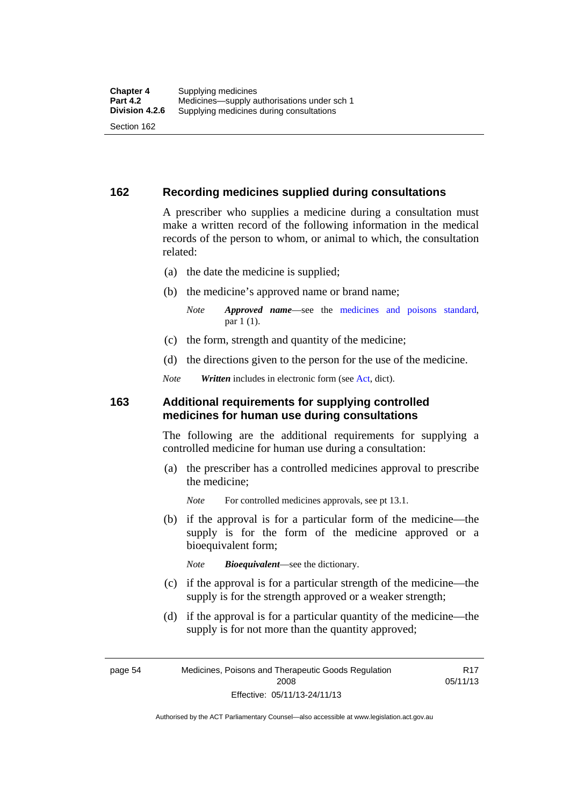### **162 Recording medicines supplied during consultations**

A prescriber who supplies a medicine during a consultation must make a written record of the following information in the medical records of the person to whom, or animal to which, the consultation related:

- (a) the date the medicine is supplied;
- (b) the medicine's approved name or brand name;

*Note Approved name*—see the [medicines and poisons standard,](http://www.comlaw.gov.au/Series/F2012L01200) par 1 (1).

- (c) the form, strength and quantity of the medicine;
- (d) the directions given to the person for the use of the medicine.

*Note Written* includes in electronic form (see [Act,](http://www.legislation.act.gov.au/a/2008-26/default.asp) dict).

### **163 Additional requirements for supplying controlled medicines for human use during consultations**

The following are the additional requirements for supplying a controlled medicine for human use during a consultation:

- (a) the prescriber has a controlled medicines approval to prescribe the medicine;
	- *Note* For controlled medicines approvals, see pt 13.1.
- (b) if the approval is for a particular form of the medicine—the supply is for the form of the medicine approved or a bioequivalent form;

*Note Bioequivalent*—see the dictionary.

- (c) if the approval is for a particular strength of the medicine—the supply is for the strength approved or a weaker strength;
- (d) if the approval is for a particular quantity of the medicine—the supply is for not more than the quantity approved;

page 54 Medicines, Poisons and Therapeutic Goods Regulation 2008 Effective: 05/11/13-24/11/13

R17 05/11/13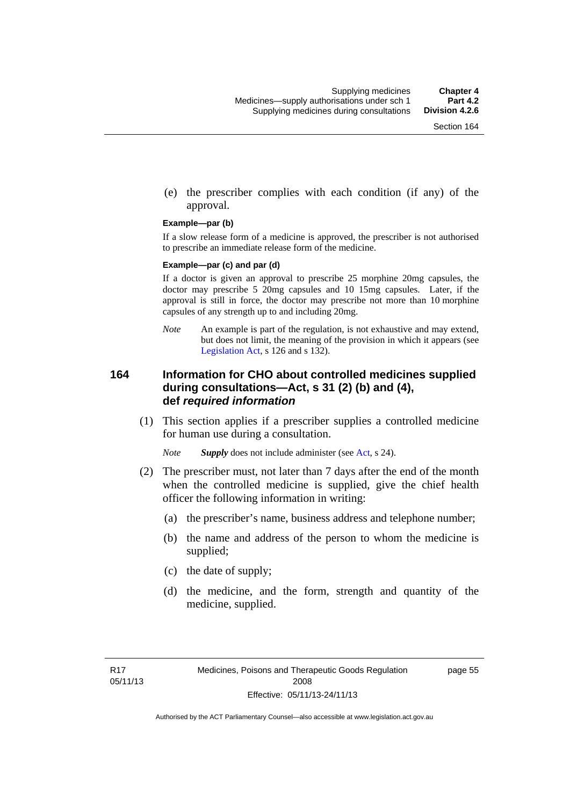(e) the prescriber complies with each condition (if any) of the approval.

#### **Example—par (b)**

If a slow release form of a medicine is approved, the prescriber is not authorised to prescribe an immediate release form of the medicine.

#### **Example—par (c) and par (d)**

If a doctor is given an approval to prescribe 25 morphine 20mg capsules, the doctor may prescribe 5 20mg capsules and 10 15mg capsules. Later, if the approval is still in force, the doctor may prescribe not more than 10 morphine capsules of any strength up to and including 20mg.

*Note* An example is part of the regulation, is not exhaustive and may extend, but does not limit, the meaning of the provision in which it appears (see [Legislation Act,](http://www.legislation.act.gov.au/a/2001-14) s 126 and s 132).

### **164 Information for CHO about controlled medicines supplied during consultations—Act, s 31 (2) (b) and (4), def** *required information*

 (1) This section applies if a prescriber supplies a controlled medicine for human use during a consultation.

*Note Supply* does not include administer (see [Act,](http://www.legislation.act.gov.au/a/2008-26/default.asp) s 24).

- (2) The prescriber must, not later than 7 days after the end of the month when the controlled medicine is supplied, give the chief health officer the following information in writing:
	- (a) the prescriber's name, business address and telephone number;
	- (b) the name and address of the person to whom the medicine is supplied;
	- (c) the date of supply;
	- (d) the medicine, and the form, strength and quantity of the medicine, supplied.

page 55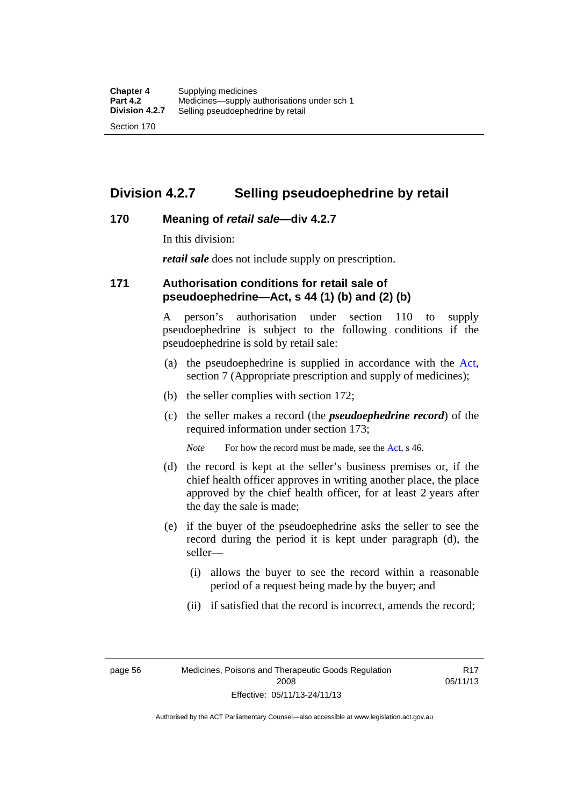## **Division 4.2.7 Selling pseudoephedrine by retail**

### **170 Meaning of** *retail sale***—div 4.2.7**

In this division:

*retail sale* does not include supply on prescription.

### **171 Authorisation conditions for retail sale of pseudoephedrine—Act, s 44 (1) (b) and (2) (b)**

A person's authorisation under section 110 to supply pseudoephedrine is subject to the following conditions if the pseudoephedrine is sold by retail sale:

- (a) the pseudoephedrine is supplied in accordance with the [Act](http://www.legislation.act.gov.au/a/2008-26/default.asp), section 7 (Appropriate prescription and supply of medicines);
- (b) the seller complies with section 172;
- (c) the seller makes a record (the *pseudoephedrine record*) of the required information under section 173;

*Note* For how the record must be made, see the [Act,](http://www.legislation.act.gov.au/a/2008-26/default.asp) s 46.

- (d) the record is kept at the seller's business premises or, if the chief health officer approves in writing another place, the place approved by the chief health officer, for at least 2 years after the day the sale is made;
- (e) if the buyer of the pseudoephedrine asks the seller to see the record during the period it is kept under paragraph (d), the seller—
	- (i) allows the buyer to see the record within a reasonable period of a request being made by the buyer; and
	- (ii) if satisfied that the record is incorrect, amends the record;

page 56 Medicines, Poisons and Therapeutic Goods Regulation 2008 Effective: 05/11/13-24/11/13

R17 05/11/13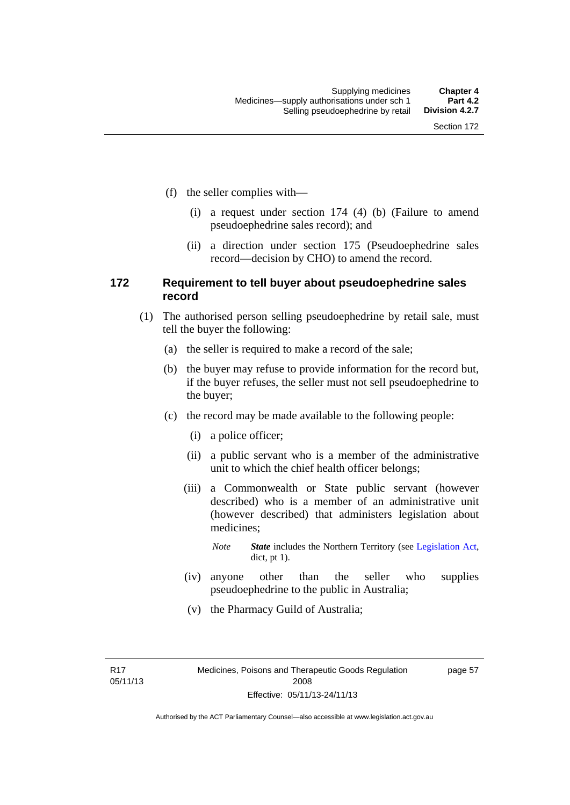- (f) the seller complies with—
	- (i) a request under section 174 (4) (b) (Failure to amend pseudoephedrine sales record); and
	- (ii) a direction under section 175 (Pseudoephedrine sales record—decision by CHO) to amend the record.

### **172 Requirement to tell buyer about pseudoephedrine sales record**

- (1) The authorised person selling pseudoephedrine by retail sale, must tell the buyer the following:
	- (a) the seller is required to make a record of the sale;
	- (b) the buyer may refuse to provide information for the record but, if the buyer refuses, the seller must not sell pseudoephedrine to the buyer;
	- (c) the record may be made available to the following people:
		- (i) a police officer;
		- (ii) a public servant who is a member of the administrative unit to which the chief health officer belongs;
		- (iii) a Commonwealth or State public servant (however described) who is a member of an administrative unit (however described) that administers legislation about medicines;
			- *Note State* includes the Northern Territory (see [Legislation Act,](http://www.legislation.act.gov.au/a/2001-14) dict, pt 1).
		- (iv) anyone other than the seller who supplies pseudoephedrine to the public in Australia;
		- (v) the Pharmacy Guild of Australia;

R17 05/11/13 page 57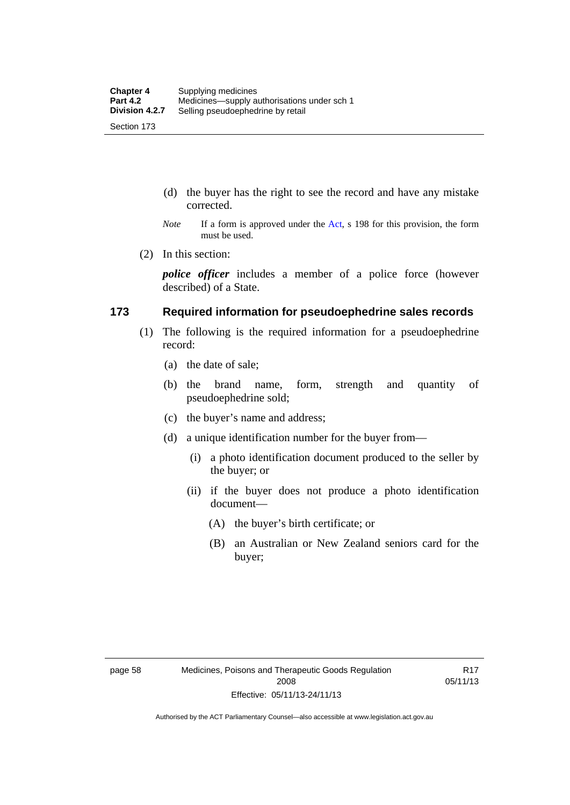- (d) the buyer has the right to see the record and have any mistake corrected.
- *Note* If a form is approved under the [Act](http://www.legislation.act.gov.au/a/2008-26/default.asp), s 198 for this provision, the form must be used.
- (2) In this section:

*police officer* includes a member of a police force (however described) of a State.

### **173 Required information for pseudoephedrine sales records**

- (1) The following is the required information for a pseudoephedrine record:
	- (a) the date of sale;
	- (b) the brand name, form, strength and quantity of pseudoephedrine sold;
	- (c) the buyer's name and address;
	- (d) a unique identification number for the buyer from—
		- (i) a photo identification document produced to the seller by the buyer; or
		- (ii) if the buyer does not produce a photo identification document—
			- (A) the buyer's birth certificate; or
			- (B) an Australian or New Zealand seniors card for the buyer;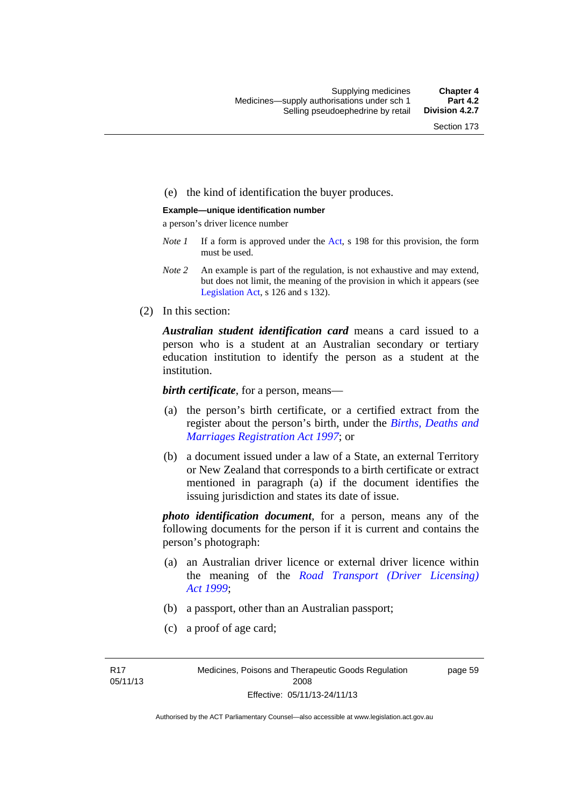### (e) the kind of identification the buyer produces.

#### **Example—unique identification number**

a person's driver licence number

- *Note 1* If a form is approved under the [Act](http://www.legislation.act.gov.au/a/2008-26/default.asp), s 198 for this provision, the form must be used.
- *Note 2* An example is part of the regulation, is not exhaustive and may extend, but does not limit, the meaning of the provision in which it appears (see [Legislation Act,](http://www.legislation.act.gov.au/a/2001-14) s 126 and s 132).
- (2) In this section:

*Australian student identification card* means a card issued to a person who is a student at an Australian secondary or tertiary education institution to identify the person as a student at the institution.

*birth certificate*, for a person, means—

- (a) the person's birth certificate, or a certified extract from the register about the person's birth, under the *[Births, Deaths and](http://www.legislation.act.gov.au/a/1997-112)  [Marriages Registration Act 1997](http://www.legislation.act.gov.au/a/1997-112)*; or
- (b) a document issued under a law of a State, an external Territory or New Zealand that corresponds to a birth certificate or extract mentioned in paragraph (a) if the document identifies the issuing jurisdiction and states its date of issue.

*photo identification document*, for a person, means any of the following documents for the person if it is current and contains the person's photograph:

- (a) an Australian driver licence or external driver licence within the meaning of the *[Road Transport \(Driver Licensing\)](http://www.legislation.act.gov.au/a/1999-78)  [Act 1999](http://www.legislation.act.gov.au/a/1999-78)*;
- (b) a passport, other than an Australian passport;
- (c) a proof of age card;

R17 05/11/13 page 59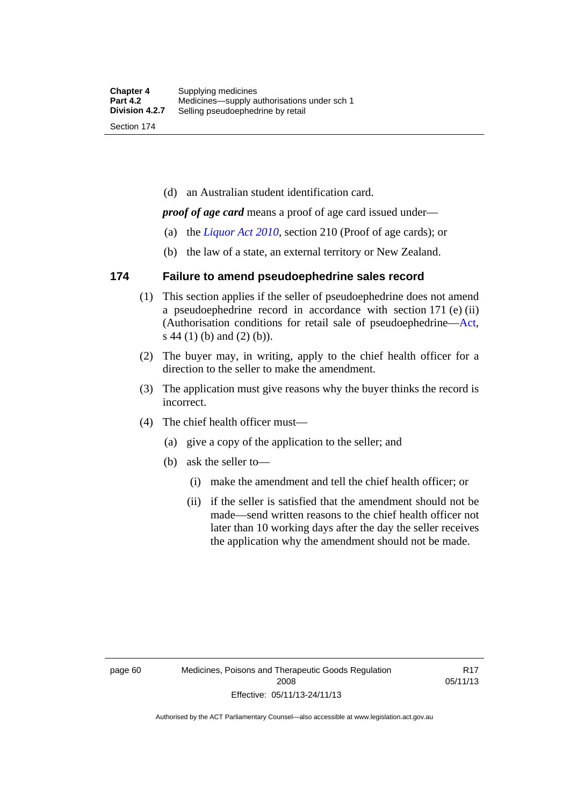(d) an Australian student identification card.

*proof of age card* means a proof of age card issued under—

- (a) the *[Liquor Act 2010](http://www.legislation.act.gov.au/a/2010-35)*, section 210 (Proof of age cards); or
- (b) the law of a state, an external territory or New Zealand.

### **174 Failure to amend pseudoephedrine sales record**

- (1) This section applies if the seller of pseudoephedrine does not amend a pseudoephedrine record in accordance with section 171 (e) (ii) (Authorisation conditions for retail sale of pseudoephedrine—[Act](http://www.legislation.act.gov.au/a/2008-26/default.asp), s 44 (1) (b) and (2) (b)).
- (2) The buyer may, in writing, apply to the chief health officer for a direction to the seller to make the amendment.
- (3) The application must give reasons why the buyer thinks the record is incorrect.
- (4) The chief health officer must—
	- (a) give a copy of the application to the seller; and
	- (b) ask the seller to—
		- (i) make the amendment and tell the chief health officer; or
		- (ii) if the seller is satisfied that the amendment should not be made—send written reasons to the chief health officer not later than 10 working days after the day the seller receives the application why the amendment should not be made.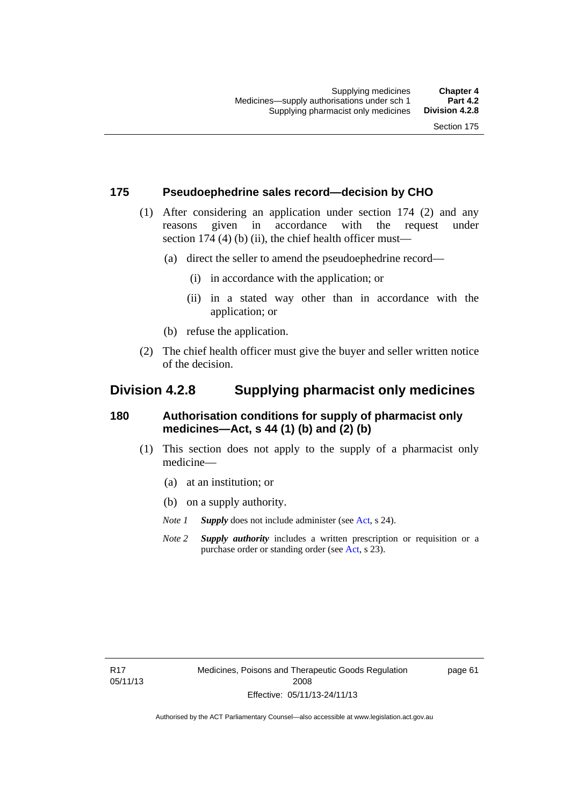### **175 Pseudoephedrine sales record—decision by CHO**

- (1) After considering an application under section 174 (2) and any reasons given in accordance with the request under section 174  $(4)$  (b)  $(ii)$ , the chief health officer must—
	- (a) direct the seller to amend the pseudoephedrine record—
		- (i) in accordance with the application; or
		- (ii) in a stated way other than in accordance with the application; or
	- (b) refuse the application.
- (2) The chief health officer must give the buyer and seller written notice of the decision.

## **Division 4.2.8 Supplying pharmacist only medicines**

### **180 Authorisation conditions for supply of pharmacist only medicines—Act, s 44 (1) (b) and (2) (b)**

- (1) This section does not apply to the supply of a pharmacist only medicine—
	- (a) at an institution; or
	- (b) on a supply authority.
	- *Note 1 Supply* does not include administer (see [Act,](http://www.legislation.act.gov.au/a/2008-26/default.asp) s 24).
	- *Note 2 Supply authority* includes a written prescription or requisition or a purchase order or standing order (see [Act,](http://www.legislation.act.gov.au/a/2008-26/default.asp) s 23).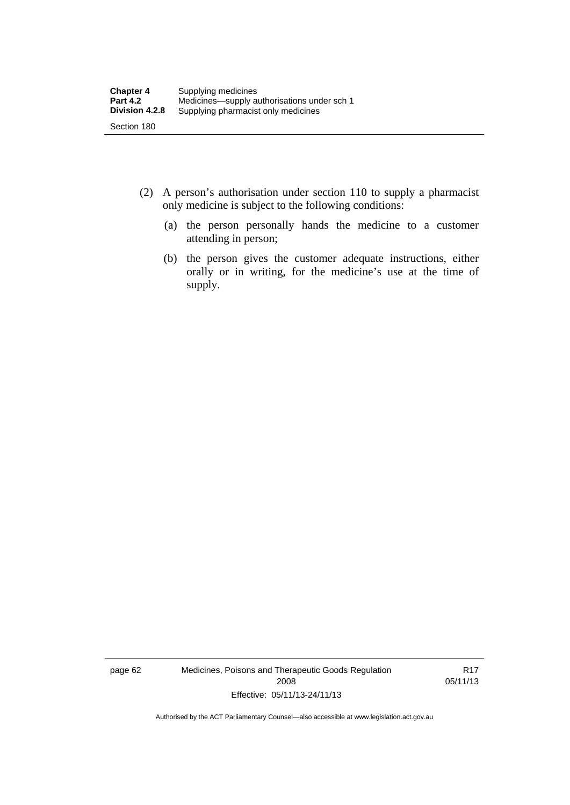- (2) A person's authorisation under section 110 to supply a pharmacist only medicine is subject to the following conditions:
	- (a) the person personally hands the medicine to a customer attending in person;
	- (b) the person gives the customer adequate instructions, either orally or in writing, for the medicine's use at the time of supply.

page 62 Medicines, Poisons and Therapeutic Goods Regulation 2008 Effective: 05/11/13-24/11/13

R17 05/11/13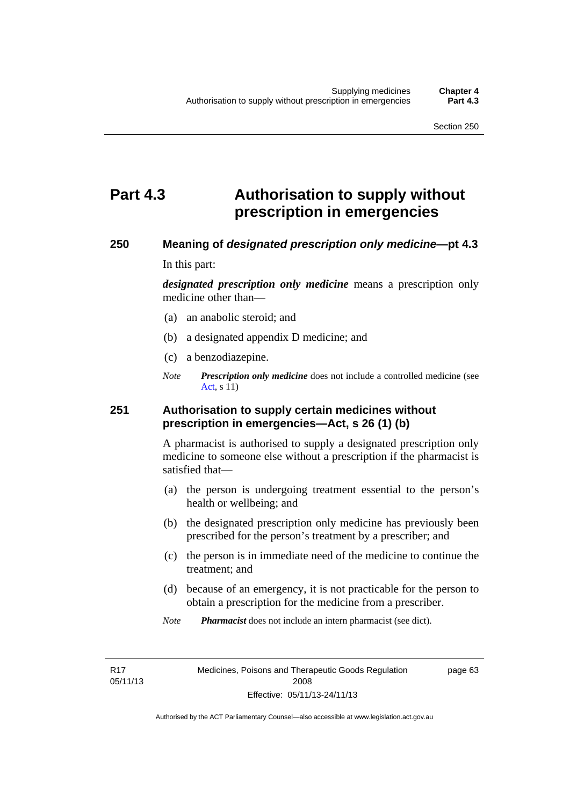# **Part 4.3 Authorisation to supply without prescription in emergencies**

### **250 Meaning of** *designated prescription only medicine***—pt 4.3**

In this part:

*designated prescription only medicine* means a prescription only medicine other than—

- (a) an anabolic steroid; and
- (b) a designated appendix D medicine; and
- (c) a benzodiazepine.
- *Note Prescription only medicine* does not include a controlled medicine (see [Act](http://www.legislation.act.gov.au/a/2008-26/default.asp), s 11)

### **251 Authorisation to supply certain medicines without prescription in emergencies—Act, s 26 (1) (b)**

A pharmacist is authorised to supply a designated prescription only medicine to someone else without a prescription if the pharmacist is satisfied that—

- (a) the person is undergoing treatment essential to the person's health or wellbeing; and
- (b) the designated prescription only medicine has previously been prescribed for the person's treatment by a prescriber; and
- (c) the person is in immediate need of the medicine to continue the treatment; and
- (d) because of an emergency, it is not practicable for the person to obtain a prescription for the medicine from a prescriber.
- *Note Pharmacist* does not include an intern pharmacist (see dict).

R17 05/11/13 page 63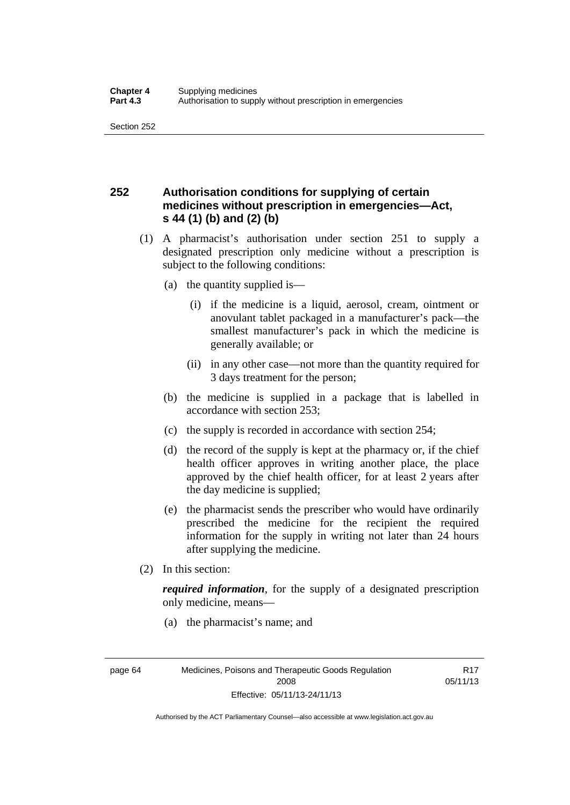## **252 Authorisation conditions for supplying of certain medicines without prescription in emergencies—Act, s 44 (1) (b) and (2) (b)**

- (1) A pharmacist's authorisation under section 251 to supply a designated prescription only medicine without a prescription is subject to the following conditions:
	- (a) the quantity supplied is—
		- (i) if the medicine is a liquid, aerosol, cream, ointment or anovulant tablet packaged in a manufacturer's pack—the smallest manufacturer's pack in which the medicine is generally available; or
		- (ii) in any other case—not more than the quantity required for 3 days treatment for the person;
	- (b) the medicine is supplied in a package that is labelled in accordance with section 253;
	- (c) the supply is recorded in accordance with section 254;
	- (d) the record of the supply is kept at the pharmacy or, if the chief health officer approves in writing another place, the place approved by the chief health officer, for at least 2 years after the day medicine is supplied;
	- (e) the pharmacist sends the prescriber who would have ordinarily prescribed the medicine for the recipient the required information for the supply in writing not later than 24 hours after supplying the medicine.
- (2) In this section:

*required information*, for the supply of a designated prescription only medicine, means—

(a) the pharmacist's name; and

R17 05/11/13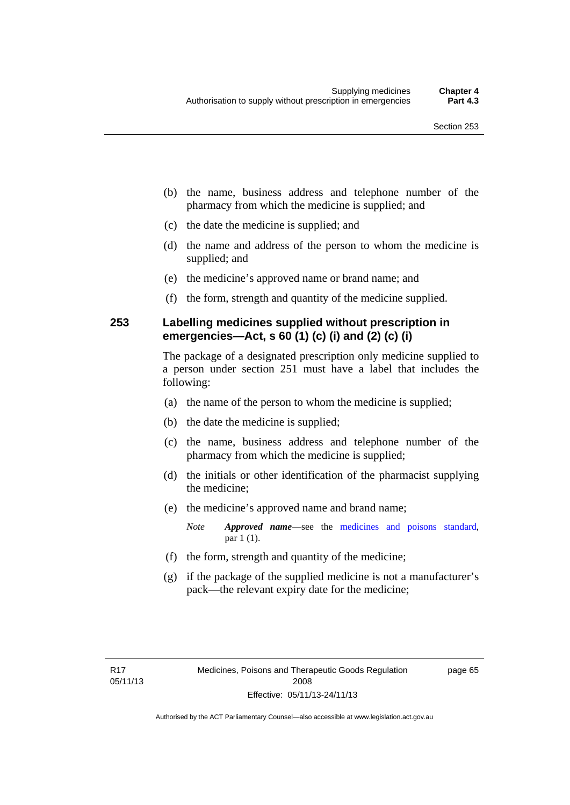- (b) the name, business address and telephone number of the pharmacy from which the medicine is supplied; and
- (c) the date the medicine is supplied; and
- (d) the name and address of the person to whom the medicine is supplied; and
- (e) the medicine's approved name or brand name; and
- (f) the form, strength and quantity of the medicine supplied.

### **253 Labelling medicines supplied without prescription in emergencies—Act, s 60 (1) (c) (i) and (2) (c) (i)**

The package of a designated prescription only medicine supplied to a person under section 251 must have a label that includes the following:

- (a) the name of the person to whom the medicine is supplied;
- (b) the date the medicine is supplied;
- (c) the name, business address and telephone number of the pharmacy from which the medicine is supplied;
- (d) the initials or other identification of the pharmacist supplying the medicine;
- (e) the medicine's approved name and brand name;

*Note Approved name*—see the [medicines and poisons standard,](http://www.comlaw.gov.au/Series/F2012L01200) par 1 (1).

- (f) the form, strength and quantity of the medicine;
- (g) if the package of the supplied medicine is not a manufacturer's pack—the relevant expiry date for the medicine;

page 65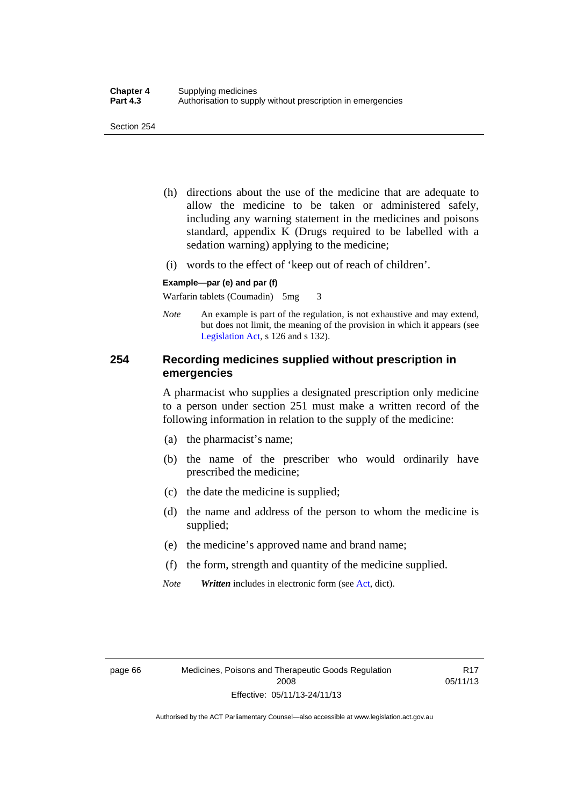- (h) directions about the use of the medicine that are adequate to allow the medicine to be taken or administered safely, including any warning statement in the medicines and poisons standard, appendix K (Drugs required to be labelled with a sedation warning) applying to the medicine;
- (i) words to the effect of 'keep out of reach of children'.

#### **Example—par (e) and par (f)**

Warfarin tablets (Coumadin) 5mg 3

*Note* An example is part of the regulation, is not exhaustive and may extend, but does not limit, the meaning of the provision in which it appears (see [Legislation Act,](http://www.legislation.act.gov.au/a/2001-14) s 126 and s 132).

### **254 Recording medicines supplied without prescription in emergencies**

A pharmacist who supplies a designated prescription only medicine to a person under section 251 must make a written record of the following information in relation to the supply of the medicine:

- (a) the pharmacist's name;
- (b) the name of the prescriber who would ordinarily have prescribed the medicine;
- (c) the date the medicine is supplied;
- (d) the name and address of the person to whom the medicine is supplied;
- (e) the medicine's approved name and brand name;
- (f) the form, strength and quantity of the medicine supplied.
- *Note Written* includes in electronic form (see [Act,](http://www.legislation.act.gov.au/a/2008-26/default.asp) dict).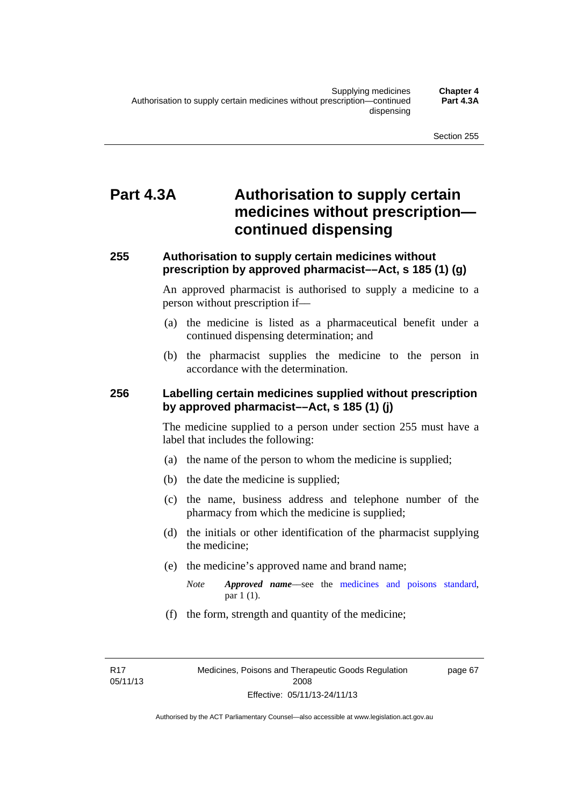# **Part 4.3A Authorisation to supply certain medicines without prescription continued dispensing**

### **255 Authorisation to supply certain medicines without prescription by approved pharmacist––Act, s 185 (1) (g)**

An approved pharmacist is authorised to supply a medicine to a person without prescription if––

- (a) the medicine is listed as a pharmaceutical benefit under a continued dispensing determination; and
- (b) the pharmacist supplies the medicine to the person in accordance with the determination.

### **256 Labelling certain medicines supplied without prescription by approved pharmacist––Act, s 185 (1) (j)**

The medicine supplied to a person under section 255 must have a label that includes the following:

- (a) the name of the person to whom the medicine is supplied;
- (b) the date the medicine is supplied;
- (c) the name, business address and telephone number of the pharmacy from which the medicine is supplied;
- (d) the initials or other identification of the pharmacist supplying the medicine;
- (e) the medicine's approved name and brand name;
	- *Note Approved name––*see the [medicines and poisons standard,](http://www.comlaw.gov.au/Series/F2012L01200) par 1 (1).
- (f) the form, strength and quantity of the medicine;

R17 05/11/13 page 67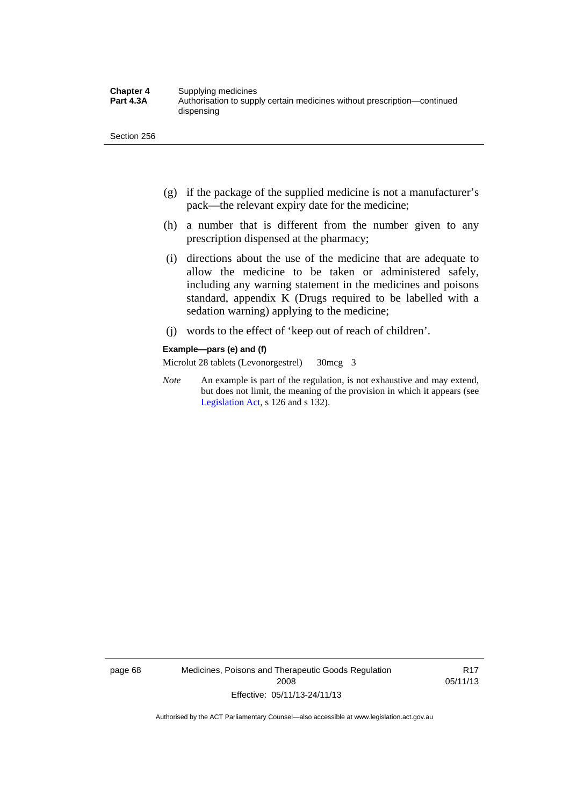- (g) if the package of the supplied medicine is not a manufacturer's pack—the relevant expiry date for the medicine;
- (h) a number that is different from the number given to any prescription dispensed at the pharmacy;
- (i) directions about the use of the medicine that are adequate to allow the medicine to be taken or administered safely, including any warning statement in the medicines and poisons standard, appendix K (Drugs required to be labelled with a sedation warning) applying to the medicine;
- (j) words to the effect of 'keep out of reach of children'.

#### **Example—pars (e) and (f)**

Microlut 28 tablets (Levonorgestrel) 30mcg 3

*Note* An example is part of the regulation, is not exhaustive and may extend, but does not limit, the meaning of the provision in which it appears (see [Legislation Act,](http://www.legislation.act.gov.au/a/2001-14) s 126 and s 132).

page 68 Medicines, Poisons and Therapeutic Goods Regulation 2008 Effective: 05/11/13-24/11/13

R17 05/11/13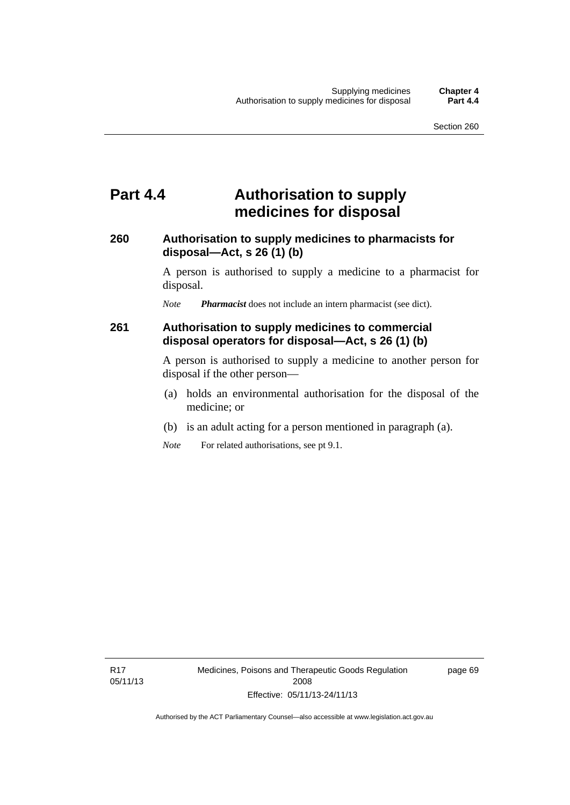## **Part 4.4 Authorisation to supply medicines for disposal**

### **260 Authorisation to supply medicines to pharmacists for disposal—Act, s 26 (1) (b)**

A person is authorised to supply a medicine to a pharmacist for disposal.

*Note Pharmacist* does not include an intern pharmacist (see dict).

### **261 Authorisation to supply medicines to commercial disposal operators for disposal—Act, s 26 (1) (b)**

A person is authorised to supply a medicine to another person for disposal if the other person—

- (a) holds an environmental authorisation for the disposal of the medicine; or
- (b) is an adult acting for a person mentioned in paragraph (a).
- *Note* For related authorisations, see pt 9.1.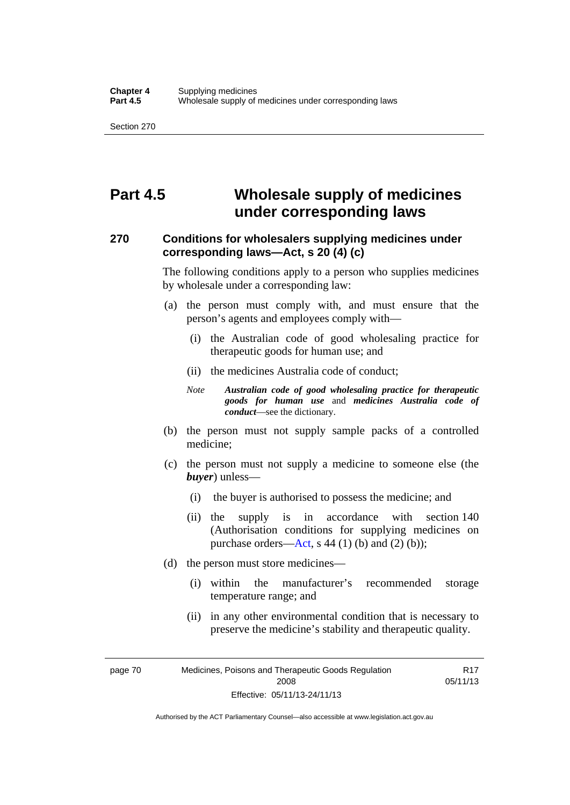# **Part 4.5 Wholesale supply of medicines under corresponding laws**

### **270 Conditions for wholesalers supplying medicines under corresponding laws—Act, s 20 (4) (c)**

The following conditions apply to a person who supplies medicines by wholesale under a corresponding law:

- (a) the person must comply with, and must ensure that the person's agents and employees comply with—
	- (i) the Australian code of good wholesaling practice for therapeutic goods for human use; and
	- (ii) the medicines Australia code of conduct;
	- *Note Australian code of good wholesaling practice for therapeutic goods for human use* and *medicines Australia code of conduct*—see the dictionary.
- (b) the person must not supply sample packs of a controlled medicine;
- (c) the person must not supply a medicine to someone else (the *buyer*) unless—
	- (i) the buyer is authorised to possess the medicine; and
	- (ii) the supply is in accordance with section 140 (Authorisation conditions for supplying medicines on purchase orders—[Act,](http://www.legislation.act.gov.au/a/2008-26/default.asp) s 44 (1) (b) and (2) (b));
- (d) the person must store medicines—
	- (i) within the manufacturer's recommended storage temperature range; and
	- (ii) in any other environmental condition that is necessary to preserve the medicine's stability and therapeutic quality.

R17

page 70 Medicines, Poisons and Therapeutic Goods Regulation 2008 Effective: 05/11/13-24/11/13 05/11/13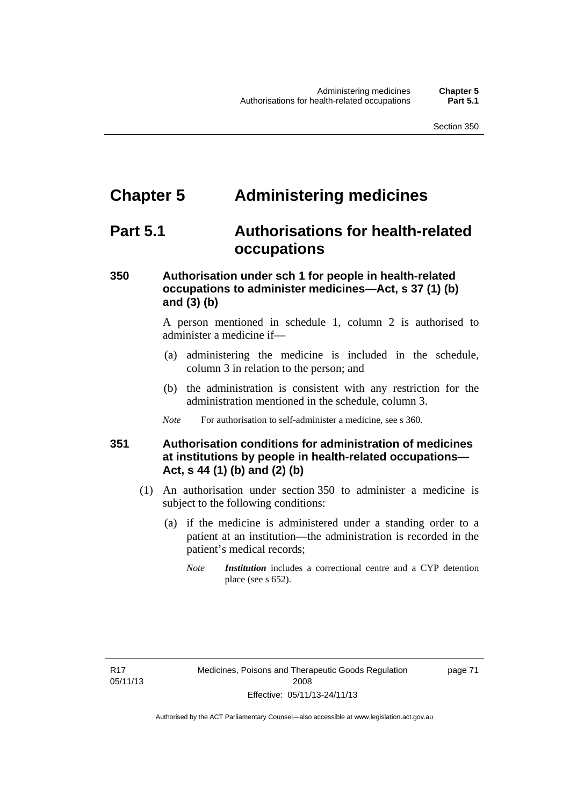# **Chapter 5 Administering medicines**

# **Part 5.1 Authorisations for health-related occupations**

## **350 Authorisation under sch 1 for people in health-related occupations to administer medicines—Act, s 37 (1) (b) and (3) (b)**

A person mentioned in schedule 1, column 2 is authorised to administer a medicine if—

- (a) administering the medicine is included in the schedule, column 3 in relation to the person; and
- (b) the administration is consistent with any restriction for the administration mentioned in the schedule, column 3.
- *Note* For authorisation to self-administer a medicine, see s 360.

## **351 Authorisation conditions for administration of medicines at institutions by people in health-related occupations— Act, s 44 (1) (b) and (2) (b)**

- (1) An authorisation under section 350 to administer a medicine is subject to the following conditions:
	- (a) if the medicine is administered under a standing order to a patient at an institution—the administration is recorded in the patient's medical records;
		- *Note Institution* includes a correctional centre and a CYP detention place (see s 652).

page 71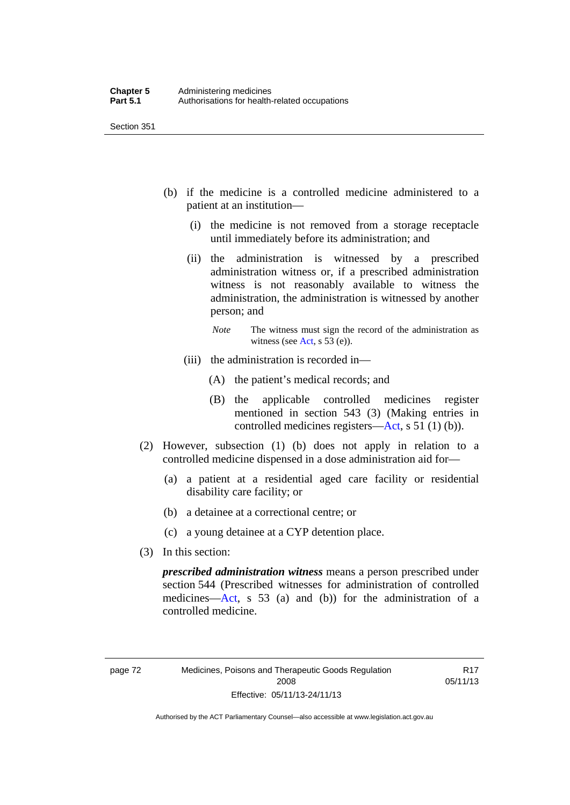- (b) if the medicine is a controlled medicine administered to a patient at an institution—
	- (i) the medicine is not removed from a storage receptacle until immediately before its administration; and
	- (ii) the administration is witnessed by a prescribed administration witness or, if a prescribed administration witness is not reasonably available to witness the administration, the administration is witnessed by another person; and
		- *Note* The witness must sign the record of the administration as witness (see [Act,](http://www.legislation.act.gov.au/a/2008-26/default.asp) s 53 (e)).
	- (iii) the administration is recorded in—
		- (A) the patient's medical records; and
		- (B) the applicable controlled medicines register mentioned in section 543 (3) (Making entries in controlled medicines registers[—Act](http://www.legislation.act.gov.au/a/2008-26/default.asp), s 51 (1) (b)).
- (2) However, subsection (1) (b) does not apply in relation to a controlled medicine dispensed in a dose administration aid for—
	- (a) a patient at a residential aged care facility or residential disability care facility; or
	- (b) a detainee at a correctional centre; or
	- (c) a young detainee at a CYP detention place.
- (3) In this section:

*prescribed administration witness* means a person prescribed under section 544 (Prescribed witnesses for administration of controlled medicines—[Act](http://www.legislation.act.gov.au/a/2008-26/default.asp), s 53 (a) and (b)) for the administration of a controlled medicine.

R17 05/11/13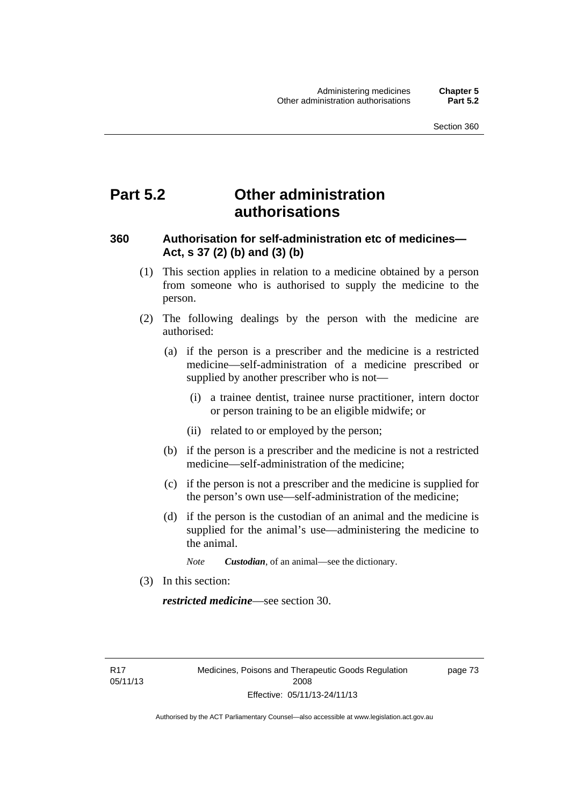# **Part 5.2 Other administration authorisations**

### **360 Authorisation for self-administration etc of medicines— Act, s 37 (2) (b) and (3) (b)**

- (1) This section applies in relation to a medicine obtained by a person from someone who is authorised to supply the medicine to the person.
- (2) The following dealings by the person with the medicine are authorised:
	- (a) if the person is a prescriber and the medicine is a restricted medicine—self-administration of a medicine prescribed or supplied by another prescriber who is not—
		- (i) a trainee dentist, trainee nurse practitioner, intern doctor or person training to be an eligible midwife; or
		- (ii) related to or employed by the person;
	- (b) if the person is a prescriber and the medicine is not a restricted medicine—self-administration of the medicine;
	- (c) if the person is not a prescriber and the medicine is supplied for the person's own use—self-administration of the medicine;
	- (d) if the person is the custodian of an animal and the medicine is supplied for the animal's use—administering the medicine to the animal.
		- *Note Custodian*, of an animal—see the dictionary.
- (3) In this section:

*restricted medicine*—see section 30.

R17 05/11/13 page 73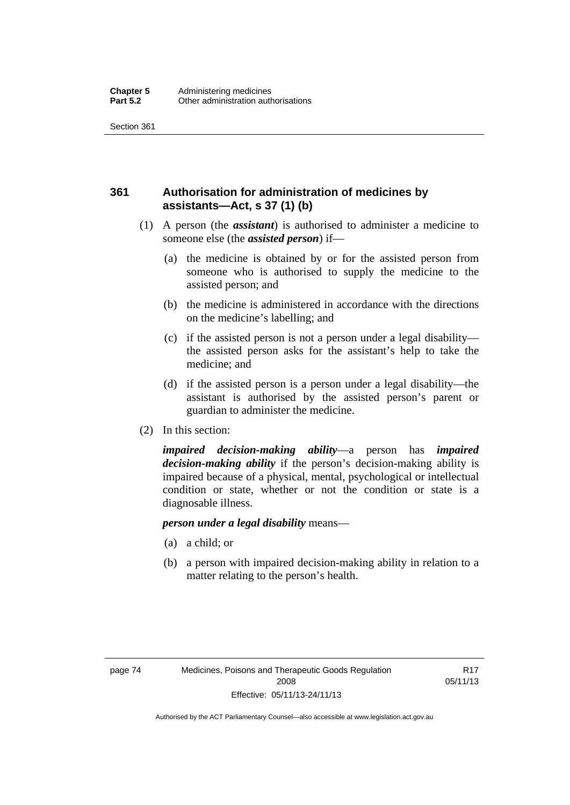## **361 Authorisation for administration of medicines by assistants—Act, s 37 (1) (b)**

- (1) A person (the *assistant*) is authorised to administer a medicine to someone else (the *assisted person*) if—
	- (a) the medicine is obtained by or for the assisted person from someone who is authorised to supply the medicine to the assisted person; and
	- (b) the medicine is administered in accordance with the directions on the medicine's labelling; and
	- (c) if the assisted person is not a person under a legal disability the assisted person asks for the assistant's help to take the medicine; and
	- (d) if the assisted person is a person under a legal disability—the assistant is authorised by the assisted person's parent or guardian to administer the medicine.
- (2) In this section:

*impaired decision-making ability*—a person has *impaired decision-making ability* if the person's decision-making ability is impaired because of a physical, mental, psychological or intellectual condition or state, whether or not the condition or state is a diagnosable illness.

### *person under a legal disability* means—

- (a) a child; or
- (b) a person with impaired decision-making ability in relation to a matter relating to the person's health.

R17 05/11/13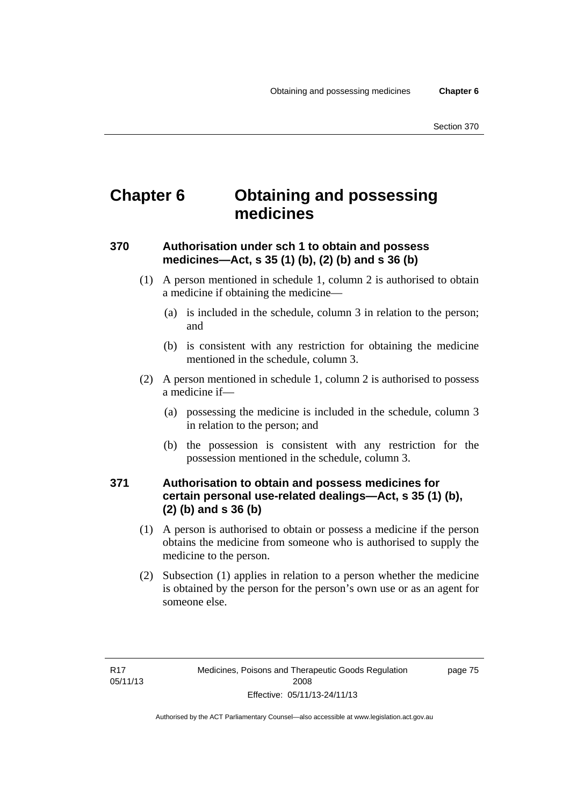# **Chapter 6 Obtaining and possessing medicines**

## **370 Authorisation under sch 1 to obtain and possess medicines—Act, s 35 (1) (b), (2) (b) and s 36 (b)**

- (1) A person mentioned in schedule 1, column 2 is authorised to obtain a medicine if obtaining the medicine—
	- (a) is included in the schedule, column 3 in relation to the person; and
	- (b) is consistent with any restriction for obtaining the medicine mentioned in the schedule, column 3.
- (2) A person mentioned in schedule 1, column 2 is authorised to possess a medicine if—
	- (a) possessing the medicine is included in the schedule, column 3 in relation to the person; and
	- (b) the possession is consistent with any restriction for the possession mentioned in the schedule, column 3.

## **371 Authorisation to obtain and possess medicines for certain personal use-related dealings—Act, s 35 (1) (b), (2) (b) and s 36 (b)**

- (1) A person is authorised to obtain or possess a medicine if the person obtains the medicine from someone who is authorised to supply the medicine to the person.
- (2) Subsection (1) applies in relation to a person whether the medicine is obtained by the person for the person's own use or as an agent for someone else.

page 75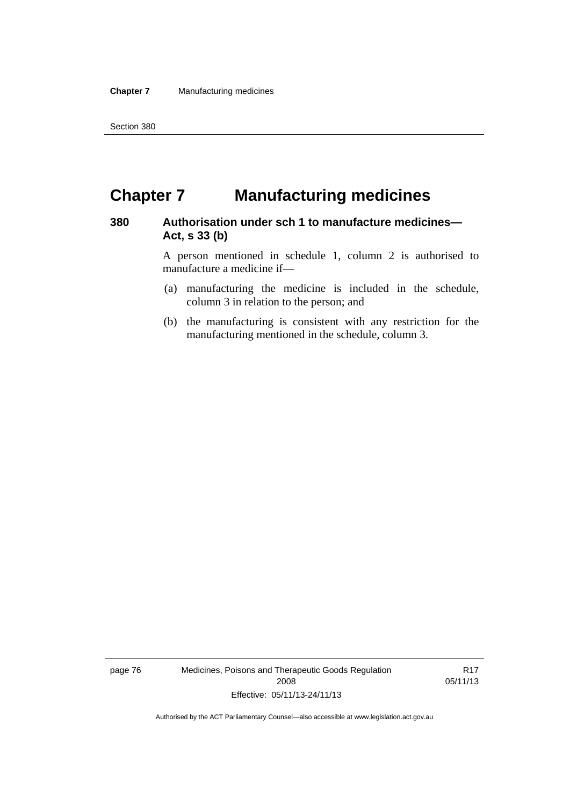# **Chapter 7 Manufacturing medicines**

### **380 Authorisation under sch 1 to manufacture medicines— Act, s 33 (b)**

A person mentioned in schedule 1, column 2 is authorised to manufacture a medicine if—

- (a) manufacturing the medicine is included in the schedule, column 3 in relation to the person; and
- (b) the manufacturing is consistent with any restriction for the manufacturing mentioned in the schedule, column 3.

page 76 Medicines, Poisons and Therapeutic Goods Regulation 2008 Effective: 05/11/13-24/11/13

R17 05/11/13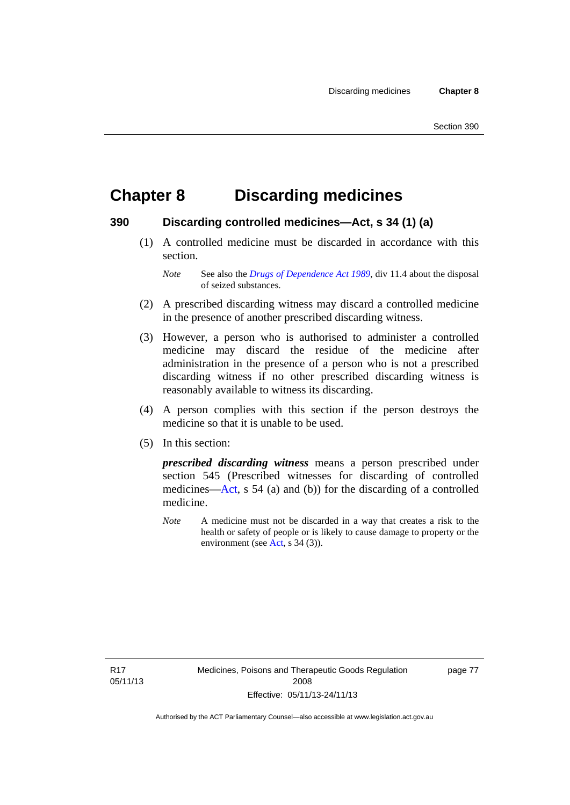# **Chapter 8 Discarding medicines**

### **390 Discarding controlled medicines—Act, s 34 (1) (a)**

 (1) A controlled medicine must be discarded in accordance with this section.

*Note* See also the *[Drugs of Dependence Act 1989](http://www.legislation.act.gov.au/a/alt_a1989-11co)*, div 11.4 about the disposal of seized substances.

- (2) A prescribed discarding witness may discard a controlled medicine in the presence of another prescribed discarding witness.
- (3) However, a person who is authorised to administer a controlled medicine may discard the residue of the medicine after administration in the presence of a person who is not a prescribed discarding witness if no other prescribed discarding witness is reasonably available to witness its discarding.
- (4) A person complies with this section if the person destroys the medicine so that it is unable to be used.
- (5) In this section:

*prescribed discarding witness* means a person prescribed under section 545 (Prescribed witnesses for discarding of controlled medicines—[Act](http://www.legislation.act.gov.au/a/2008-26/default.asp), s 54 (a) and (b)) for the discarding of a controlled medicine.

*Note* A medicine must not be discarded in a way that creates a risk to the health or safety of people or is likely to cause damage to property or the environment (see [Act](http://www.legislation.act.gov.au/a/2008-26/default.asp), s 34 (3)).

R17 05/11/13 page 77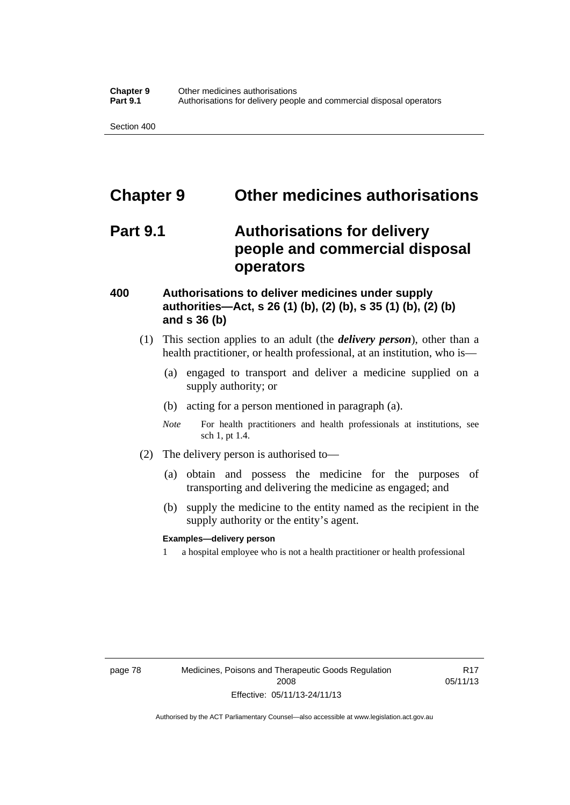# **Chapter 9 Other medicines authorisations**

# **Part 9.1 Authorisations for delivery people and commercial disposal operators**

### **400 Authorisations to deliver medicines under supply authorities—Act, s 26 (1) (b), (2) (b), s 35 (1) (b), (2) (b) and s 36 (b)**

- (1) This section applies to an adult (the *delivery person*), other than a health practitioner, or health professional, at an institution, who is—
	- (a) engaged to transport and deliver a medicine supplied on a supply authority; or
	- (b) acting for a person mentioned in paragraph (a).
	- *Note* For health practitioners and health professionals at institutions, see sch 1, pt 1.4.
- (2) The delivery person is authorised to—
	- (a) obtain and possess the medicine for the purposes of transporting and delivering the medicine as engaged; and
	- (b) supply the medicine to the entity named as the recipient in the supply authority or the entity's agent.

### **Examples—delivery person**

1 a hospital employee who is not a health practitioner or health professional

page 78 Medicines, Poisons and Therapeutic Goods Regulation 2008 Effective: 05/11/13-24/11/13

R17 05/11/13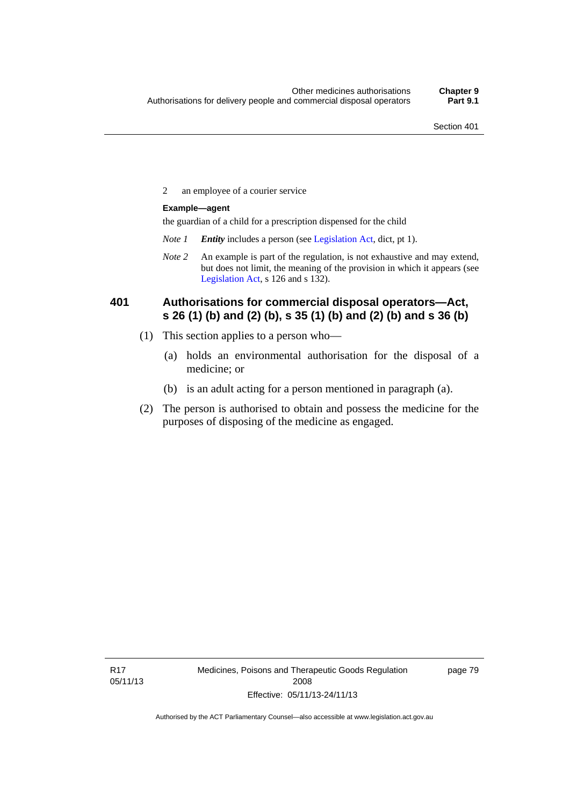2 an employee of a courier service

### **Example—agent**

the guardian of a child for a prescription dispensed for the child

- *Note 1 Entity* includes a person (see [Legislation Act,](http://www.legislation.act.gov.au/a/2001-14) dict, pt 1).
- *Note 2* An example is part of the regulation, is not exhaustive and may extend, but does not limit, the meaning of the provision in which it appears (see [Legislation Act,](http://www.legislation.act.gov.au/a/2001-14) s 126 and s 132).

### **401 Authorisations for commercial disposal operators—Act, s 26 (1) (b) and (2) (b), s 35 (1) (b) and (2) (b) and s 36 (b)**

- (1) This section applies to a person who—
	- (a) holds an environmental authorisation for the disposal of a medicine; or
	- (b) is an adult acting for a person mentioned in paragraph (a).
- (2) The person is authorised to obtain and possess the medicine for the purposes of disposing of the medicine as engaged.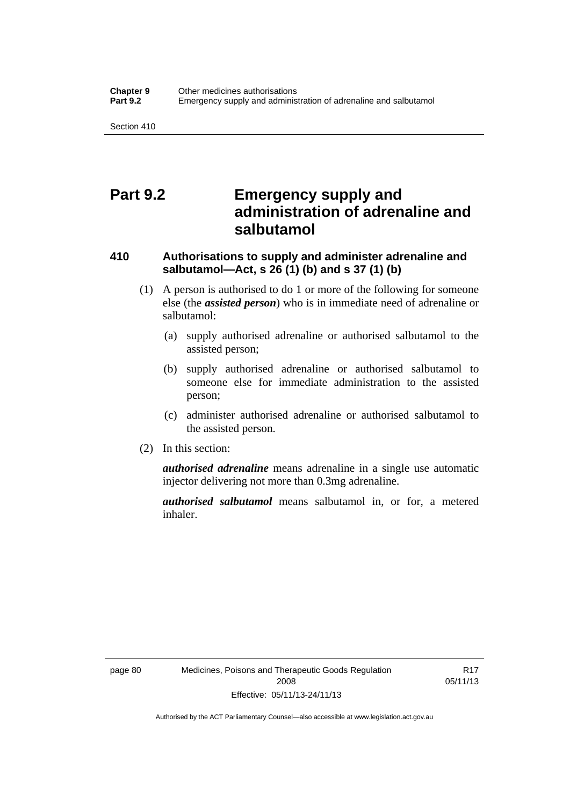# **Part 9.2 Emergency supply and administration of adrenaline and salbutamol**

## **410 Authorisations to supply and administer adrenaline and salbutamol—Act, s 26 (1) (b) and s 37 (1) (b)**

- (1) A person is authorised to do 1 or more of the following for someone else (the *assisted person*) who is in immediate need of adrenaline or salbutamol:
	- (a) supply authorised adrenaline or authorised salbutamol to the assisted person;
	- (b) supply authorised adrenaline or authorised salbutamol to someone else for immediate administration to the assisted person;
	- (c) administer authorised adrenaline or authorised salbutamol to the assisted person.
- (2) In this section:

*authorised adrenaline* means adrenaline in a single use automatic injector delivering not more than 0.3mg adrenaline.

*authorised salbutamol* means salbutamol in, or for, a metered inhaler.

R17 05/11/13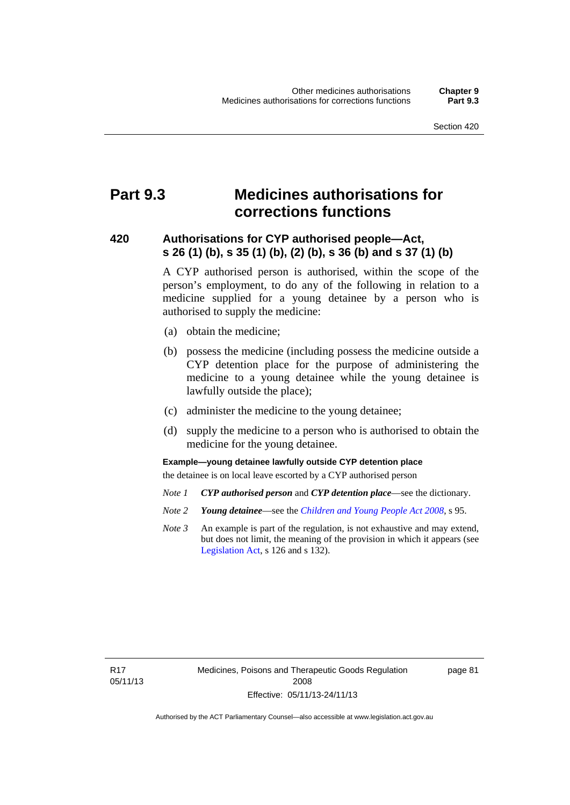# **Part 9.3 Medicines authorisations for corrections functions**

### **420 Authorisations for CYP authorised people—Act, s 26 (1) (b), s 35 (1) (b), (2) (b), s 36 (b) and s 37 (1) (b)**

A CYP authorised person is authorised, within the scope of the person's employment, to do any of the following in relation to a medicine supplied for a young detainee by a person who is authorised to supply the medicine:

- (a) obtain the medicine;
- (b) possess the medicine (including possess the medicine outside a CYP detention place for the purpose of administering the medicine to a young detainee while the young detainee is lawfully outside the place);
- (c) administer the medicine to the young detainee;
- (d) supply the medicine to a person who is authorised to obtain the medicine for the young detainee.

### **Example—young detainee lawfully outside CYP detention place**

the detainee is on local leave escorted by a CYP authorised person

- *Note 1 CYP authorised person* and *CYP detention place*—see the dictionary.
- *Note 2 Young detainee*—see the *[Children and Young People Act 2008](http://www.legislation.act.gov.au/a/2008-19)*, s 95.
- *Note 3* An example is part of the regulation, is not exhaustive and may extend, but does not limit, the meaning of the provision in which it appears (see [Legislation Act,](http://www.legislation.act.gov.au/a/2001-14) s 126 and s 132).

R17 05/11/13 page 81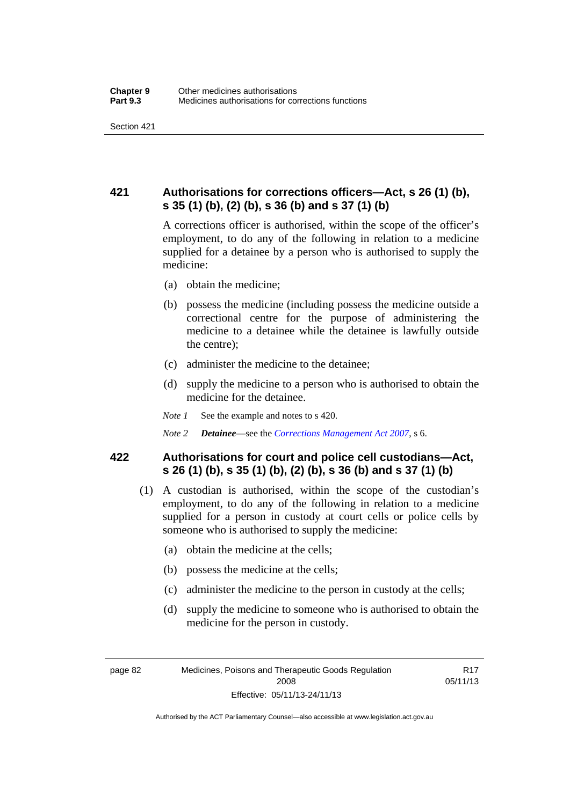## **421 Authorisations for corrections officers—Act, s 26 (1) (b), s 35 (1) (b), (2) (b), s 36 (b) and s 37 (1) (b)**

A corrections officer is authorised, within the scope of the officer's employment, to do any of the following in relation to a medicine supplied for a detainee by a person who is authorised to supply the medicine:

- (a) obtain the medicine;
- (b) possess the medicine (including possess the medicine outside a correctional centre for the purpose of administering the medicine to a detainee while the detainee is lawfully outside the centre);
- (c) administer the medicine to the detainee;
- (d) supply the medicine to a person who is authorised to obtain the medicine for the detainee.
- *Note 1* See the example and notes to s 420.
- *Note 2 Detainee*—see the *[Corrections Management Act 2007](http://www.legislation.act.gov.au/a/2007-15)*, s 6.

### **422 Authorisations for court and police cell custodians—Act, s 26 (1) (b), s 35 (1) (b), (2) (b), s 36 (b) and s 37 (1) (b)**

- (1) A custodian is authorised, within the scope of the custodian's employment, to do any of the following in relation to a medicine supplied for a person in custody at court cells or police cells by someone who is authorised to supply the medicine:
	- (a) obtain the medicine at the cells;
	- (b) possess the medicine at the cells;
	- (c) administer the medicine to the person in custody at the cells;
	- (d) supply the medicine to someone who is authorised to obtain the medicine for the person in custody.

Authorised by the ACT Parliamentary Counsel—also accessible at www.legislation.act.gov.au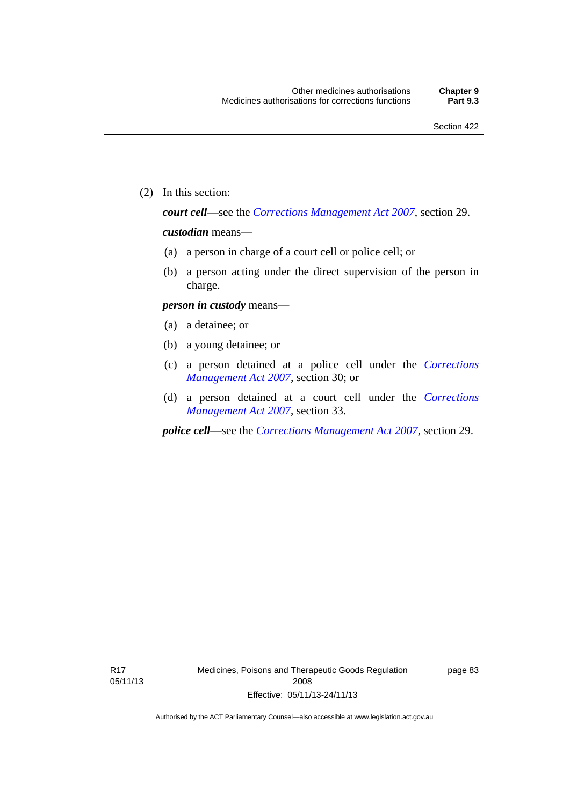(2) In this section:

*court cell*—see the *[Corrections Management Act 2007](http://www.legislation.act.gov.au/a/2007-15)*, section 29.

### *custodian* means—

- (a) a person in charge of a court cell or police cell; or
- (b) a person acting under the direct supervision of the person in charge.

### *person in custody* means—

- (a) a detainee; or
- (b) a young detainee; or
- (c) a person detained at a police cell under the *[Corrections](http://www.legislation.act.gov.au/a/2007-15)  [Management Act 2007](http://www.legislation.act.gov.au/a/2007-15)*, section 30; or
- (d) a person detained at a court cell under the *[Corrections](http://www.legislation.act.gov.au/a/2007-15)  [Management Act 2007](http://www.legislation.act.gov.au/a/2007-15)*, section 33.

*police cell*—see the *[Corrections Management Act 2007](http://www.legislation.act.gov.au/a/2007-15)*, section 29.

page 83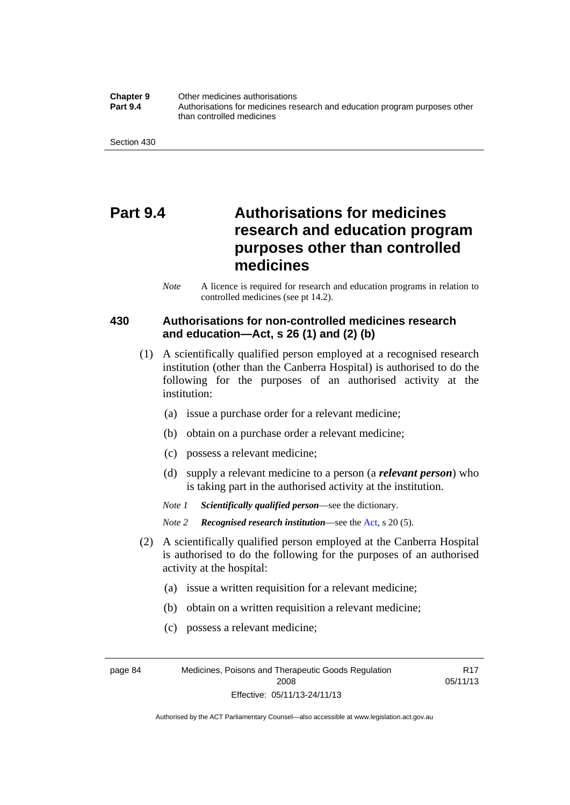**Chapter 9** Other medicines authorisations **Part 9.4** • **Authorisations for medicines research and education program purposes other** than controlled medicines

Section 430

# **Part 9.4 Authorisations for medicines research and education program purposes other than controlled medicines**

*Note* A licence is required for research and education programs in relation to controlled medicines (see pt 14.2).

### **430 Authorisations for non-controlled medicines research and education—Act, s 26 (1) and (2) (b)**

- (1) A scientifically qualified person employed at a recognised research institution (other than the Canberra Hospital) is authorised to do the following for the purposes of an authorised activity at the institution:
	- (a) issue a purchase order for a relevant medicine;
	- (b) obtain on a purchase order a relevant medicine;
	- (c) possess a relevant medicine;
	- (d) supply a relevant medicine to a person (a *relevant person*) who is taking part in the authorised activity at the institution.
	- *Note 1 Scientifically qualified person*—see the dictionary.

*Note 2 Recognised research institution*—see the [Act](http://www.legislation.act.gov.au/a/2008-26/default.asp), s 20 (5).

- (2) A scientifically qualified person employed at the Canberra Hospital is authorised to do the following for the purposes of an authorised activity at the hospital:
	- (a) issue a written requisition for a relevant medicine;
	- (b) obtain on a written requisition a relevant medicine;
	- (c) possess a relevant medicine;

page 84 Medicines, Poisons and Therapeutic Goods Regulation 2008 Effective: 05/11/13-24/11/13

R17 05/11/13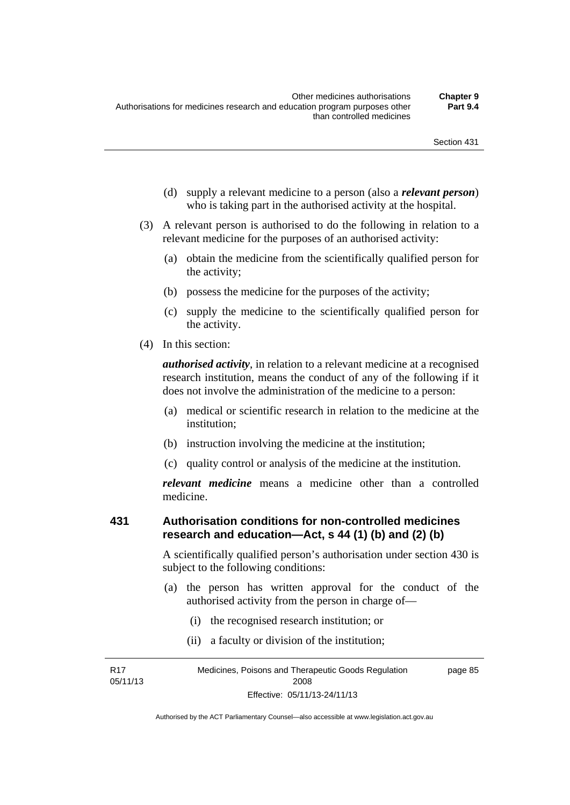- (d) supply a relevant medicine to a person (also a *relevant person*) who is taking part in the authorised activity at the hospital.
- (3) A relevant person is authorised to do the following in relation to a relevant medicine for the purposes of an authorised activity:
	- (a) obtain the medicine from the scientifically qualified person for the activity;
	- (b) possess the medicine for the purposes of the activity;
	- (c) supply the medicine to the scientifically qualified person for the activity.
- (4) In this section:

*authorised activity*, in relation to a relevant medicine at a recognised research institution, means the conduct of any of the following if it does not involve the administration of the medicine to a person:

- (a) medical or scientific research in relation to the medicine at the institution;
- (b) instruction involving the medicine at the institution;
- (c) quality control or analysis of the medicine at the institution.

*relevant medicine* means a medicine other than a controlled medicine.

#### **431 Authorisation conditions for non-controlled medicines research and education—Act, s 44 (1) (b) and (2) (b)**

A scientifically qualified person's authorisation under section 430 is subject to the following conditions:

- (a) the person has written approval for the conduct of the authorised activity from the person in charge of—
	- (i) the recognised research institution; or
	- (ii) a faculty or division of the institution;

R17 05/11/13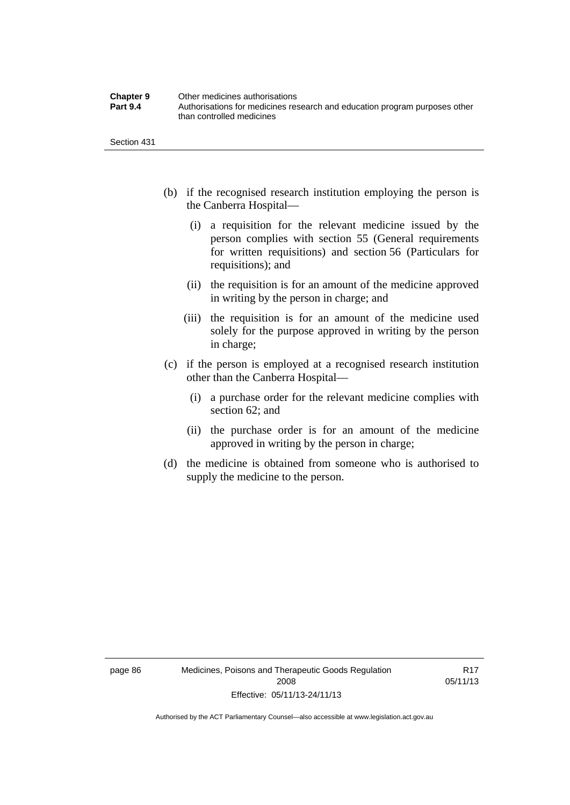| <b>Chapter 9</b> | Other medicines authorisations                                             |
|------------------|----------------------------------------------------------------------------|
| <b>Part 9.4</b>  | Authorisations for medicines research and education program purposes other |
|                  | than controlled medicines                                                  |

Section 431

- (b) if the recognised research institution employing the person is the Canberra Hospital—
	- (i) a requisition for the relevant medicine issued by the person complies with section 55 (General requirements for written requisitions) and section 56 (Particulars for requisitions); and
	- (ii) the requisition is for an amount of the medicine approved in writing by the person in charge; and
	- (iii) the requisition is for an amount of the medicine used solely for the purpose approved in writing by the person in charge;
- (c) if the person is employed at a recognised research institution other than the Canberra Hospital—
	- (i) a purchase order for the relevant medicine complies with section 62; and
	- (ii) the purchase order is for an amount of the medicine approved in writing by the person in charge;
- (d) the medicine is obtained from someone who is authorised to supply the medicine to the person.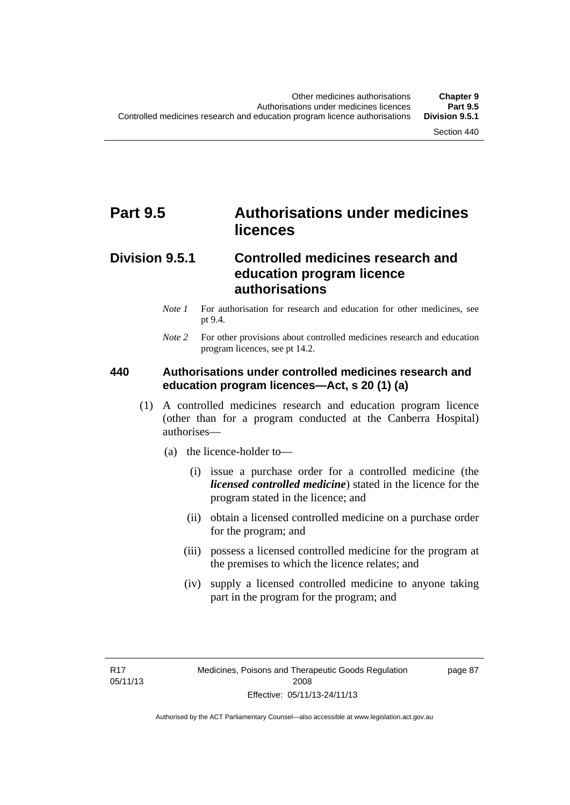# **Part 9.5 Authorisations under medicines licences**

## **Division 9.5.1 Controlled medicines research and education program licence authorisations**

- *Note 1* For authorisation for research and education for other medicines, see pt 9.4.
- *Note 2* For other provisions about controlled medicines research and education program licences, see pt 14.2.

#### **440 Authorisations under controlled medicines research and education program licences—Act, s 20 (1) (a)**

- (1) A controlled medicines research and education program licence (other than for a program conducted at the Canberra Hospital) authorises—
	- (a) the licence-holder to—
		- (i) issue a purchase order for a controlled medicine (the *licensed controlled medicine*) stated in the licence for the program stated in the licence; and
		- (ii) obtain a licensed controlled medicine on a purchase order for the program; and
		- (iii) possess a licensed controlled medicine for the program at the premises to which the licence relates; and
		- (iv) supply a licensed controlled medicine to anyone taking part in the program for the program; and

R17 05/11/13 page 87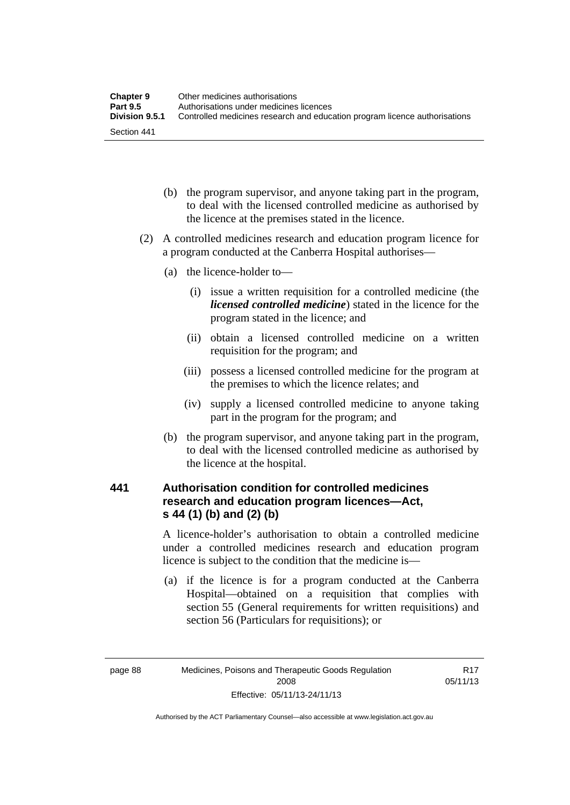| <b>Chapter 9</b> | Other medicines authorisations                                             |
|------------------|----------------------------------------------------------------------------|
| <b>Part 9.5</b>  | Authorisations under medicines licences                                    |
| Division 9.5.1   | Controlled medicines research and education program licence authorisations |
| Section 441      |                                                                            |

- (b) the program supervisor, and anyone taking part in the program, to deal with the licensed controlled medicine as authorised by the licence at the premises stated in the licence.
- (2) A controlled medicines research and education program licence for a program conducted at the Canberra Hospital authorises—
	- (a) the licence-holder to—
		- (i) issue a written requisition for a controlled medicine (the *licensed controlled medicine*) stated in the licence for the program stated in the licence; and
		- (ii) obtain a licensed controlled medicine on a written requisition for the program; and
		- (iii) possess a licensed controlled medicine for the program at the premises to which the licence relates; and
		- (iv) supply a licensed controlled medicine to anyone taking part in the program for the program; and
	- (b) the program supervisor, and anyone taking part in the program, to deal with the licensed controlled medicine as authorised by the licence at the hospital.

## **441 Authorisation condition for controlled medicines research and education program licences—Act, s 44 (1) (b) and (2) (b)**

A licence-holder's authorisation to obtain a controlled medicine under a controlled medicines research and education program licence is subject to the condition that the medicine is—

 (a) if the licence is for a program conducted at the Canberra Hospital—obtained on a requisition that complies with section 55 (General requirements for written requisitions) and section 56 (Particulars for requisitions); or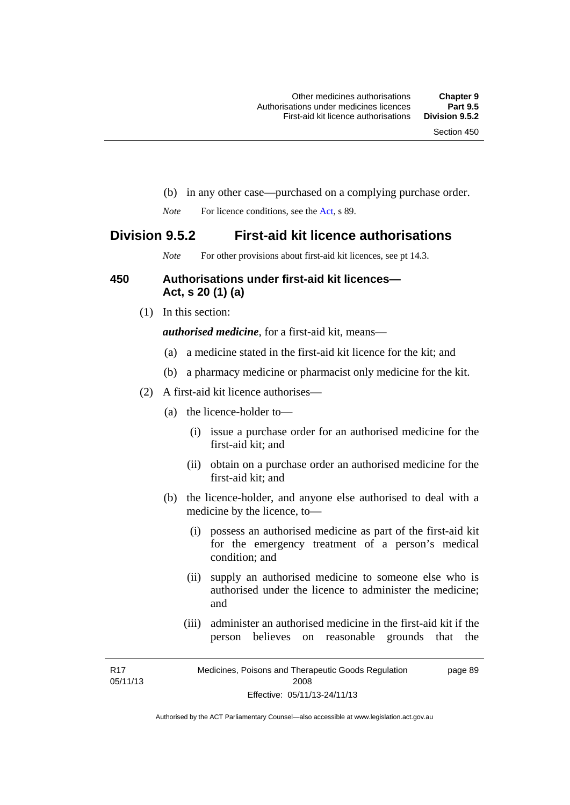- (b) in any other case—purchased on a complying purchase order.
- *Note* For licence conditions, see the [Act](http://www.legislation.act.gov.au/a/2008-26/default.asp), s 89.

### **Division 9.5.2 First-aid kit licence authorisations**

*Note* For other provisions about first-aid kit licences, see pt 14.3.

#### **450 Authorisations under first-aid kit licences— Act, s 20 (1) (a)**

(1) In this section:

*authorised medicine*, for a first-aid kit, means—

- (a) a medicine stated in the first-aid kit licence for the kit; and
- (b) a pharmacy medicine or pharmacist only medicine for the kit.
- (2) A first-aid kit licence authorises—
	- (a) the licence-holder to—
		- (i) issue a purchase order for an authorised medicine for the first-aid kit; and
		- (ii) obtain on a purchase order an authorised medicine for the first-aid kit; and
	- (b) the licence-holder, and anyone else authorised to deal with a medicine by the licence, to—
		- (i) possess an authorised medicine as part of the first-aid kit for the emergency treatment of a person's medical condition; and
		- (ii) supply an authorised medicine to someone else who is authorised under the licence to administer the medicine; and
		- (iii) administer an authorised medicine in the first-aid kit if the person believes on reasonable grounds that the

R17 05/11/13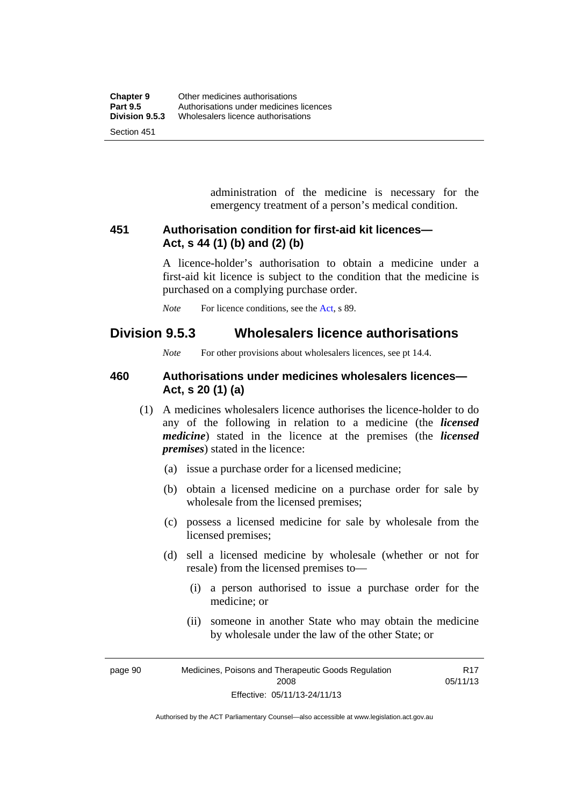administration of the medicine is necessary for the emergency treatment of a person's medical condition.

#### **451 Authorisation condition for first-aid kit licences— Act, s 44 (1) (b) and (2) (b)**

A licence-holder's authorisation to obtain a medicine under a first-aid kit licence is subject to the condition that the medicine is purchased on a complying purchase order.

*Note* For licence conditions, see the [Act](http://www.legislation.act.gov.au/a/2008-26/default.asp), s 89.

# **Division 9.5.3 Wholesalers licence authorisations**

*Note* For other provisions about wholesalers licences, see pt 14.4.

#### **460 Authorisations under medicines wholesalers licences— Act, s 20 (1) (a)**

- (1) A medicines wholesalers licence authorises the licence-holder to do any of the following in relation to a medicine (the *licensed medicine*) stated in the licence at the premises (the *licensed premises*) stated in the licence:
	- (a) issue a purchase order for a licensed medicine;
	- (b) obtain a licensed medicine on a purchase order for sale by wholesale from the licensed premises;
	- (c) possess a licensed medicine for sale by wholesale from the licensed premises;
	- (d) sell a licensed medicine by wholesale (whether or not for resale) from the licensed premises to—
		- (i) a person authorised to issue a purchase order for the medicine; or
		- (ii) someone in another State who may obtain the medicine by wholesale under the law of the other State; or

page 90 Medicines, Poisons and Therapeutic Goods Regulation 2008 Effective: 05/11/13-24/11/13 R17 05/11/13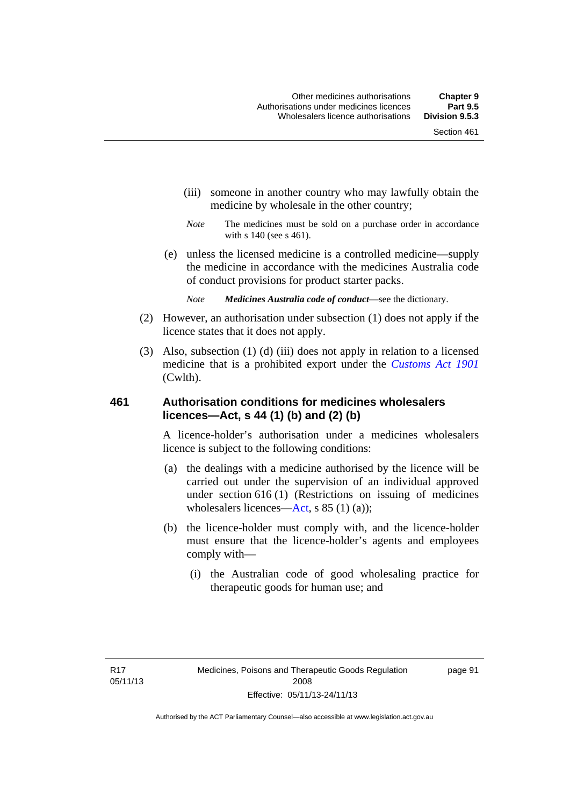- (iii) someone in another country who may lawfully obtain the medicine by wholesale in the other country;
- *Note* The medicines must be sold on a purchase order in accordance with s 140 (see s 461).
- (e) unless the licensed medicine is a controlled medicine—supply the medicine in accordance with the medicines Australia code of conduct provisions for product starter packs.
	- *Note Medicines Australia code of conduct*—see the dictionary.
- (2) However, an authorisation under subsection (1) does not apply if the licence states that it does not apply.
- (3) Also, subsection (1) (d) (iii) does not apply in relation to a licensed medicine that is a prohibited export under the *[Customs Act 1901](http://www.comlaw.gov.au/Series/C1901A00006)* (Cwlth).

#### **461 Authorisation conditions for medicines wholesalers licences—Act, s 44 (1) (b) and (2) (b)**

A licence-holder's authorisation under a medicines wholesalers licence is subject to the following conditions:

- (a) the dealings with a medicine authorised by the licence will be carried out under the supervision of an individual approved under section 616 (1) (Restrictions on issuing of medicines wholesalers licences[—Act,](http://www.legislation.act.gov.au/a/2008-26/default.asp) s 85 (1) (a));
- (b) the licence-holder must comply with, and the licence-holder must ensure that the licence-holder's agents and employees comply with—
	- (i) the Australian code of good wholesaling practice for therapeutic goods for human use; and

page 91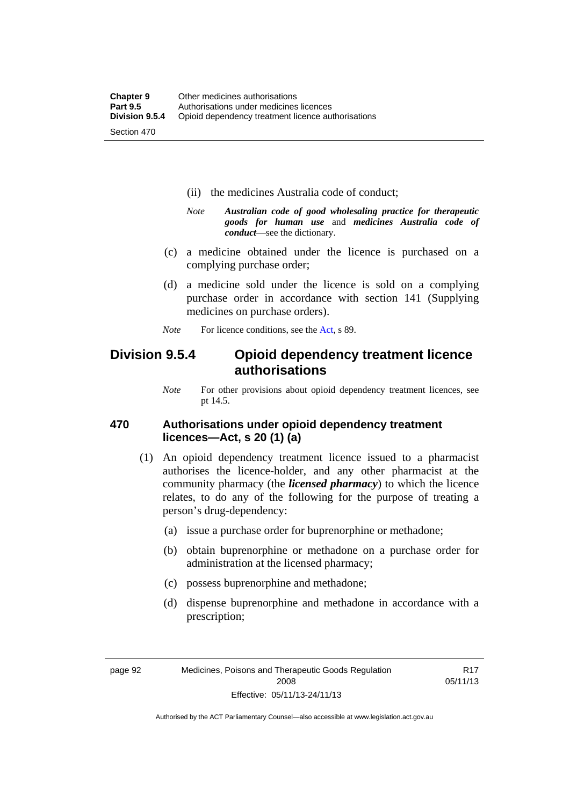- (ii) the medicines Australia code of conduct;
- *Note Australian code of good wholesaling practice for therapeutic goods for human use* and *medicines Australia code of conduct*—see the dictionary.
- (c) a medicine obtained under the licence is purchased on a complying purchase order;
- (d) a medicine sold under the licence is sold on a complying purchase order in accordance with section 141 (Supplying medicines on purchase orders).
- *Note* For licence conditions, see the [Act](http://www.legislation.act.gov.au/a/2008-26/default.asp), s 89.

## **Division 9.5.4 Opioid dependency treatment licence authorisations**

*Note* For other provisions about opioid dependency treatment licences, see pt 14.5.

#### **470 Authorisations under opioid dependency treatment licences—Act, s 20 (1) (a)**

- (1) An opioid dependency treatment licence issued to a pharmacist authorises the licence-holder, and any other pharmacist at the community pharmacy (the *licensed pharmacy*) to which the licence relates, to do any of the following for the purpose of treating a person's drug-dependency:
	- (a) issue a purchase order for buprenorphine or methadone;
	- (b) obtain buprenorphine or methadone on a purchase order for administration at the licensed pharmacy;
	- (c) possess buprenorphine and methadone;
	- (d) dispense buprenorphine and methadone in accordance with a prescription;

R17 05/11/13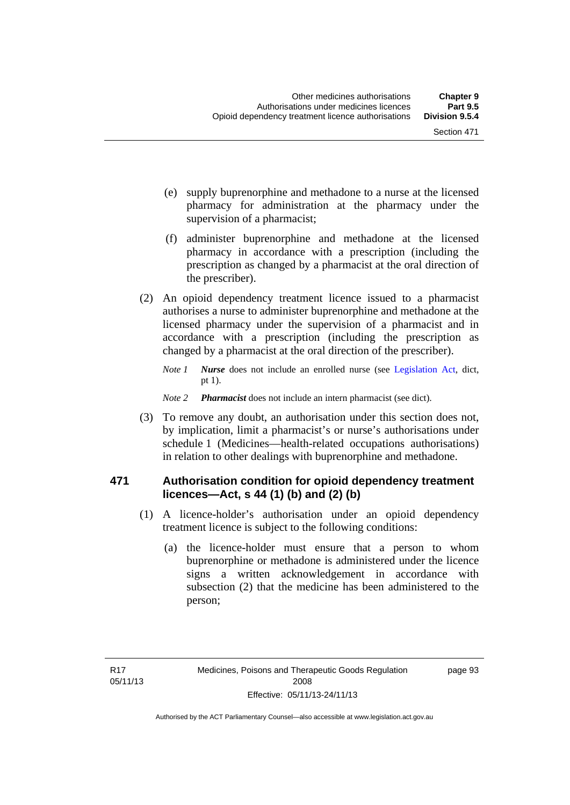- (e) supply buprenorphine and methadone to a nurse at the licensed pharmacy for administration at the pharmacy under the supervision of a pharmacist;
- (f) administer buprenorphine and methadone at the licensed pharmacy in accordance with a prescription (including the prescription as changed by a pharmacist at the oral direction of the prescriber).
- (2) An opioid dependency treatment licence issued to a pharmacist authorises a nurse to administer buprenorphine and methadone at the licensed pharmacy under the supervision of a pharmacist and in accordance with a prescription (including the prescription as changed by a pharmacist at the oral direction of the prescriber).
	- *Note 1 Nurse* does not include an enrolled nurse (see [Legislation Act,](http://www.legislation.act.gov.au/a/2001-14) dict, pt 1).
	- *Note 2 Pharmacist* does not include an intern pharmacist (see dict).
- (3) To remove any doubt, an authorisation under this section does not, by implication, limit a pharmacist's or nurse's authorisations under schedule 1 (Medicines—health-related occupations authorisations) in relation to other dealings with buprenorphine and methadone.

#### **471 Authorisation condition for opioid dependency treatment licences—Act, s 44 (1) (b) and (2) (b)**

- (1) A licence-holder's authorisation under an opioid dependency treatment licence is subject to the following conditions:
	- (a) the licence-holder must ensure that a person to whom buprenorphine or methadone is administered under the licence signs a written acknowledgement in accordance with subsection (2) that the medicine has been administered to the person;

page 93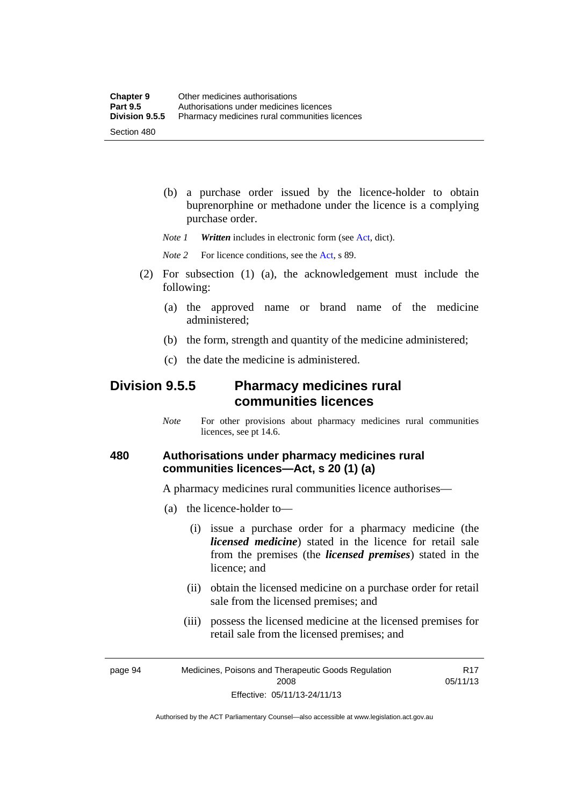(b) a purchase order issued by the licence-holder to obtain buprenorphine or methadone under the licence is a complying purchase order.

*Note 1 Written* includes in electronic form (see [Act,](http://www.legislation.act.gov.au/a/2008-26/default.asp) dict).

*Note* 2 For licence conditions, see the [Act](http://www.legislation.act.gov.au/a/2008-26/default.asp), s 89.

- (2) For subsection (1) (a), the acknowledgement must include the following:
	- (a) the approved name or brand name of the medicine administered;
	- (b) the form, strength and quantity of the medicine administered;
	- (c) the date the medicine is administered.

## **Division 9.5.5 Pharmacy medicines rural communities licences**

*Note* For other provisions about pharmacy medicines rural communities licences, see pt 14.6.

#### **480 Authorisations under pharmacy medicines rural communities licences—Act, s 20 (1) (a)**

A pharmacy medicines rural communities licence authorises—

- (a) the licence-holder to—
	- (i) issue a purchase order for a pharmacy medicine (the *licensed medicine*) stated in the licence for retail sale from the premises (the *licensed premises*) stated in the licence; and
	- (ii) obtain the licensed medicine on a purchase order for retail sale from the licensed premises; and
	- (iii) possess the licensed medicine at the licensed premises for retail sale from the licensed premises; and

R17 05/11/13

page 94 Medicines, Poisons and Therapeutic Goods Regulation 2008 Effective: 05/11/13-24/11/13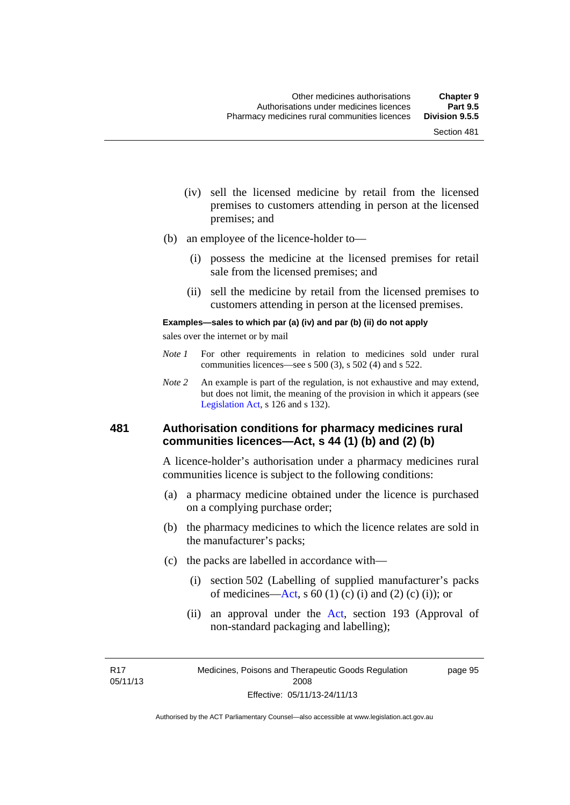- (iv) sell the licensed medicine by retail from the licensed premises to customers attending in person at the licensed premises; and
- (b) an employee of the licence-holder to—
	- (i) possess the medicine at the licensed premises for retail sale from the licensed premises; and
	- (ii) sell the medicine by retail from the licensed premises to customers attending in person at the licensed premises.

#### **Examples—sales to which par (a) (iv) and par (b) (ii) do not apply**

sales over the internet or by mail

- *Note 1* For other requirements in relation to medicines sold under rural communities licences—see s 500 (3), s 502 (4) and s 522.
- *Note 2* An example is part of the regulation, is not exhaustive and may extend, but does not limit, the meaning of the provision in which it appears (see [Legislation Act,](http://www.legislation.act.gov.au/a/2001-14) s 126 and s 132).

#### **481 Authorisation conditions for pharmacy medicines rural communities licences—Act, s 44 (1) (b) and (2) (b)**

A licence-holder's authorisation under a pharmacy medicines rural communities licence is subject to the following conditions:

- (a) a pharmacy medicine obtained under the licence is purchased on a complying purchase order;
- (b) the pharmacy medicines to which the licence relates are sold in the manufacturer's packs;
- (c) the packs are labelled in accordance with—
	- (i) section 502 (Labelling of supplied manufacturer's packs of medicines—[Act](http://www.legislation.act.gov.au/a/2008-26/default.asp), s  $60(1)$  (c) (i) and (2) (c) (i)); or
	- (ii) an approval under the [Act](http://www.legislation.act.gov.au/a/2008-26/default.asp), section 193 (Approval of non-standard packaging and labelling);

R17 05/11/13 page 95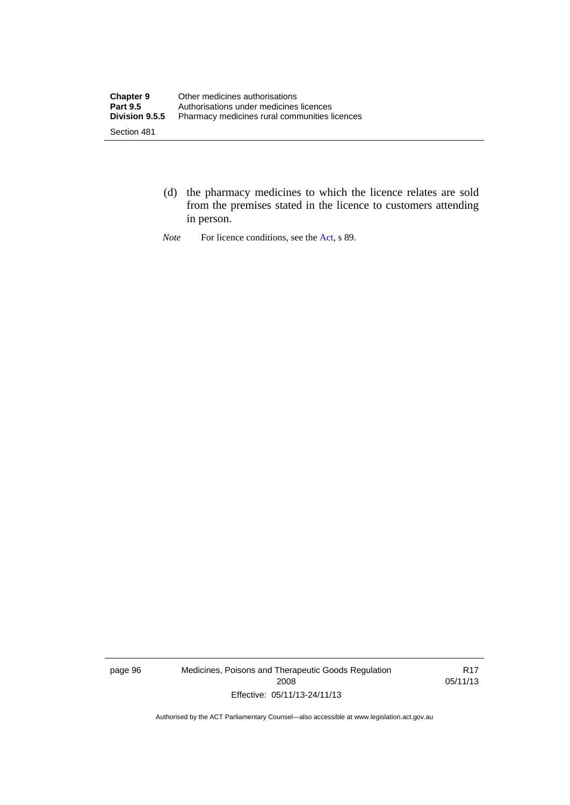- (d) the pharmacy medicines to which the licence relates are sold from the premises stated in the licence to customers attending in person.
- *Note* For licence conditions, see the [Act](http://www.legislation.act.gov.au/a/2008-26/default.asp), s 89.

page 96 Medicines, Poisons and Therapeutic Goods Regulation 2008 Effective: 05/11/13-24/11/13

R17 05/11/13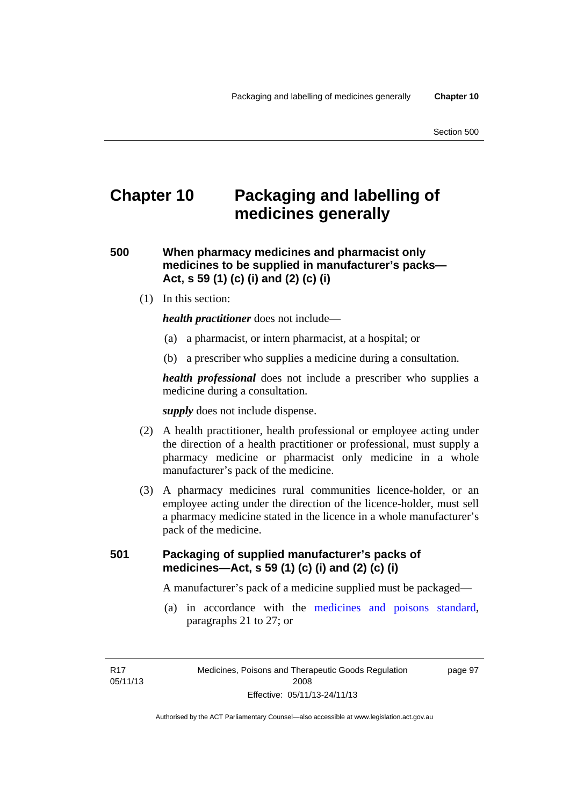# **Chapter 10 Packaging and labelling of medicines generally**

**500 When pharmacy medicines and pharmacist only medicines to be supplied in manufacturer's packs— Act, s 59 (1) (c) (i) and (2) (c) (i)** 

(1) In this section:

*health practitioner* does not include—

- (a) a pharmacist, or intern pharmacist, at a hospital; or
- (b) a prescriber who supplies a medicine during a consultation.

*health professional* does not include a prescriber who supplies a medicine during a consultation.

*supply* does not include dispense.

- (2) A health practitioner, health professional or employee acting under the direction of a health practitioner or professional, must supply a pharmacy medicine or pharmacist only medicine in a whole manufacturer's pack of the medicine.
- (3) A pharmacy medicines rural communities licence-holder, or an employee acting under the direction of the licence-holder, must sell a pharmacy medicine stated in the licence in a whole manufacturer's pack of the medicine.

#### **501 Packaging of supplied manufacturer's packs of medicines—Act, s 59 (1) (c) (i) and (2) (c) (i)**

A manufacturer's pack of a medicine supplied must be packaged—

 (a) in accordance with the [medicines and poisons standard](http://www.comlaw.gov.au/Series/F2012L01200), paragraphs 21 to 27; or

R17 05/11/13 page 97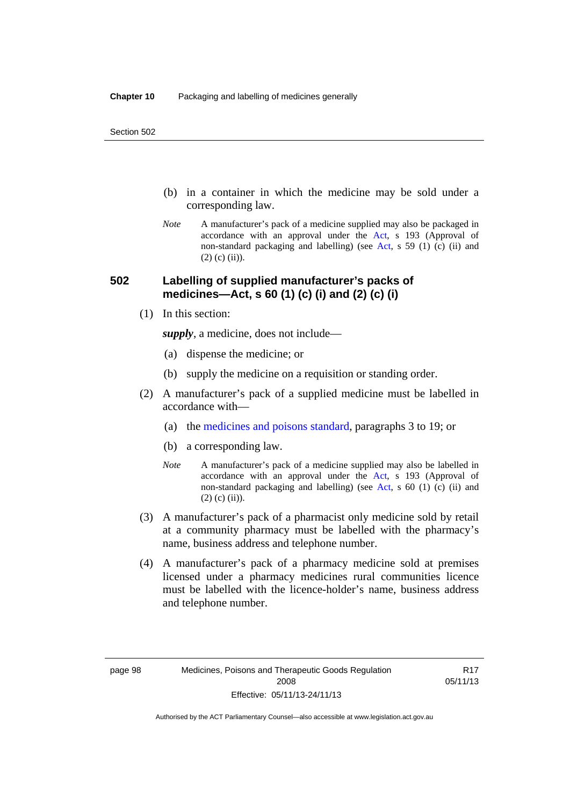- (b) in a container in which the medicine may be sold under a corresponding law.
- *Note* A manufacturer's pack of a medicine supplied may also be packaged in accordance with an approval under the [Act](http://www.legislation.act.gov.au/a/2008-26/default.asp), s 193 (Approval of non-standard packaging and labelling) (see [Act](http://www.legislation.act.gov.au/a/2008-26/default.asp), s 59 (1) (c) (ii) and  $(2)$  (c)  $(ii)$ ).

#### **502 Labelling of supplied manufacturer's packs of medicines—Act, s 60 (1) (c) (i) and (2) (c) (i)**

(1) In this section:

*supply*, a medicine, does not include—

- (a) dispense the medicine; or
- (b) supply the medicine on a requisition or standing order.
- (2) A manufacturer's pack of a supplied medicine must be labelled in accordance with—
	- (a) the [medicines and poisons standard](http://www.comlaw.gov.au/Series/F2012L01200), paragraphs 3 to 19; or
	- (b) a corresponding law.
	- *Note* A manufacturer's pack of a medicine supplied may also be labelled in accordance with an approval under the [Act](http://www.legislation.act.gov.au/a/2008-26/default.asp), s 193 (Approval of non-standard packaging and labelling) (see [Act](http://www.legislation.act.gov.au/a/2008-26/default.asp), s 60 (1) (c) (ii) and  $(2)$  (c) (ii)).
- (3) A manufacturer's pack of a pharmacist only medicine sold by retail at a community pharmacy must be labelled with the pharmacy's name, business address and telephone number.
- (4) A manufacturer's pack of a pharmacy medicine sold at premises licensed under a pharmacy medicines rural communities licence must be labelled with the licence-holder's name, business address and telephone number.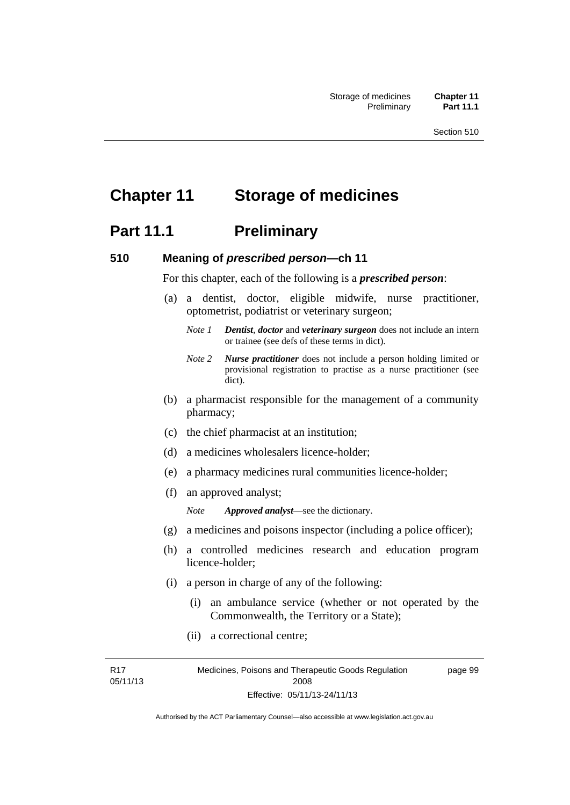# **Chapter 11 Storage of medicines**

# **Part 11.1** Preliminary

#### **510 Meaning of** *prescribed person***—ch 11**

For this chapter, each of the following is a *prescribed person*:

- (a) a dentist, doctor, eligible midwife, nurse practitioner, optometrist, podiatrist or veterinary surgeon;
	- *Note 1 Dentist*, *doctor* and *veterinary surgeon* does not include an intern or trainee (see defs of these terms in dict).
	- *Note 2 Nurse practitioner* does not include a person holding limited or provisional registration to practise as a nurse practitioner (see dict).
- (b) a pharmacist responsible for the management of a community pharmacy;
- (c) the chief pharmacist at an institution;
- (d) a medicines wholesalers licence-holder;
- (e) a pharmacy medicines rural communities licence-holder;
- (f) an approved analyst;

*Note Approved analyst*—see the dictionary.

- (g) a medicines and poisons inspector (including a police officer);
- (h) a controlled medicines research and education program licence-holder;
- (i) a person in charge of any of the following:
	- (i) an ambulance service (whether or not operated by the Commonwealth, the Territory or a State);
	- (ii) a correctional centre;

R17 05/11/13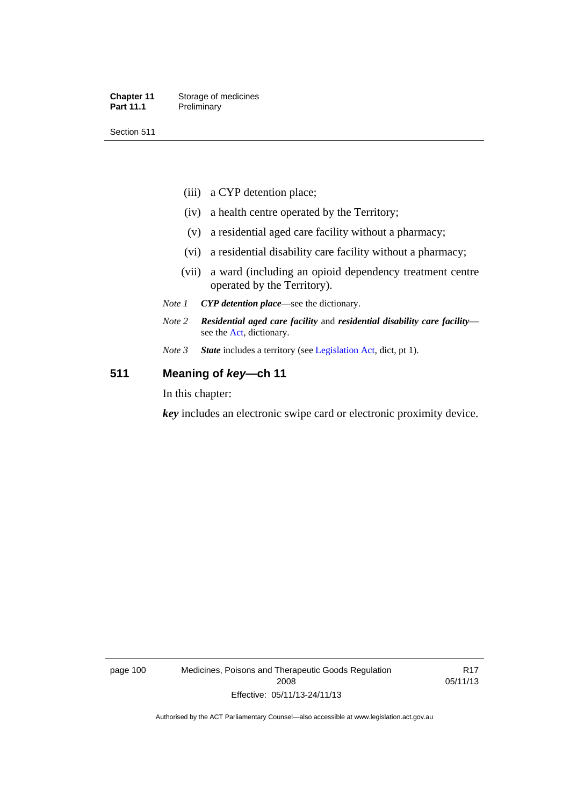#### **Chapter 11** Storage of medicines Part 11.1 Preliminary

Section 511

- (iii) a CYP detention place;
- (iv) a health centre operated by the Territory;
- (v) a residential aged care facility without a pharmacy;
- (vi) a residential disability care facility without a pharmacy;
- (vii) a ward (including an opioid dependency treatment centre operated by the Territory).
- *Note 1 CYP detention place*—see the dictionary.
- *Note 2 Residential aged care facility* and *residential disability care facility* see the [Act](http://www.legislation.act.gov.au/a/2008-26/default.asp), dictionary.
- *Note 3 State* includes a territory (see [Legislation Act,](http://www.legislation.act.gov.au/a/2001-14) dict, pt 1).

#### **511 Meaning of** *key***—ch 11**

In this chapter:

*key* includes an electronic swipe card or electronic proximity device.

page 100 Medicines, Poisons and Therapeutic Goods Regulation 2008 Effective: 05/11/13-24/11/13

R17 05/11/13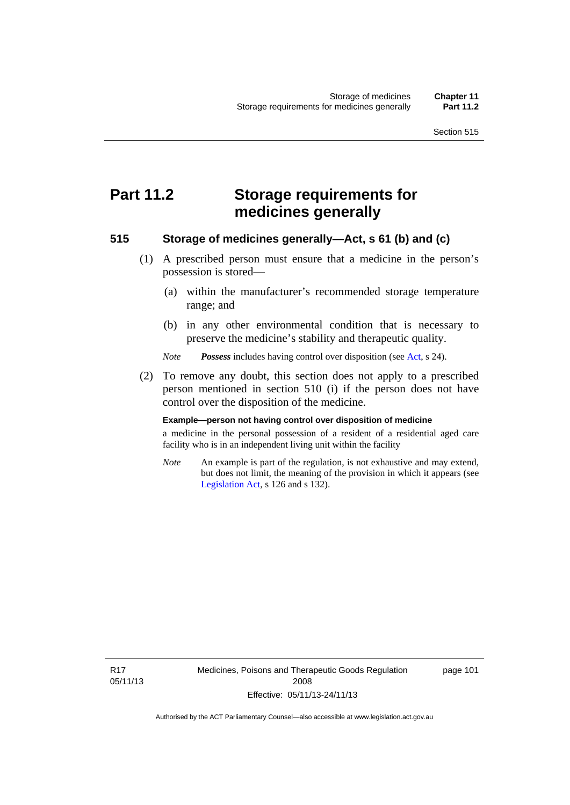# **Part 11.2 Storage requirements for medicines generally**

#### **515 Storage of medicines generally—Act, s 61 (b) and (c)**

- (1) A prescribed person must ensure that a medicine in the person's possession is stored—
	- (a) within the manufacturer's recommended storage temperature range; and
	- (b) in any other environmental condition that is necessary to preserve the medicine's stability and therapeutic quality.

*Note Possess* includes having control over disposition (see [Act,](http://www.legislation.act.gov.au/a/2008-26/default.asp) s 24).

 (2) To remove any doubt, this section does not apply to a prescribed person mentioned in section 510 (i) if the person does not have control over the disposition of the medicine.

#### **Example—person not having control over disposition of medicine**

a medicine in the personal possession of a resident of a residential aged care facility who is in an independent living unit within the facility

*Note* An example is part of the regulation, is not exhaustive and may extend, but does not limit, the meaning of the provision in which it appears (see [Legislation Act,](http://www.legislation.act.gov.au/a/2001-14) s 126 and s 132).

R17 05/11/13 Medicines, Poisons and Therapeutic Goods Regulation 2008 Effective: 05/11/13-24/11/13

page 101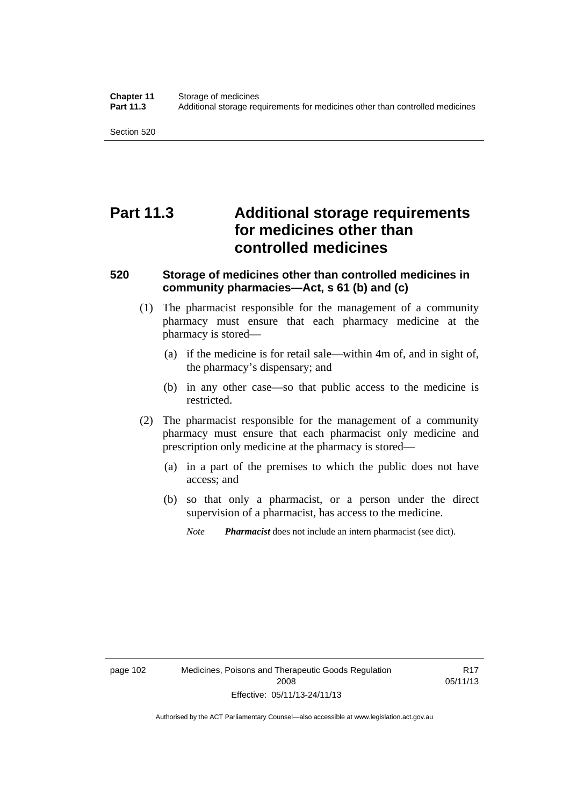# **Part 11.3 Additional storage requirements for medicines other than controlled medicines**

#### **520 Storage of medicines other than controlled medicines in community pharmacies—Act, s 61 (b) and (c)**

- (1) The pharmacist responsible for the management of a community pharmacy must ensure that each pharmacy medicine at the pharmacy is stored—
	- (a) if the medicine is for retail sale—within 4m of, and in sight of, the pharmacy's dispensary; and
	- (b) in any other case—so that public access to the medicine is restricted.
- (2) The pharmacist responsible for the management of a community pharmacy must ensure that each pharmacist only medicine and prescription only medicine at the pharmacy is stored—
	- (a) in a part of the premises to which the public does not have access; and
	- (b) so that only a pharmacist, or a person under the direct supervision of a pharmacist, has access to the medicine.

*Note Pharmacist* does not include an intern pharmacist (see dict).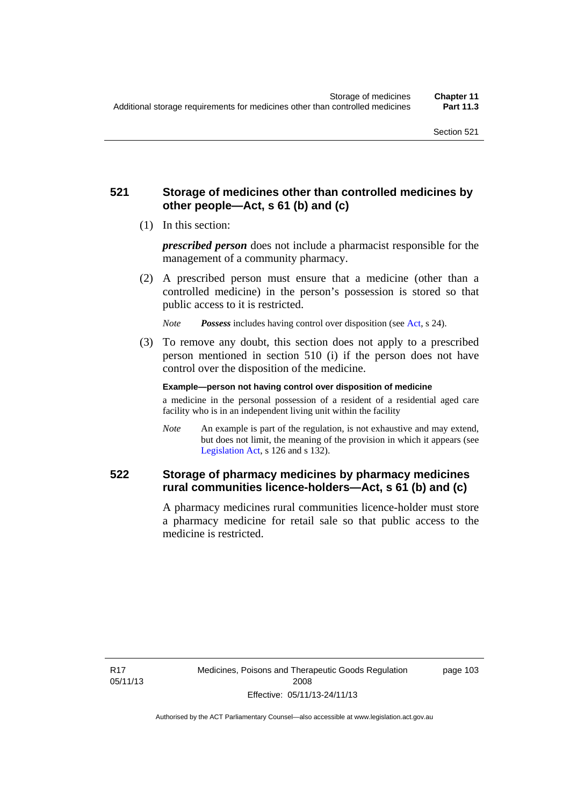#### **521 Storage of medicines other than controlled medicines by other people—Act, s 61 (b) and (c)**

(1) In this section:

*prescribed person* does not include a pharmacist responsible for the management of a community pharmacy.

 (2) A prescribed person must ensure that a medicine (other than a controlled medicine) in the person's possession is stored so that public access to it is restricted.

*Note Possess* includes having control over disposition (see [Act,](http://www.legislation.act.gov.au/a/2008-26/default.asp) s 24).

 (3) To remove any doubt, this section does not apply to a prescribed person mentioned in section 510 (i) if the person does not have control over the disposition of the medicine.

**Example—person not having control over disposition of medicine** 

a medicine in the personal possession of a resident of a residential aged care facility who is in an independent living unit within the facility

*Note* An example is part of the regulation, is not exhaustive and may extend, but does not limit, the meaning of the provision in which it appears (see [Legislation Act,](http://www.legislation.act.gov.au/a/2001-14) s 126 and s 132).

#### **522 Storage of pharmacy medicines by pharmacy medicines rural communities licence-holders—Act, s 61 (b) and (c)**

A pharmacy medicines rural communities licence-holder must store a pharmacy medicine for retail sale so that public access to the medicine is restricted.

R17 05/11/13 page 103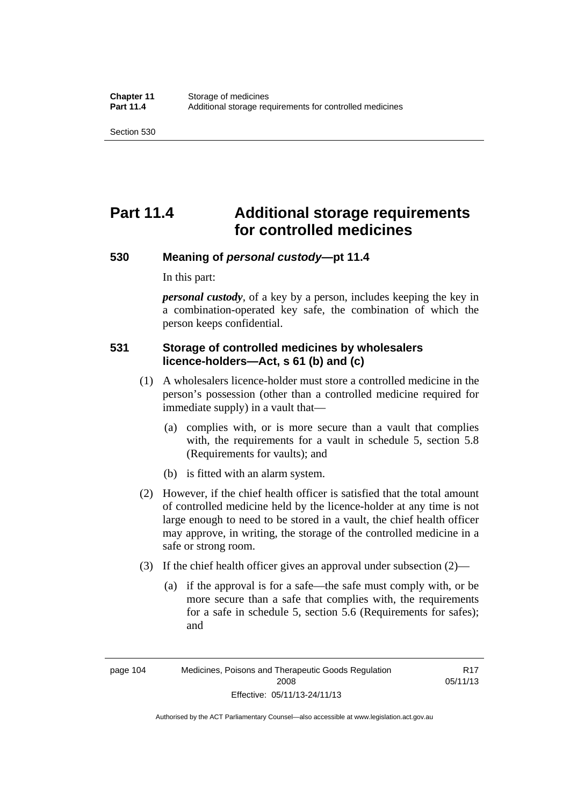# **Part 11.4 Additional storage requirements for controlled medicines**

#### **530 Meaning of** *personal custody***—pt 11.4**

In this part:

*personal custody*, of a key by a person, includes keeping the key in a combination-operated key safe, the combination of which the person keeps confidential.

#### **531 Storage of controlled medicines by wholesalers licence-holders—Act, s 61 (b) and (c)**

- (1) A wholesalers licence-holder must store a controlled medicine in the person's possession (other than a controlled medicine required for immediate supply) in a vault that—
	- (a) complies with, or is more secure than a vault that complies with, the requirements for a vault in schedule 5, section 5.8 (Requirements for vaults); and
	- (b) is fitted with an alarm system.
- (2) However, if the chief health officer is satisfied that the total amount of controlled medicine held by the licence-holder at any time is not large enough to need to be stored in a vault, the chief health officer may approve, in writing, the storage of the controlled medicine in a safe or strong room.
- (3) If the chief health officer gives an approval under subsection (2)—
	- (a) if the approval is for a safe—the safe must comply with, or be more secure than a safe that complies with, the requirements for a safe in schedule 5, section 5.6 (Requirements for safes); and

Authorised by the ACT Parliamentary Counsel—also accessible at www.legislation.act.gov.au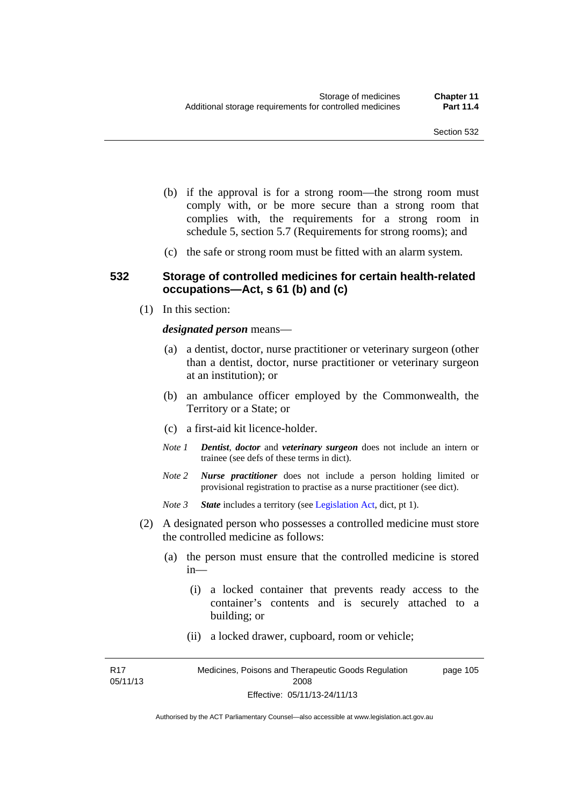- (b) if the approval is for a strong room—the strong room must comply with, or be more secure than a strong room that complies with, the requirements for a strong room in schedule 5, section 5.7 (Requirements for strong rooms); and
- (c) the safe or strong room must be fitted with an alarm system.

#### **532 Storage of controlled medicines for certain health-related occupations—Act, s 61 (b) and (c)**

(1) In this section:

#### *designated person* means—

- (a) a dentist, doctor, nurse practitioner or veterinary surgeon (other than a dentist, doctor, nurse practitioner or veterinary surgeon at an institution); or
- (b) an ambulance officer employed by the Commonwealth, the Territory or a State; or
- (c) a first-aid kit licence-holder.
- *Note 1 Dentist*, *doctor* and *veterinary surgeon* does not include an intern or trainee (see defs of these terms in dict).
- *Note 2 Nurse practitioner* does not include a person holding limited or provisional registration to practise as a nurse practitioner (see dict).
- *Note 3 State* includes a territory (see [Legislation Act,](http://www.legislation.act.gov.au/a/2001-14) dict, pt 1).
- (2) A designated person who possesses a controlled medicine must store the controlled medicine as follows:
	- (a) the person must ensure that the controlled medicine is stored in—
		- (i) a locked container that prevents ready access to the container's contents and is securely attached to a building; or
		- (ii) a locked drawer, cupboard, room or vehicle;

R17 05/11/13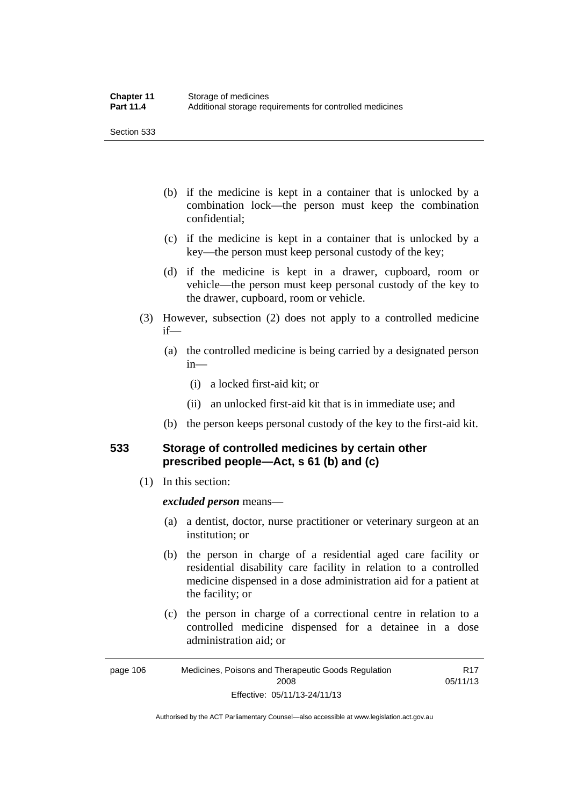Section 533

- (b) if the medicine is kept in a container that is unlocked by a combination lock—the person must keep the combination confidential;
- (c) if the medicine is kept in a container that is unlocked by a key—the person must keep personal custody of the key;
- (d) if the medicine is kept in a drawer, cupboard, room or vehicle—the person must keep personal custody of the key to the drawer, cupboard, room or vehicle.
- (3) However, subsection (2) does not apply to a controlled medicine if—
	- (a) the controlled medicine is being carried by a designated person in—
		- (i) a locked first-aid kit; or
		- (ii) an unlocked first-aid kit that is in immediate use; and
	- (b) the person keeps personal custody of the key to the first-aid kit.

#### **533 Storage of controlled medicines by certain other prescribed people—Act, s 61 (b) and (c)**

(1) In this section:

#### *excluded person* means—

- (a) a dentist, doctor, nurse practitioner or veterinary surgeon at an institution; or
- (b) the person in charge of a residential aged care facility or residential disability care facility in relation to a controlled medicine dispensed in a dose administration aid for a patient at the facility; or
- (c) the person in charge of a correctional centre in relation to a controlled medicine dispensed for a detainee in a dose administration aid; or

| page 106 | Medicines, Poisons and Therapeutic Goods Regulation | R17      |
|----------|-----------------------------------------------------|----------|
|          | 2008                                                | 05/11/13 |
|          | Effective: 05/11/13-24/11/13                        |          |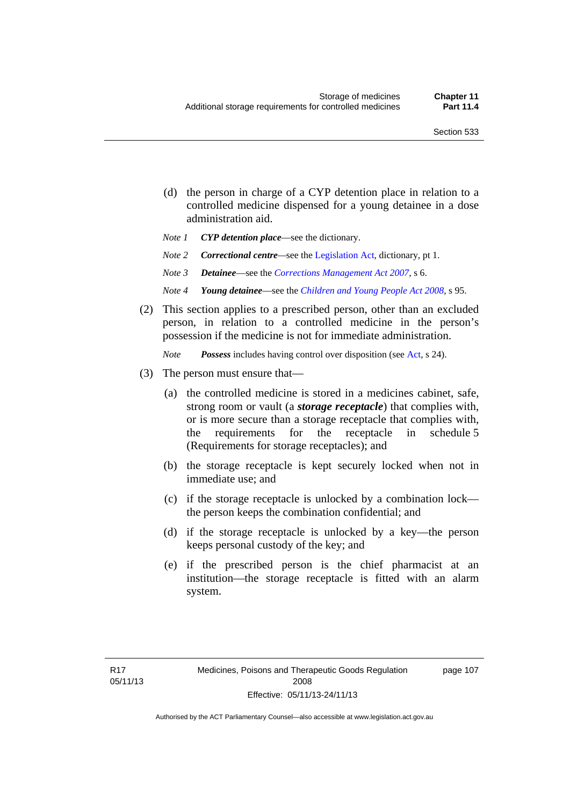- (d) the person in charge of a CYP detention place in relation to a controlled medicine dispensed for a young detainee in a dose administration aid.
- *Note 1 CYP detention place*—see the dictionary.
- *Note 2 Correctional centre—see the [Legislation Act](http://www.legislation.act.gov.au/a/2001-14), dictionary, pt 1.*
- *Note 3 Detainee*—see the *[Corrections Management Act 2007](http://www.legislation.act.gov.au/a/2007-15)*, s 6.
- *Note 4 Young detainee*—see the *[Children and Young People Act 2008](http://www.legislation.act.gov.au/a/2008-19)*, s 95.
- (2) This section applies to a prescribed person, other than an excluded person, in relation to a controlled medicine in the person's possession if the medicine is not for immediate administration.

*Note Possess* includes having control over disposition (see [Act,](http://www.legislation.act.gov.au/a/2008-26/default.asp) s 24).

- (3) The person must ensure that—
	- (a) the controlled medicine is stored in a medicines cabinet, safe, strong room or vault (a *storage receptacle*) that complies with, or is more secure than a storage receptacle that complies with, the requirements for the receptacle in schedule 5 (Requirements for storage receptacles); and
	- (b) the storage receptacle is kept securely locked when not in immediate use; and
	- (c) if the storage receptacle is unlocked by a combination lock the person keeps the combination confidential; and
	- (d) if the storage receptacle is unlocked by a key—the person keeps personal custody of the key; and
	- (e) if the prescribed person is the chief pharmacist at an institution—the storage receptacle is fitted with an alarm system.

page 107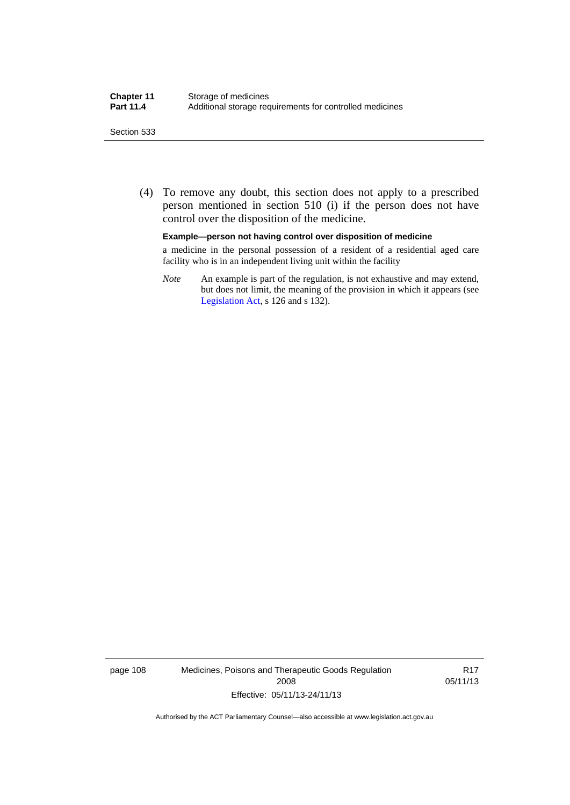#### Section 533

 (4) To remove any doubt, this section does not apply to a prescribed person mentioned in section 510 (i) if the person does not have control over the disposition of the medicine.

#### **Example—person not having control over disposition of medicine**

a medicine in the personal possession of a resident of a residential aged care facility who is in an independent living unit within the facility

*Note* An example is part of the regulation, is not exhaustive and may extend, but does not limit, the meaning of the provision in which it appears (see [Legislation Act,](http://www.legislation.act.gov.au/a/2001-14) s 126 and s 132).

page 108 Medicines, Poisons and Therapeutic Goods Regulation 2008 Effective: 05/11/13-24/11/13

R17 05/11/13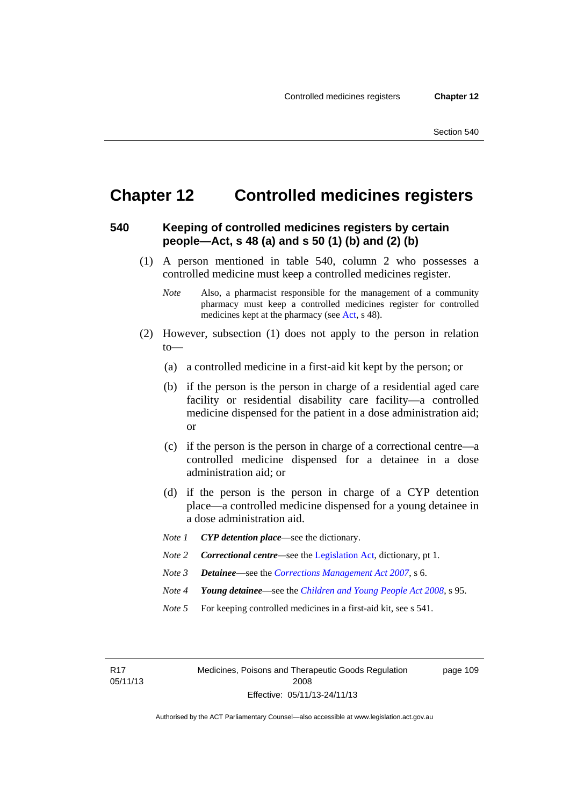# **Chapter 12 Controlled medicines registers**

#### **540 Keeping of controlled medicines registers by certain people—Act, s 48 (a) and s 50 (1) (b) and (2) (b)**

- (1) A person mentioned in table 540, column 2 who possesses a controlled medicine must keep a controlled medicines register.
	- *Note* Also, a pharmacist responsible for the management of a community pharmacy must keep a controlled medicines register for controlled medicines kept at the pharmacy (see [Act](http://www.legislation.act.gov.au/a/2008-26/default.asp), s 48).
- (2) However, subsection (1) does not apply to the person in relation  $to$ —
	- (a) a controlled medicine in a first-aid kit kept by the person; or
	- (b) if the person is the person in charge of a residential aged care facility or residential disability care facility—a controlled medicine dispensed for the patient in a dose administration aid; or
	- (c) if the person is the person in charge of a correctional centre—a controlled medicine dispensed for a detainee in a dose administration aid; or
	- (d) if the person is the person in charge of a CYP detention place—a controlled medicine dispensed for a young detainee in a dose administration aid.
	- *Note 1 CYP detention place*—see the dictionary.
	- *Note 2 Correctional centre—see the [Legislation Act](http://www.legislation.act.gov.au/a/2001-14), dictionary, pt 1.*
	- *Note 3 Detainee*—see the *[Corrections Management Act 2007](http://www.legislation.act.gov.au/a/2007-15)*, s 6.
	- *Note 4 Young detainee*—see the *[Children and Young People Act 2008](http://www.legislation.act.gov.au/a/2008-19)*, s 95.
	- *Note* 5 For keeping controlled medicines in a first-aid kit, see s 541.

R17 05/11/13 Medicines, Poisons and Therapeutic Goods Regulation 2008 Effective: 05/11/13-24/11/13

page 109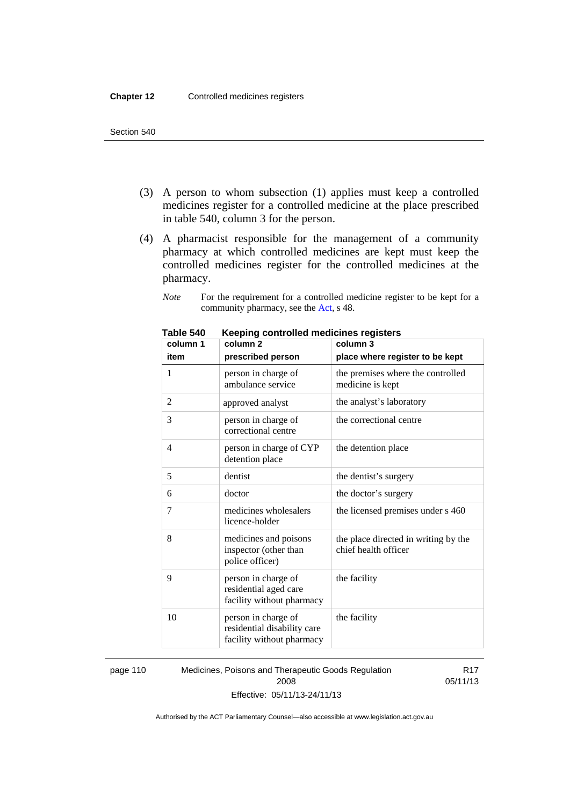- (3) A person to whom subsection (1) applies must keep a controlled medicines register for a controlled medicine at the place prescribed in table 540, column 3 for the person.
- (4) A pharmacist responsible for the management of a community pharmacy at which controlled medicines are kept must keep the controlled medicines register for the controlled medicines at the pharmacy.

*Note* For the requirement for a controlled medicine register to be kept for a community pharmacy, see the [Act,](http://www.legislation.act.gov.au/a/2008-26/default.asp) s 48.

| column 1 | nceping controlled medicines registers<br>column <sub>2</sub>                   | column 3                                                     |
|----------|---------------------------------------------------------------------------------|--------------------------------------------------------------|
| item     | prescribed person                                                               | place where register to be kept                              |
| 1        | person in charge of<br>ambulance service                                        | the premises where the controlled<br>medicine is kept        |
| 2        | approved analyst                                                                | the analyst's laboratory                                     |
| 3        | person in charge of<br>correctional centre                                      | the correctional centre                                      |
| 4        | person in charge of CYP<br>detention place                                      | the detention place                                          |
| 5        | dentist                                                                         | the dentist's surgery                                        |
| 6        | doctor                                                                          | the doctor's surgery                                         |
| 7        | medicines wholesalers<br>licence-holder                                         | the licensed premises under s 460                            |
| 8        | medicines and poisons<br>inspector (other than<br>police officer)               | the place directed in writing by the<br>chief health officer |
| 9        | person in charge of<br>residential aged care<br>facility without pharmacy       | the facility                                                 |
| 10       | person in charge of<br>residential disability care<br>facility without pharmacy | the facility                                                 |

**Table 540 Keeping controlled medicines registers** 

page 110 Medicines, Poisons and Therapeutic Goods Regulation 2008 Effective: 05/11/13-24/11/13

R17 05/11/13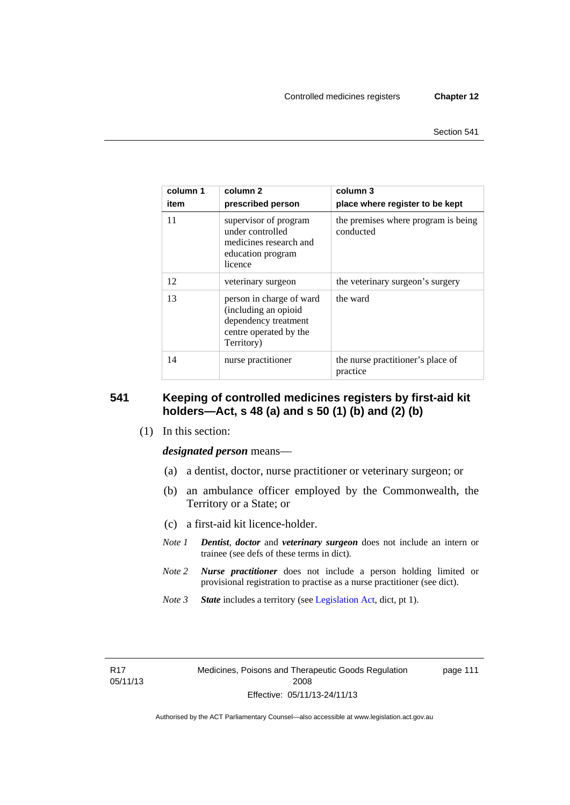| column 1<br>item | column 2<br>prescribed person                                                                                    | column 3<br>place where register to be kept      |
|------------------|------------------------------------------------------------------------------------------------------------------|--------------------------------------------------|
| 11               | supervisor of program<br>under controlled<br>medicines research and<br>education program<br>licence              | the premises where program is being<br>conducted |
| 12               | veterinary surgeon                                                                                               | the veterinary surgeon's surgery                 |
| 13               | person in charge of ward<br>(including an opioid<br>dependency treatment<br>centre operated by the<br>Territory) | the ward                                         |
| 14               | nurse practitioner                                                                                               | the nurse practitioner's place of<br>practice    |

#### **541 Keeping of controlled medicines registers by first-aid kit holders—Act, s 48 (a) and s 50 (1) (b) and (2) (b)**

(1) In this section:

*designated person* means—

- (a) a dentist, doctor, nurse practitioner or veterinary surgeon; or
- (b) an ambulance officer employed by the Commonwealth, the Territory or a State; or
- (c) a first-aid kit licence-holder.
- *Note 1 Dentist*, *doctor* and *veterinary surgeon* does not include an intern or trainee (see defs of these terms in dict).
- *Note 2 Nurse practitioner* does not include a person holding limited or provisional registration to practise as a nurse practitioner (see dict).
- *Note 3 State* includes a territory (see [Legislation Act,](http://www.legislation.act.gov.au/a/2001-14) dict, pt 1).

R17 05/11/13 page 111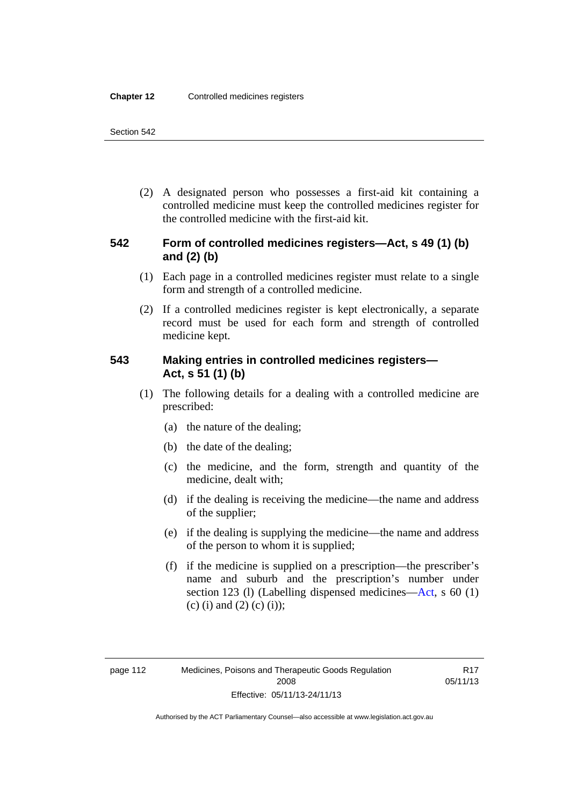(2) A designated person who possesses a first-aid kit containing a controlled medicine must keep the controlled medicines register for the controlled medicine with the first-aid kit.

#### **542 Form of controlled medicines registers—Act, s 49 (1) (b) and (2) (b)**

- (1) Each page in a controlled medicines register must relate to a single form and strength of a controlled medicine.
- (2) If a controlled medicines register is kept electronically, a separate record must be used for each form and strength of controlled medicine kept.

#### **543 Making entries in controlled medicines registers— Act, s 51 (1) (b)**

- (1) The following details for a dealing with a controlled medicine are prescribed:
	- (a) the nature of the dealing;
	- (b) the date of the dealing;
	- (c) the medicine, and the form, strength and quantity of the medicine, dealt with;
	- (d) if the dealing is receiving the medicine—the name and address of the supplier;
	- (e) if the dealing is supplying the medicine—the name and address of the person to whom it is supplied;
	- (f) if the medicine is supplied on a prescription—the prescriber's name and suburb and the prescription's number under section 123 (l) (Labelling dispensed medicines[—Act,](http://www.legislation.act.gov.au/a/2008-26/default.asp) s 60 (1) (c) (i) and (2) (c) (i));

Authorised by the ACT Parliamentary Counsel—also accessible at www.legislation.act.gov.au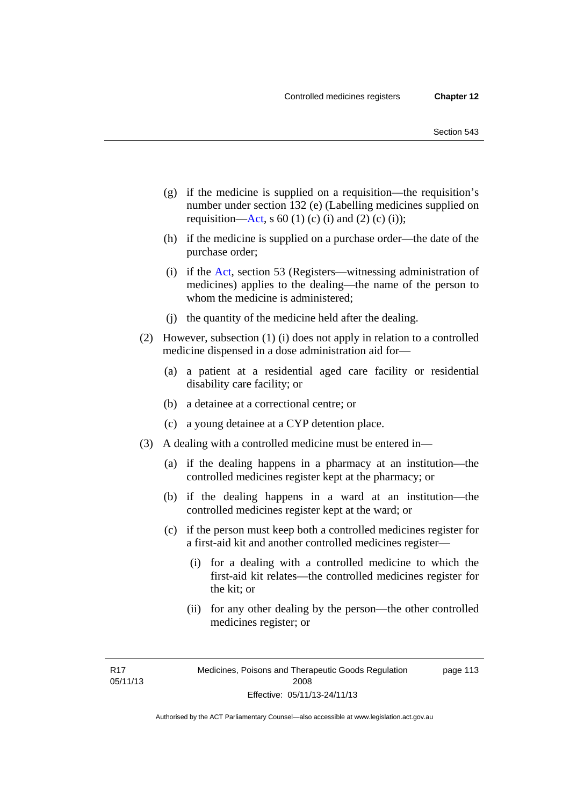- (g) if the medicine is supplied on a requisition—the requisition's number under section 132 (e) (Labelling medicines supplied on requisition[—Act,](http://www.legislation.act.gov.au/a/2008-26/default.asp) s 60 (1) (c) (i) and (2) (c) (i));
- (h) if the medicine is supplied on a purchase order—the date of the purchase order;
- (i) if the [Act,](http://www.legislation.act.gov.au/a/2008-26/default.asp) section 53 (Registers—witnessing administration of medicines) applies to the dealing—the name of the person to whom the medicine is administered;
- (j) the quantity of the medicine held after the dealing.
- (2) However, subsection (1) (i) does not apply in relation to a controlled medicine dispensed in a dose administration aid for—
	- (a) a patient at a residential aged care facility or residential disability care facility; or
	- (b) a detainee at a correctional centre; or
	- (c) a young detainee at a CYP detention place.
- (3) A dealing with a controlled medicine must be entered in—
	- (a) if the dealing happens in a pharmacy at an institution—the controlled medicines register kept at the pharmacy; or
	- (b) if the dealing happens in a ward at an institution—the controlled medicines register kept at the ward; or
	- (c) if the person must keep both a controlled medicines register for a first-aid kit and another controlled medicines register—
		- (i) for a dealing with a controlled medicine to which the first-aid kit relates—the controlled medicines register for the kit; or
		- (ii) for any other dealing by the person—the other controlled medicines register; or

R17 05/11/13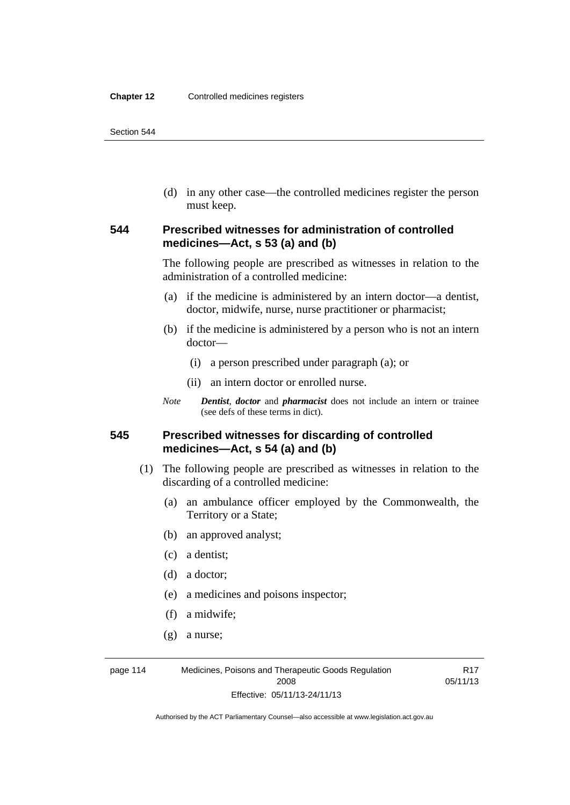(d) in any other case—the controlled medicines register the person must keep.

#### **544 Prescribed witnesses for administration of controlled medicines—Act, s 53 (a) and (b)**

The following people are prescribed as witnesses in relation to the administration of a controlled medicine:

- (a) if the medicine is administered by an intern doctor—a dentist, doctor, midwife, nurse, nurse practitioner or pharmacist;
- (b) if the medicine is administered by a person who is not an intern doctor—
	- (i) a person prescribed under paragraph (a); or
	- (ii) an intern doctor or enrolled nurse.
- *Note Dentist*, *doctor* and *pharmacist* does not include an intern or trainee (see defs of these terms in dict).

#### **545 Prescribed witnesses for discarding of controlled medicines—Act, s 54 (a) and (b)**

- (1) The following people are prescribed as witnesses in relation to the discarding of a controlled medicine:
	- (a) an ambulance officer employed by the Commonwealth, the Territory or a State;
	- (b) an approved analyst;
	- (c) a dentist;
	- (d) a doctor;
	- (e) a medicines and poisons inspector;
	- (f) a midwife;
	- (g) a nurse;

page 114 Medicines, Poisons and Therapeutic Goods Regulation 2008 Effective: 05/11/13-24/11/13

R17 05/11/13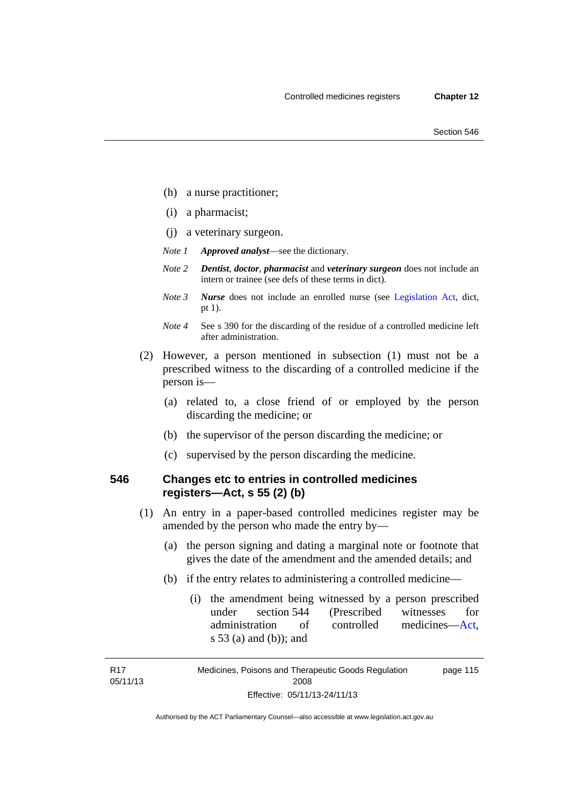- (h) a nurse practitioner;
- (i) a pharmacist;
- (j) a veterinary surgeon.
- *Note 1 Approved analyst*—see the dictionary.
- *Note 2 Dentist*, *doctor*, *pharmacist* and *veterinary surgeon* does not include an intern or trainee (see defs of these terms in dict).
- *Note 3 Nurse* does not include an enrolled nurse (see [Legislation Act,](http://www.legislation.act.gov.au/a/2001-14) dict, pt 1).
- *Note 4* See s 390 for the discarding of the residue of a controlled medicine left after administration.
- (2) However, a person mentioned in subsection (1) must not be a prescribed witness to the discarding of a controlled medicine if the person is—
	- (a) related to, a close friend of or employed by the person discarding the medicine; or
	- (b) the supervisor of the person discarding the medicine; or
	- (c) supervised by the person discarding the medicine.

#### **546 Changes etc to entries in controlled medicines registers—Act, s 55 (2) (b)**

- (1) An entry in a paper-based controlled medicines register may be amended by the person who made the entry by—
	- (a) the person signing and dating a marginal note or footnote that gives the date of the amendment and the amended details; and
	- (b) if the entry relates to administering a controlled medicine—
		- (i) the amendment being witnessed by a person prescribed under section 544 (Prescribed witnesses for administration of controlled medicines[—Act](http://www.legislation.act.gov.au/a/2008-26/default.asp), s 53 (a) and (b)); and

R17 05/11/13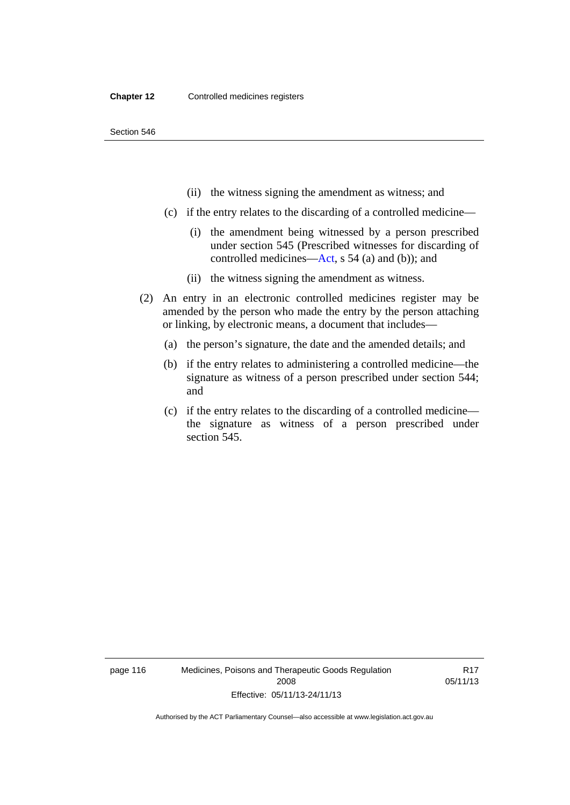- (ii) the witness signing the amendment as witness; and
- (c) if the entry relates to the discarding of a controlled medicine—
	- (i) the amendment being witnessed by a person prescribed under section 545 (Prescribed witnesses for discarding of controlled medicines[—Act,](http://www.legislation.act.gov.au/a/2008-26/default.asp) s 54 (a) and (b)); and
	- (ii) the witness signing the amendment as witness.
- (2) An entry in an electronic controlled medicines register may be amended by the person who made the entry by the person attaching or linking, by electronic means, a document that includes—
	- (a) the person's signature, the date and the amended details; and
	- (b) if the entry relates to administering a controlled medicine—the signature as witness of a person prescribed under section 544; and
	- (c) if the entry relates to the discarding of a controlled medicine the signature as witness of a person prescribed under section 545.

page 116 Medicines, Poisons and Therapeutic Goods Regulation 2008 Effective: 05/11/13-24/11/13

R17 05/11/13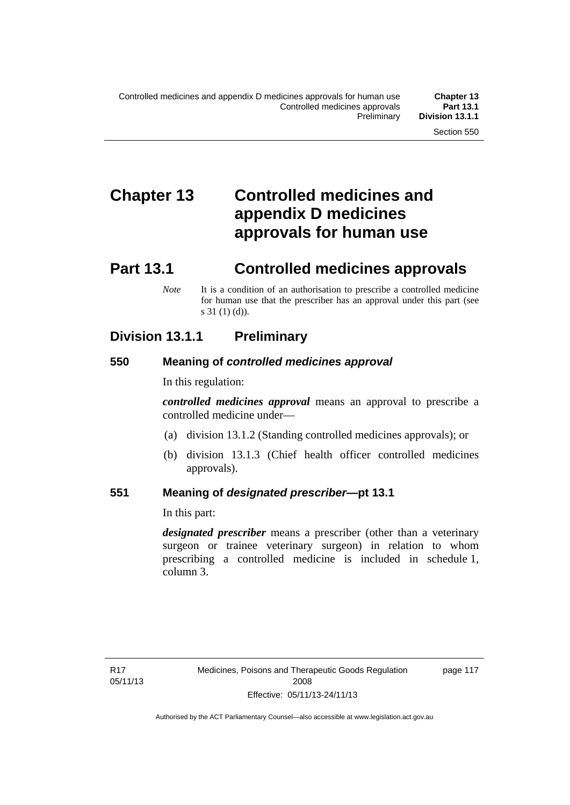# **Chapter 13 Controlled medicines and appendix D medicines approvals for human use**

# **Part 13.1 Controlled medicines approvals**

*Note* It is a condition of an authorisation to prescribe a controlled medicine for human use that the prescriber has an approval under this part (see s 31 (1) (d)).

# **Division 13.1.1 Preliminary**

#### **550 Meaning of** *controlled medicines approval*

In this regulation:

*controlled medicines approval* means an approval to prescribe a controlled medicine under—

- (a) division 13.1.2 (Standing controlled medicines approvals); or
- (b) division 13.1.3 (Chief health officer controlled medicines approvals).

#### **551 Meaning of** *designated prescriber***—pt 13.1**

In this part:

*designated prescriber* means a prescriber (other than a veterinary surgeon or trainee veterinary surgeon) in relation to whom prescribing a controlled medicine is included in schedule 1, column 3.

page 117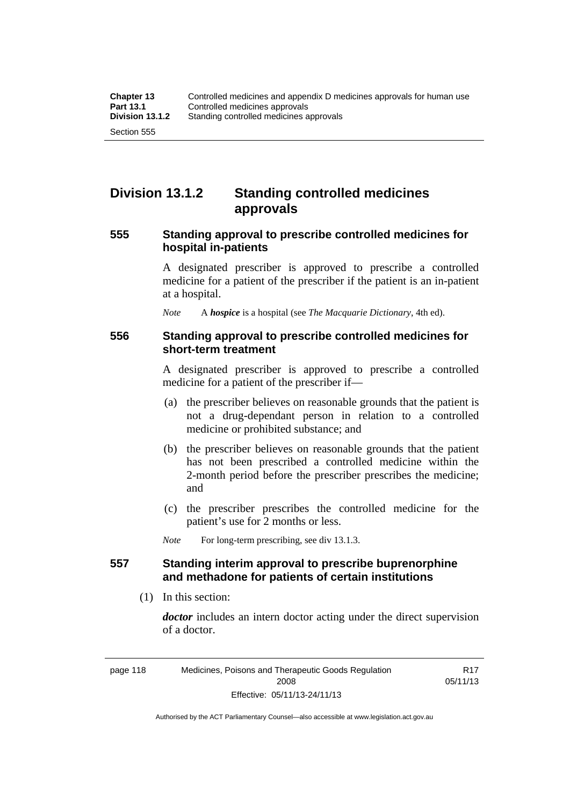# **Division 13.1.2 Standing controlled medicines approvals**

#### **555 Standing approval to prescribe controlled medicines for hospital in-patients**

A designated prescriber is approved to prescribe a controlled medicine for a patient of the prescriber if the patient is an in-patient at a hospital.

*Note* A *hospice* is a hospital (see *The Macquarie Dictionary*, 4th ed).

#### **556 Standing approval to prescribe controlled medicines for short-term treatment**

A designated prescriber is approved to prescribe a controlled medicine for a patient of the prescriber if—

- (a) the prescriber believes on reasonable grounds that the patient is not a drug-dependant person in relation to a controlled medicine or prohibited substance; and
- (b) the prescriber believes on reasonable grounds that the patient has not been prescribed a controlled medicine within the 2-month period before the prescriber prescribes the medicine; and
- (c) the prescriber prescribes the controlled medicine for the patient's use for 2 months or less.

*Note* For long-term prescribing, see div 13.1.3.

#### **557 Standing interim approval to prescribe buprenorphine and methadone for patients of certain institutions**

(1) In this section:

*doctor* includes an intern doctor acting under the direct supervision of a doctor.

> R17 05/11/13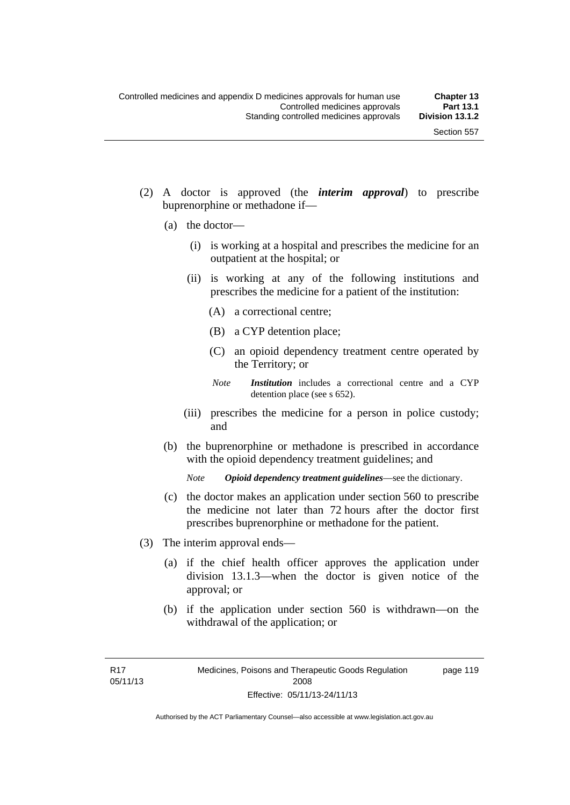- (2) A doctor is approved (the *interim approval*) to prescribe buprenorphine or methadone if—
	- (a) the doctor—
		- (i) is working at a hospital and prescribes the medicine for an outpatient at the hospital; or
		- (ii) is working at any of the following institutions and prescribes the medicine for a patient of the institution:
			- (A) a correctional centre;
			- (B) a CYP detention place;
			- (C) an opioid dependency treatment centre operated by the Territory; or
			- *Note Institution* includes a correctional centre and a CYP detention place (see s 652).
		- (iii) prescribes the medicine for a person in police custody; and
	- (b) the buprenorphine or methadone is prescribed in accordance with the opioid dependency treatment guidelines; and

*Note Opioid dependency treatment guidelines*—see the dictionary.

- (c) the doctor makes an application under section 560 to prescribe the medicine not later than 72 hours after the doctor first prescribes buprenorphine or methadone for the patient.
- (3) The interim approval ends—
	- (a) if the chief health officer approves the application under division 13.1.3—when the doctor is given notice of the approval; or
	- (b) if the application under section 560 is withdrawn—on the withdrawal of the application; or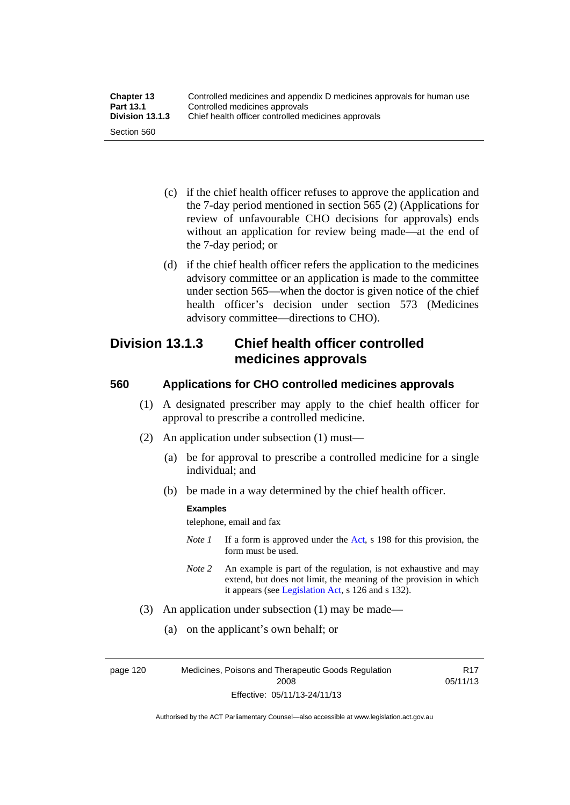| <b>Chapter 13</b> | Controlled medicines and appendix D medicines approvals for human use |
|-------------------|-----------------------------------------------------------------------|
| <b>Part 13.1</b>  | Controlled medicines approvals                                        |
| Division 13.1.3   | Chief health officer controlled medicines approvals                   |
| Section 560       |                                                                       |

- (c) if the chief health officer refuses to approve the application and the 7-day period mentioned in section 565 (2) (Applications for review of unfavourable CHO decisions for approvals) ends without an application for review being made—at the end of the 7-day period; or
- (d) if the chief health officer refers the application to the medicines advisory committee or an application is made to the committee under section 565—when the doctor is given notice of the chief health officer's decision under section 573 (Medicines advisory committee—directions to CHO).

# **Division 13.1.3 Chief health officer controlled medicines approvals**

#### **560 Applications for CHO controlled medicines approvals**

- (1) A designated prescriber may apply to the chief health officer for approval to prescribe a controlled medicine.
- (2) An application under subsection (1) must—
	- (a) be for approval to prescribe a controlled medicine for a single individual; and
	- (b) be made in a way determined by the chief health officer.

#### **Examples**

telephone, email and fax

- *Note 1* If a form is approved under the [Act](http://www.legislation.act.gov.au/a/2008-26/default.asp), s 198 for this provision, the form must be used.
- *Note 2* An example is part of the regulation, is not exhaustive and may extend, but does not limit, the meaning of the provision in which it appears (see [Legislation Act,](http://www.legislation.act.gov.au/a/2001-14) s 126 and s 132).
- (3) An application under subsection (1) may be made—
	- (a) on the applicant's own behalf; or

page 120 Medicines, Poisons and Therapeutic Goods Regulation 2008 Effective: 05/11/13-24/11/13

R17 05/11/13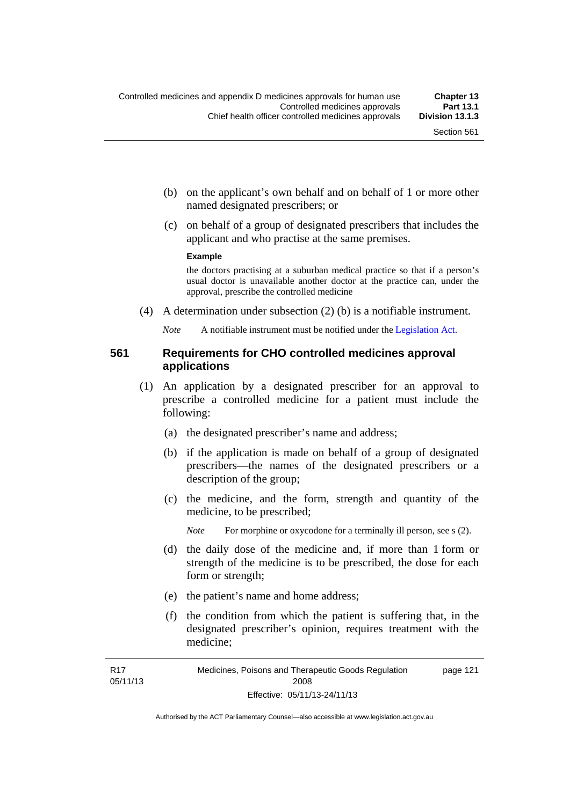- (b) on the applicant's own behalf and on behalf of 1 or more other named designated prescribers; or
- (c) on behalf of a group of designated prescribers that includes the applicant and who practise at the same premises.

#### **Example**

the doctors practising at a suburban medical practice so that if a person's usual doctor is unavailable another doctor at the practice can, under the approval, prescribe the controlled medicine

(4) A determination under subsection (2) (b) is a notifiable instrument.

*Note* A notifiable instrument must be notified under the [Legislation Act](http://www.legislation.act.gov.au/a/2001-14).

### **561 Requirements for CHO controlled medicines approval applications**

- (1) An application by a designated prescriber for an approval to prescribe a controlled medicine for a patient must include the following:
	- (a) the designated prescriber's name and address;
	- (b) if the application is made on behalf of a group of designated prescribers—the names of the designated prescribers or a description of the group;
	- (c) the medicine, and the form, strength and quantity of the medicine, to be prescribed;

*Note* For morphine or oxycodone for a terminally ill person, see s (2).

- (d) the daily dose of the medicine and, if more than 1 form or strength of the medicine is to be prescribed, the dose for each form or strength;
- (e) the patient's name and home address;
- (f) the condition from which the patient is suffering that, in the designated prescriber's opinion, requires treatment with the medicine;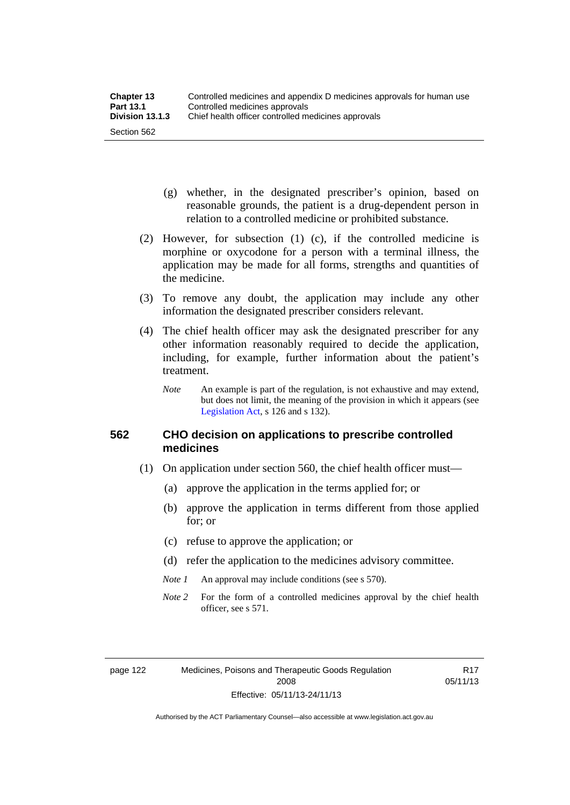- (g) whether, in the designated prescriber's opinion, based on reasonable grounds, the patient is a drug-dependent person in relation to a controlled medicine or prohibited substance.
- (2) However, for subsection (1) (c), if the controlled medicine is morphine or oxycodone for a person with a terminal illness, the application may be made for all forms, strengths and quantities of the medicine.
- (3) To remove any doubt, the application may include any other information the designated prescriber considers relevant.
- (4) The chief health officer may ask the designated prescriber for any other information reasonably required to decide the application, including, for example, further information about the patient's treatment.
	- *Note* An example is part of the regulation, is not exhaustive and may extend, but does not limit, the meaning of the provision in which it appears (see [Legislation Act,](http://www.legislation.act.gov.au/a/2001-14) s 126 and s 132).

#### **562 CHO decision on applications to prescribe controlled medicines**

- (1) On application under section 560, the chief health officer must—
	- (a) approve the application in the terms applied for; or
	- (b) approve the application in terms different from those applied for; or
	- (c) refuse to approve the application; or
	- (d) refer the application to the medicines advisory committee.
	- *Note 1* An approval may include conditions (see s 570).
	- *Note* 2 For the form of a controlled medicines approval by the chief health officer, see s 571.

R17 05/11/13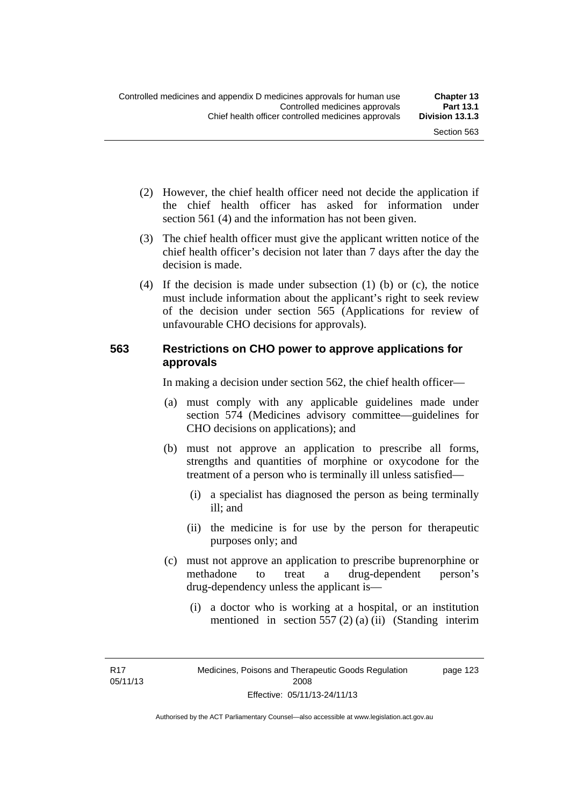- (2) However, the chief health officer need not decide the application if the chief health officer has asked for information under section 561 (4) and the information has not been given.
- (3) The chief health officer must give the applicant written notice of the chief health officer's decision not later than 7 days after the day the decision is made.
- (4) If the decision is made under subsection (1) (b) or (c), the notice must include information about the applicant's right to seek review of the decision under section 565 (Applications for review of unfavourable CHO decisions for approvals).

#### **563 Restrictions on CHO power to approve applications for approvals**

In making a decision under section 562, the chief health officer—

- (a) must comply with any applicable guidelines made under section 574 (Medicines advisory committee—guidelines for CHO decisions on applications); and
- (b) must not approve an application to prescribe all forms, strengths and quantities of morphine or oxycodone for the treatment of a person who is terminally ill unless satisfied—
	- (i) a specialist has diagnosed the person as being terminally ill; and
	- (ii) the medicine is for use by the person for therapeutic purposes only; and
- (c) must not approve an application to prescribe buprenorphine or methadone to treat a drug-dependent person's drug-dependency unless the applicant is—
	- (i) a doctor who is working at a hospital, or an institution mentioned in section 557 (2) (a) (ii) (Standing interim

R17 05/11/13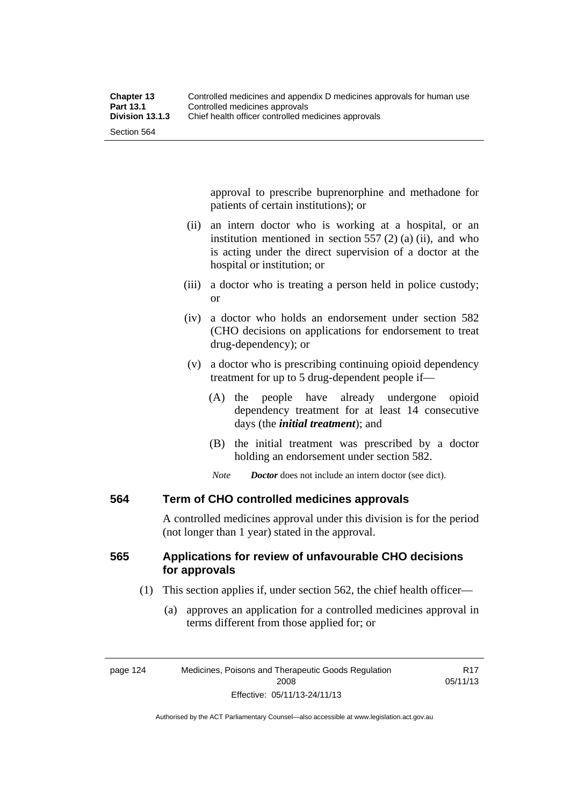approval to prescribe buprenorphine and methadone for patients of certain institutions); or

- (ii) an intern doctor who is working at a hospital, or an institution mentioned in section 557 (2) (a) (ii), and who is acting under the direct supervision of a doctor at the hospital or institution; or
- (iii) a doctor who is treating a person held in police custody; or
- (iv) a doctor who holds an endorsement under section 582 (CHO decisions on applications for endorsement to treat drug-dependency); or
- (v) a doctor who is prescribing continuing opioid dependency treatment for up to 5 drug-dependent people if—
	- (A) the people have already undergone opioid dependency treatment for at least 14 consecutive days (the *initial treatment*); and
	- (B) the initial treatment was prescribed by a doctor holding an endorsement under section 582.
	- *Note Doctor* does not include an intern doctor (see dict).

#### **564 Term of CHO controlled medicines approvals**

A controlled medicines approval under this division is for the period (not longer than 1 year) stated in the approval.

### **565 Applications for review of unfavourable CHO decisions for approvals**

- (1) This section applies if, under section 562, the chief health officer—
	- (a) approves an application for a controlled medicines approval in terms different from those applied for; or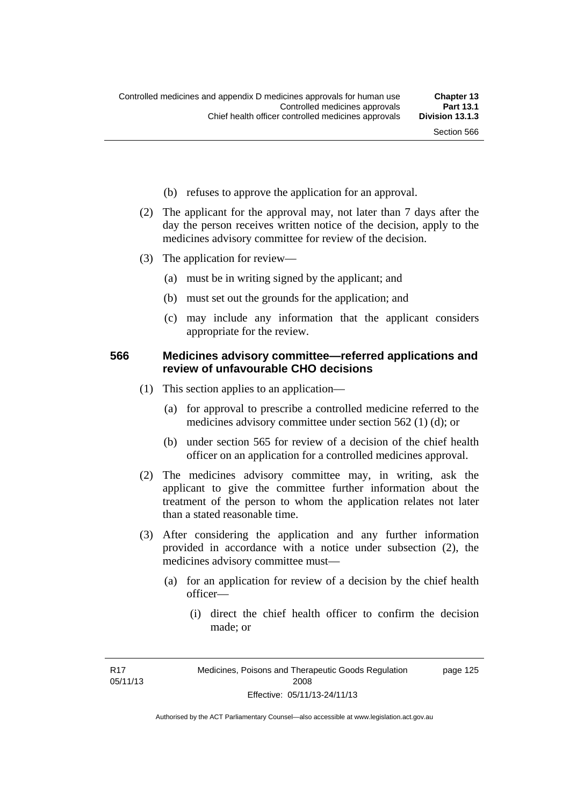- (b) refuses to approve the application for an approval.
- (2) The applicant for the approval may, not later than 7 days after the day the person receives written notice of the decision, apply to the medicines advisory committee for review of the decision.
- (3) The application for review—
	- (a) must be in writing signed by the applicant; and
	- (b) must set out the grounds for the application; and
	- (c) may include any information that the applicant considers appropriate for the review.

#### **566 Medicines advisory committee—referred applications and review of unfavourable CHO decisions**

- (1) This section applies to an application—
	- (a) for approval to prescribe a controlled medicine referred to the medicines advisory committee under section 562 (1) (d); or
	- (b) under section 565 for review of a decision of the chief health officer on an application for a controlled medicines approval.
- (2) The medicines advisory committee may, in writing, ask the applicant to give the committee further information about the treatment of the person to whom the application relates not later than a stated reasonable time.
- (3) After considering the application and any further information provided in accordance with a notice under subsection (2), the medicines advisory committee must—
	- (a) for an application for review of a decision by the chief health officer—
		- (i) direct the chief health officer to confirm the decision made; or

R17 05/11/13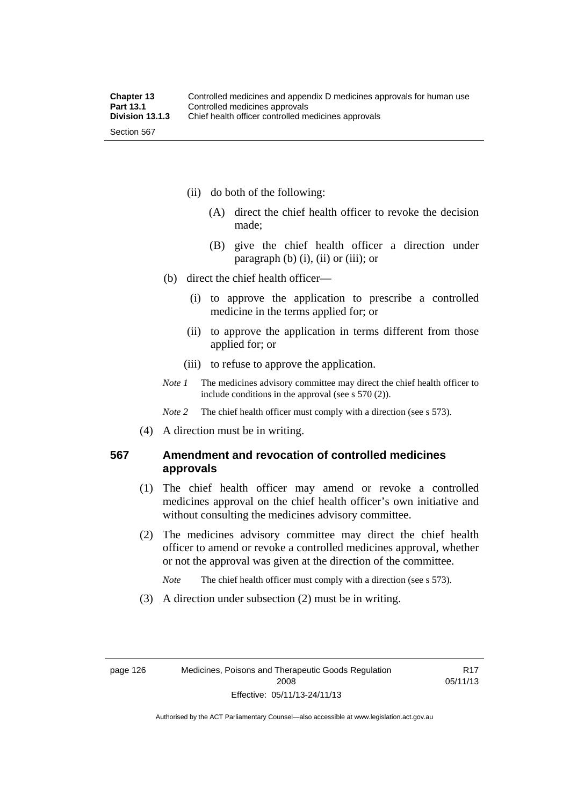- (ii) do both of the following:
	- (A) direct the chief health officer to revoke the decision made;
	- (B) give the chief health officer a direction under paragraph  $(b)$   $(i)$ ,  $(ii)$  or  $(iii)$ ; or
- (b) direct the chief health officer—
	- (i) to approve the application to prescribe a controlled medicine in the terms applied for; or
	- (ii) to approve the application in terms different from those applied for; or
	- (iii) to refuse to approve the application.
- *Note 1* The medicines advisory committee may direct the chief health officer to include conditions in the approval (see s 570 (2)).

*Note* 2 The chief health officer must comply with a direction (see s 573).

(4) A direction must be in writing.

#### **567 Amendment and revocation of controlled medicines approvals**

- (1) The chief health officer may amend or revoke a controlled medicines approval on the chief health officer's own initiative and without consulting the medicines advisory committee.
- (2) The medicines advisory committee may direct the chief health officer to amend or revoke a controlled medicines approval, whether or not the approval was given at the direction of the committee.

*Note* The chief health officer must comply with a direction (see s 573).

(3) A direction under subsection (2) must be in writing.

R17 05/11/13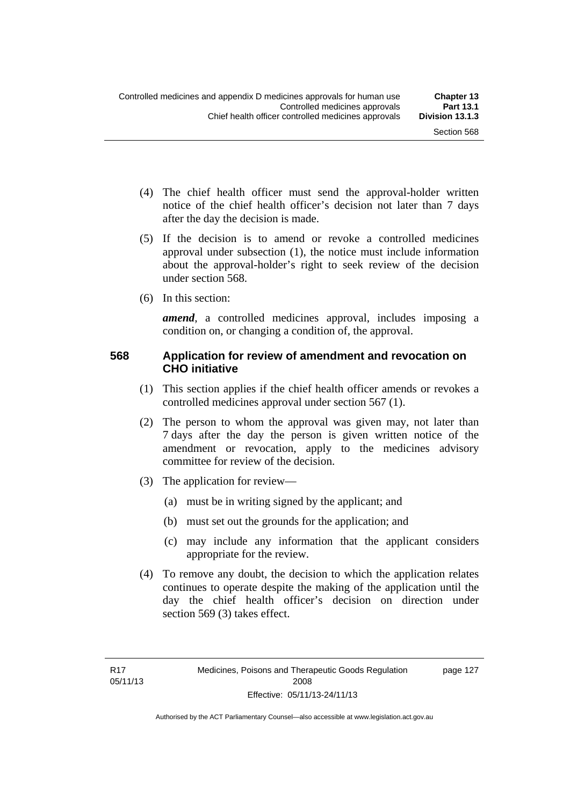page 127

- (4) The chief health officer must send the approval-holder written notice of the chief health officer's decision not later than 7 days after the day the decision is made.
- (5) If the decision is to amend or revoke a controlled medicines approval under subsection (1), the notice must include information about the approval-holder's right to seek review of the decision under section 568.
- (6) In this section:

*amend*, a controlled medicines approval, includes imposing a condition on, or changing a condition of, the approval.

#### **568 Application for review of amendment and revocation on CHO initiative**

- (1) This section applies if the chief health officer amends or revokes a controlled medicines approval under section 567 (1).
- (2) The person to whom the approval was given may, not later than 7 days after the day the person is given written notice of the amendment or revocation, apply to the medicines advisory committee for review of the decision.
- (3) The application for review—
	- (a) must be in writing signed by the applicant; and
	- (b) must set out the grounds for the application; and
	- (c) may include any information that the applicant considers appropriate for the review.
- (4) To remove any doubt, the decision to which the application relates continues to operate despite the making of the application until the day the chief health officer's decision on direction under section 569 (3) takes effect.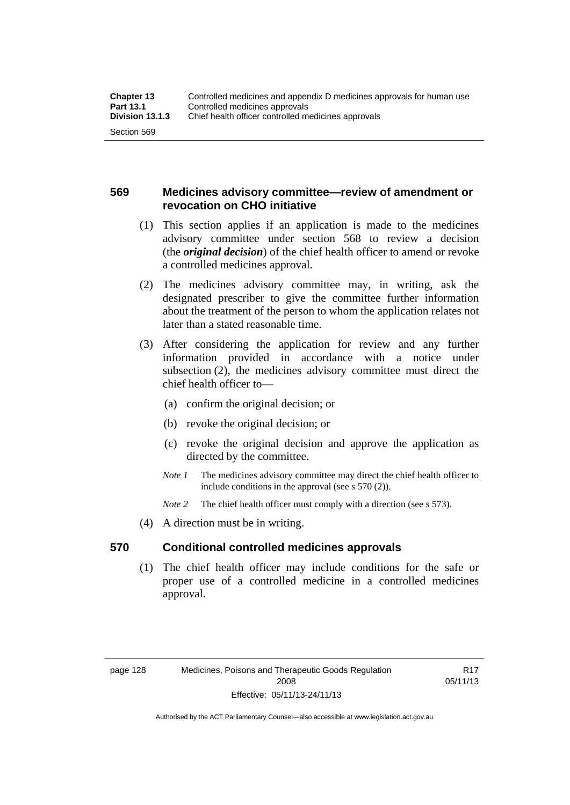### **569 Medicines advisory committee—review of amendment or revocation on CHO initiative**

- (1) This section applies if an application is made to the medicines advisory committee under section 568 to review a decision (the *original decision*) of the chief health officer to amend or revoke a controlled medicines approval.
- (2) The medicines advisory committee may, in writing, ask the designated prescriber to give the committee further information about the treatment of the person to whom the application relates not later than a stated reasonable time.
- (3) After considering the application for review and any further information provided in accordance with a notice under subsection (2), the medicines advisory committee must direct the chief health officer to—
	- (a) confirm the original decision; or
	- (b) revoke the original decision; or
	- (c) revoke the original decision and approve the application as directed by the committee.
	- *Note 1* The medicines advisory committee may direct the chief health officer to include conditions in the approval (see s 570 (2)).
	- *Note* 2 The chief health officer must comply with a direction (see s 573).
- (4) A direction must be in writing.

#### **570 Conditional controlled medicines approvals**

(1) The chief health officer may include conditions for the safe or proper use of a controlled medicine in a controlled medicines approval.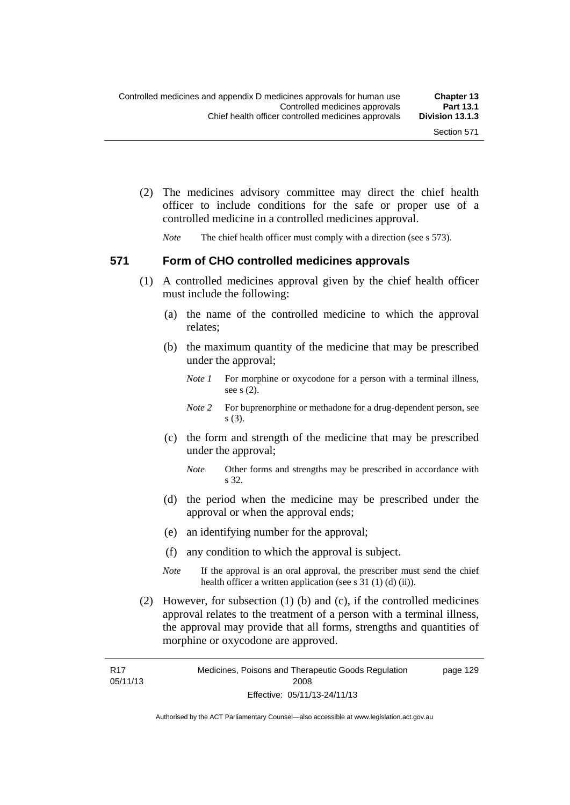(2) The medicines advisory committee may direct the chief health officer to include conditions for the safe or proper use of a controlled medicine in a controlled medicines approval.

*Note* The chief health officer must comply with a direction (see s 573).

#### **571 Form of CHO controlled medicines approvals**

- (1) A controlled medicines approval given by the chief health officer must include the following:
	- (a) the name of the controlled medicine to which the approval relates;
	- (b) the maximum quantity of the medicine that may be prescribed under the approval;
		- *Note 1* For morphine or oxycodone for a person with a terminal illness, see s (2).
		- *Note* 2 For buprenorphine or methadone for a drug-dependent person, see s (3).
	- (c) the form and strength of the medicine that may be prescribed under the approval;
		- *Note* Other forms and strengths may be prescribed in accordance with s 32.
	- (d) the period when the medicine may be prescribed under the approval or when the approval ends;
	- (e) an identifying number for the approval;
	- (f) any condition to which the approval is subject.
	- *Note* If the approval is an oral approval, the prescriber must send the chief health officer a written application (see s  $31(1)(d)(ii)$ ).
- (2) However, for subsection (1) (b) and (c), if the controlled medicines approval relates to the treatment of a person with a terminal illness, the approval may provide that all forms, strengths and quantities of morphine or oxycodone are approved.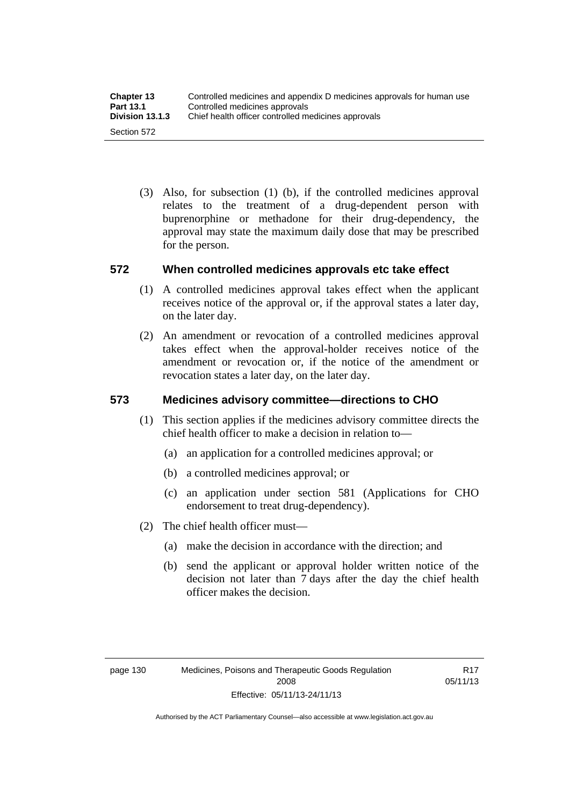(3) Also, for subsection (1) (b), if the controlled medicines approval relates to the treatment of a drug-dependent person with buprenorphine or methadone for their drug-dependency, the approval may state the maximum daily dose that may be prescribed for the person.

### **572 When controlled medicines approvals etc take effect**

- (1) A controlled medicines approval takes effect when the applicant receives notice of the approval or, if the approval states a later day, on the later day.
- (2) An amendment or revocation of a controlled medicines approval takes effect when the approval-holder receives notice of the amendment or revocation or, if the notice of the amendment or revocation states a later day, on the later day.

### **573 Medicines advisory committee—directions to CHO**

- (1) This section applies if the medicines advisory committee directs the chief health officer to make a decision in relation to—
	- (a) an application for a controlled medicines approval; or
	- (b) a controlled medicines approval; or
	- (c) an application under section 581 (Applications for CHO endorsement to treat drug-dependency).
- (2) The chief health officer must—
	- (a) make the decision in accordance with the direction; and
	- (b) send the applicant or approval holder written notice of the decision not later than 7 days after the day the chief health officer makes the decision.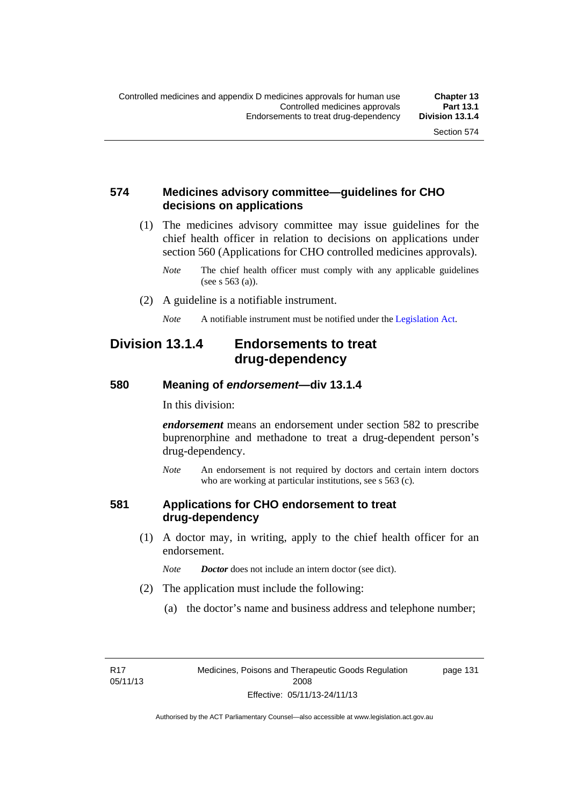#### **574 Medicines advisory committee—guidelines for CHO decisions on applications**

 (1) The medicines advisory committee may issue guidelines for the chief health officer in relation to decisions on applications under section 560 (Applications for CHO controlled medicines approvals).

- (2) A guideline is a notifiable instrument.
	- *Note* A notifiable instrument must be notified under the [Legislation Act](http://www.legislation.act.gov.au/a/2001-14).

## **Division 13.1.4 Endorsements to treat drug-dependency**

#### **580 Meaning of** *endorsement***—div 13.1.4**

In this division:

*endorsement* means an endorsement under section 582 to prescribe buprenorphine and methadone to treat a drug-dependent person's drug-dependency.

*Note* An endorsement is not required by doctors and certain intern doctors who are working at particular institutions, see s 563 (c).

#### **581 Applications for CHO endorsement to treat drug-dependency**

 (1) A doctor may, in writing, apply to the chief health officer for an endorsement.

*Note Doctor* does not include an intern doctor (see dict).

- (2) The application must include the following:
	- (a) the doctor's name and business address and telephone number;

R17 05/11/13 page 131

*Note* The chief health officer must comply with any applicable guidelines (see s 563 (a)).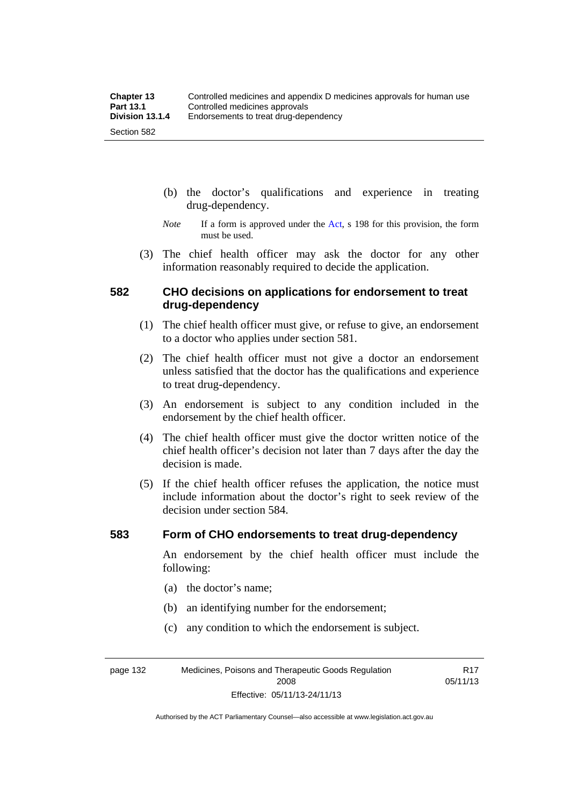- (b) the doctor's qualifications and experience in treating drug-dependency.
- *Note* If a form is approved under the [Act](http://www.legislation.act.gov.au/a/2008-26/default.asp), s 198 for this provision, the form must be used.
- (3) The chief health officer may ask the doctor for any other information reasonably required to decide the application.

#### **582 CHO decisions on applications for endorsement to treat drug-dependency**

- (1) The chief health officer must give, or refuse to give, an endorsement to a doctor who applies under section 581.
- (2) The chief health officer must not give a doctor an endorsement unless satisfied that the doctor has the qualifications and experience to treat drug-dependency.
- (3) An endorsement is subject to any condition included in the endorsement by the chief health officer.
- (4) The chief health officer must give the doctor written notice of the chief health officer's decision not later than 7 days after the day the decision is made.
- (5) If the chief health officer refuses the application, the notice must include information about the doctor's right to seek review of the decision under section 584.

#### **583 Form of CHO endorsements to treat drug-dependency**

An endorsement by the chief health officer must include the following:

- (a) the doctor's name;
- (b) an identifying number for the endorsement;
- (c) any condition to which the endorsement is subject.

page 132 Medicines, Poisons and Therapeutic Goods Regulation 2008 Effective: 05/11/13-24/11/13

R17 05/11/13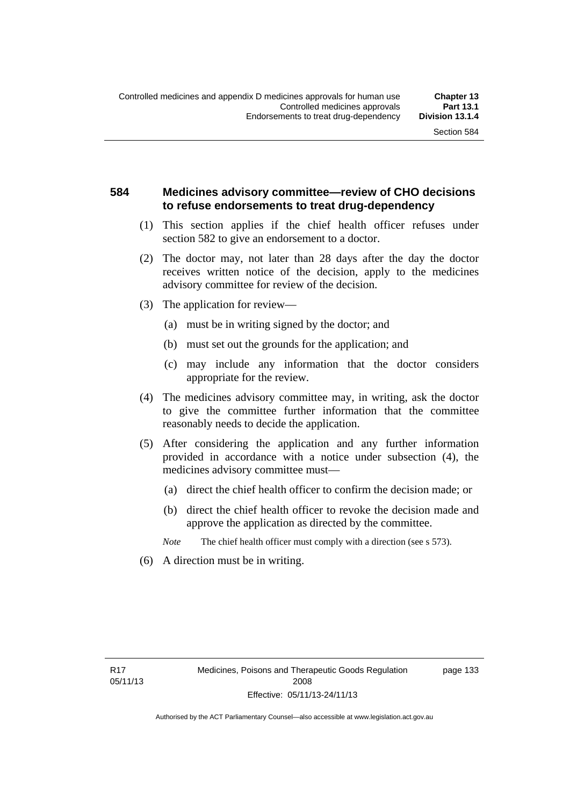### **584 Medicines advisory committee—review of CHO decisions to refuse endorsements to treat drug-dependency**

- (1) This section applies if the chief health officer refuses under section 582 to give an endorsement to a doctor.
- (2) The doctor may, not later than 28 days after the day the doctor receives written notice of the decision, apply to the medicines advisory committee for review of the decision.
- (3) The application for review—
	- (a) must be in writing signed by the doctor; and
	- (b) must set out the grounds for the application; and
	- (c) may include any information that the doctor considers appropriate for the review.
- (4) The medicines advisory committee may, in writing, ask the doctor to give the committee further information that the committee reasonably needs to decide the application.
- (5) After considering the application and any further information provided in accordance with a notice under subsection (4), the medicines advisory committee must—
	- (a) direct the chief health officer to confirm the decision made; or
	- (b) direct the chief health officer to revoke the decision made and approve the application as directed by the committee.

*Note* The chief health officer must comply with a direction (see s 573).

(6) A direction must be in writing.

page 133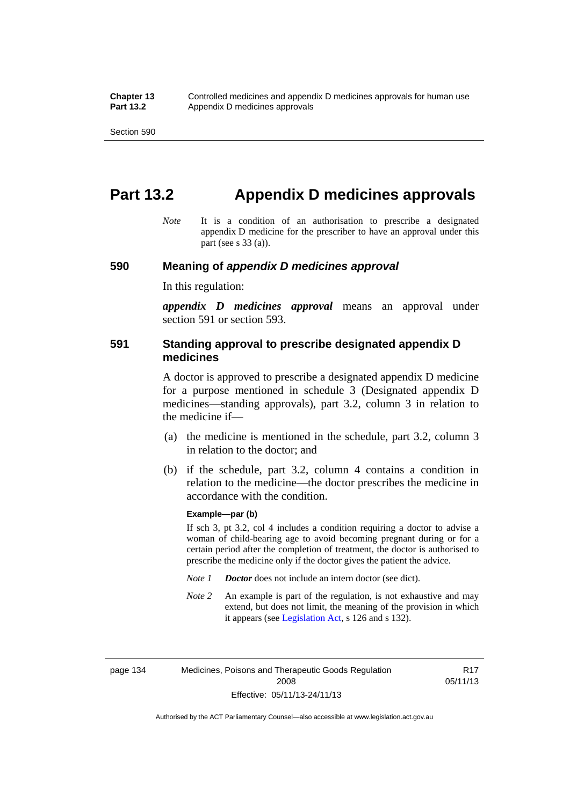# **Part 13.2 Appendix D medicines approvals**

*Note* It is a condition of an authorisation to prescribe a designated appendix D medicine for the prescriber to have an approval under this part (see s 33 (a)).

#### **590 Meaning of** *appendix D medicines approval*

In this regulation:

*appendix D medicines approval* means an approval under section 591 or section 593.

#### **591 Standing approval to prescribe designated appendix D medicines**

A doctor is approved to prescribe a designated appendix D medicine for a purpose mentioned in schedule 3 (Designated appendix D medicines—standing approvals), part 3.2, column 3 in relation to the medicine if—

- (a) the medicine is mentioned in the schedule, part 3.2, column 3 in relation to the doctor; and
- (b) if the schedule, part 3.2, column 4 contains a condition in relation to the medicine—the doctor prescribes the medicine in accordance with the condition.

#### **Example—par (b)**

If sch 3, pt 3.2, col 4 includes a condition requiring a doctor to advise a woman of child-bearing age to avoid becoming pregnant during or for a certain period after the completion of treatment, the doctor is authorised to prescribe the medicine only if the doctor gives the patient the advice.

- *Note 1 Doctor* does not include an intern doctor (see dict).
- *Note 2* An example is part of the regulation, is not exhaustive and may extend, but does not limit, the meaning of the provision in which it appears (see [Legislation Act,](http://www.legislation.act.gov.au/a/2001-14) s 126 and s 132).

page 134 Medicines, Poisons and Therapeutic Goods Regulation 2008 Effective: 05/11/13-24/11/13

R17 05/11/13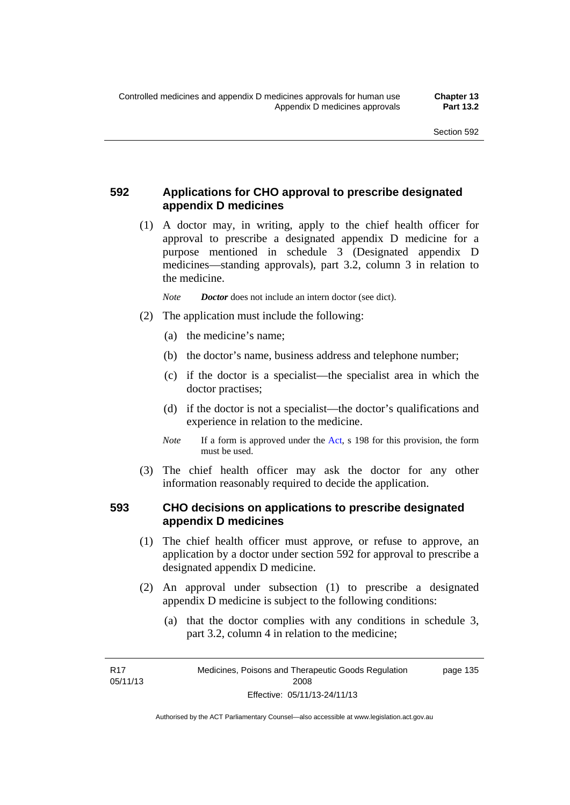### **592 Applications for CHO approval to prescribe designated appendix D medicines**

 (1) A doctor may, in writing, apply to the chief health officer for approval to prescribe a designated appendix D medicine for a purpose mentioned in schedule 3 (Designated appendix D medicines—standing approvals), part 3.2, column 3 in relation to the medicine.

*Note Doctor* does not include an intern doctor (see dict).

- (2) The application must include the following:
	- (a) the medicine's name;
	- (b) the doctor's name, business address and telephone number;
	- (c) if the doctor is a specialist—the specialist area in which the doctor practises;
	- (d) if the doctor is not a specialist—the doctor's qualifications and experience in relation to the medicine.
	- *Note* If a form is approved under the [Act](http://www.legislation.act.gov.au/a/2008-26/default.asp), s 198 for this provision, the form must be used.
- (3) The chief health officer may ask the doctor for any other information reasonably required to decide the application.

#### **593 CHO decisions on applications to prescribe designated appendix D medicines**

- (1) The chief health officer must approve, or refuse to approve, an application by a doctor under section 592 for approval to prescribe a designated appendix D medicine.
- (2) An approval under subsection (1) to prescribe a designated appendix D medicine is subject to the following conditions:
	- (a) that the doctor complies with any conditions in schedule 3, part 3.2, column 4 in relation to the medicine;

R17 05/11/13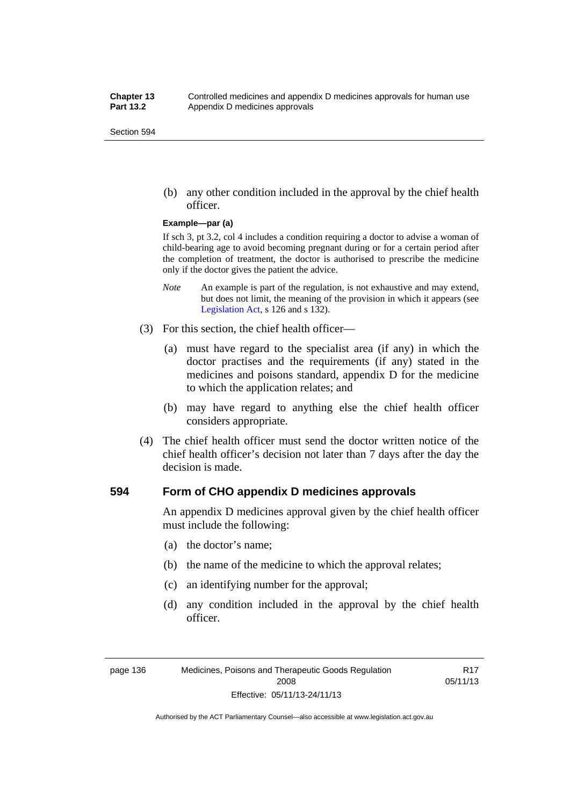(b) any other condition included in the approval by the chief health officer.

#### **Example—par (a)**

If sch 3, pt 3.2, col 4 includes a condition requiring a doctor to advise a woman of child-bearing age to avoid becoming pregnant during or for a certain period after the completion of treatment, the doctor is authorised to prescribe the medicine only if the doctor gives the patient the advice.

- *Note* An example is part of the regulation, is not exhaustive and may extend, but does not limit, the meaning of the provision in which it appears (see [Legislation Act,](http://www.legislation.act.gov.au/a/2001-14) s 126 and s 132).
- (3) For this section, the chief health officer—
	- (a) must have regard to the specialist area (if any) in which the doctor practises and the requirements (if any) stated in the medicines and poisons standard, appendix D for the medicine to which the application relates; and
	- (b) may have regard to anything else the chief health officer considers appropriate.
- (4) The chief health officer must send the doctor written notice of the chief health officer's decision not later than 7 days after the day the decision is made.

#### **594 Form of CHO appendix D medicines approvals**

An appendix D medicines approval given by the chief health officer must include the following:

- (a) the doctor's name;
- (b) the name of the medicine to which the approval relates;
- (c) an identifying number for the approval;
- (d) any condition included in the approval by the chief health officer.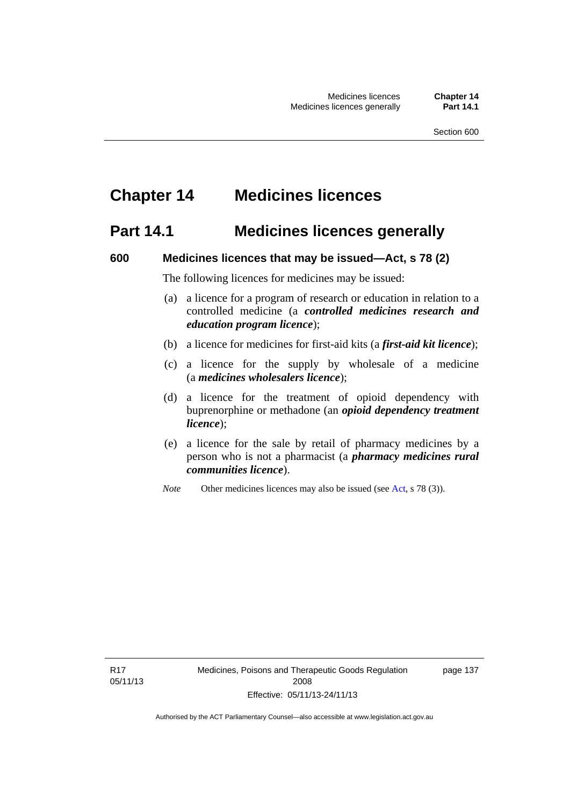## **Chapter 14 Medicines licences**

## **Part 14.1 Medicines licences generally**

#### **600 Medicines licences that may be issued—Act, s 78 (2)**

The following licences for medicines may be issued:

- (a) a licence for a program of research or education in relation to a controlled medicine (a *controlled medicines research and education program licence*);
- (b) a licence for medicines for first-aid kits (a *first-aid kit licence*);
- (c) a licence for the supply by wholesale of a medicine (a *medicines wholesalers licence*);
- (d) a licence for the treatment of opioid dependency with buprenorphine or methadone (an *opioid dependency treatment licence*);
- (e) a licence for the sale by retail of pharmacy medicines by a person who is not a pharmacist (a *pharmacy medicines rural communities licence*).
- *Note* Other medicines licences may also be issued (see [Act,](http://www.legislation.act.gov.au/a/2008-26/default.asp) s 78 (3)).

R17 05/11/13 page 137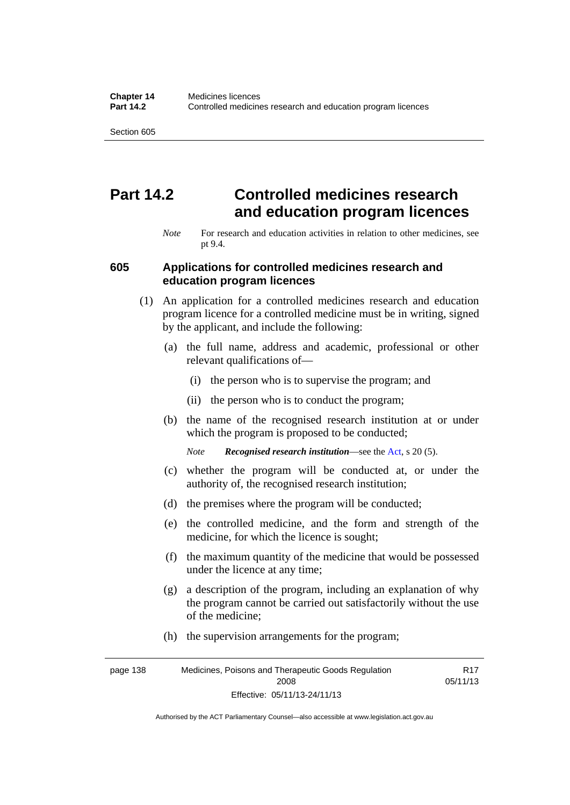# **Part 14.2 Controlled medicines research and education program licences**

*Note* For research and education activities in relation to other medicines, see pt 9.4.

#### **605 Applications for controlled medicines research and education program licences**

- (1) An application for a controlled medicines research and education program licence for a controlled medicine must be in writing, signed by the applicant, and include the following:
	- (a) the full name, address and academic, professional or other relevant qualifications of—
		- (i) the person who is to supervise the program; and
		- (ii) the person who is to conduct the program;
	- (b) the name of the recognised research institution at or under which the program is proposed to be conducted;
		- *Note Recognised research institution*—see the [Act](http://www.legislation.act.gov.au/a/2008-26/default.asp), s 20 (5).
	- (c) whether the program will be conducted at, or under the authority of, the recognised research institution;
	- (d) the premises where the program will be conducted;
	- (e) the controlled medicine, and the form and strength of the medicine, for which the licence is sought;
	- (f) the maximum quantity of the medicine that would be possessed under the licence at any time;
	- (g) a description of the program, including an explanation of why the program cannot be carried out satisfactorily without the use of the medicine;
	- (h) the supervision arrangements for the program;

page 138 Medicines, Poisons and Therapeutic Goods Regulation 2008 Effective: 05/11/13-24/11/13 R17 05/11/13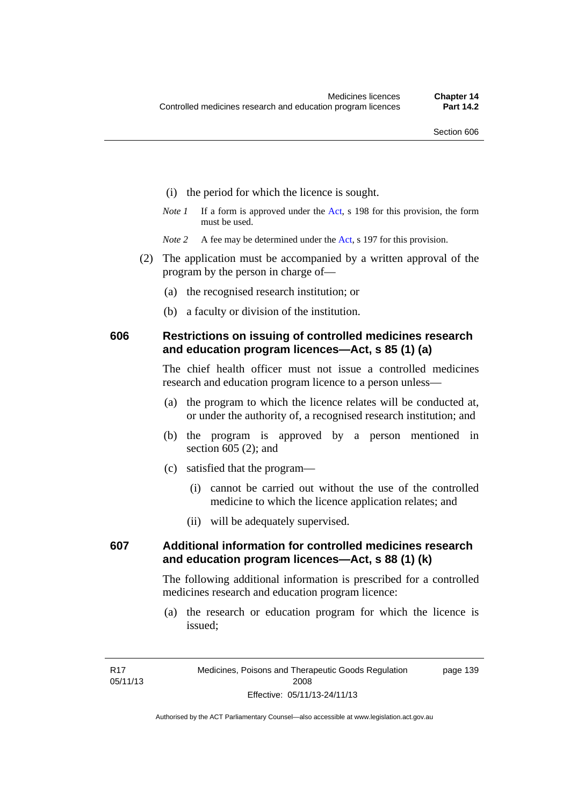- (i) the period for which the licence is sought.
- *Note 1* If a form is approved under the [Act](http://www.legislation.act.gov.au/a/2008-26/default.asp), s 198 for this provision, the form must be used.
- *Note* 2 A fee may be determined under the [Act,](http://www.legislation.act.gov.au/a/2008-26/default.asp) s 197 for this provision.
- (2) The application must be accompanied by a written approval of the program by the person in charge of—
	- (a) the recognised research institution; or
	- (b) a faculty or division of the institution.

#### **606 Restrictions on issuing of controlled medicines research and education program licences—Act, s 85 (1) (a)**

The chief health officer must not issue a controlled medicines research and education program licence to a person unless—

- (a) the program to which the licence relates will be conducted at, or under the authority of, a recognised research institution; and
- (b) the program is approved by a person mentioned in section 605 (2); and
- (c) satisfied that the program—
	- (i) cannot be carried out without the use of the controlled medicine to which the licence application relates; and
	- (ii) will be adequately supervised.

### **607 Additional information for controlled medicines research and education program licences—Act, s 88 (1) (k)**

The following additional information is prescribed for a controlled medicines research and education program licence:

 (a) the research or education program for which the licence is issued;

page 139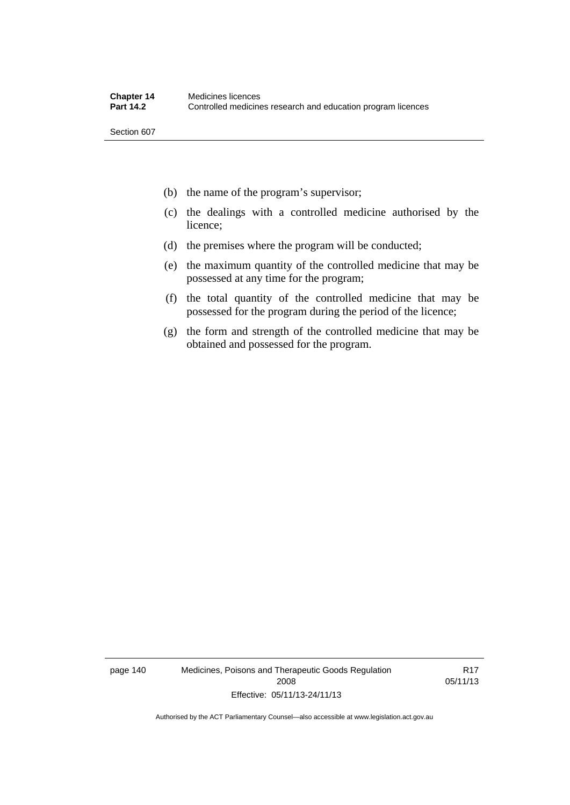- (b) the name of the program's supervisor;
- (c) the dealings with a controlled medicine authorised by the licence;
- (d) the premises where the program will be conducted;
- (e) the maximum quantity of the controlled medicine that may be possessed at any time for the program;
- (f) the total quantity of the controlled medicine that may be possessed for the program during the period of the licence;
- (g) the form and strength of the controlled medicine that may be obtained and possessed for the program.

page 140 Medicines, Poisons and Therapeutic Goods Regulation 2008 Effective: 05/11/13-24/11/13

R17 05/11/13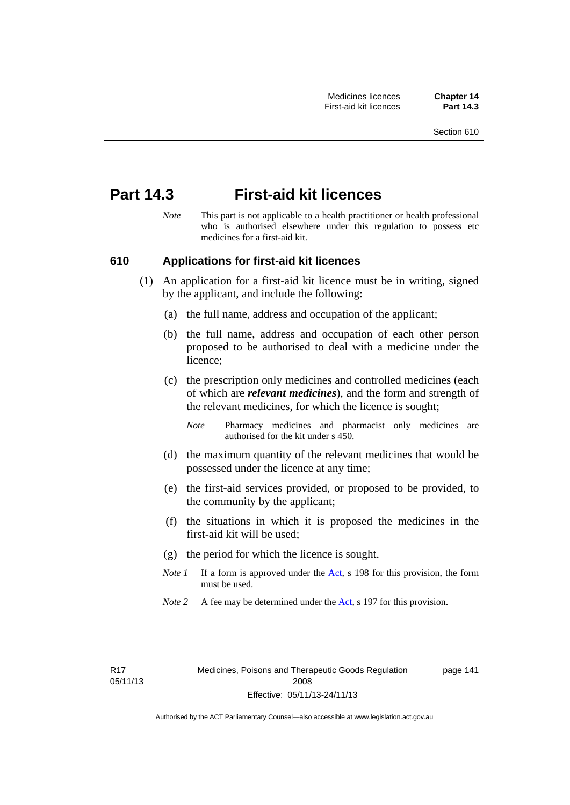## **Part 14.3 First-aid kit licences**

*Note* This part is not applicable to a health practitioner or health professional who is authorised elsewhere under this regulation to possess etc medicines for a first-aid kit.

#### **610 Applications for first-aid kit licences**

- (1) An application for a first-aid kit licence must be in writing, signed by the applicant, and include the following:
	- (a) the full name, address and occupation of the applicant;
	- (b) the full name, address and occupation of each other person proposed to be authorised to deal with a medicine under the licence;
	- (c) the prescription only medicines and controlled medicines (each of which are *relevant medicines*), and the form and strength of the relevant medicines, for which the licence is sought;
		- *Note* Pharmacy medicines and pharmacist only medicines are authorised for the kit under s 450.
	- (d) the maximum quantity of the relevant medicines that would be possessed under the licence at any time;
	- (e) the first-aid services provided, or proposed to be provided, to the community by the applicant;
	- (f) the situations in which it is proposed the medicines in the first-aid kit will be used;
	- (g) the period for which the licence is sought.
	- *Note 1* If a form is approved under the [Act](http://www.legislation.act.gov.au/a/2008-26/default.asp), s 198 for this provision, the form must be used.
	- *Note 2* A fee may be determined under the [Act,](http://www.legislation.act.gov.au/a/2008-26/default.asp) s 197 for this provision.

page 141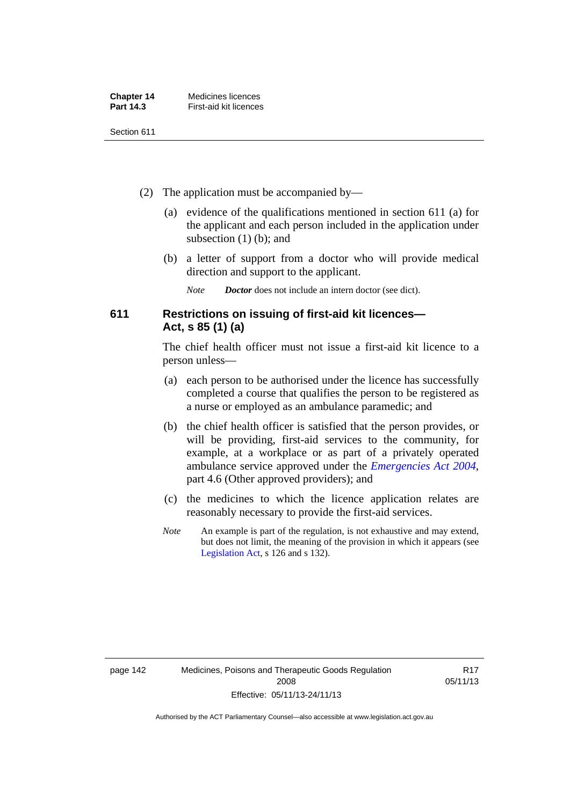| <b>Chapter 14</b> | Medicines licences     |
|-------------------|------------------------|
| <b>Part 14.3</b>  | First-aid kit licences |

- (2) The application must be accompanied by—
	- (a) evidence of the qualifications mentioned in section 611 (a) for the applicant and each person included in the application under subsection (1) (b); and
	- (b) a letter of support from a doctor who will provide medical direction and support to the applicant.
		- *Note Doctor* does not include an intern doctor (see dict).

### **611 Restrictions on issuing of first-aid kit licences— Act, s 85 (1) (a)**

The chief health officer must not issue a first-aid kit licence to a person unless—

- (a) each person to be authorised under the licence has successfully completed a course that qualifies the person to be registered as a nurse or employed as an ambulance paramedic; and
- (b) the chief health officer is satisfied that the person provides, or will be providing, first-aid services to the community, for example, at a workplace or as part of a privately operated ambulance service approved under the *[Emergencies Act 2004](http://www.legislation.act.gov.au/a/2004-28)*, part 4.6 (Other approved providers); and
- (c) the medicines to which the licence application relates are reasonably necessary to provide the first-aid services.
- *Note* An example is part of the regulation, is not exhaustive and may extend, but does not limit, the meaning of the provision in which it appears (see [Legislation Act,](http://www.legislation.act.gov.au/a/2001-14) s 126 and s 132).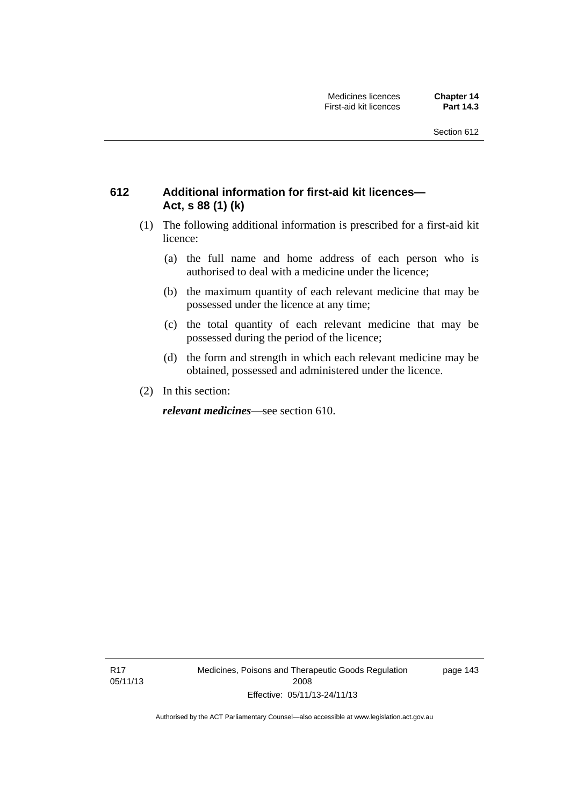### **612 Additional information for first-aid kit licences— Act, s 88 (1) (k)**

- (1) The following additional information is prescribed for a first-aid kit licence:
	- (a) the full name and home address of each person who is authorised to deal with a medicine under the licence;
	- (b) the maximum quantity of each relevant medicine that may be possessed under the licence at any time;
	- (c) the total quantity of each relevant medicine that may be possessed during the period of the licence;
	- (d) the form and strength in which each relevant medicine may be obtained, possessed and administered under the licence.
- (2) In this section:

*relevant medicines*—see section 610.

R17 05/11/13 Medicines, Poisons and Therapeutic Goods Regulation 2008 Effective: 05/11/13-24/11/13

page 143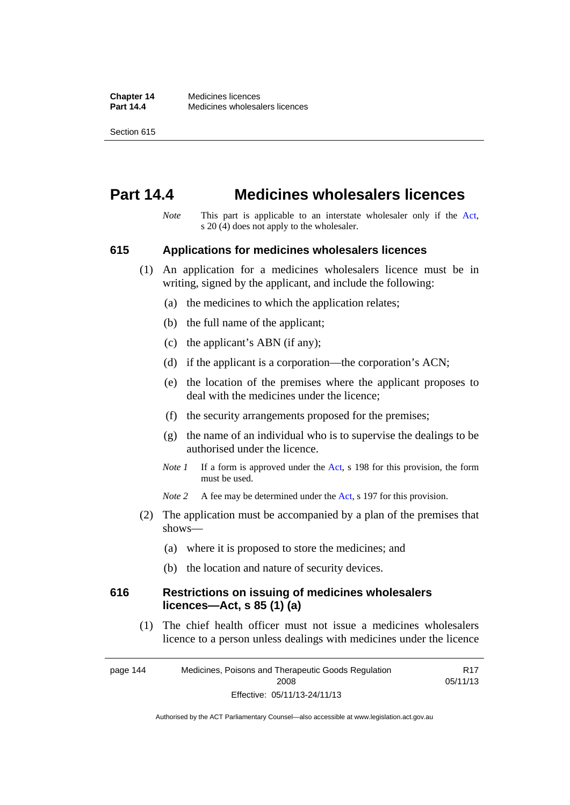## **Part 14.4 Medicines wholesalers licences**

*Note* This part is applicable to an interstate wholesaler only if the [Act,](http://www.legislation.act.gov.au/a/2008-26/default.asp) s 20 (4) does not apply to the wholesaler.

#### **615 Applications for medicines wholesalers licences**

- (1) An application for a medicines wholesalers licence must be in writing, signed by the applicant, and include the following:
	- (a) the medicines to which the application relates;
	- (b) the full name of the applicant;
	- (c) the applicant's ABN (if any);
	- (d) if the applicant is a corporation—the corporation's ACN;
	- (e) the location of the premises where the applicant proposes to deal with the medicines under the licence;
	- (f) the security arrangements proposed for the premises;
	- (g) the name of an individual who is to supervise the dealings to be authorised under the licence.
	- *Note 1* If a form is approved under the [Act](http://www.legislation.act.gov.au/a/2008-26/default.asp), s 198 for this provision, the form must be used.
	- *Note* 2 A fee may be determined under the [Act,](http://www.legislation.act.gov.au/a/2008-26/default.asp) s 197 for this provision.
- (2) The application must be accompanied by a plan of the premises that shows—
	- (a) where it is proposed to store the medicines; and
	- (b) the location and nature of security devices.

#### **616 Restrictions on issuing of medicines wholesalers licences—Act, s 85 (1) (a)**

 (1) The chief health officer must not issue a medicines wholesalers licence to a person unless dealings with medicines under the licence

page 144 Medicines, Poisons and Therapeutic Goods Regulation 2008 Effective: 05/11/13-24/11/13 R17 05/11/13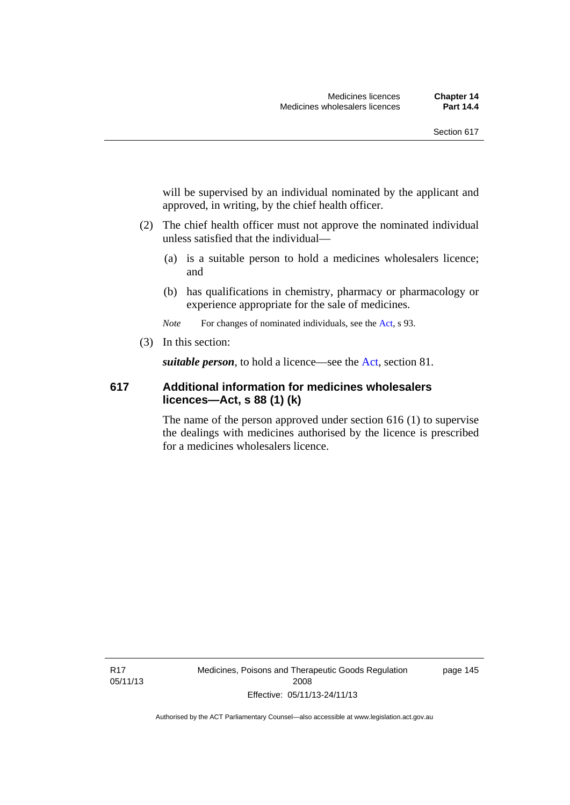will be supervised by an individual nominated by the applicant and approved, in writing, by the chief health officer.

- (2) The chief health officer must not approve the nominated individual unless satisfied that the individual—
	- (a) is a suitable person to hold a medicines wholesalers licence; and
	- (b) has qualifications in chemistry, pharmacy or pharmacology or experience appropriate for the sale of medicines.

*Note* For changes of nominated individuals, see the [Act,](http://www.legislation.act.gov.au/a/2008-26/default.asp) s 93.

(3) In this section:

*suitable person*, to hold a licence—see the [Act](http://www.legislation.act.gov.au/a/2008-26/default.asp), section 81.

#### **617 Additional information for medicines wholesalers licences—Act, s 88 (1) (k)**

The name of the person approved under section 616 (1) to supervise the dealings with medicines authorised by the licence is prescribed for a medicines wholesalers licence.

R17 05/11/13 Medicines, Poisons and Therapeutic Goods Regulation 2008 Effective: 05/11/13-24/11/13

page 145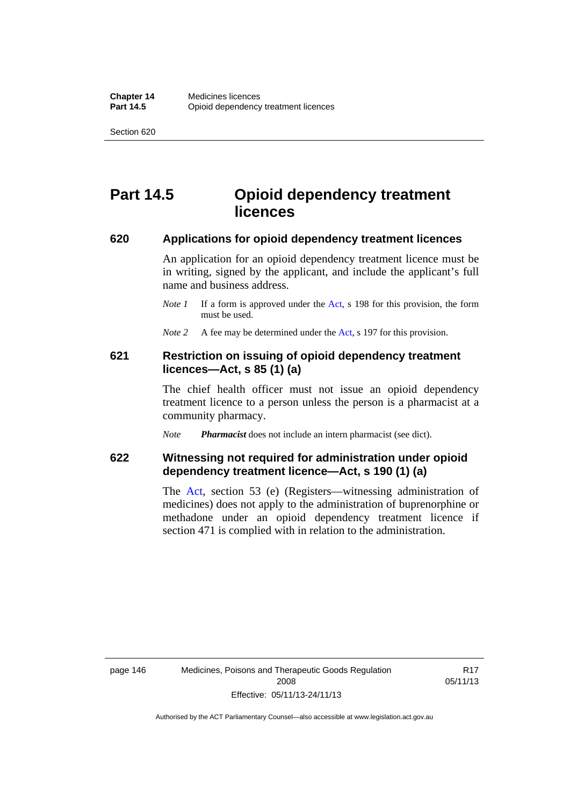# **Part 14.5 Opioid dependency treatment licences**

#### **620 Applications for opioid dependency treatment licences**

An application for an opioid dependency treatment licence must be in writing, signed by the applicant, and include the applicant's full name and business address.

- *Note 1* If a form is approved under the [Act](http://www.legislation.act.gov.au/a/2008-26/default.asp), s 198 for this provision, the form must be used.
- *Note 2* A fee may be determined under the [Act,](http://www.legislation.act.gov.au/a/2008-26/default.asp) s 197 for this provision.

#### **621 Restriction on issuing of opioid dependency treatment licences—Act, s 85 (1) (a)**

The chief health officer must not issue an opioid dependency treatment licence to a person unless the person is a pharmacist at a community pharmacy.

*Note Pharmacist* does not include an intern pharmacist (see dict).

### **622 Witnessing not required for administration under opioid dependency treatment licence—Act, s 190 (1) (a)**

The [Act,](http://www.legislation.act.gov.au/a/2008-26/default.asp) section 53 (e) (Registers—witnessing administration of medicines) does not apply to the administration of buprenorphine or methadone under an opioid dependency treatment licence if section 471 is complied with in relation to the administration.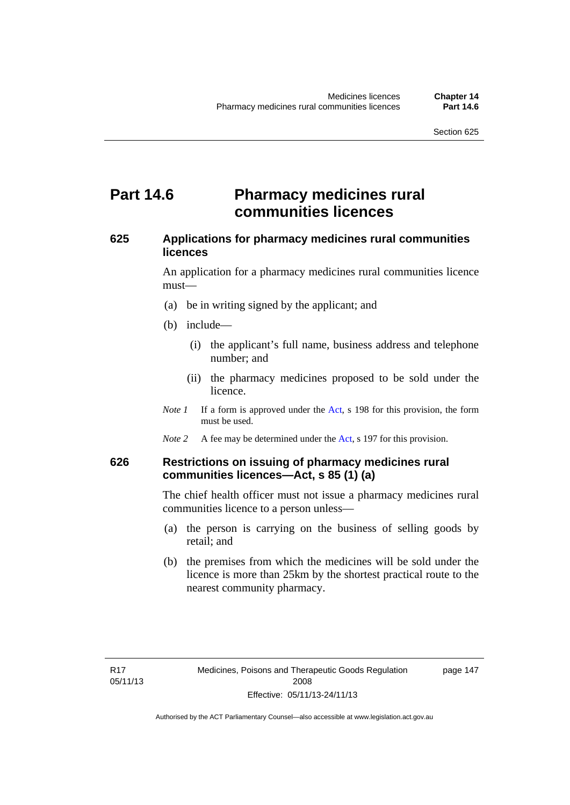## **Part 14.6 Pharmacy medicines rural communities licences**

### **625 Applications for pharmacy medicines rural communities licences**

An application for a pharmacy medicines rural communities licence must—

- (a) be in writing signed by the applicant; and
- (b) include—
	- (i) the applicant's full name, business address and telephone number; and
	- (ii) the pharmacy medicines proposed to be sold under the licence.
- *Note 1* If a form is approved under the [Act](http://www.legislation.act.gov.au/a/2008-26/default.asp), s 198 for this provision, the form must be used.
- *Note 2* A fee may be determined under the [Act,](http://www.legislation.act.gov.au/a/2008-26/default.asp) s 197 for this provision.

### **626 Restrictions on issuing of pharmacy medicines rural communities licences—Act, s 85 (1) (a)**

The chief health officer must not issue a pharmacy medicines rural communities licence to a person unless—

- (a) the person is carrying on the business of selling goods by retail; and
- (b) the premises from which the medicines will be sold under the licence is more than 25km by the shortest practical route to the nearest community pharmacy.

page 147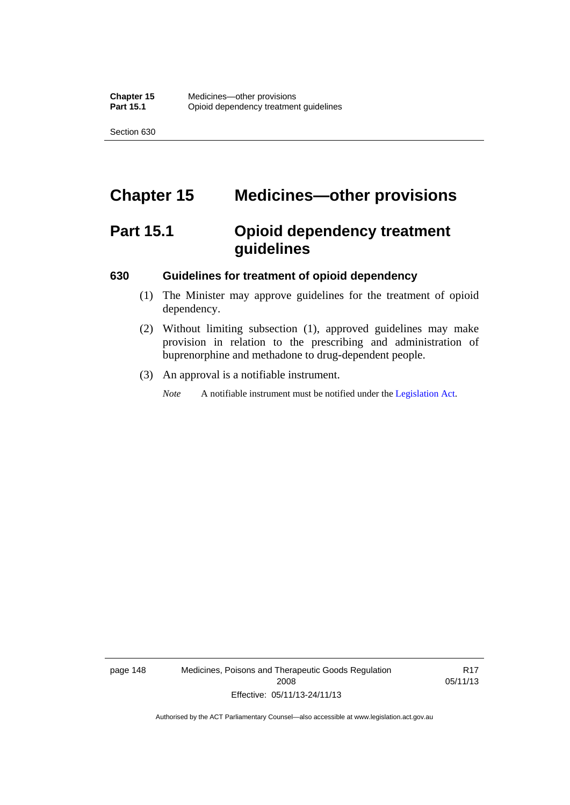# **Chapter 15 Medicines—other provisions**

# **Part 15.1 Opioid dependency treatment guidelines**

#### **630 Guidelines for treatment of opioid dependency**

- (1) The Minister may approve guidelines for the treatment of opioid dependency.
- (2) Without limiting subsection (1), approved guidelines may make provision in relation to the prescribing and administration of buprenorphine and methadone to drug-dependent people.
- (3) An approval is a notifiable instrument.

*Note* A notifiable instrument must be notified under the [Legislation Act](http://www.legislation.act.gov.au/a/2001-14).

page 148 Medicines, Poisons and Therapeutic Goods Regulation 2008 Effective: 05/11/13-24/11/13

R17 05/11/13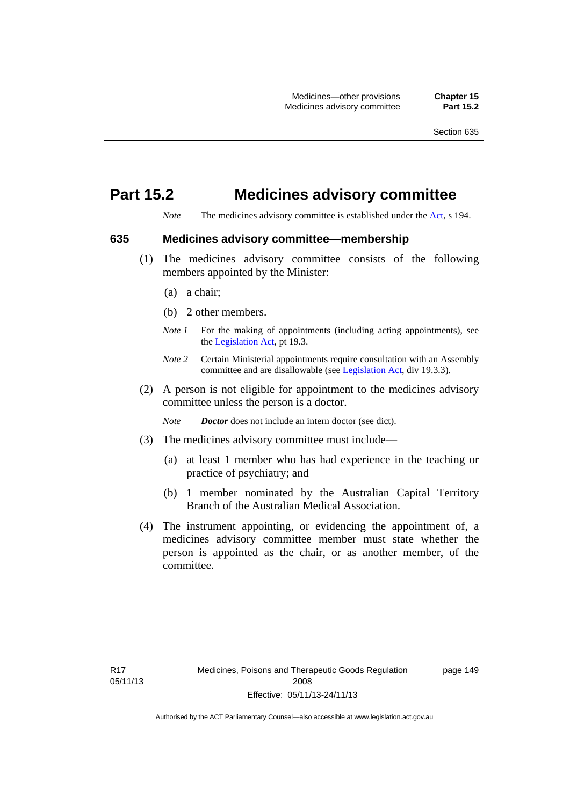# **Part 15.2 Medicines advisory committee**

*Note* The medicines advisory committee is established under the [Act](http://www.legislation.act.gov.au/a/2008-26/default.asp), s 194.

#### **635 Medicines advisory committee—membership**

- (1) The medicines advisory committee consists of the following members appointed by the Minister:
	- (a) a chair;
	- (b) 2 other members.
	- *Note 1* For the making of appointments (including acting appointments), see the [Legislation Act,](http://www.legislation.act.gov.au/a/2001-14) pt 19.3.
	- *Note 2* Certain Ministerial appointments require consultation with an Assembly committee and are disallowable (see [Legislation Act,](http://www.legislation.act.gov.au/a/2001-14) div 19.3.3).
- (2) A person is not eligible for appointment to the medicines advisory committee unless the person is a doctor.

*Note Doctor* does not include an intern doctor (see dict).

- (3) The medicines advisory committee must include—
	- (a) at least 1 member who has had experience in the teaching or practice of psychiatry; and
	- (b) 1 member nominated by the Australian Capital Territory Branch of the Australian Medical Association.
- (4) The instrument appointing, or evidencing the appointment of, a medicines advisory committee member must state whether the person is appointed as the chair, or as another member, of the committee.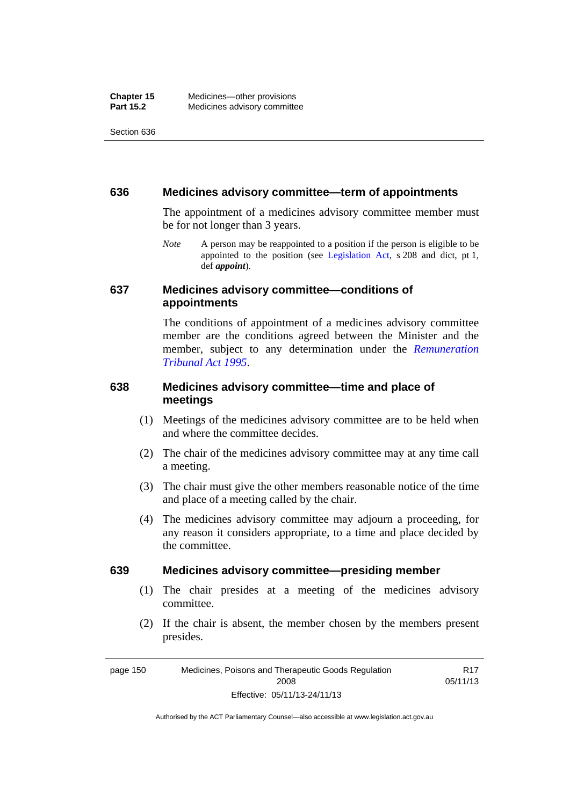#### **636 Medicines advisory committee—term of appointments**

The appointment of a medicines advisory committee member must be for not longer than 3 years.

*Note* A person may be reappointed to a position if the person is eligible to be appointed to the position (see [Legislation Act,](http://www.legislation.act.gov.au/a/2001-14) s 208 and dict, pt 1, def *appoint*).

#### **637 Medicines advisory committee—conditions of appointments**

The conditions of appointment of a medicines advisory committee member are the conditions agreed between the Minister and the member, subject to any determination under the *[Remuneration](http://www.legislation.act.gov.au/a/1995-55)  [Tribunal Act 1995](http://www.legislation.act.gov.au/a/1995-55)*.

#### **638 Medicines advisory committee—time and place of meetings**

- (1) Meetings of the medicines advisory committee are to be held when and where the committee decides.
- (2) The chair of the medicines advisory committee may at any time call a meeting.
- (3) The chair must give the other members reasonable notice of the time and place of a meeting called by the chair.
- (4) The medicines advisory committee may adjourn a proceeding, for any reason it considers appropriate, to a time and place decided by the committee.

#### **639 Medicines advisory committee—presiding member**

- (1) The chair presides at a meeting of the medicines advisory committee.
- (2) If the chair is absent, the member chosen by the members present presides.

page 150 Medicines, Poisons and Therapeutic Goods Regulation 2008 Effective: 05/11/13-24/11/13 R17 05/11/13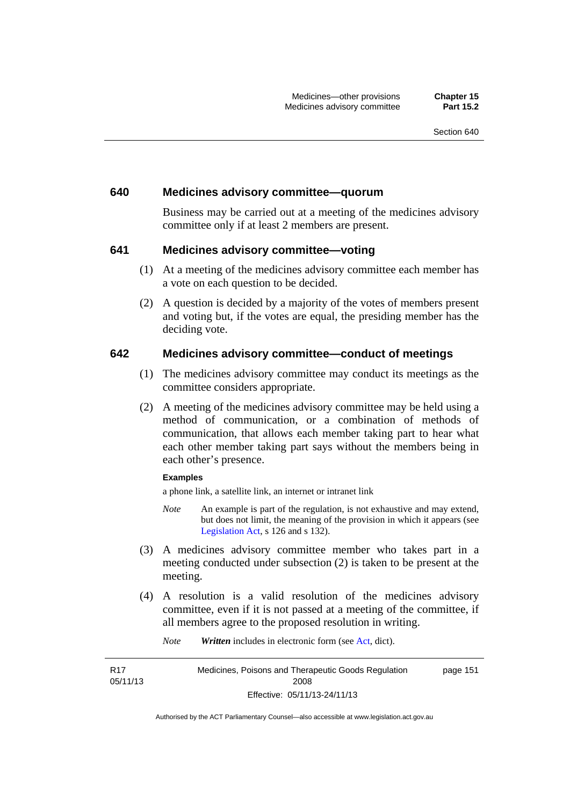#### **640 Medicines advisory committee—quorum**

Business may be carried out at a meeting of the medicines advisory committee only if at least 2 members are present.

#### **641 Medicines advisory committee—voting**

- (1) At a meeting of the medicines advisory committee each member has a vote on each question to be decided.
- (2) A question is decided by a majority of the votes of members present and voting but, if the votes are equal, the presiding member has the deciding vote.

#### **642 Medicines advisory committee—conduct of meetings**

- (1) The medicines advisory committee may conduct its meetings as the committee considers appropriate.
- (2) A meeting of the medicines advisory committee may be held using a method of communication, or a combination of methods of communication, that allows each member taking part to hear what each other member taking part says without the members being in each other's presence.

#### **Examples**

R17 05/11/13 a phone link, a satellite link, an internet or intranet link

- *Note* An example is part of the regulation, is not exhaustive and may extend, but does not limit, the meaning of the provision in which it appears (see [Legislation Act,](http://www.legislation.act.gov.au/a/2001-14) s 126 and s 132).
- (3) A medicines advisory committee member who takes part in a meeting conducted under subsection (2) is taken to be present at the meeting.
- (4) A resolution is a valid resolution of the medicines advisory committee, even if it is not passed at a meeting of the committee, if all members agree to the proposed resolution in writing.

*Note Written* includes in electronic form (see [Act,](http://www.legislation.act.gov.au/a/2008-26/default.asp) dict).

Medicines, Poisons and Therapeutic Goods Regulation 2008 Effective: 05/11/13-24/11/13 page 151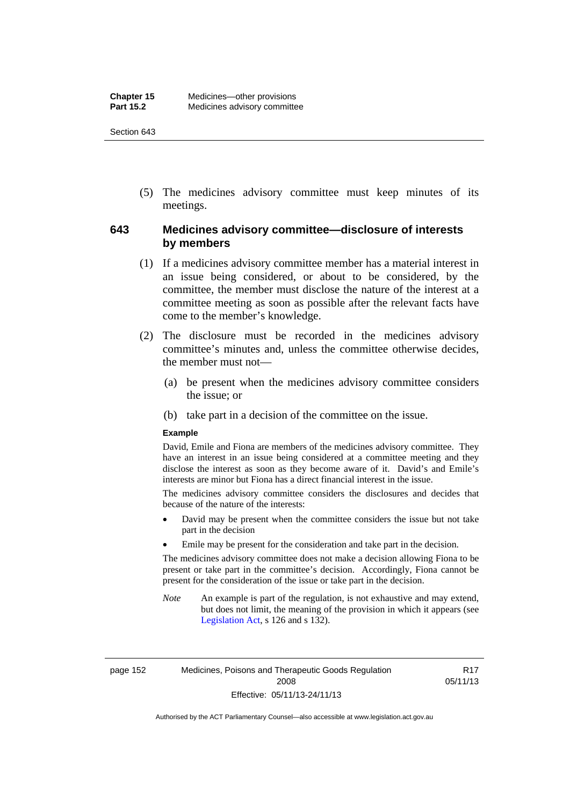(5) The medicines advisory committee must keep minutes of its meetings.

### **643 Medicines advisory committee—disclosure of interests by members**

- (1) If a medicines advisory committee member has a material interest in an issue being considered, or about to be considered, by the committee, the member must disclose the nature of the interest at a committee meeting as soon as possible after the relevant facts have come to the member's knowledge.
- (2) The disclosure must be recorded in the medicines advisory committee's minutes and, unless the committee otherwise decides, the member must not—
	- (a) be present when the medicines advisory committee considers the issue; or
	- (b) take part in a decision of the committee on the issue.

#### **Example**

David, Emile and Fiona are members of the medicines advisory committee. They have an interest in an issue being considered at a committee meeting and they disclose the interest as soon as they become aware of it. David's and Emile's interests are minor but Fiona has a direct financial interest in the issue.

The medicines advisory committee considers the disclosures and decides that because of the nature of the interests:

- David may be present when the committee considers the issue but not take part in the decision
- Emile may be present for the consideration and take part in the decision.

The medicines advisory committee does not make a decision allowing Fiona to be present or take part in the committee's decision. Accordingly, Fiona cannot be present for the consideration of the issue or take part in the decision.

*Note* An example is part of the regulation, is not exhaustive and may extend, but does not limit, the meaning of the provision in which it appears (see [Legislation Act,](http://www.legislation.act.gov.au/a/2001-14) s 126 and s 132).

page 152 Medicines, Poisons and Therapeutic Goods Regulation 2008 Effective: 05/11/13-24/11/13

R17 05/11/13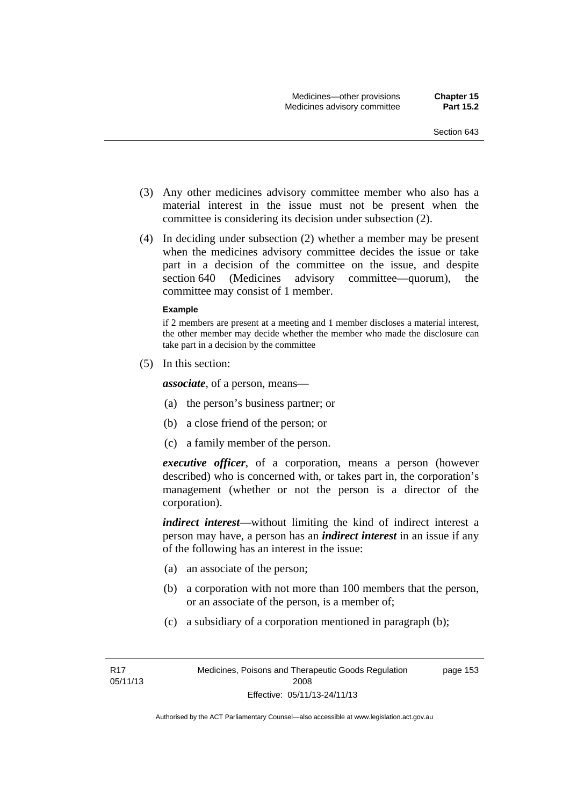- (3) Any other medicines advisory committee member who also has a material interest in the issue must not be present when the committee is considering its decision under subsection (2).
- (4) In deciding under subsection (2) whether a member may be present when the medicines advisory committee decides the issue or take part in a decision of the committee on the issue, and despite section 640 (Medicines advisory committee—quorum), the committee may consist of 1 member.

#### **Example**

if 2 members are present at a meeting and 1 member discloses a material interest, the other member may decide whether the member who made the disclosure can take part in a decision by the committee

(5) In this section:

*associate*, of a person, means—

- (a) the person's business partner; or
- (b) a close friend of the person; or
- (c) a family member of the person.

*executive officer*, of a corporation, means a person (however described) who is concerned with, or takes part in, the corporation's management (whether or not the person is a director of the corporation).

*indirect interest*—without limiting the kind of indirect interest a person may have, a person has an *indirect interest* in an issue if any of the following has an interest in the issue:

- (a) an associate of the person;
- (b) a corporation with not more than 100 members that the person, or an associate of the person, is a member of;
- (c) a subsidiary of a corporation mentioned in paragraph (b);

page 153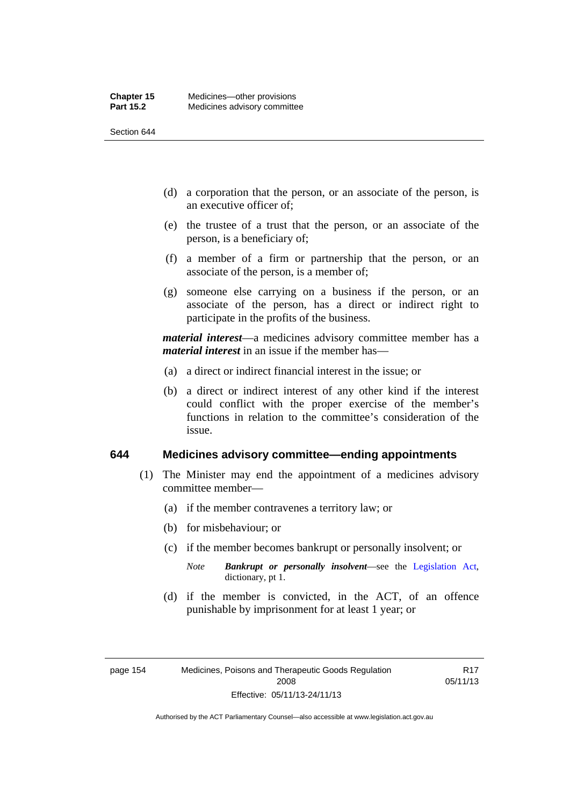- (d) a corporation that the person, or an associate of the person, is an executive officer of;
- (e) the trustee of a trust that the person, or an associate of the person, is a beneficiary of;
- (f) a member of a firm or partnership that the person, or an associate of the person, is a member of;
- (g) someone else carrying on a business if the person, or an associate of the person, has a direct or indirect right to participate in the profits of the business.

*material interest*—a medicines advisory committee member has a *material interest* in an issue if the member has—

- (a) a direct or indirect financial interest in the issue; or
- (b) a direct or indirect interest of any other kind if the interest could conflict with the proper exercise of the member's functions in relation to the committee's consideration of the issue.

#### **644 Medicines advisory committee—ending appointments**

- (1) The Minister may end the appointment of a medicines advisory committee member—
	- (a) if the member contravenes a territory law; or
	- (b) for misbehaviour; or
	- (c) if the member becomes bankrupt or personally insolvent; or
		- *Note Bankrupt or personally insolvent*—see the [Legislation Act,](http://www.legislation.act.gov.au/a/2001-14) dictionary, pt 1.
	- (d) if the member is convicted, in the ACT, of an offence punishable by imprisonment for at least 1 year; or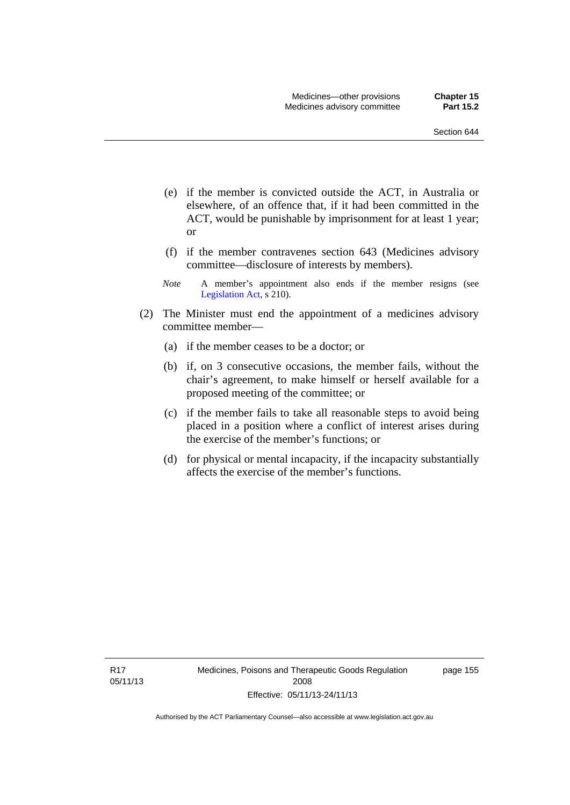- (e) if the member is convicted outside the ACT, in Australia or elsewhere, of an offence that, if it had been committed in the ACT, would be punishable by imprisonment for at least 1 year; or
- (f) if the member contravenes section 643 (Medicines advisory committee—disclosure of interests by members).
- *Note* A member's appointment also ends if the member resigns (see [Legislation Act,](http://www.legislation.act.gov.au/a/2001-14) s 210).
- (2) The Minister must end the appointment of a medicines advisory committee member—
	- (a) if the member ceases to be a doctor; or
	- (b) if, on 3 consecutive occasions, the member fails, without the chair's agreement, to make himself or herself available for a proposed meeting of the committee; or
	- (c) if the member fails to take all reasonable steps to avoid being placed in a position where a conflict of interest arises during the exercise of the member's functions; or
	- (d) for physical or mental incapacity, if the incapacity substantially affects the exercise of the member's functions.

R17 05/11/13 page 155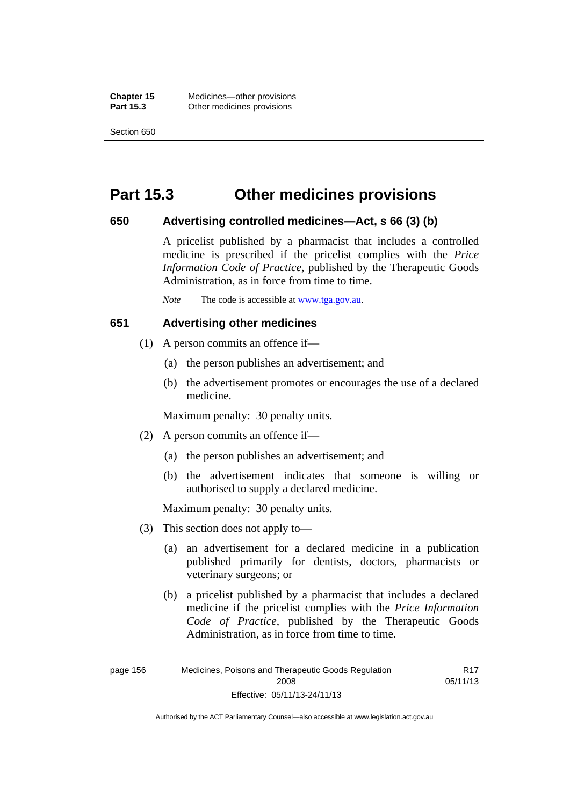**Chapter 15** Medicines—other provisions **Part 15.3 Other medicines provisions** 

Section 650

## **Part 15.3 Other medicines provisions**

#### **650 Advertising controlled medicines—Act, s 66 (3) (b)**

A pricelist published by a pharmacist that includes a controlled medicine is prescribed if the pricelist complies with the *Price Information Code of Practice*, published by the Therapeutic Goods Administration, as in force from time to time.

*Note* The code is accessible at [www.tga.gov.au](http://www.tga.gov.au/).

#### **651 Advertising other medicines**

- (1) A person commits an offence if—
	- (a) the person publishes an advertisement; and
	- (b) the advertisement promotes or encourages the use of a declared medicine.

Maximum penalty: 30 penalty units.

- (2) A person commits an offence if—
	- (a) the person publishes an advertisement; and
	- (b) the advertisement indicates that someone is willing or authorised to supply a declared medicine.

Maximum penalty: 30 penalty units.

- (3) This section does not apply to—
	- (a) an advertisement for a declared medicine in a publication published primarily for dentists, doctors, pharmacists or veterinary surgeons; or
	- (b) a pricelist published by a pharmacist that includes a declared medicine if the pricelist complies with the *Price Information Code of Practice*, published by the Therapeutic Goods Administration, as in force from time to time.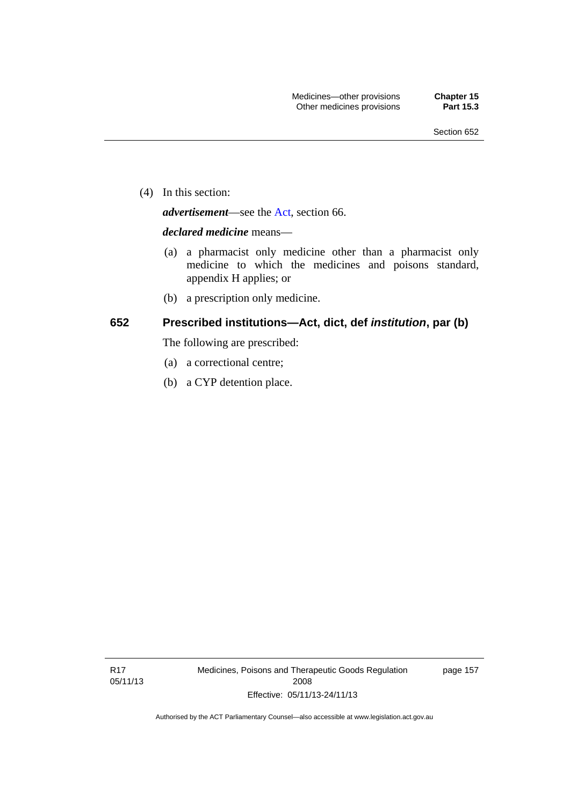(4) In this section:

*advertisement*—see the [Act,](http://www.legislation.act.gov.au/a/2008-26/default.asp) section 66.

#### *declared medicine* means—

- (a) a pharmacist only medicine other than a pharmacist only medicine to which the medicines and poisons standard, appendix H applies; or
- (b) a prescription only medicine.

#### **652 Prescribed institutions—Act, dict, def** *institution***, par (b)**

The following are prescribed:

- (a) a correctional centre;
- (b) a CYP detention place.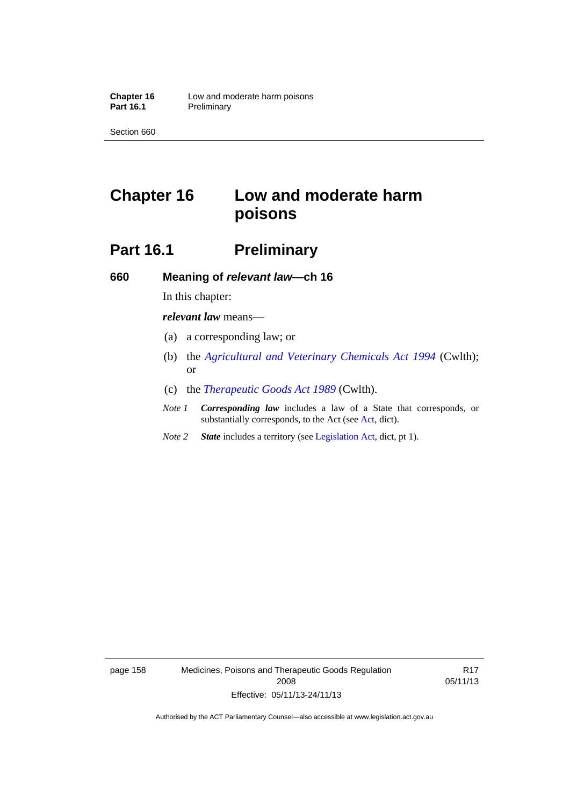# **Chapter 16 Low and moderate harm poisons**

# **Part 16.1** Preliminary

**660 Meaning of** *relevant law***—ch 16** 

In this chapter:

*relevant law* means—

- (a) a corresponding law; or
- (b) the *[Agricultural and Veterinary Chemicals Act 1994](http://www.comlaw.gov.au/Series/C2004A04712)* (Cwlth); or
- (c) the *[Therapeutic Goods Act 1989](http://www.comlaw.gov.au/Series/C2004A03952)* (Cwlth).
- *Note 1 Corresponding law* includes a law of a State that corresponds, or substantially corresponds, to the Act (see [Act](http://www.legislation.act.gov.au/a/2008-26/default.asp), dict).
- *Note 2 State* includes a territory (see [Legislation Act,](http://www.legislation.act.gov.au/a/2001-14) dict, pt 1).

page 158 Medicines, Poisons and Therapeutic Goods Regulation 2008 Effective: 05/11/13-24/11/13

R17 05/11/13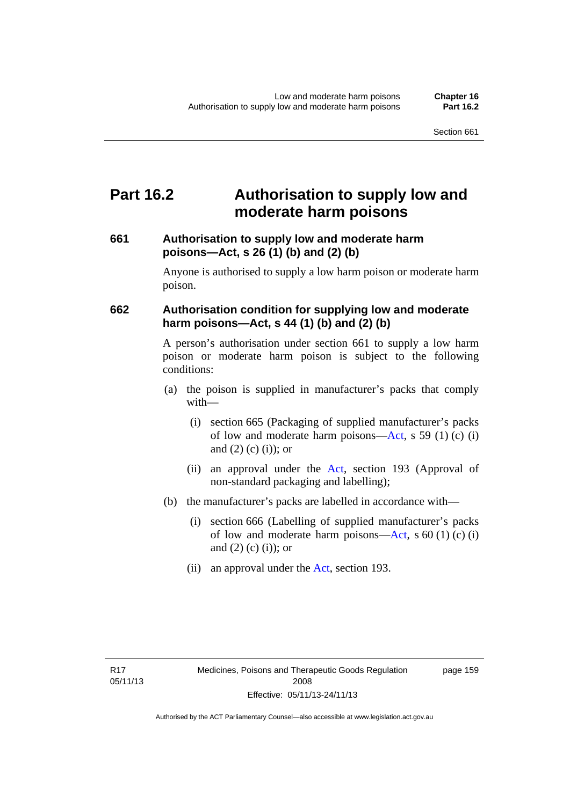## **Part 16.2 Authorisation to supply low and moderate harm poisons**

### **661 Authorisation to supply low and moderate harm poisons—Act, s 26 (1) (b) and (2) (b)**

Anyone is authorised to supply a low harm poison or moderate harm poison.

### **662 Authorisation condition for supplying low and moderate harm poisons—Act, s 44 (1) (b) and (2) (b)**

A person's authorisation under section 661 to supply a low harm poison or moderate harm poison is subject to the following conditions:

- (a) the poison is supplied in manufacturer's packs that comply with—
	- (i) section 665 (Packaging of supplied manufacturer's packs of low and moderate harm poisons—[Act](http://www.legislation.act.gov.au/a/2008-26/default.asp), s 59 (1) (c) (i) and  $(2)$  (c)  $(i)$ ; or
	- (ii) an approval under the [Act](http://www.legislation.act.gov.au/a/2008-26/default.asp), section 193 (Approval of non-standard packaging and labelling);
- (b) the manufacturer's packs are labelled in accordance with—
	- (i) section 666 (Labelling of supplied manufacturer's packs of low and moderate harm poisons—[Act](http://www.legislation.act.gov.au/a/2008-26/default.asp), s  $60(1)(c)(i)$ and  $(2)$   $(c)$   $(i)$ ; or
	- (ii) an approval under the [Act,](http://www.legislation.act.gov.au/a/2008-26/default.asp) section 193.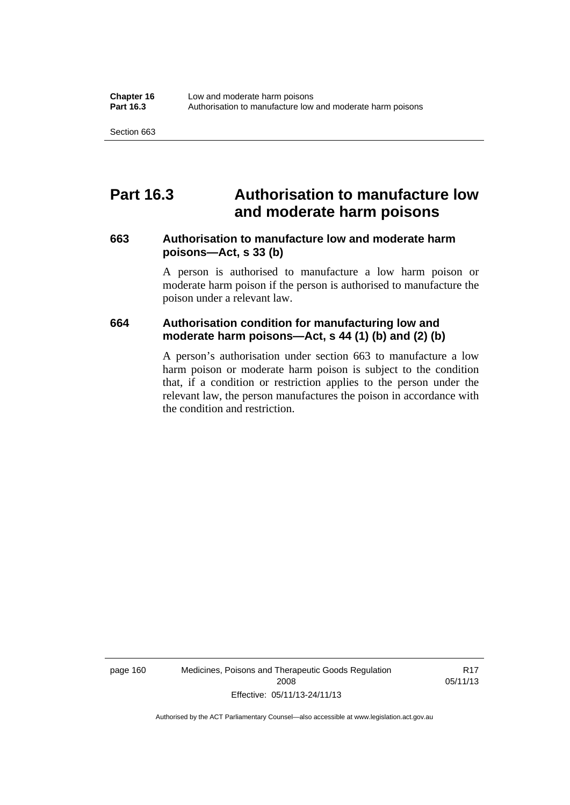## **Part 16.3 Authorisation to manufacture low and moderate harm poisons**

#### **663 Authorisation to manufacture low and moderate harm poisons—Act, s 33 (b)**

A person is authorised to manufacture a low harm poison or moderate harm poison if the person is authorised to manufacture the poison under a relevant law.

#### **664 Authorisation condition for manufacturing low and moderate harm poisons—Act, s 44 (1) (b) and (2) (b)**

A person's authorisation under section 663 to manufacture a low harm poison or moderate harm poison is subject to the condition that, if a condition or restriction applies to the person under the relevant law, the person manufactures the poison in accordance with the condition and restriction.

page 160 Medicines, Poisons and Therapeutic Goods Regulation 2008 Effective: 05/11/13-24/11/13

R17 05/11/13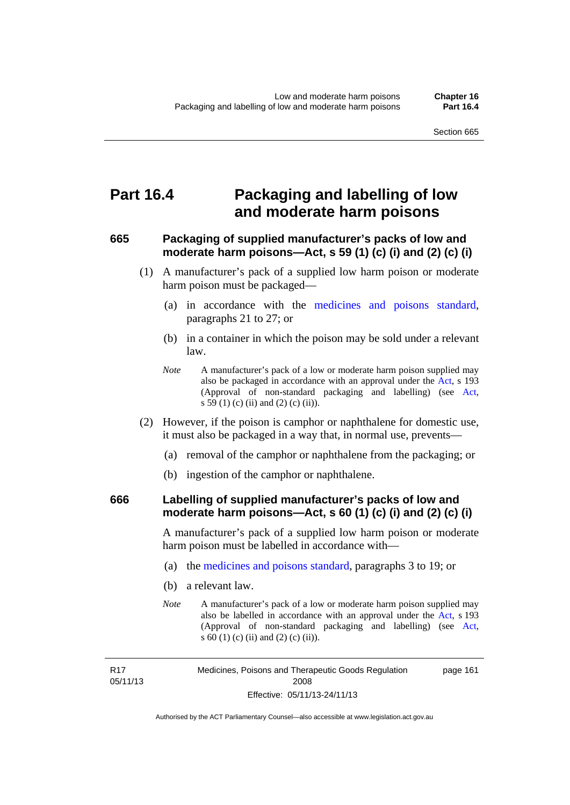## **Part 16.4 Packaging and labelling of low and moderate harm poisons**

### **665 Packaging of supplied manufacturer's packs of low and moderate harm poisons—Act, s 59 (1) (c) (i) and (2) (c) (i)**

- (1) A manufacturer's pack of a supplied low harm poison or moderate harm poison must be packaged—
	- (a) in accordance with the [medicines and poisons standard](http://www.comlaw.gov.au/Series/F2012L01200), paragraphs 21 to 27; or
	- (b) in a container in which the poison may be sold under a relevant law.
	- *Note* A manufacturer's pack of a low or moderate harm poison supplied may also be packaged in accordance with an approval under the [Act](http://www.legislation.act.gov.au/a/2008-26/default.asp), s 193 (Approval of non-standard packaging and labelling) (see [Act,](http://www.legislation.act.gov.au/a/2008-26/default.asp) s 59 (1) (c) (ii) and (2) (c) (ii)).
- (2) However, if the poison is camphor or naphthalene for domestic use, it must also be packaged in a way that, in normal use, prevents—
	- (a) removal of the camphor or naphthalene from the packaging; or
	- (b) ingestion of the camphor or naphthalene.

#### **666 Labelling of supplied manufacturer's packs of low and moderate harm poisons—Act, s 60 (1) (c) (i) and (2) (c) (i)**

A manufacturer's pack of a supplied low harm poison or moderate harm poison must be labelled in accordance with—

- (a) the [medicines and poisons standard](http://www.comlaw.gov.au/Series/F2012L01200), paragraphs 3 to 19; or
- (b) a relevant law.
- *Note* A manufacturer's pack of a low or moderate harm poison supplied may also be labelled in accordance with an approval under the [Act](http://www.legislation.act.gov.au/a/2008-26/default.asp), s 193 (Approval of non-standard packaging and labelling) (see [Act,](http://www.legislation.act.gov.au/a/2008-26/default.asp) s 60 (1) (c) (ii) and (2) (c) (ii)).

R17 05/11/13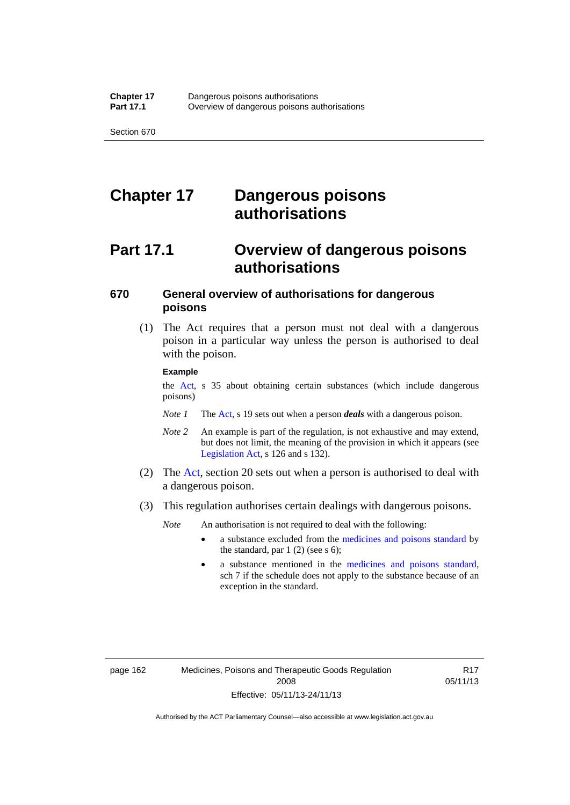# **Chapter 17 Dangerous poisons authorisations**

# **Part 17.1 Overview of dangerous poisons authorisations**

### **670 General overview of authorisations for dangerous poisons**

 (1) The Act requires that a person must not deal with a dangerous poison in a particular way unless the person is authorised to deal with the poison.

#### **Example**

the [Act,](http://www.legislation.act.gov.au/a/2008-26/default.asp) s 35 about obtaining certain substances (which include dangerous poisons)

- *Note 1* The [Act,](http://www.legislation.act.gov.au/a/2008-26/default.asp) s 19 sets out when a person *deals* with a dangerous poison.
- *Note 2* An example is part of the regulation, is not exhaustive and may extend, but does not limit, the meaning of the provision in which it appears (see [Legislation Act,](http://www.legislation.act.gov.au/a/2001-14) s 126 and s 132).
- (2) The [Act](http://www.legislation.act.gov.au/a/2008-26/default.asp), section 20 sets out when a person is authorised to deal with a dangerous poison.
- (3) This regulation authorises certain dealings with dangerous poisons.

*Note* An authorisation is not required to deal with the following:

- a substance excluded from the [medicines and poisons standard](http://www.comlaw.gov.au/Series/F2012L01200) by the standard, par  $1(2)$  (see s 6);
- a substance mentioned in the [medicines and poisons standard,](http://www.comlaw.gov.au/Series/F2012L01200) sch 7 if the schedule does not apply to the substance because of an exception in the standard.

R17 05/11/13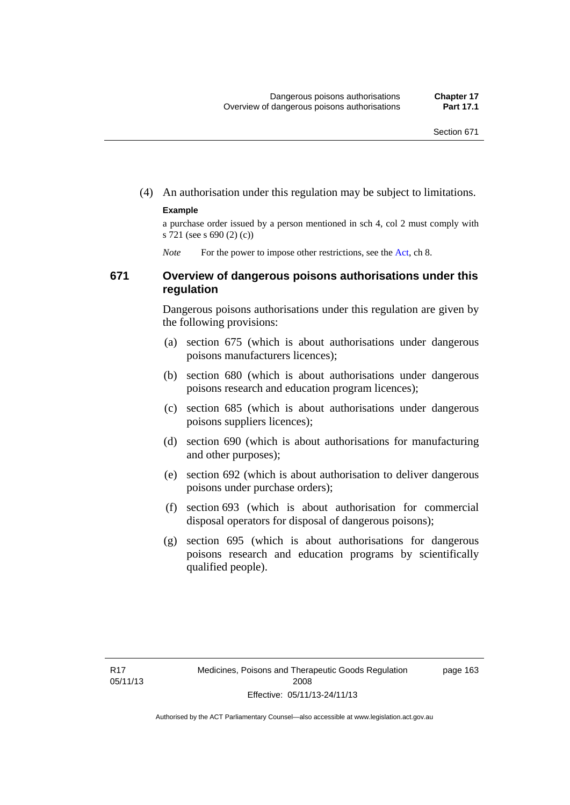(4) An authorisation under this regulation may be subject to limitations.

#### **Example**

a purchase order issued by a person mentioned in sch 4, col 2 must comply with s 721 (see s 690 (2) (c))

*Note* For the power to impose other restrictions, see the [Act](http://www.legislation.act.gov.au/a/2008-26/default.asp), ch 8.

#### **671 Overview of dangerous poisons authorisations under this regulation**

Dangerous poisons authorisations under this regulation are given by the following provisions:

- (a) section 675 (which is about authorisations under dangerous poisons manufacturers licences);
- (b) section 680 (which is about authorisations under dangerous poisons research and education program licences);
- (c) section 685 (which is about authorisations under dangerous poisons suppliers licences);
- (d) section 690 (which is about authorisations for manufacturing and other purposes);
- (e) section 692 (which is about authorisation to deliver dangerous poisons under purchase orders);
- (f) section 693 (which is about authorisation for commercial disposal operators for disposal of dangerous poisons);
- (g) section 695 (which is about authorisations for dangerous poisons research and education programs by scientifically qualified people).

page 163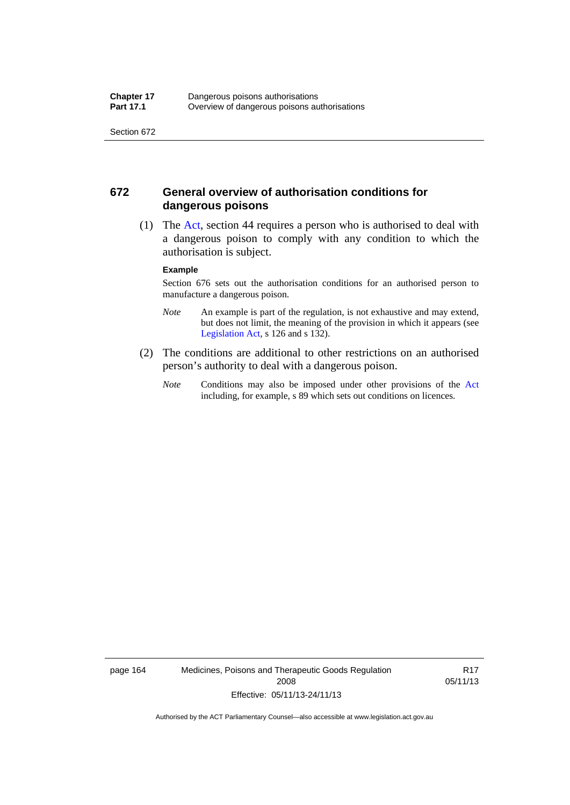#### **672 General overview of authorisation conditions for dangerous poisons**

 (1) The [Act](http://www.legislation.act.gov.au/a/2008-26/default.asp), section 44 requires a person who is authorised to deal with a dangerous poison to comply with any condition to which the authorisation is subject.

#### **Example**

Section 676 sets out the authorisation conditions for an authorised person to manufacture a dangerous poison.

- *Note* An example is part of the regulation, is not exhaustive and may extend, but does not limit, the meaning of the provision in which it appears (see [Legislation Act,](http://www.legislation.act.gov.au/a/2001-14) s 126 and s 132).
- (2) The conditions are additional to other restrictions on an authorised person's authority to deal with a dangerous poison.
	- *Note* Conditions may also be imposed under other provisions of the [Act](http://www.legislation.act.gov.au/a/2008-26/default.asp) including, for example, s 89 which sets out conditions on licences.

page 164 Medicines, Poisons and Therapeutic Goods Regulation 2008 Effective: 05/11/13-24/11/13

R17 05/11/13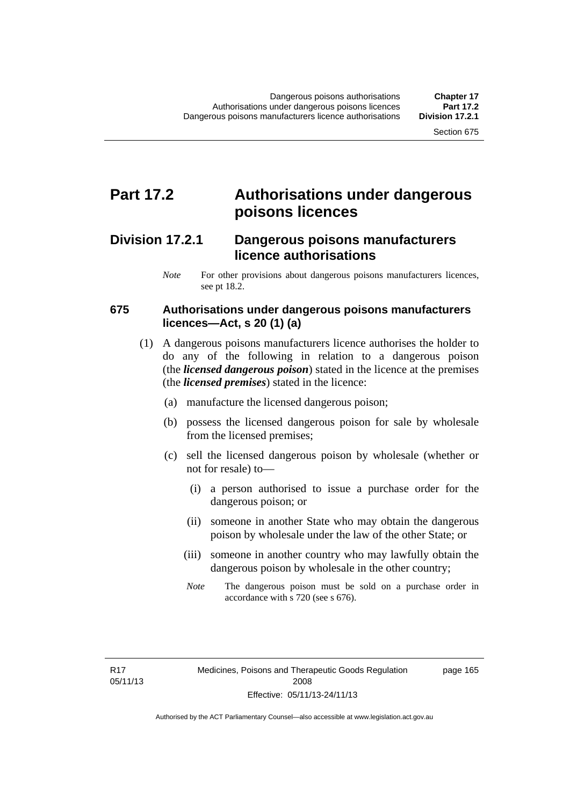### **Part 17.2 Authorisations under dangerous poisons licences**

### **Division 17.2.1 Dangerous poisons manufacturers licence authorisations**

*Note* For other provisions about dangerous poisons manufacturers licences, see pt 18.2.

#### **675 Authorisations under dangerous poisons manufacturers licences—Act, s 20 (1) (a)**

- (1) A dangerous poisons manufacturers licence authorises the holder to do any of the following in relation to a dangerous poison (the *licensed dangerous poison*) stated in the licence at the premises (the *licensed premises*) stated in the licence:
	- (a) manufacture the licensed dangerous poison;
	- (b) possess the licensed dangerous poison for sale by wholesale from the licensed premises;
	- (c) sell the licensed dangerous poison by wholesale (whether or not for resale) to—
		- (i) a person authorised to issue a purchase order for the dangerous poison; or
		- (ii) someone in another State who may obtain the dangerous poison by wholesale under the law of the other State; or
		- (iii) someone in another country who may lawfully obtain the dangerous poison by wholesale in the other country;
		- *Note* The dangerous poison must be sold on a purchase order in accordance with s 720 (see s 676).

page 165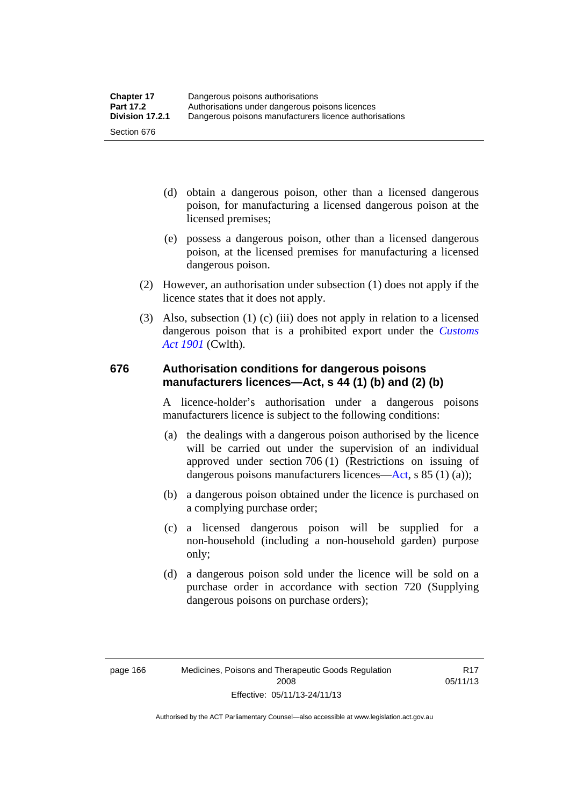- (d) obtain a dangerous poison, other than a licensed dangerous poison, for manufacturing a licensed dangerous poison at the licensed premises;
- (e) possess a dangerous poison, other than a licensed dangerous poison, at the licensed premises for manufacturing a licensed dangerous poison.
- (2) However, an authorisation under subsection (1) does not apply if the licence states that it does not apply.
- (3) Also, subsection (1) (c) (iii) does not apply in relation to a licensed dangerous poison that is a prohibited export under the *[Customs](http://www.comlaw.gov.au/Series/C1901A00006)  [Act 1901](http://www.comlaw.gov.au/Series/C1901A00006)* (Cwlth).

#### **676 Authorisation conditions for dangerous poisons manufacturers licences—Act, s 44 (1) (b) and (2) (b)**

A licence-holder's authorisation under a dangerous poisons manufacturers licence is subject to the following conditions:

- (a) the dealings with a dangerous poison authorised by the licence will be carried out under the supervision of an individual approved under section 706 (1) (Restrictions on issuing of dangerous poisons manufacturers licences[—Act,](http://www.legislation.act.gov.au/a/2008-26/default.asp) s 85 (1) (a));
- (b) a dangerous poison obtained under the licence is purchased on a complying purchase order;
- (c) a licensed dangerous poison will be supplied for a non-household (including a non-household garden) purpose only;
- (d) a dangerous poison sold under the licence will be sold on a purchase order in accordance with section 720 (Supplying dangerous poisons on purchase orders);

R17 05/11/13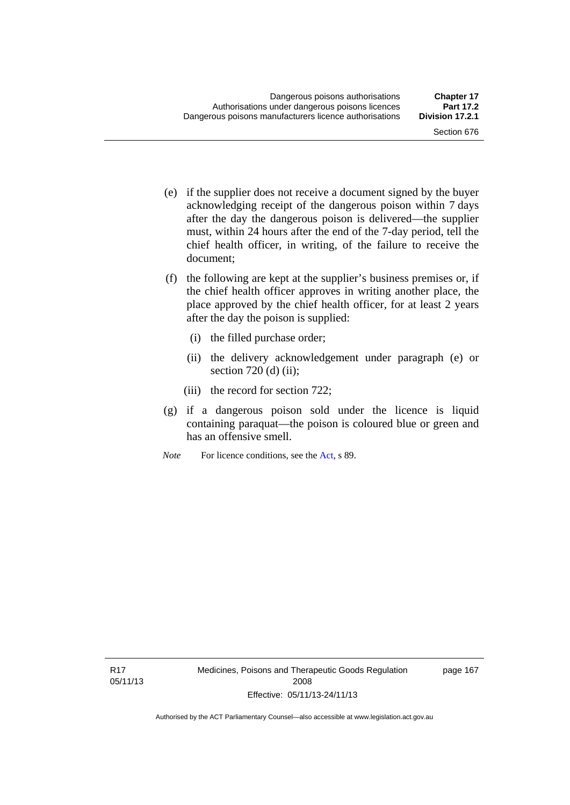- (e) if the supplier does not receive a document signed by the buyer acknowledging receipt of the dangerous poison within 7 days after the day the dangerous poison is delivered—the supplier must, within 24 hours after the end of the 7-day period, tell the chief health officer, in writing, of the failure to receive the document;
- (f) the following are kept at the supplier's business premises or, if the chief health officer approves in writing another place, the place approved by the chief health officer, for at least 2 years after the day the poison is supplied:
	- (i) the filled purchase order;
	- (ii) the delivery acknowledgement under paragraph (e) or section  $720$  (d) (ii);
	- (iii) the record for section 722;
- (g) if a dangerous poison sold under the licence is liquid containing paraquat—the poison is coloured blue or green and has an offensive smell.
- *Note* For licence conditions, see the [Act](http://www.legislation.act.gov.au/a/2008-26/default.asp), s 89.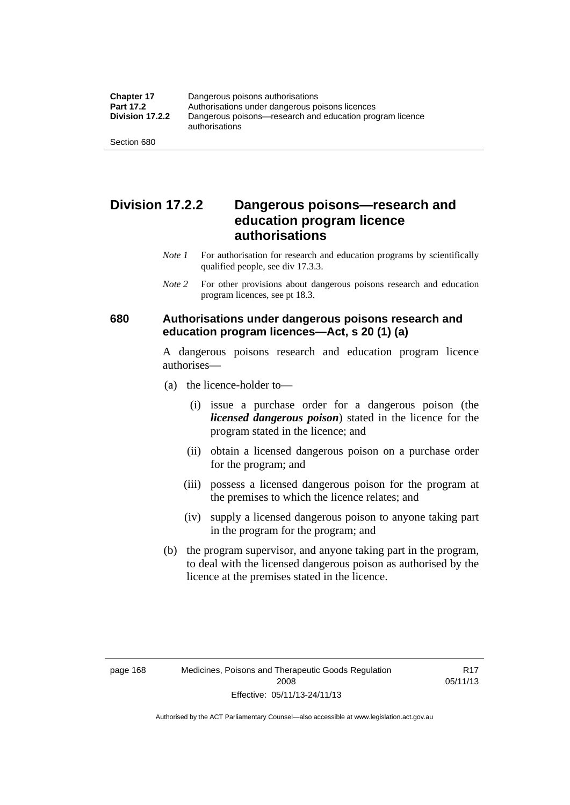### **Division 17.2.2 Dangerous poisons—research and education program licence authorisations**

- *Note 1* For authorisation for research and education programs by scientifically qualified people, see div 17.3.3.
- *Note 2* For other provisions about dangerous poisons research and education program licences, see pt 18.3.

#### **680 Authorisations under dangerous poisons research and education program licences—Act, s 20 (1) (a)**

A dangerous poisons research and education program licence authorises—

- (a) the licence-holder to—
	- (i) issue a purchase order for a dangerous poison (the *licensed dangerous poison*) stated in the licence for the program stated in the licence; and
	- (ii) obtain a licensed dangerous poison on a purchase order for the program; and
	- (iii) possess a licensed dangerous poison for the program at the premises to which the licence relates; and
	- (iv) supply a licensed dangerous poison to anyone taking part in the program for the program; and
- (b) the program supervisor, and anyone taking part in the program, to deal with the licensed dangerous poison as authorised by the licence at the premises stated in the licence.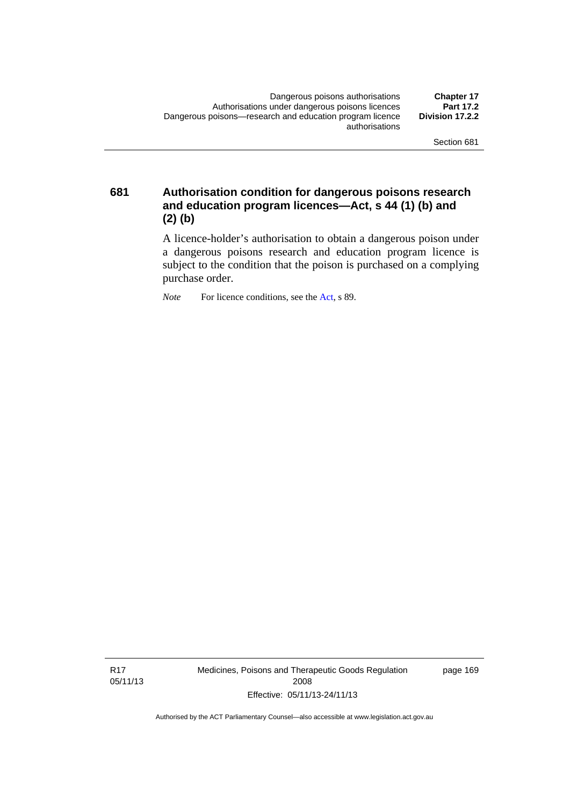**681 Authorisation condition for dangerous poisons research and education program licences—Act, s 44 (1) (b) and (2) (b)** 

> A licence-holder's authorisation to obtain a dangerous poison under a dangerous poisons research and education program licence is subject to the condition that the poison is purchased on a complying purchase order.

*Note* For licence conditions, see the [Act](http://www.legislation.act.gov.au/a/2008-26/default.asp), s 89.

R17 05/11/13 Medicines, Poisons and Therapeutic Goods Regulation 2008 Effective: 05/11/13-24/11/13

page 169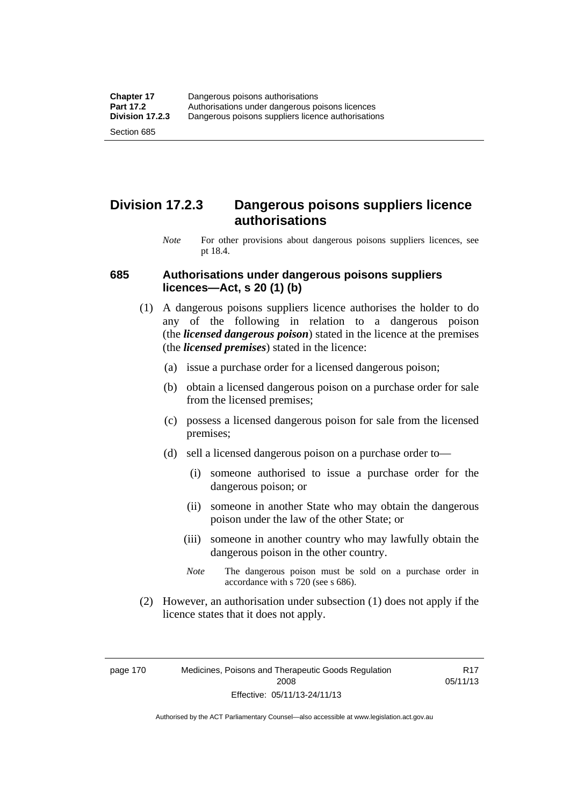### **Division 17.2.3 Dangerous poisons suppliers licence authorisations**

*Note* For other provisions about dangerous poisons suppliers licences, see pt 18.4.

#### **685 Authorisations under dangerous poisons suppliers licences—Act, s 20 (1) (b)**

- (1) A dangerous poisons suppliers licence authorises the holder to do any of the following in relation to a dangerous poison (the *licensed dangerous poison*) stated in the licence at the premises (the *licensed premises*) stated in the licence:
	- (a) issue a purchase order for a licensed dangerous poison;
	- (b) obtain a licensed dangerous poison on a purchase order for sale from the licensed premises;
	- (c) possess a licensed dangerous poison for sale from the licensed premises;
	- (d) sell a licensed dangerous poison on a purchase order to—
		- (i) someone authorised to issue a purchase order for the dangerous poison; or
		- (ii) someone in another State who may obtain the dangerous poison under the law of the other State; or
		- (iii) someone in another country who may lawfully obtain the dangerous poison in the other country.
		- *Note* The dangerous poison must be sold on a purchase order in accordance with s 720 (see s 686).
- (2) However, an authorisation under subsection (1) does not apply if the licence states that it does not apply.

page 170 Medicines, Poisons and Therapeutic Goods Regulation 2008 Effective: 05/11/13-24/11/13

R17 05/11/13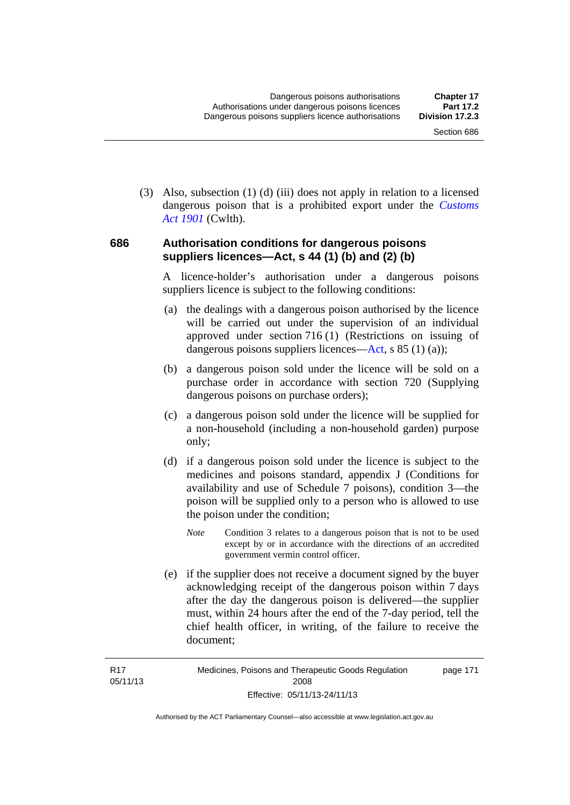(3) Also, subsection (1) (d) (iii) does not apply in relation to a licensed dangerous poison that is a prohibited export under the *[Customs](http://www.comlaw.gov.au/Series/C1901A00006)  [Act 1901](http://www.comlaw.gov.au/Series/C1901A00006)* (Cwlth).

#### **686 Authorisation conditions for dangerous poisons suppliers licences—Act, s 44 (1) (b) and (2) (b)**

A licence-holder's authorisation under a dangerous poisons suppliers licence is subject to the following conditions:

- (a) the dealings with a dangerous poison authorised by the licence will be carried out under the supervision of an individual approved under section 716 (1) (Restrictions on issuing of dangerous poisons suppliers licences—[Act](http://www.legislation.act.gov.au/a/2008-26/default.asp), s 85 (1) (a));
- (b) a dangerous poison sold under the licence will be sold on a purchase order in accordance with section 720 (Supplying dangerous poisons on purchase orders);
- (c) a dangerous poison sold under the licence will be supplied for a non-household (including a non-household garden) purpose only;
- (d) if a dangerous poison sold under the licence is subject to the medicines and poisons standard, appendix J (Conditions for availability and use of Schedule 7 poisons), condition 3—the poison will be supplied only to a person who is allowed to use the poison under the condition;
	- *Note* Condition 3 relates to a dangerous poison that is not to be used except by or in accordance with the directions of an accredited government vermin control officer.
- (e) if the supplier does not receive a document signed by the buyer acknowledging receipt of the dangerous poison within 7 days after the day the dangerous poison is delivered—the supplier must, within 24 hours after the end of the 7-day period, tell the chief health officer, in writing, of the failure to receive the document;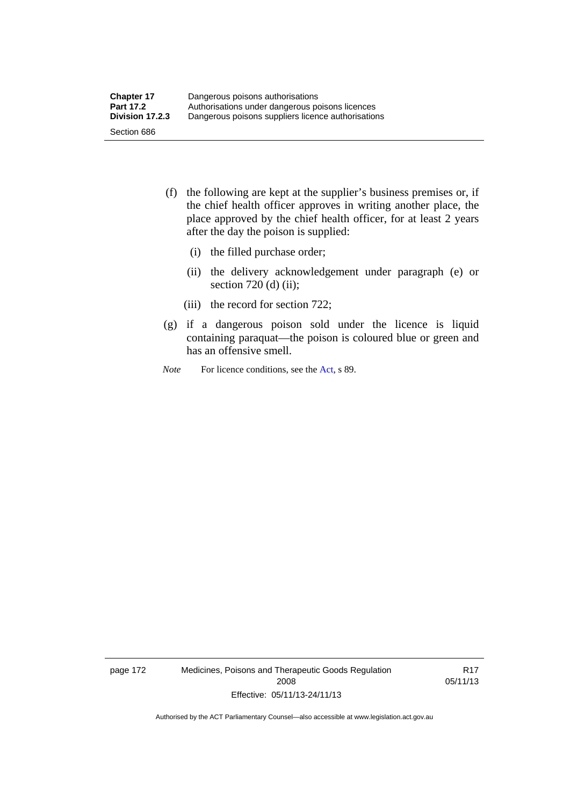- (f) the following are kept at the supplier's business premises or, if the chief health officer approves in writing another place, the place approved by the chief health officer, for at least 2 years after the day the poison is supplied:
	- (i) the filled purchase order;
	- (ii) the delivery acknowledgement under paragraph (e) or section 720 (d) (ii);
	- (iii) the record for section 722;
- (g) if a dangerous poison sold under the licence is liquid containing paraquat—the poison is coloured blue or green and has an offensive smell.
- *Note* For licence conditions, see the [Act](http://www.legislation.act.gov.au/a/2008-26/default.asp), s 89.

page 172 Medicines, Poisons and Therapeutic Goods Regulation 2008 Effective: 05/11/13-24/11/13

R17 05/11/13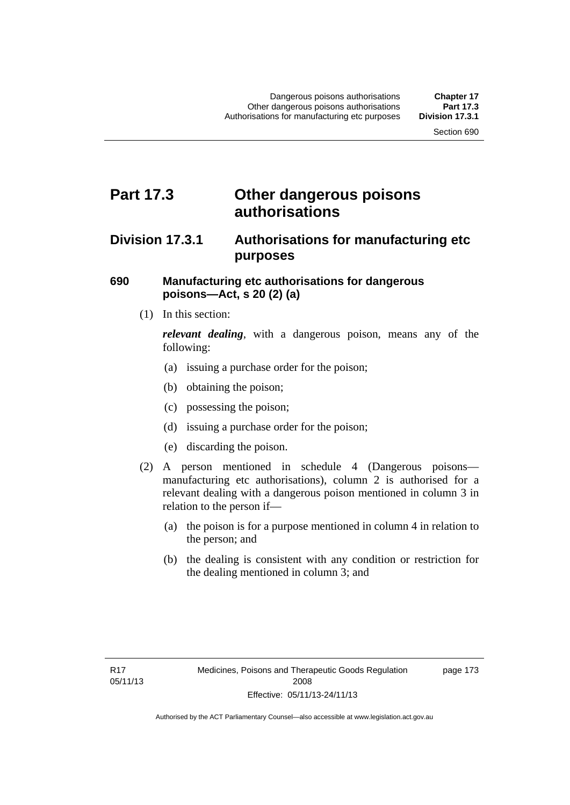### **Part 17.3 Other dangerous poisons authorisations**

### **Division 17.3.1 Authorisations for manufacturing etc purposes**

#### **690 Manufacturing etc authorisations for dangerous poisons—Act, s 20 (2) (a)**

(1) In this section:

*relevant dealing*, with a dangerous poison, means any of the following:

- (a) issuing a purchase order for the poison;
- (b) obtaining the poison;
- (c) possessing the poison;
- (d) issuing a purchase order for the poison;
- (e) discarding the poison.
- (2) A person mentioned in schedule 4 (Dangerous poisons manufacturing etc authorisations), column 2 is authorised for a relevant dealing with a dangerous poison mentioned in column 3 in relation to the person if—
	- (a) the poison is for a purpose mentioned in column 4 in relation to the person; and
	- (b) the dealing is consistent with any condition or restriction for the dealing mentioned in column 3; and

page 173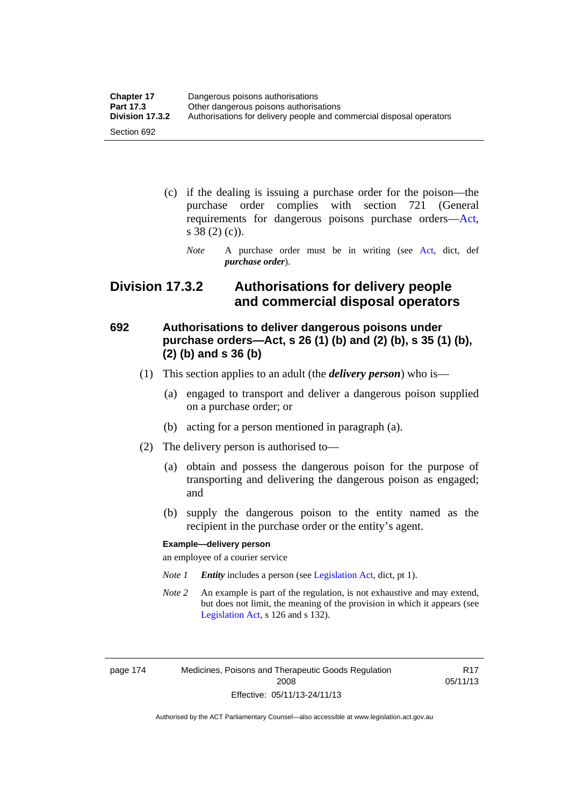| <b>Chapter 17</b> | Dangerous poisons authorisations                                     |
|-------------------|----------------------------------------------------------------------|
| <b>Part 17.3</b>  | Other dangerous poisons authorisations                               |
| Division 17.3.2   | Authorisations for delivery people and commercial disposal operators |
| Section 692       |                                                                      |

- (c) if the dealing is issuing a purchase order for the poison—the purchase order complies with section 721 (General requirements for dangerous poisons purchase orders[—Act](http://www.legislation.act.gov.au/a/2008-26/default.asp), s 38 (2) (c)).
	- *Note* A purchase order must be in writing (see [Act](http://www.legislation.act.gov.au/a/2008-26/default.asp), dict, def *purchase order*).

### **Division 17.3.2 Authorisations for delivery people and commercial disposal operators**

### **692 Authorisations to deliver dangerous poisons under purchase orders—Act, s 26 (1) (b) and (2) (b), s 35 (1) (b), (2) (b) and s 36 (b)**

- (1) This section applies to an adult (the *delivery person*) who is—
	- (a) engaged to transport and deliver a dangerous poison supplied on a purchase order; or
	- (b) acting for a person mentioned in paragraph (a).
- (2) The delivery person is authorised to—
	- (a) obtain and possess the dangerous poison for the purpose of transporting and delivering the dangerous poison as engaged; and
	- (b) supply the dangerous poison to the entity named as the recipient in the purchase order or the entity's agent.

#### **Example—delivery person**

an employee of a courier service

- *Note 1 Entity* includes a person (see [Legislation Act,](http://www.legislation.act.gov.au/a/2001-14) dict, pt 1).
- *Note 2* An example is part of the regulation, is not exhaustive and may extend, but does not limit, the meaning of the provision in which it appears (see [Legislation Act,](http://www.legislation.act.gov.au/a/2001-14) s 126 and s 132).

page 174 Medicines, Poisons and Therapeutic Goods Regulation 2008 Effective: 05/11/13-24/11/13

R17 05/11/13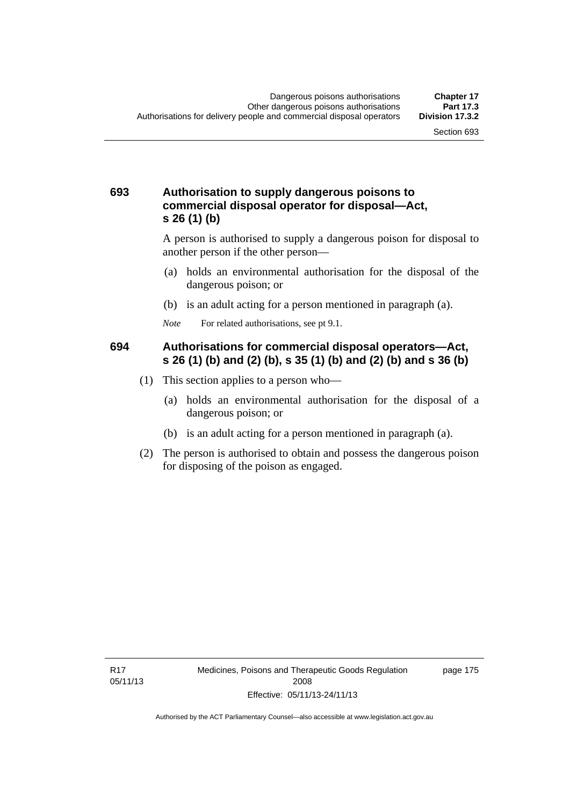#### **693 Authorisation to supply dangerous poisons to commercial disposal operator for disposal—Act, s 26 (1) (b)**

A person is authorised to supply a dangerous poison for disposal to another person if the other person—

- (a) holds an environmental authorisation for the disposal of the dangerous poison; or
- (b) is an adult acting for a person mentioned in paragraph (a).
- *Note* For related authorisations, see pt 9.1.

#### **694 Authorisations for commercial disposal operators—Act, s 26 (1) (b) and (2) (b), s 35 (1) (b) and (2) (b) and s 36 (b)**

- (1) This section applies to a person who—
	- (a) holds an environmental authorisation for the disposal of a dangerous poison; or
	- (b) is an adult acting for a person mentioned in paragraph (a).
- (2) The person is authorised to obtain and possess the dangerous poison for disposing of the poison as engaged.

page 175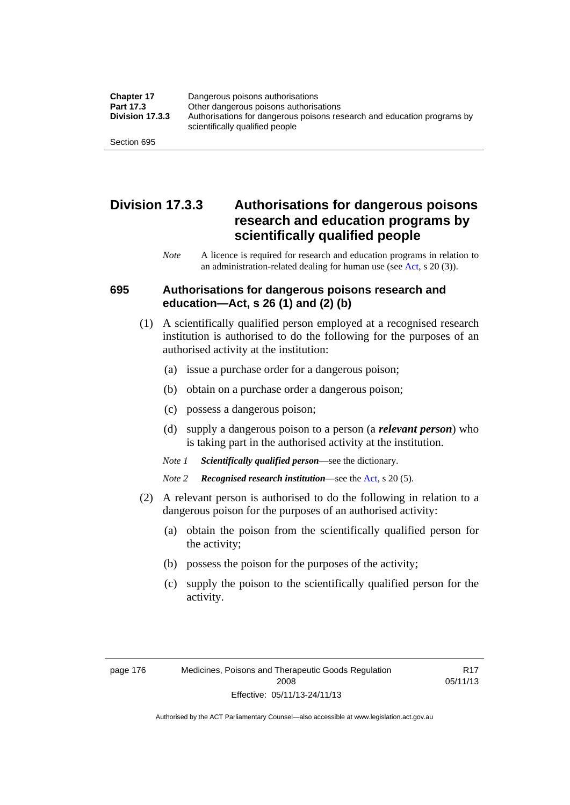| <b>Chapter 17</b> | Dangerous poisons authorisations                                                                           |
|-------------------|------------------------------------------------------------------------------------------------------------|
| Part 17.3         | Other dangerous poisons authorisations                                                                     |
| Division 17.3.3   | Authorisations for dangerous poisons research and education programs by<br>scientifically qualified people |
| Section 695       |                                                                                                            |

### **Division 17.3.3 Authorisations for dangerous poisons research and education programs by scientifically qualified people**

*Note* A licence is required for research and education programs in relation to an administration-related dealing for human use (see [Act](http://www.legislation.act.gov.au/a/2008-26/default.asp), s 20 (3)).

#### **695 Authorisations for dangerous poisons research and education—Act, s 26 (1) and (2) (b)**

- (1) A scientifically qualified person employed at a recognised research institution is authorised to do the following for the purposes of an authorised activity at the institution:
	- (a) issue a purchase order for a dangerous poison;
	- (b) obtain on a purchase order a dangerous poison;
	- (c) possess a dangerous poison;
	- (d) supply a dangerous poison to a person (a *relevant person*) who is taking part in the authorised activity at the institution.
	- *Note 1 Scientifically qualified person*—see the dictionary.
	- *Note 2 Recognised research institution*—see the [Act](http://www.legislation.act.gov.au/a/2008-26/default.asp), s 20 (5).
- (2) A relevant person is authorised to do the following in relation to a dangerous poison for the purposes of an authorised activity:
	- (a) obtain the poison from the scientifically qualified person for the activity;
	- (b) possess the poison for the purposes of the activity;
	- (c) supply the poison to the scientifically qualified person for the activity.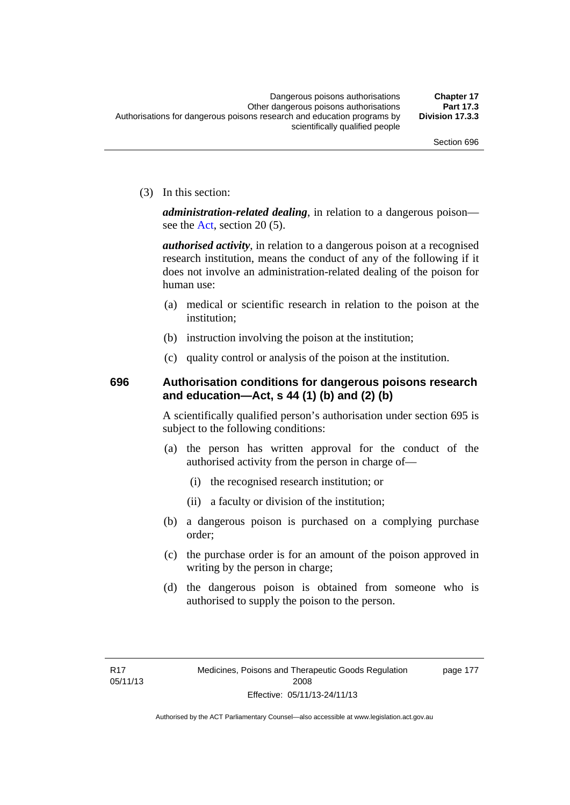(3) In this section:

*administration-related dealing*, in relation to a dangerous poison— see the [Act](http://www.legislation.act.gov.au/a/2008-26/default.asp), section 20 (5).

*authorised activity*, in relation to a dangerous poison at a recognised research institution, means the conduct of any of the following if it does not involve an administration-related dealing of the poison for human use:

- (a) medical or scientific research in relation to the poison at the institution;
- (b) instruction involving the poison at the institution;
- (c) quality control or analysis of the poison at the institution.

### **696 Authorisation conditions for dangerous poisons research and education—Act, s 44 (1) (b) and (2) (b)**

A scientifically qualified person's authorisation under section 695 is subject to the following conditions:

- (a) the person has written approval for the conduct of the authorised activity from the person in charge of—
	- (i) the recognised research institution; or
	- (ii) a faculty or division of the institution;
- (b) a dangerous poison is purchased on a complying purchase order;
- (c) the purchase order is for an amount of the poison approved in writing by the person in charge;
- (d) the dangerous poison is obtained from someone who is authorised to supply the poison to the person.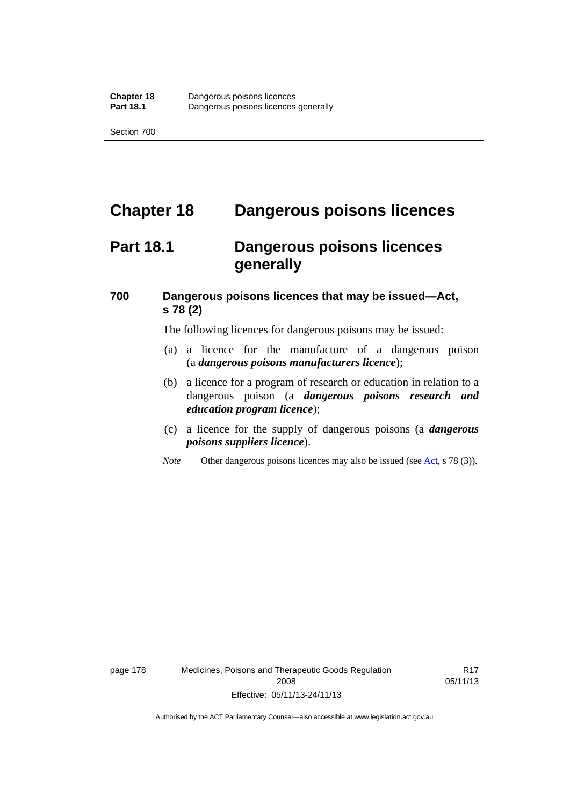# **Chapter 18 Dangerous poisons licences**

## **Part 18.1 Dangerous poisons licences generally**

### **700 Dangerous poisons licences that may be issued—Act, s 78 (2)**

The following licences for dangerous poisons may be issued:

- (a) a licence for the manufacture of a dangerous poison (a *dangerous poisons manufacturers licence*);
- (b) a licence for a program of research or education in relation to a dangerous poison (a *dangerous poisons research and education program licence*);
- (c) a licence for the supply of dangerous poisons (a *dangerous poisons suppliers licence*).
- *Note* Other dangerous poisons licences may also be issued (see [Act](http://www.legislation.act.gov.au/a/2008-26/default.asp), s 78 (3)).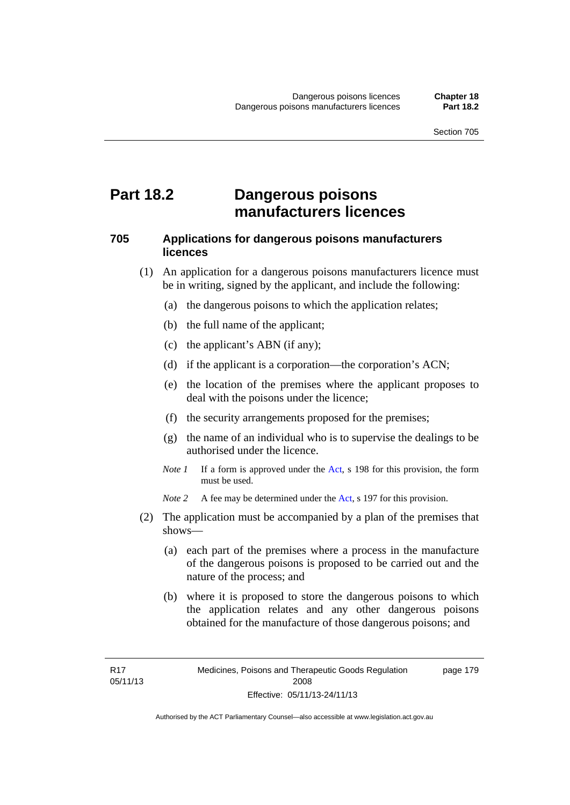### **Part 18.2 Dangerous poisons manufacturers licences**

#### **705 Applications for dangerous poisons manufacturers licences**

- (1) An application for a dangerous poisons manufacturers licence must be in writing, signed by the applicant, and include the following:
	- (a) the dangerous poisons to which the application relates;
	- (b) the full name of the applicant;
	- (c) the applicant's ABN (if any);
	- (d) if the applicant is a corporation—the corporation's ACN;
	- (e) the location of the premises where the applicant proposes to deal with the poisons under the licence;
	- (f) the security arrangements proposed for the premises;
	- (g) the name of an individual who is to supervise the dealings to be authorised under the licence.
	- *Note 1* If a form is approved under the [Act](http://www.legislation.act.gov.au/a/2008-26/default.asp), s 198 for this provision, the form must be used.

*Note 2* A fee may be determined under the [Act,](http://www.legislation.act.gov.au/a/2008-26/default.asp) s 197 for this provision.

- (2) The application must be accompanied by a plan of the premises that shows—
	- (a) each part of the premises where a process in the manufacture of the dangerous poisons is proposed to be carried out and the nature of the process; and
	- (b) where it is proposed to store the dangerous poisons to which the application relates and any other dangerous poisons obtained for the manufacture of those dangerous poisons; and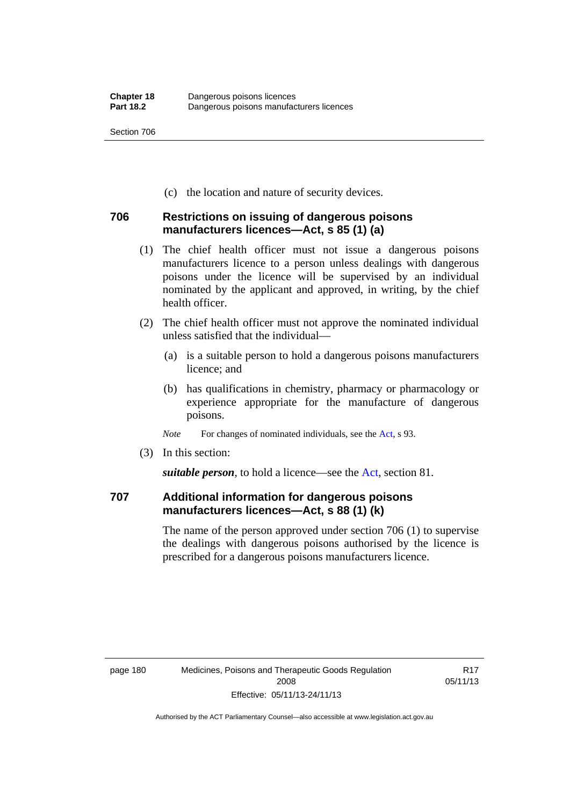(c) the location and nature of security devices.

#### **706 Restrictions on issuing of dangerous poisons manufacturers licences—Act, s 85 (1) (a)**

- (1) The chief health officer must not issue a dangerous poisons manufacturers licence to a person unless dealings with dangerous poisons under the licence will be supervised by an individual nominated by the applicant and approved, in writing, by the chief health officer.
- (2) The chief health officer must not approve the nominated individual unless satisfied that the individual—
	- (a) is a suitable person to hold a dangerous poisons manufacturers licence; and
	- (b) has qualifications in chemistry, pharmacy or pharmacology or experience appropriate for the manufacture of dangerous poisons.
	- *Note* For changes of nominated individuals, see the [Act,](http://www.legislation.act.gov.au/a/2008-26/default.asp) s 93.
- (3) In this section:

*suitable person*, to hold a licence—see the [Act](http://www.legislation.act.gov.au/a/2008-26/default.asp), section 81.

### **707 Additional information for dangerous poisons manufacturers licences—Act, s 88 (1) (k)**

The name of the person approved under section 706 (1) to supervise the dealings with dangerous poisons authorised by the licence is prescribed for a dangerous poisons manufacturers licence.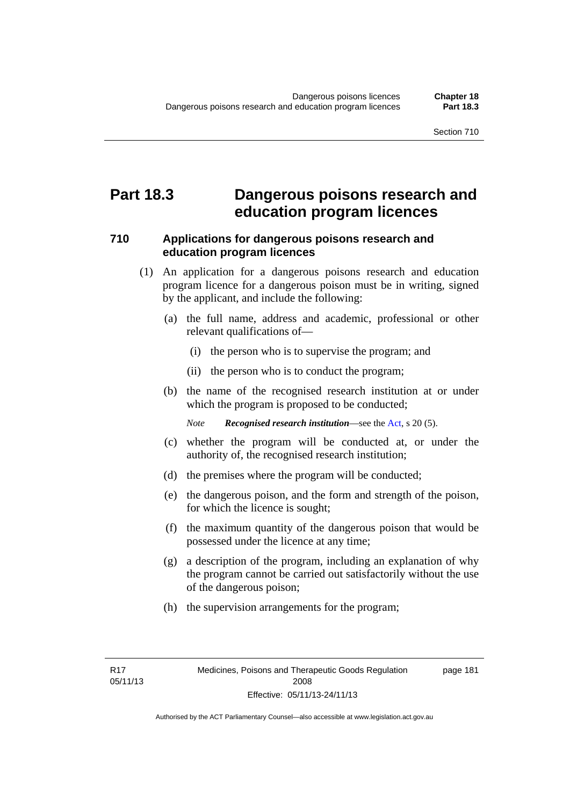### **Part 18.3 Dangerous poisons research and education program licences**

#### **710 Applications for dangerous poisons research and education program licences**

- (1) An application for a dangerous poisons research and education program licence for a dangerous poison must be in writing, signed by the applicant, and include the following:
	- (a) the full name, address and academic, professional or other relevant qualifications of—
		- (i) the person who is to supervise the program; and
		- (ii) the person who is to conduct the program;
	- (b) the name of the recognised research institution at or under which the program is proposed to be conducted;

*Note Recognised research institution*—see the [Act](http://www.legislation.act.gov.au/a/2008-26/default.asp), s 20 (5).

- (c) whether the program will be conducted at, or under the authority of, the recognised research institution;
- (d) the premises where the program will be conducted;
- (e) the dangerous poison, and the form and strength of the poison, for which the licence is sought;
- (f) the maximum quantity of the dangerous poison that would be possessed under the licence at any time;
- (g) a description of the program, including an explanation of why the program cannot be carried out satisfactorily without the use of the dangerous poison;
- (h) the supervision arrangements for the program;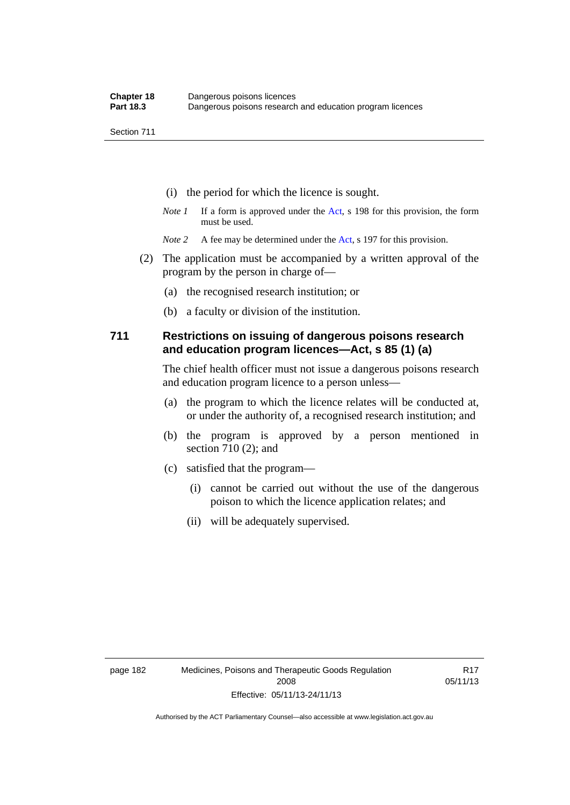- (i) the period for which the licence is sought.
- *Note 1* If a form is approved under the [Act](http://www.legislation.act.gov.au/a/2008-26/default.asp), s 198 for this provision, the form must be used.
- *Note* 2 A fee may be determined under the [Act,](http://www.legislation.act.gov.au/a/2008-26/default.asp) s 197 for this provision.
- (2) The application must be accompanied by a written approval of the program by the person in charge of—
	- (a) the recognised research institution; or
	- (b) a faculty or division of the institution.

#### **711 Restrictions on issuing of dangerous poisons research and education program licences—Act, s 85 (1) (a)**

The chief health officer must not issue a dangerous poisons research and education program licence to a person unless—

- (a) the program to which the licence relates will be conducted at, or under the authority of, a recognised research institution; and
- (b) the program is approved by a person mentioned in section 710 (2); and
- (c) satisfied that the program—
	- (i) cannot be carried out without the use of the dangerous poison to which the licence application relates; and
	- (ii) will be adequately supervised.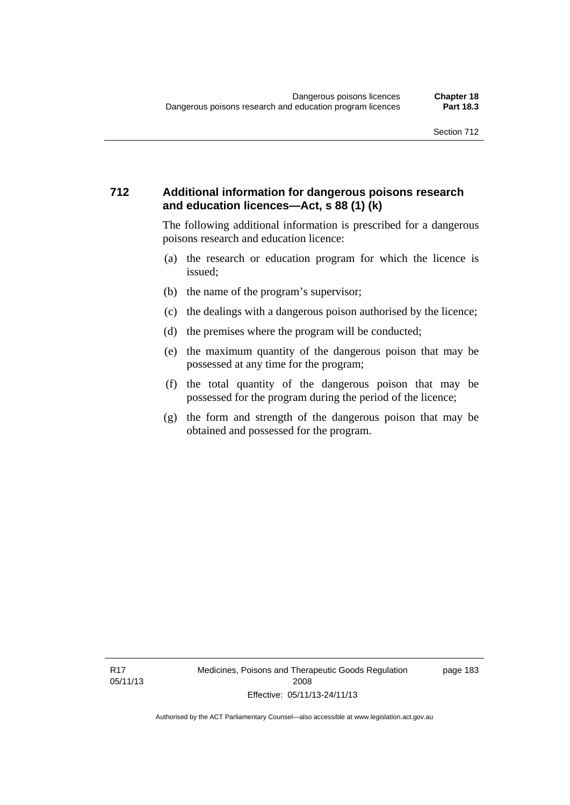#### **712 Additional information for dangerous poisons research and education licences—Act, s 88 (1) (k)**

The following additional information is prescribed for a dangerous poisons research and education licence:

- (a) the research or education program for which the licence is issued;
- (b) the name of the program's supervisor;
- (c) the dealings with a dangerous poison authorised by the licence;
- (d) the premises where the program will be conducted;
- (e) the maximum quantity of the dangerous poison that may be possessed at any time for the program;
- (f) the total quantity of the dangerous poison that may be possessed for the program during the period of the licence;
- (g) the form and strength of the dangerous poison that may be obtained and possessed for the program.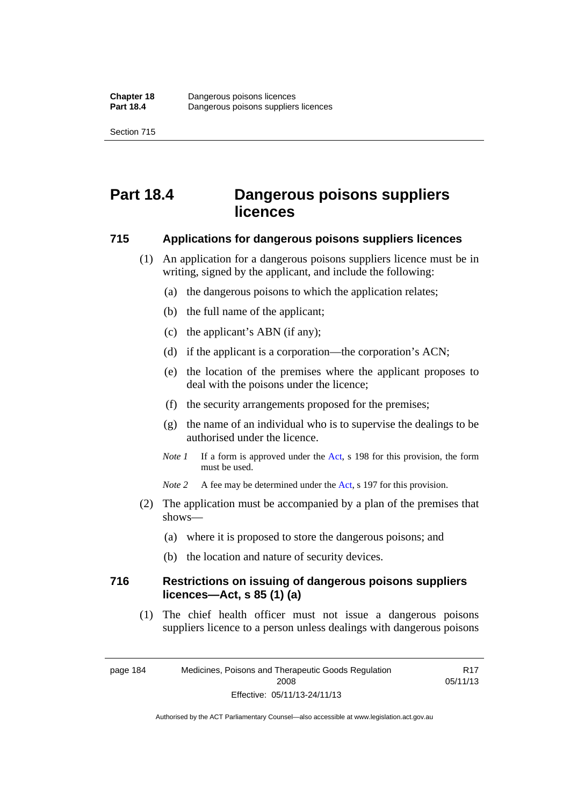# **Part 18.4 Dangerous poisons suppliers licences**

#### **715 Applications for dangerous poisons suppliers licences**

- (1) An application for a dangerous poisons suppliers licence must be in writing, signed by the applicant, and include the following:
	- (a) the dangerous poisons to which the application relates;
	- (b) the full name of the applicant;
	- (c) the applicant's ABN (if any);
	- (d) if the applicant is a corporation—the corporation's ACN;
	- (e) the location of the premises where the applicant proposes to deal with the poisons under the licence;
	- (f) the security arrangements proposed for the premises;
	- (g) the name of an individual who is to supervise the dealings to be authorised under the licence.
	- *Note 1* If a form is approved under the [Act](http://www.legislation.act.gov.au/a/2008-26/default.asp), s 198 for this provision, the form must be used.
	- *Note* 2 A fee may be determined under the [Act,](http://www.legislation.act.gov.au/a/2008-26/default.asp) s 197 for this provision.
- (2) The application must be accompanied by a plan of the premises that shows—
	- (a) where it is proposed to store the dangerous poisons; and
	- (b) the location and nature of security devices.

#### **716 Restrictions on issuing of dangerous poisons suppliers licences—Act, s 85 (1) (a)**

(1) The chief health officer must not issue a dangerous poisons suppliers licence to a person unless dealings with dangerous poisons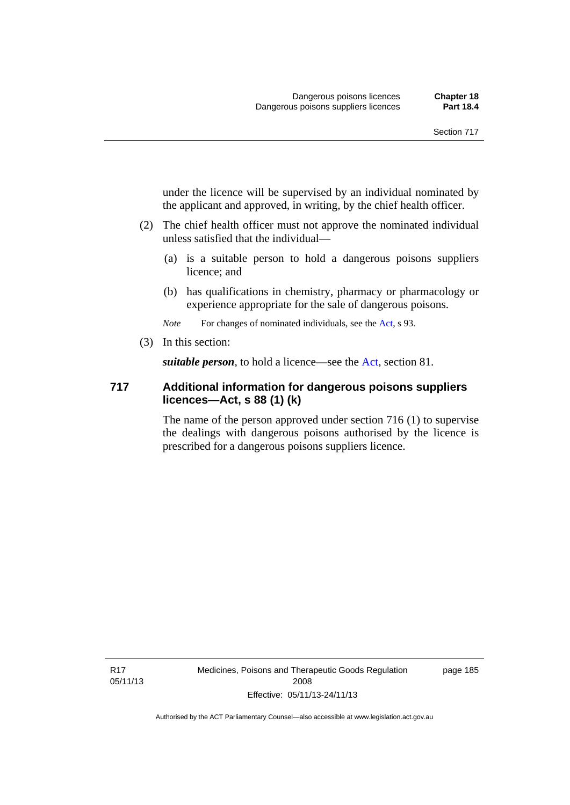under the licence will be supervised by an individual nominated by the applicant and approved, in writing, by the chief health officer.

- (2) The chief health officer must not approve the nominated individual unless satisfied that the individual—
	- (a) is a suitable person to hold a dangerous poisons suppliers licence; and
	- (b) has qualifications in chemistry, pharmacy or pharmacology or experience appropriate for the sale of dangerous poisons.

*Note* For changes of nominated individuals, see the [Act,](http://www.legislation.act.gov.au/a/2008-26/default.asp) s 93.

(3) In this section:

*suitable person*, to hold a licence—see the [Act](http://www.legislation.act.gov.au/a/2008-26/default.asp), section 81.

#### **717 Additional information for dangerous poisons suppliers licences—Act, s 88 (1) (k)**

The name of the person approved under section 716 (1) to supervise the dealings with dangerous poisons authorised by the licence is prescribed for a dangerous poisons suppliers licence.

R17 05/11/13 Medicines, Poisons and Therapeutic Goods Regulation 2008 Effective: 05/11/13-24/11/13

page 185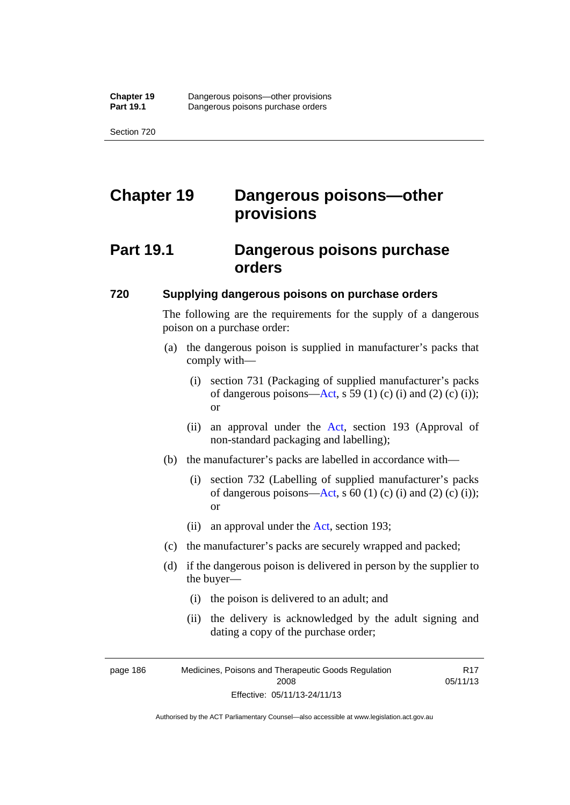# **Chapter 19 Dangerous poisons—other provisions**

## **Part 19.1 Dangerous poisons purchase orders**

#### **720 Supplying dangerous poisons on purchase orders**

The following are the requirements for the supply of a dangerous poison on a purchase order:

- (a) the dangerous poison is supplied in manufacturer's packs that comply with—
	- (i) section 731 (Packaging of supplied manufacturer's packs of dangerous poisons[—Act](http://www.legislation.act.gov.au/a/2008-26/default.asp), s 59 (1) (c) (i) and (2) (c) (i)); or
	- (ii) an approval under the [Act](http://www.legislation.act.gov.au/a/2008-26/default.asp), section 193 (Approval of non-standard packaging and labelling);
- (b) the manufacturer's packs are labelled in accordance with—
	- (i) section 732 (Labelling of supplied manufacturer's packs of dangerous poisons[—Act](http://www.legislation.act.gov.au/a/2008-26/default.asp), s  $60$  (1) (c) (i) and (2) (c) (i)); or
	- (ii) an approval under the [Act,](http://www.legislation.act.gov.au/a/2008-26/default.asp) section 193;
- (c) the manufacturer's packs are securely wrapped and packed;
- (d) if the dangerous poison is delivered in person by the supplier to the buyer—
	- (i) the poison is delivered to an adult; and
	- (ii) the delivery is acknowledged by the adult signing and dating a copy of the purchase order;

R17

page 186 Medicines, Poisons and Therapeutic Goods Regulation 2008 Effective: 05/11/13-24/11/13 05/11/13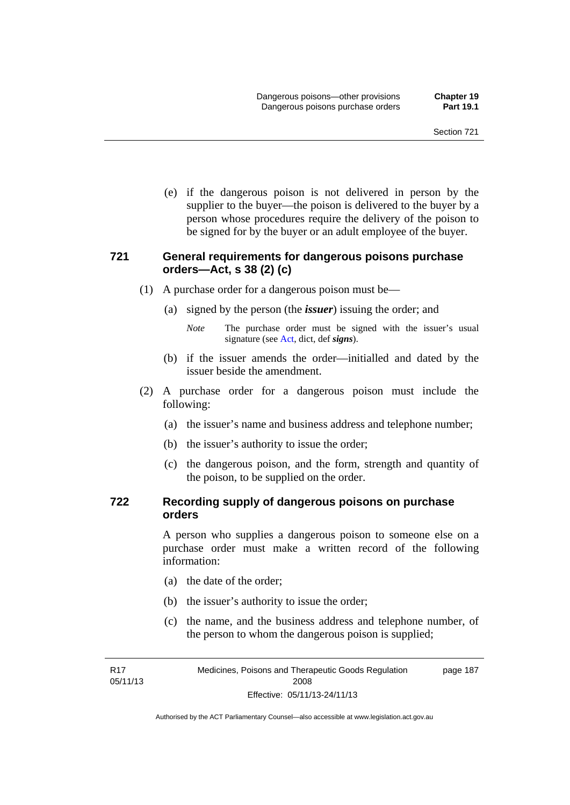(e) if the dangerous poison is not delivered in person by the supplier to the buyer—the poison is delivered to the buyer by a person whose procedures require the delivery of the poison to be signed for by the buyer or an adult employee of the buyer.

#### **721 General requirements for dangerous poisons purchase orders—Act, s 38 (2) (c)**

- (1) A purchase order for a dangerous poison must be—
	- (a) signed by the person (the *issuer*) issuing the order; and
		- *Note* The purchase order must be signed with the issuer's usual signature (see [Act](http://www.legislation.act.gov.au/a/2008-26/default.asp), dict, def *signs*).
	- (b) if the issuer amends the order—initialled and dated by the issuer beside the amendment.
- (2) A purchase order for a dangerous poison must include the following:
	- (a) the issuer's name and business address and telephone number;
	- (b) the issuer's authority to issue the order;
	- (c) the dangerous poison, and the form, strength and quantity of the poison, to be supplied on the order.

#### **722 Recording supply of dangerous poisons on purchase orders**

A person who supplies a dangerous poison to someone else on a purchase order must make a written record of the following information:

- (a) the date of the order;
- (b) the issuer's authority to issue the order;
- (c) the name, and the business address and telephone number, of the person to whom the dangerous poison is supplied;

R17 05/11/13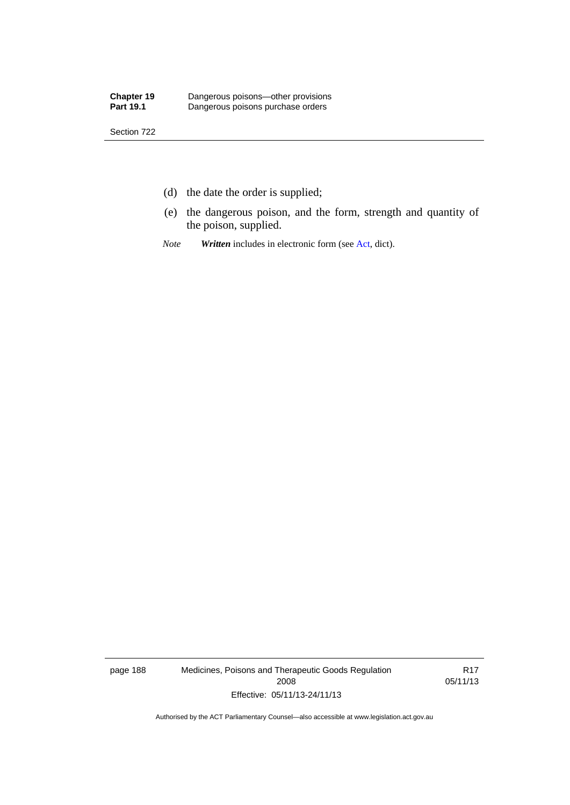- (d) the date the order is supplied;
- (e) the dangerous poison, and the form, strength and quantity of the poison, supplied.
- *Note Written* includes in electronic form (see [Act,](http://www.legislation.act.gov.au/a/2008-26/default.asp) dict).

page 188 Medicines, Poisons and Therapeutic Goods Regulation 2008 Effective: 05/11/13-24/11/13

R17 05/11/13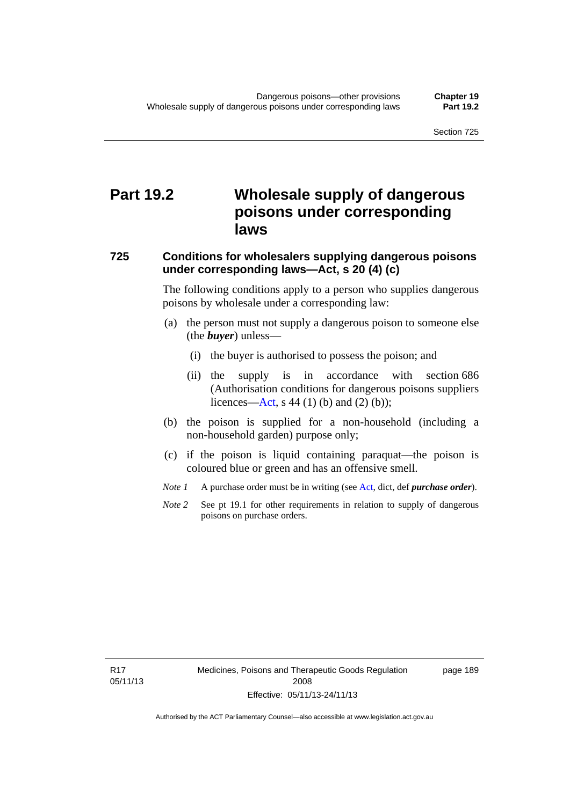# **Part 19.2 Wholesale supply of dangerous poisons under corresponding laws**

#### **725 Conditions for wholesalers supplying dangerous poisons under corresponding laws—Act, s 20 (4) (c)**

The following conditions apply to a person who supplies dangerous poisons by wholesale under a corresponding law:

- (a) the person must not supply a dangerous poison to someone else (the *buyer*) unless—
	- (i) the buyer is authorised to possess the poison; and
	- (ii) the supply is in accordance with section 686 (Authorisation conditions for dangerous poisons suppliers licences—[Act,](http://www.legislation.act.gov.au/a/2008-26/default.asp) s 44 (1) (b) and (2) (b));
- (b) the poison is supplied for a non-household (including a non-household garden) purpose only;
- (c) if the poison is liquid containing paraquat—the poison is coloured blue or green and has an offensive smell.
- *Note 1* A purchase order must be in writing (see [Act,](http://www.legislation.act.gov.au/a/2008-26/default.asp) dict, def *purchase order*).
- *Note* 2 See pt 19.1 for other requirements in relation to supply of dangerous poisons on purchase orders.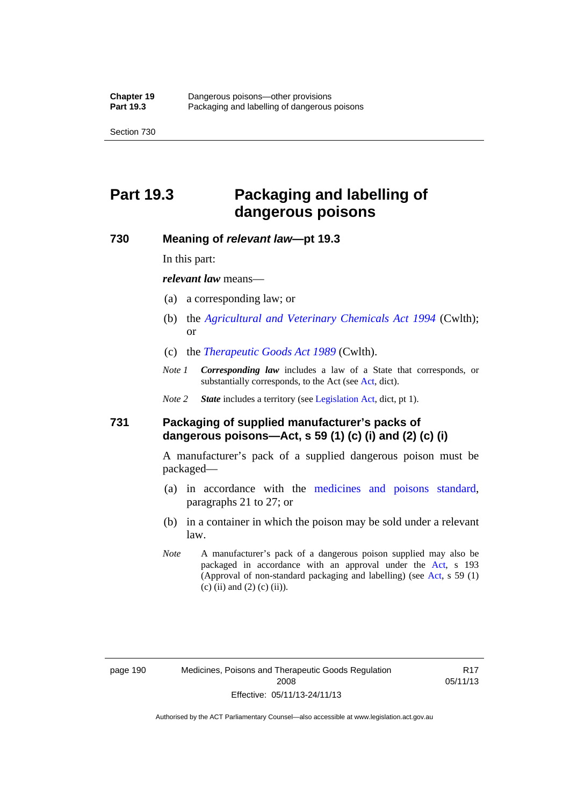# **Part 19.3 Packaging and labelling of dangerous poisons**

#### **730 Meaning of** *relevant law***—pt 19.3**

In this part:

*relevant law* means—

- (a) a corresponding law; or
- (b) the *[Agricultural and Veterinary Chemicals Act 1994](http://www.comlaw.gov.au/Series/C2004A04712)* (Cwlth); or
- (c) the *[Therapeutic Goods Act 1989](http://www.comlaw.gov.au/Series/C2004A03952)* (Cwlth).
- *Note 1 Corresponding law* includes a law of a State that corresponds, or substantially corresponds, to the [Act](http://www.legislation.act.gov.au/a/2008-26/default.asp) (see Act, dict).

*Note 2 State* includes a territory (see [Legislation Act,](http://www.legislation.act.gov.au/a/2001-14) dict, pt 1).

#### **731 Packaging of supplied manufacturer's packs of dangerous poisons—Act, s 59 (1) (c) (i) and (2) (c) (i)**

A manufacturer's pack of a supplied dangerous poison must be packaged—

- (a) in accordance with the [medicines and poisons standard](http://www.comlaw.gov.au/Series/F2012L01200), paragraphs 21 to 27; or
- (b) in a container in which the poison may be sold under a relevant law.
- *Note* A manufacturer's pack of a dangerous poison supplied may also be packaged in accordance with an approval under the [Act,](http://www.legislation.act.gov.au/a/2008-26/default.asp) s 193 (Approval of non-standard packaging and labelling) (see [Act](http://www.legislation.act.gov.au/a/2008-26/default.asp), s 59 (1)  $(c)$  (ii) and (2) (c) (ii)).

page 190 Medicines, Poisons and Therapeutic Goods Regulation 2008 Effective: 05/11/13-24/11/13

R17 05/11/13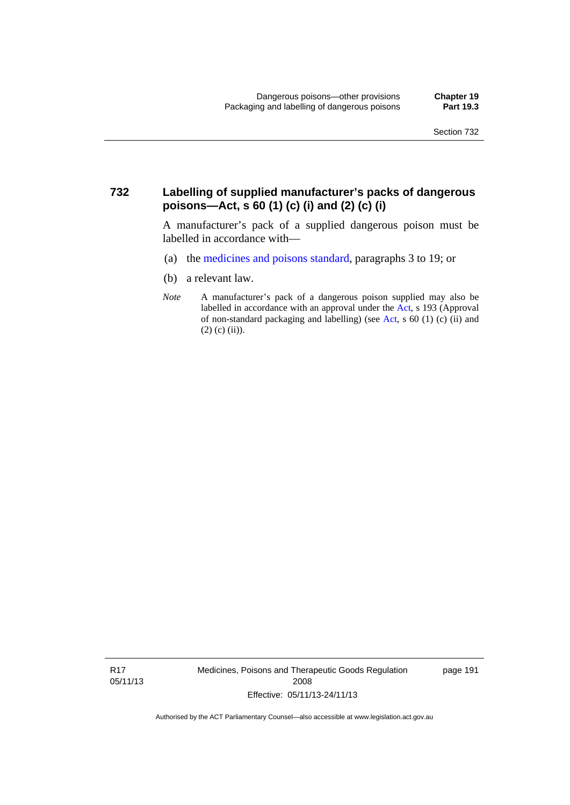#### **732 Labelling of supplied manufacturer's packs of dangerous poisons—Act, s 60 (1) (c) (i) and (2) (c) (i)**

A manufacturer's pack of a supplied dangerous poison must be labelled in accordance with—

- (a) the [medicines and poisons standard](http://www.comlaw.gov.au/Series/F2012L01200), paragraphs 3 to 19; or
- (b) a relevant law.
- *Note* A manufacturer's pack of a dangerous poison supplied may also be labelled in accordance with an approval under the [Act](http://www.legislation.act.gov.au/a/2008-26/default.asp), s 193 (Approval of non-standard packaging and labelling) (see [Act,](http://www.legislation.act.gov.au/a/2008-26/default.asp) s 60 (1) (c) (ii) and  $(2)$  (c) (ii)).

R17 05/11/13 Medicines, Poisons and Therapeutic Goods Regulation 2008 Effective: 05/11/13-24/11/13

page 191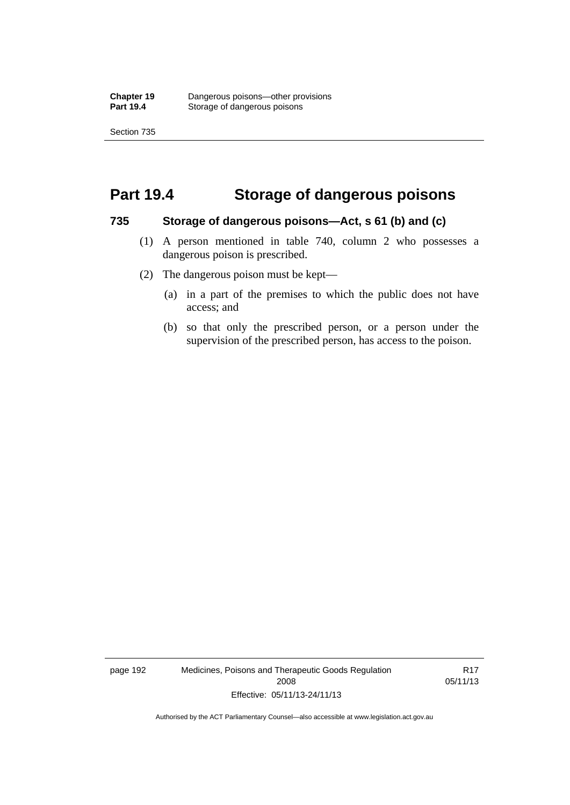### **Part 19.4 Storage of dangerous poisons**

#### **735 Storage of dangerous poisons—Act, s 61 (b) and (c)**

- (1) A person mentioned in table 740, column 2 who possesses a dangerous poison is prescribed.
- (2) The dangerous poison must be kept—
	- (a) in a part of the premises to which the public does not have access; and
	- (b) so that only the prescribed person, or a person under the supervision of the prescribed person, has access to the poison.

page 192 Medicines, Poisons and Therapeutic Goods Regulation 2008 Effective: 05/11/13-24/11/13

R17 05/11/13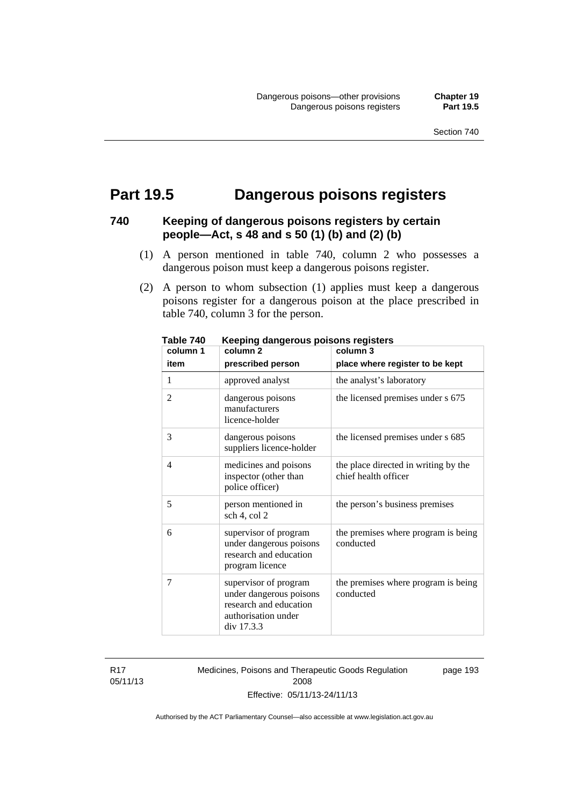## **Part 19.5 Dangerous poisons registers**

## **740 Keeping of dangerous poisons registers by certain people—Act, s 48 and s 50 (1) (b) and (2) (b)**

- (1) A person mentioned in table 740, column 2 who possesses a dangerous poison must keep a dangerous poisons register.
- (2) A person to whom subsection (1) applies must keep a dangerous poisons register for a dangerous poison at the place prescribed in table 740, column 3 for the person.

| column 1       | nooping aangoroas poisons registers<br>column <sub>2</sub>                                                      | column 3                                                     |
|----------------|-----------------------------------------------------------------------------------------------------------------|--------------------------------------------------------------|
| item           | prescribed person                                                                                               | place where register to be kept                              |
| 1              | approved analyst                                                                                                | the analyst's laboratory                                     |
| $\overline{2}$ | dangerous poisons<br>manufacturers<br>licence-holder                                                            | the licensed premises under s 675                            |
| 3              | dangerous poisons<br>suppliers licence-holder                                                                   | the licensed premises under s 685                            |
| $\overline{4}$ | medicines and poisons<br>inspector (other than<br>police officer)                                               | the place directed in writing by the<br>chief health officer |
| 5              | person mentioned in<br>sch 4, col 2                                                                             | the person's business premises                               |
| 6              | supervisor of program<br>under dangerous poisons<br>research and education<br>program licence                   | the premises where program is being<br>conducted             |
| 7              | supervisor of program<br>under dangerous poisons<br>research and education<br>authorisation under<br>div 17.3.3 | the premises where program is being<br>conducted             |

**Table 740 Keeping dangerous poisons registers** 

R17 05/11/13 Medicines, Poisons and Therapeutic Goods Regulation 2008 Effective: 05/11/13-24/11/13

page 193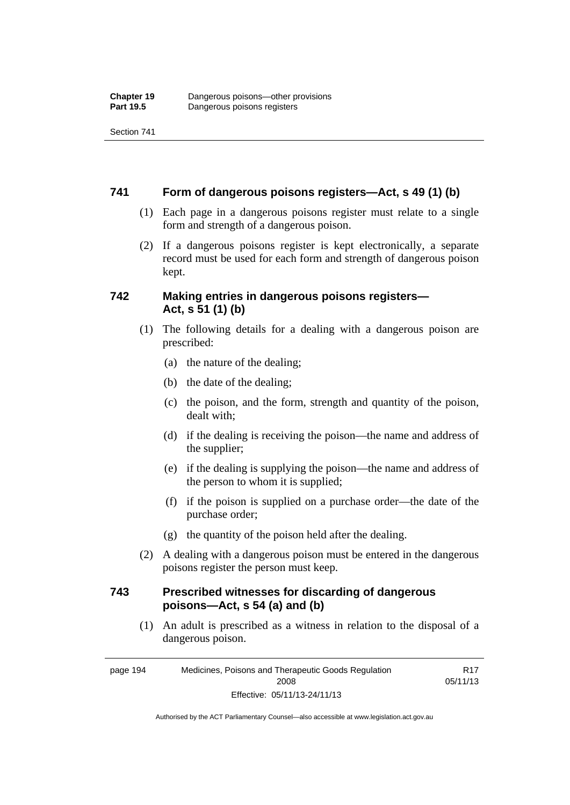Section 741

#### **741 Form of dangerous poisons registers—Act, s 49 (1) (b)**

- (1) Each page in a dangerous poisons register must relate to a single form and strength of a dangerous poison.
- (2) If a dangerous poisons register is kept electronically, a separate record must be used for each form and strength of dangerous poison kept.

#### **742 Making entries in dangerous poisons registers— Act, s 51 (1) (b)**

- (1) The following details for a dealing with a dangerous poison are prescribed:
	- (a) the nature of the dealing;
	- (b) the date of the dealing;
	- (c) the poison, and the form, strength and quantity of the poison, dealt with;
	- (d) if the dealing is receiving the poison—the name and address of the supplier;
	- (e) if the dealing is supplying the poison—the name and address of the person to whom it is supplied;
	- (f) if the poison is supplied on a purchase order—the date of the purchase order;
	- (g) the quantity of the poison held after the dealing.
- (2) A dealing with a dangerous poison must be entered in the dangerous poisons register the person must keep.

#### **743 Prescribed witnesses for discarding of dangerous poisons—Act, s 54 (a) and (b)**

 (1) An adult is prescribed as a witness in relation to the disposal of a dangerous poison.

page 194 Medicines, Poisons and Therapeutic Goods Regulation 2008 Effective: 05/11/13-24/11/13 R17 05/11/13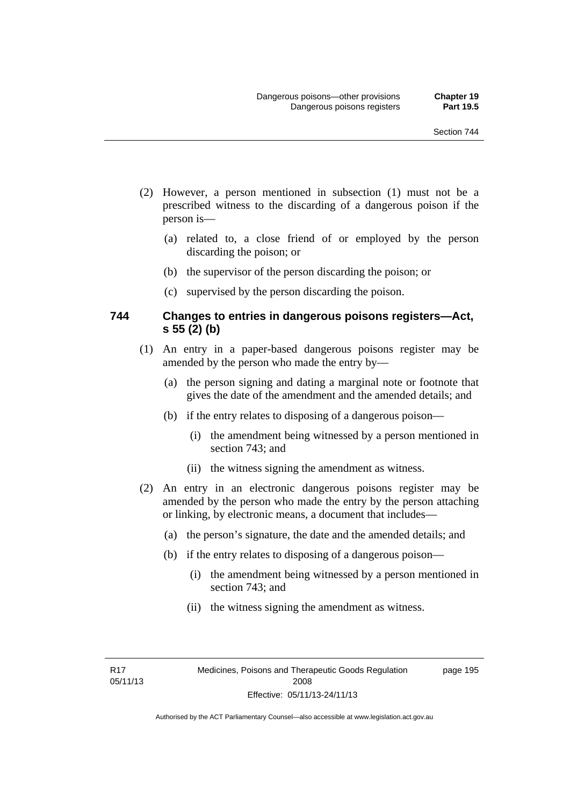- (2) However, a person mentioned in subsection (1) must not be a prescribed witness to the discarding of a dangerous poison if the person is—
	- (a) related to, a close friend of or employed by the person discarding the poison; or
	- (b) the supervisor of the person discarding the poison; or
	- (c) supervised by the person discarding the poison.

#### **744 Changes to entries in dangerous poisons registers—Act, s 55 (2) (b)**

- (1) An entry in a paper-based dangerous poisons register may be amended by the person who made the entry by—
	- (a) the person signing and dating a marginal note or footnote that gives the date of the amendment and the amended details; and
	- (b) if the entry relates to disposing of a dangerous poison—
		- (i) the amendment being witnessed by a person mentioned in section 743; and
		- (ii) the witness signing the amendment as witness.
- (2) An entry in an electronic dangerous poisons register may be amended by the person who made the entry by the person attaching or linking, by electronic means, a document that includes—
	- (a) the person's signature, the date and the amended details; and
	- (b) if the entry relates to disposing of a dangerous poison—
		- (i) the amendment being witnessed by a person mentioned in section 743; and
		- (ii) the witness signing the amendment as witness.

R17 05/11/13 page 195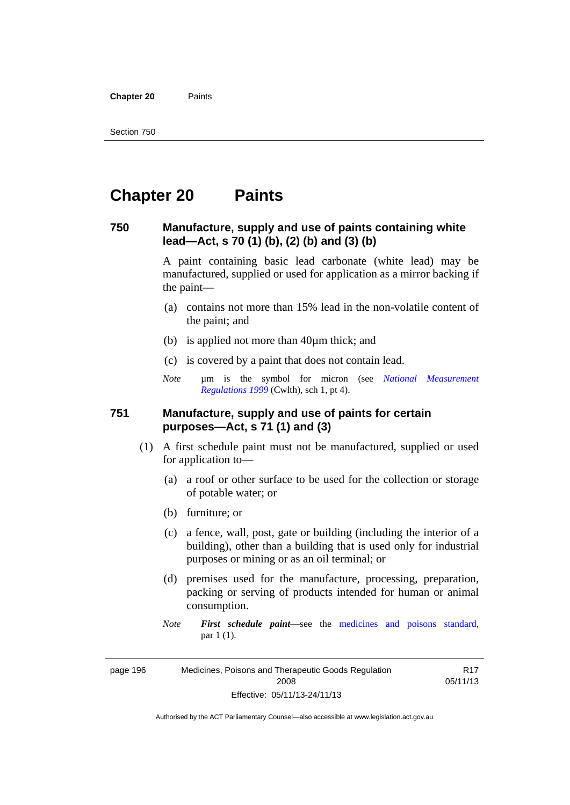**Chapter 20** Paints

## **Chapter 20 Paints**

#### **750 Manufacture, supply and use of paints containing white lead—Act, s 70 (1) (b), (2) (b) and (3) (b)**

A paint containing basic lead carbonate (white lead) may be manufactured, supplied or used for application as a mirror backing if the paint—

- (a) contains not more than 15% lead in the non-volatile content of the paint; and
- (b) is applied not more than 40µm thick; and
- (c) is covered by a paint that does not contain lead.
- *Note* um is the symbol for micron (see *National Measurement [Regulations 1999](http://www.comlaw.gov.au/Series/F1999B00110)* (Cwlth), sch 1, pt 4).

#### **751 Manufacture, supply and use of paints for certain purposes—Act, s 71 (1) and (3)**

- (1) A first schedule paint must not be manufactured, supplied or used for application to—
	- (a) a roof or other surface to be used for the collection or storage of potable water; or
	- (b) furniture; or
	- (c) a fence, wall, post, gate or building (including the interior of a building), other than a building that is used only for industrial purposes or mining or as an oil terminal; or
	- (d) premises used for the manufacture, processing, preparation, packing or serving of products intended for human or animal consumption.
	- *Note First schedule paint*—see the [medicines and poisons standard,](http://www.comlaw.gov.au/Series/F2012L01200) par 1 (1).

page 196 Medicines, Poisons and Therapeutic Goods Regulation 2008 Effective: 05/11/13-24/11/13

R17 05/11/13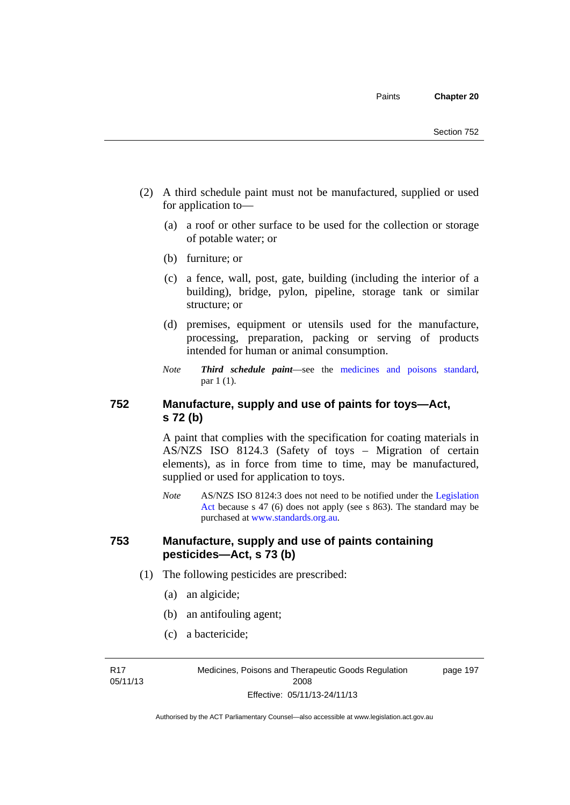- (2) A third schedule paint must not be manufactured, supplied or used for application to—
	- (a) a roof or other surface to be used for the collection or storage of potable water; or
	- (b) furniture; or
	- (c) a fence, wall, post, gate, building (including the interior of a building), bridge, pylon, pipeline, storage tank or similar structure; or
	- (d) premises, equipment or utensils used for the manufacture, processing, preparation, packing or serving of products intended for human or animal consumption.
	- *Note Third schedule paint*—see the [medicines and poisons standard,](http://www.comlaw.gov.au/Series/F2012L01200) par 1 (1).

## **752 Manufacture, supply and use of paints for toys—Act, s 72 (b)**

A paint that complies with the specification for coating materials in AS/NZS ISO 8124.3 (Safety of toys – Migration of certain elements), as in force from time to time, may be manufactured, supplied or used for application to toys.

*Note* AS/NZS ISO 8124:3 does not need to be notified under the [Legislation](http://www.legislation.act.gov.au/a/2001-14)  [Act](http://www.legislation.act.gov.au/a/2001-14) because s 47 (6) does not apply (see s 863). The standard may be purchased at [www.standards.org.au.](http://www.standards.org.au/)

#### **753 Manufacture, supply and use of paints containing pesticides—Act, s 73 (b)**

- (1) The following pesticides are prescribed:
	- (a) an algicide;
	- (b) an antifouling agent;
	- (c) a bactericide;

R17 05/11/13 Medicines, Poisons and Therapeutic Goods Regulation 2008 Effective: 05/11/13-24/11/13

page 197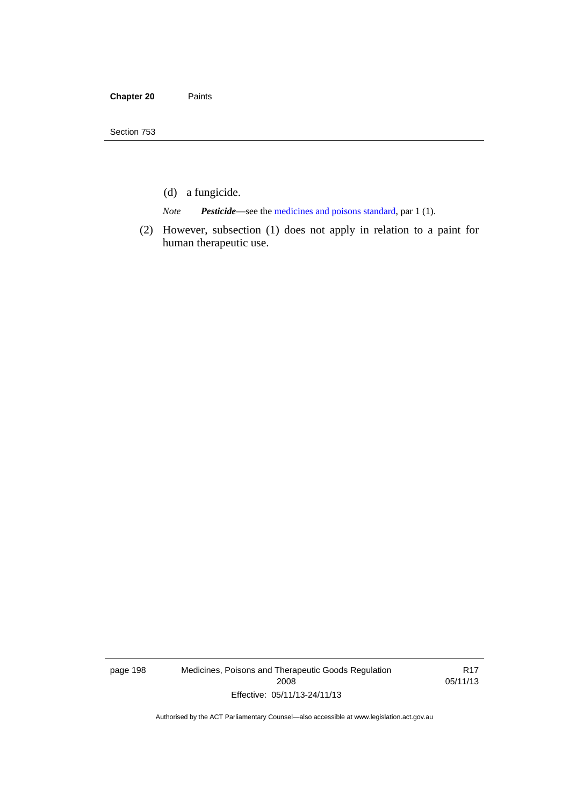- (d) a fungicide.
- *Note Pesticide*—see the [medicines and poisons standard,](http://www.comlaw.gov.au/Series/F2012L01200) par 1 (1).
- (2) However, subsection (1) does not apply in relation to a paint for human therapeutic use.

page 198 Medicines, Poisons and Therapeutic Goods Regulation 2008 Effective: 05/11/13-24/11/13

R17 05/11/13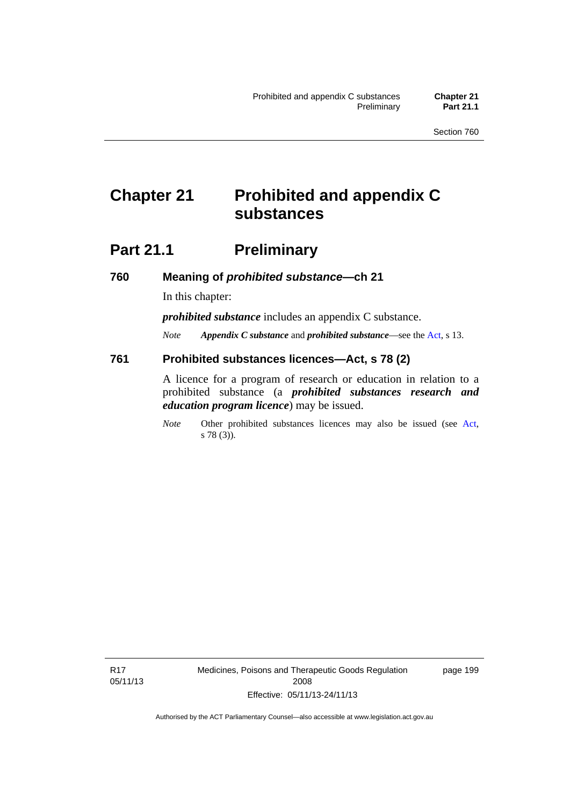# **Chapter 21 Prohibited and appendix C substances**

## **Part 21.1 Preliminary**

**760 Meaning of** *prohibited substance***—ch 21** 

In this chapter:

*prohibited substance* includes an appendix C substance.

*Note Appendix C substance* and *prohibited substance*—see the [Act,](http://www.legislation.act.gov.au/a/2008-26/default.asp) s 13.

#### **761 Prohibited substances licences—Act, s 78 (2)**

A licence for a program of research or education in relation to a prohibited substance (a *prohibited substances research and education program licence*) may be issued.

*Note* Other prohibited substances licences may also be issued (see [Act,](http://www.legislation.act.gov.au/a/2008-26/default.asp) s 78 (3)).

R17 05/11/13 Medicines, Poisons and Therapeutic Goods Regulation 2008 Effective: 05/11/13-24/11/13

page 199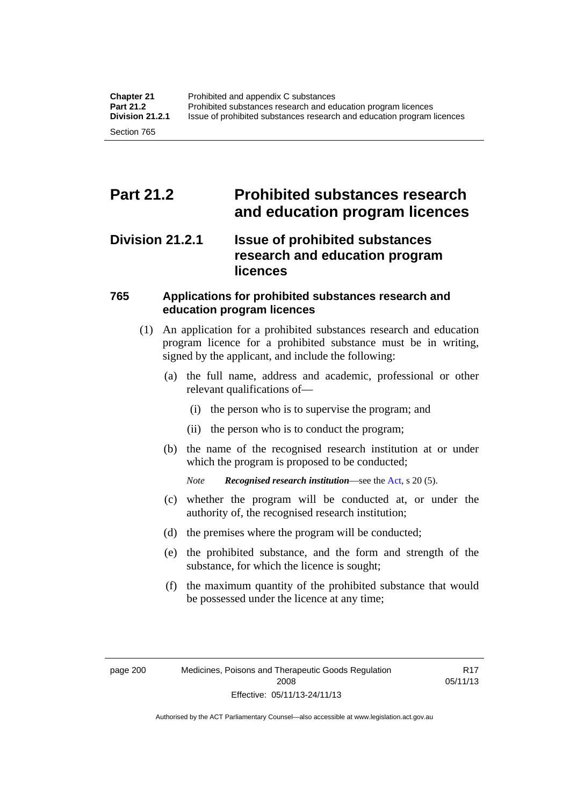## **Part 21.2 Prohibited substances research and education program licences**

## **Division 21.2.1 Issue of prohibited substances research and education program licences**

## **765 Applications for prohibited substances research and education program licences**

- (1) An application for a prohibited substances research and education program licence for a prohibited substance must be in writing, signed by the applicant, and include the following:
	- (a) the full name, address and academic, professional or other relevant qualifications of—
		- (i) the person who is to supervise the program; and
		- (ii) the person who is to conduct the program;
	- (b) the name of the recognised research institution at or under which the program is proposed to be conducted;
		- *Note Recognised research institution*—see the [Act](http://www.legislation.act.gov.au/a/2008-26/default.asp), s 20 (5).
	- (c) whether the program will be conducted at, or under the authority of, the recognised research institution;
	- (d) the premises where the program will be conducted;
	- (e) the prohibited substance, and the form and strength of the substance, for which the licence is sought;
	- (f) the maximum quantity of the prohibited substance that would be possessed under the licence at any time;

Authorised by the ACT Parliamentary Counsel—also accessible at www.legislation.act.gov.au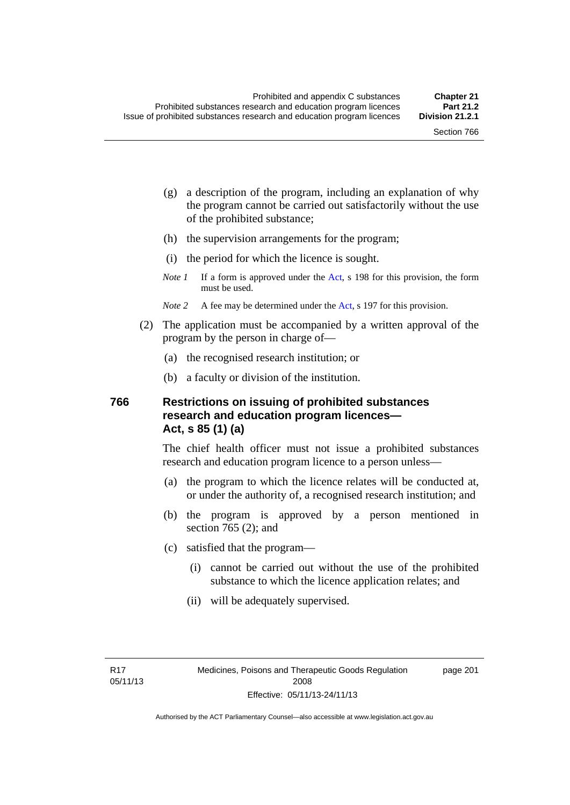- (g) a description of the program, including an explanation of why the program cannot be carried out satisfactorily without the use of the prohibited substance;
- (h) the supervision arrangements for the program;
- (i) the period for which the licence is sought.
- *Note 1* If a form is approved under the [Act](http://www.legislation.act.gov.au/a/2008-26/default.asp), s 198 for this provision, the form must be used.
- *Note* 2 A fee may be determined under the [Act,](http://www.legislation.act.gov.au/a/2008-26/default.asp) s 197 for this provision.
- (2) The application must be accompanied by a written approval of the program by the person in charge of—
	- (a) the recognised research institution; or
	- (b) a faculty or division of the institution.

#### **766 Restrictions on issuing of prohibited substances research and education program licences— Act, s 85 (1) (a)**

The chief health officer must not issue a prohibited substances research and education program licence to a person unless—

- (a) the program to which the licence relates will be conducted at, or under the authority of, a recognised research institution; and
- (b) the program is approved by a person mentioned in section 765 (2); and
- (c) satisfied that the program—
	- (i) cannot be carried out without the use of the prohibited substance to which the licence application relates; and
	- (ii) will be adequately supervised.

page 201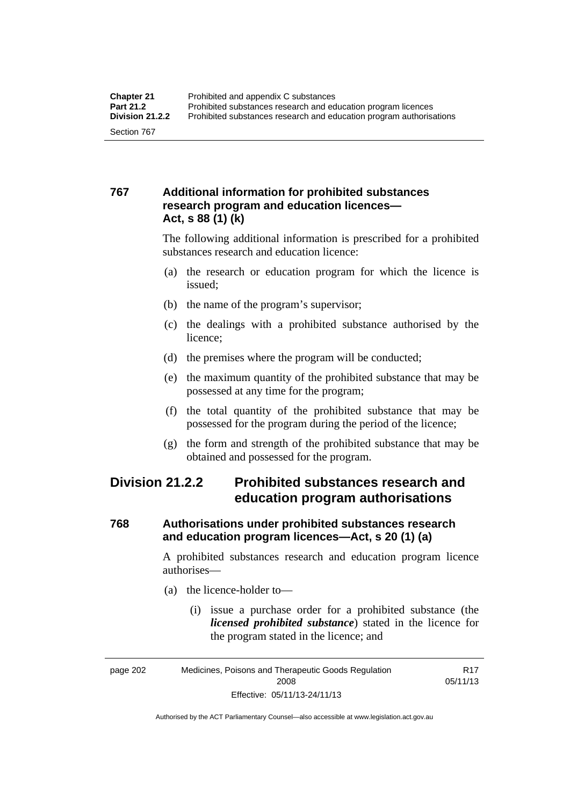## **767 Additional information for prohibited substances research program and education licences— Act, s 88 (1) (k)**

The following additional information is prescribed for a prohibited substances research and education licence:

- (a) the research or education program for which the licence is issued;
- (b) the name of the program's supervisor;
- (c) the dealings with a prohibited substance authorised by the licence;
- (d) the premises where the program will be conducted;
- (e) the maximum quantity of the prohibited substance that may be possessed at any time for the program;
- (f) the total quantity of the prohibited substance that may be possessed for the program during the period of the licence;
- (g) the form and strength of the prohibited substance that may be obtained and possessed for the program.

## **Division 21.2.2 Prohibited substances research and education program authorisations**

## **768 Authorisations under prohibited substances research and education program licences—Act, s 20 (1) (a)**

A prohibited substances research and education program licence authorises—

- (a) the licence-holder to—
	- (i) issue a purchase order for a prohibited substance (the *licensed prohibited substance*) stated in the licence for the program stated in the licence; and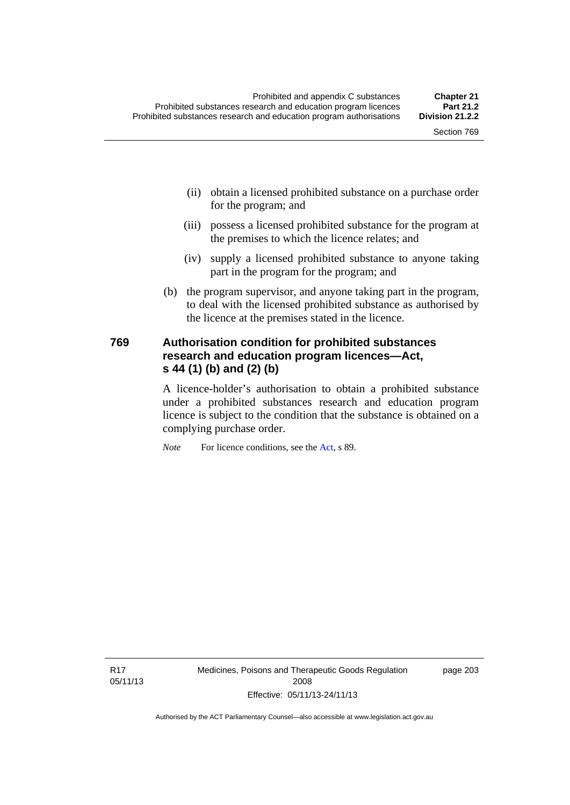- (ii) obtain a licensed prohibited substance on a purchase order for the program; and
- (iii) possess a licensed prohibited substance for the program at the premises to which the licence relates; and
- (iv) supply a licensed prohibited substance to anyone taking part in the program for the program; and
- (b) the program supervisor, and anyone taking part in the program, to deal with the licensed prohibited substance as authorised by the licence at the premises stated in the licence.

#### **769 Authorisation condition for prohibited substances research and education program licences—Act, s 44 (1) (b) and (2) (b)**

A licence-holder's authorisation to obtain a prohibited substance under a prohibited substances research and education program licence is subject to the condition that the substance is obtained on a complying purchase order.

*Note* For licence conditions, see the [Act](http://www.legislation.act.gov.au/a/2008-26/default.asp), s 89.

R17 05/11/13 Medicines, Poisons and Therapeutic Goods Regulation 2008 Effective: 05/11/13-24/11/13

page 203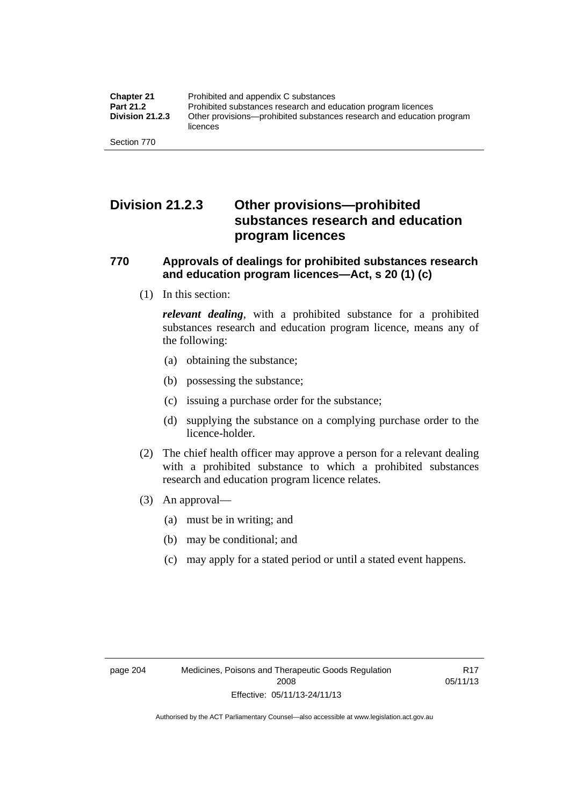## **Division 21.2.3 Other provisions—prohibited substances research and education program licences**

#### **770 Approvals of dealings for prohibited substances research and education program licences—Act, s 20 (1) (c)**

(1) In this section:

*relevant dealing*, with a prohibited substance for a prohibited substances research and education program licence, means any of the following:

- (a) obtaining the substance;
- (b) possessing the substance;
- (c) issuing a purchase order for the substance;
- (d) supplying the substance on a complying purchase order to the licence-holder.
- (2) The chief health officer may approve a person for a relevant dealing with a prohibited substance to which a prohibited substances research and education program licence relates.
- (3) An approval—
	- (a) must be in writing; and
	- (b) may be conditional; and
	- (c) may apply for a stated period or until a stated event happens.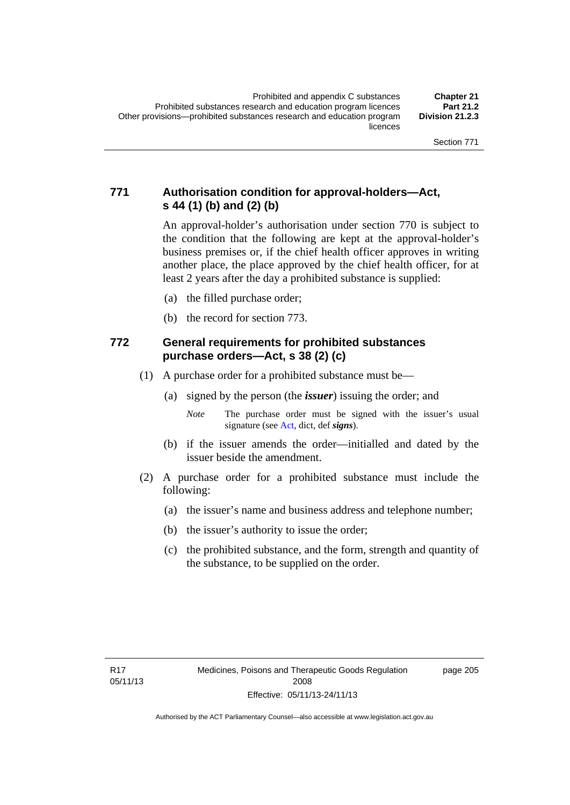## **771 Authorisation condition for approval-holders—Act, s 44 (1) (b) and (2) (b)**

An approval-holder's authorisation under section 770 is subject to the condition that the following are kept at the approval-holder's business premises or, if the chief health officer approves in writing another place, the place approved by the chief health officer, for at least 2 years after the day a prohibited substance is supplied:

- (a) the filled purchase order;
- (b) the record for section 773.

#### **772 General requirements for prohibited substances purchase orders—Act, s 38 (2) (c)**

- (1) A purchase order for a prohibited substance must be—
	- (a) signed by the person (the *issuer*) issuing the order; and
		- *Note* The purchase order must be signed with the issuer's usual signature (see [Act](http://www.legislation.act.gov.au/a/2008-26/default.asp), dict, def *signs*).
	- (b) if the issuer amends the order—initialled and dated by the issuer beside the amendment.
- (2) A purchase order for a prohibited substance must include the following:
	- (a) the issuer's name and business address and telephone number;
	- (b) the issuer's authority to issue the order;
	- (c) the prohibited substance, and the form, strength and quantity of the substance, to be supplied on the order.

page 205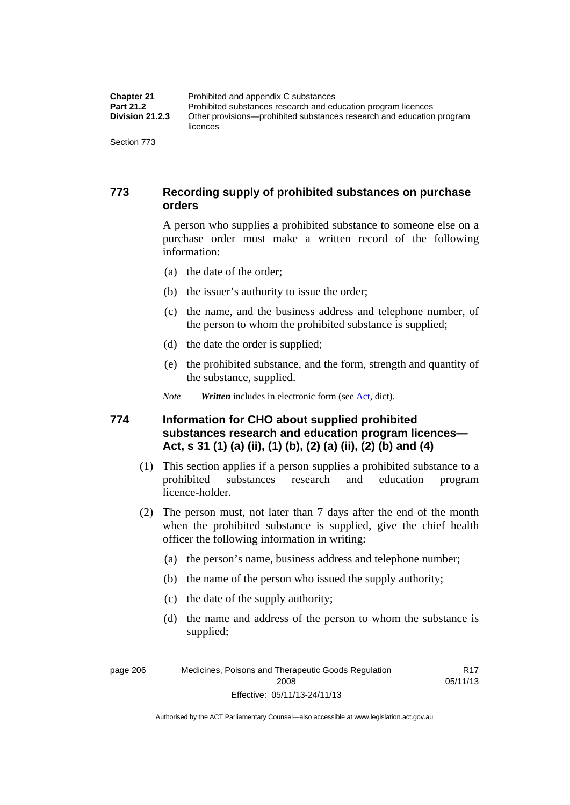| <b>Chapter 21</b>      | Prohibited and appendix C substances                                              |
|------------------------|-----------------------------------------------------------------------------------|
| Part 21.2              | Prohibited substances research and education program licences                     |
| <b>Division 21.2.3</b> | Other provisions—prohibited substances research and education program<br>licences |
| Section 773            |                                                                                   |

#### **773 Recording supply of prohibited substances on purchase orders**

A person who supplies a prohibited substance to someone else on a purchase order must make a written record of the following information:

- (a) the date of the order;
- (b) the issuer's authority to issue the order;
- (c) the name, and the business address and telephone number, of the person to whom the prohibited substance is supplied;
- (d) the date the order is supplied;
- (e) the prohibited substance, and the form, strength and quantity of the substance, supplied.
- *Note Written* includes in electronic form (see [Act,](http://www.legislation.act.gov.au/a/2008-26/default.asp) dict).

#### **774 Information for CHO about supplied prohibited substances research and education program licences— Act, s 31 (1) (a) (ii), (1) (b), (2) (a) (ii), (2) (b) and (4)**

- (1) This section applies if a person supplies a prohibited substance to a prohibited substances research and education program licence-holder.
- (2) The person must, not later than 7 days after the end of the month when the prohibited substance is supplied, give the chief health officer the following information in writing:
	- (a) the person's name, business address and telephone number;
	- (b) the name of the person who issued the supply authority;
	- (c) the date of the supply authority;
	- (d) the name and address of the person to whom the substance is supplied;

R17 05/11/13

page 206 Medicines, Poisons and Therapeutic Goods Regulation 2008 Effective: 05/11/13-24/11/13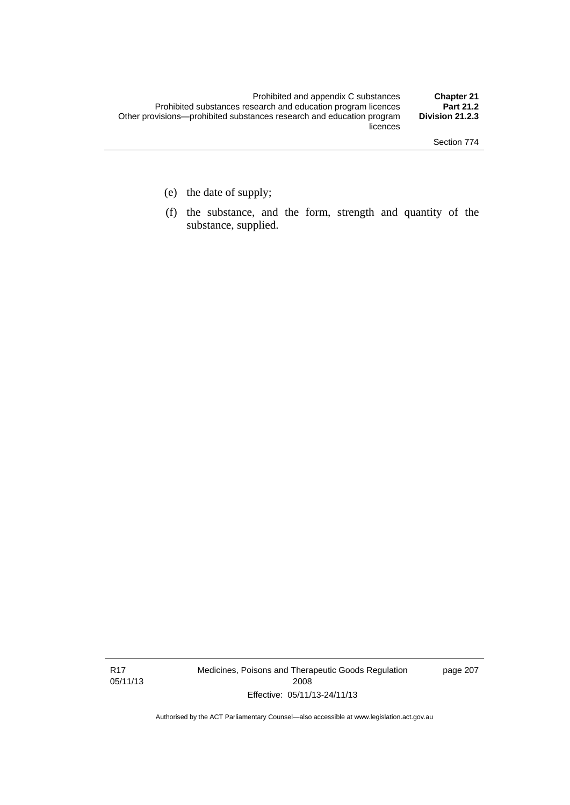- (e) the date of supply;
- (f) the substance, and the form, strength and quantity of the substance, supplied.

R17 05/11/13 Medicines, Poisons and Therapeutic Goods Regulation 2008 Effective: 05/11/13-24/11/13

page 207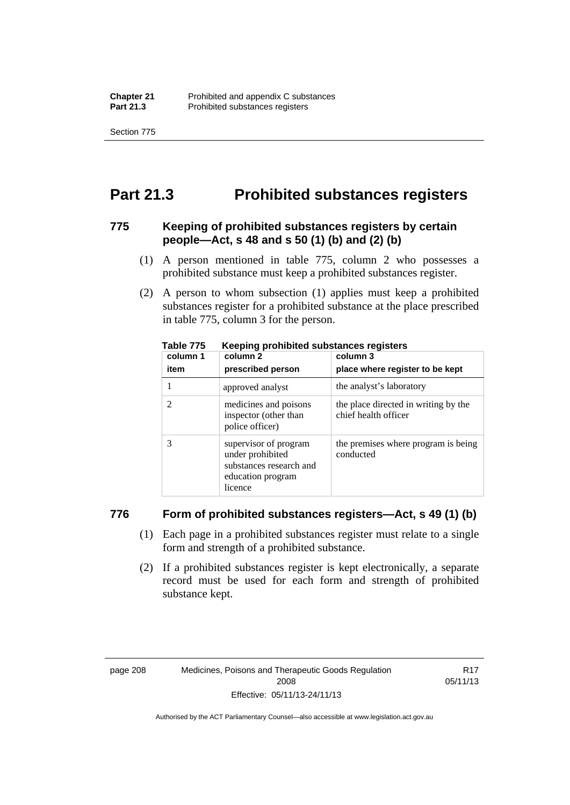Section 775

## **Part 21.3 Prohibited substances registers**

#### **775 Keeping of prohibited substances registers by certain people—Act, s 48 and s 50 (1) (b) and (2) (b)**

- (1) A person mentioned in table 775, column 2 who possesses a prohibited substance must keep a prohibited substances register.
- (2) A person to whom subsection (1) applies must keep a prohibited substances register for a prohibited substance at the place prescribed in table 775, column 3 for the person.

| column 1 | .<br>column 2                                                                                        | column 3                                                     |
|----------|------------------------------------------------------------------------------------------------------|--------------------------------------------------------------|
| item     | prescribed person                                                                                    | place where register to be kept                              |
|          | approved analyst                                                                                     | the analyst's laboratory                                     |
|          | medicines and poisons<br>inspector (other than<br>police officer)                                    | the place directed in writing by the<br>chief health officer |
|          | supervisor of program<br>under prohibited<br>substances research and<br>education program<br>licence | the premises where program is being<br>conducted             |

**Table 775 Keeping prohibited substances registers** 

#### **776 Form of prohibited substances registers—Act, s 49 (1) (b)**

- (1) Each page in a prohibited substances register must relate to a single form and strength of a prohibited substance.
- (2) If a prohibited substances register is kept electronically, a separate record must be used for each form and strength of prohibited substance kept.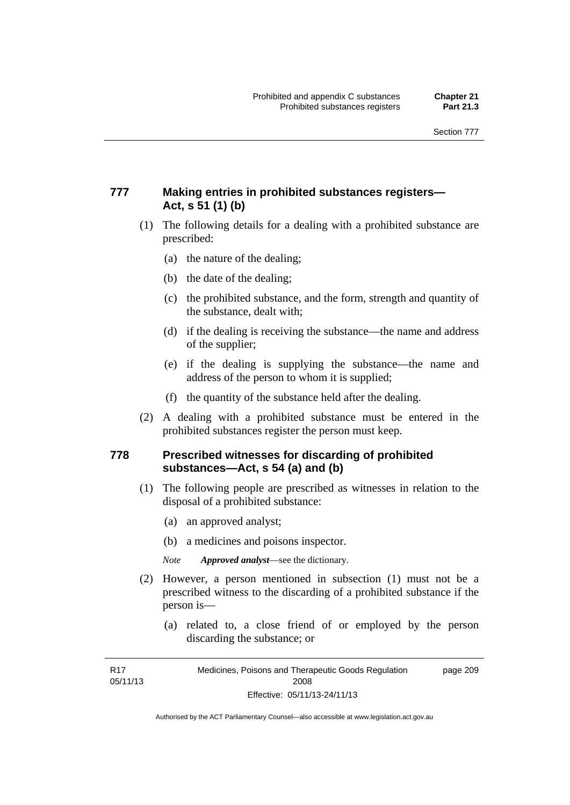## **777 Making entries in prohibited substances registers— Act, s 51 (1) (b)**

- (1) The following details for a dealing with a prohibited substance are prescribed:
	- (a) the nature of the dealing;
	- (b) the date of the dealing;
	- (c) the prohibited substance, and the form, strength and quantity of the substance, dealt with;
	- (d) if the dealing is receiving the substance—the name and address of the supplier;
	- (e) if the dealing is supplying the substance—the name and address of the person to whom it is supplied;
	- (f) the quantity of the substance held after the dealing.
- (2) A dealing with a prohibited substance must be entered in the prohibited substances register the person must keep.

#### **778 Prescribed witnesses for discarding of prohibited substances—Act, s 54 (a) and (b)**

- (1) The following people are prescribed as witnesses in relation to the disposal of a prohibited substance:
	- (a) an approved analyst;
	- (b) a medicines and poisons inspector.

*Note Approved analyst*—see the dictionary.

- (2) However, a person mentioned in subsection (1) must not be a prescribed witness to the discarding of a prohibited substance if the person is—
	- (a) related to, a close friend of or employed by the person discarding the substance; or

R17 05/11/13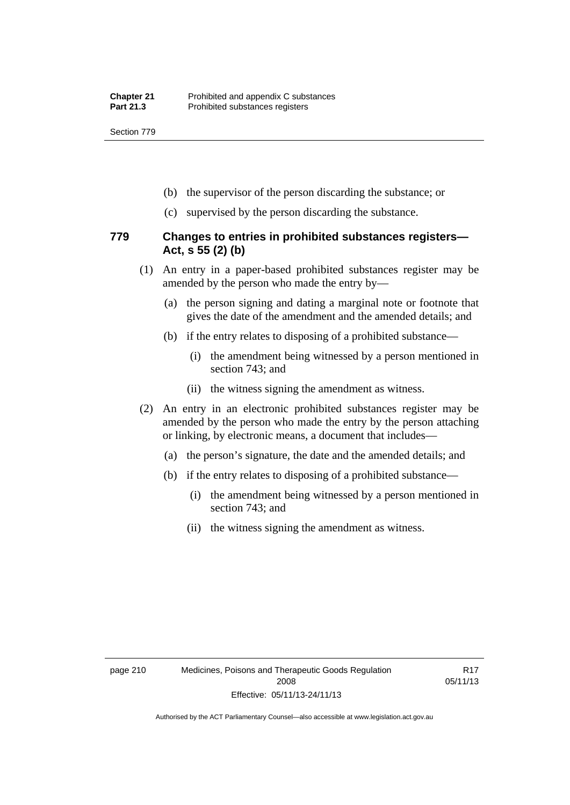Section 779

- (b) the supervisor of the person discarding the substance; or
- (c) supervised by the person discarding the substance.

#### **779 Changes to entries in prohibited substances registers— Act, s 55 (2) (b)**

- (1) An entry in a paper-based prohibited substances register may be amended by the person who made the entry by—
	- (a) the person signing and dating a marginal note or footnote that gives the date of the amendment and the amended details; and
	- (b) if the entry relates to disposing of a prohibited substance—
		- (i) the amendment being witnessed by a person mentioned in section 743; and
		- (ii) the witness signing the amendment as witness.
- (2) An entry in an electronic prohibited substances register may be amended by the person who made the entry by the person attaching or linking, by electronic means, a document that includes—
	- (a) the person's signature, the date and the amended details; and
	- (b) if the entry relates to disposing of a prohibited substance—
		- (i) the amendment being witnessed by a person mentioned in section 743; and
		- (ii) the witness signing the amendment as witness.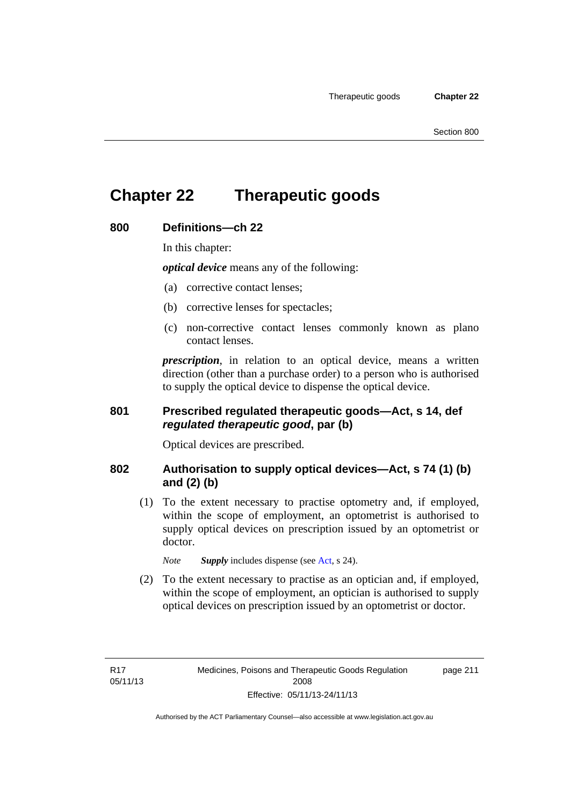# **Chapter 22 Therapeutic goods**

#### **800 Definitions—ch 22**

In this chapter:

*optical device* means any of the following:

- (a) corrective contact lenses;
- (b) corrective lenses for spectacles;
- (c) non-corrective contact lenses commonly known as plano contact lenses.

*prescription*, in relation to an optical device, means a written direction (other than a purchase order) to a person who is authorised to supply the optical device to dispense the optical device.

## **801 Prescribed regulated therapeutic goods—Act, s 14, def**  *regulated therapeutic good***, par (b)**

Optical devices are prescribed.

#### **802 Authorisation to supply optical devices—Act, s 74 (1) (b) and (2) (b)**

 (1) To the extent necessary to practise optometry and, if employed, within the scope of employment, an optometrist is authorised to supply optical devices on prescription issued by an optometrist or doctor.

*Note Supply* includes dispense (see [Act,](http://www.legislation.act.gov.au/a/2008-26/default.asp) s 24).

 (2) To the extent necessary to practise as an optician and, if employed, within the scope of employment, an optician is authorised to supply optical devices on prescription issued by an optometrist or doctor.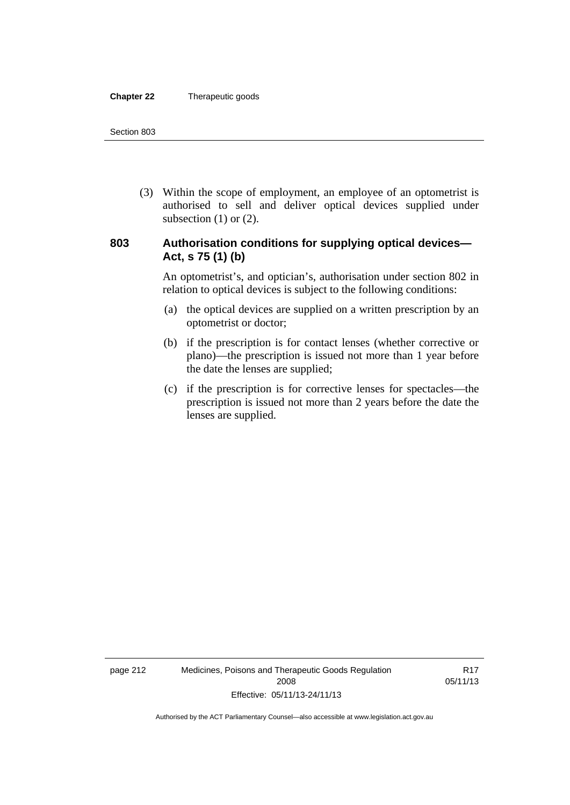#### **Chapter 22** Therapeutic goods

 (3) Within the scope of employment, an employee of an optometrist is authorised to sell and deliver optical devices supplied under subsection  $(1)$  or  $(2)$ .

#### **803 Authorisation conditions for supplying optical devices— Act, s 75 (1) (b)**

An optometrist's, and optician's, authorisation under section 802 in relation to optical devices is subject to the following conditions:

- (a) the optical devices are supplied on a written prescription by an optometrist or doctor;
- (b) if the prescription is for contact lenses (whether corrective or plano)—the prescription is issued not more than 1 year before the date the lenses are supplied;
- (c) if the prescription is for corrective lenses for spectacles—the prescription is issued not more than 2 years before the date the lenses are supplied.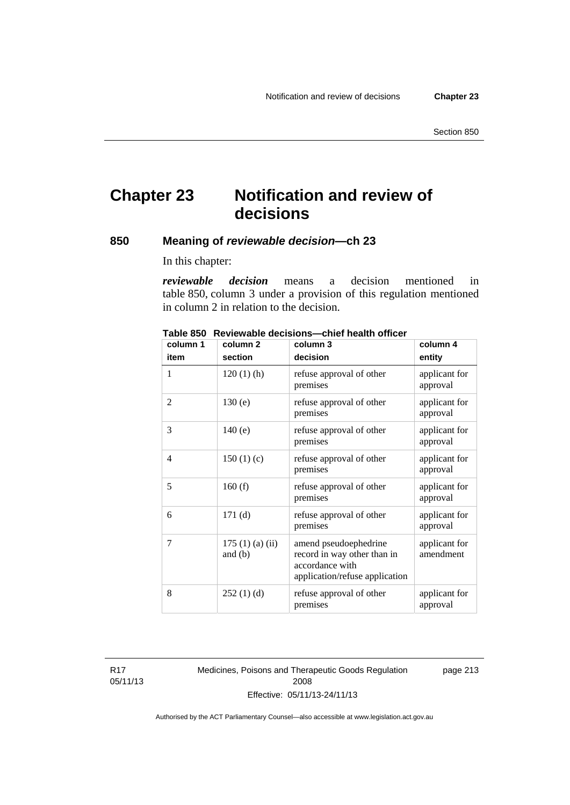# **Chapter 23 Notification and review of decisions**

## **850 Meaning of** *reviewable decision—***ch 23**

In this chapter:

*reviewable decision* means a decision mentioned in table 850, column 3 under a provision of this regulation mentioned in column 2 in relation to the decision.

| column 1 | column <sub>2</sub>        | column 3                                                                                                  | column 4                   |
|----------|----------------------------|-----------------------------------------------------------------------------------------------------------|----------------------------|
| item     | section                    | decision                                                                                                  | entity                     |
| 1        | $120(1)$ (h)               | refuse approval of other<br>premises                                                                      | applicant for<br>approval  |
| 2        | 130(e)                     | refuse approval of other<br>premises                                                                      | applicant for<br>approval  |
| 3        | 140(e)                     | refuse approval of other<br>premises                                                                      | applicant for<br>approval  |
| 4        | 150(1)(c)                  | refuse approval of other<br>premises                                                                      | applicant for<br>approval  |
| 5        | 160(f)                     | refuse approval of other<br>premises                                                                      | applicant for<br>approval  |
| 6        | 171(d)                     | refuse approval of other<br>premises                                                                      | applicant for<br>approval  |
| 7        | 175(1)(a)(ii)<br>and $(b)$ | amend pseudoephedrine<br>record in way other than in<br>accordance with<br>application/refuse application | applicant for<br>amendment |
| 8        | 252(1)(d)                  | refuse approval of other<br>premises                                                                      | applicant for<br>approval  |

**Table 850 Reviewable decisions—chief health officer** 

R17 05/11/13 Medicines, Poisons and Therapeutic Goods Regulation 2008 Effective: 05/11/13-24/11/13

page 213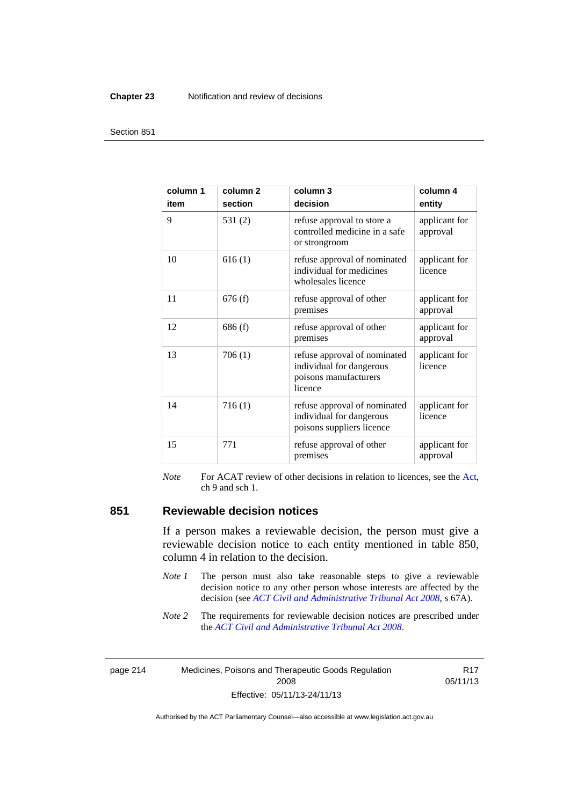#### **Chapter 23** Notification and review of decisions

#### Section 851

| column 1<br>item | column <sub>2</sub><br>section | column 3<br>decision                                                                         | column 4<br>entity        |
|------------------|--------------------------------|----------------------------------------------------------------------------------------------|---------------------------|
| 9                | 531(2)                         | refuse approval to store a<br>controlled medicine in a safe<br>or strongroom                 | applicant for<br>approval |
| 10               | 616(1)                         | refuse approval of nominated<br>individual for medicines<br>wholesales licence               | applicant for<br>licence  |
| 11               | 676(f)                         | refuse approval of other<br>premises                                                         | applicant for<br>approval |
| 12               | 686(f)                         | refuse approval of other<br>premises                                                         | applicant for<br>approval |
| 13               | 706(1)                         | refuse approval of nominated<br>individual for dangerous<br>poisons manufacturers<br>licence | applicant for<br>licence  |
| 14               | 716(1)                         | refuse approval of nominated<br>individual for dangerous<br>poisons suppliers licence        | applicant for<br>licence  |
| 15               | 771                            | refuse approval of other<br>premises                                                         | applicant for<br>approval |

*Note* For ACAT review of other decisions in relation to licences, see the [Act,](http://www.legislation.act.gov.au/a/2008-26/default.asp) ch 9 and sch 1.

#### **851 Reviewable decision notices**

If a person makes a reviewable decision, the person must give a reviewable decision notice to each entity mentioned in table 850, column 4 in relation to the decision.

- *Note 1* The person must also take reasonable steps to give a reviewable decision notice to any other person whose interests are affected by the decision (see *[ACT Civil and Administrative Tribunal Act 2008](http://www.legislation.act.gov.au/a/2008-35)*, s 67A).
- *Note* 2 The requirements for reviewable decision notices are prescribed under the *[ACT Civil and Administrative Tribunal Act 2008](http://www.legislation.act.gov.au/a/2008-35)*.

page 214 Medicines, Poisons and Therapeutic Goods Regulation 2008 Effective: 05/11/13-24/11/13

R17 05/11/13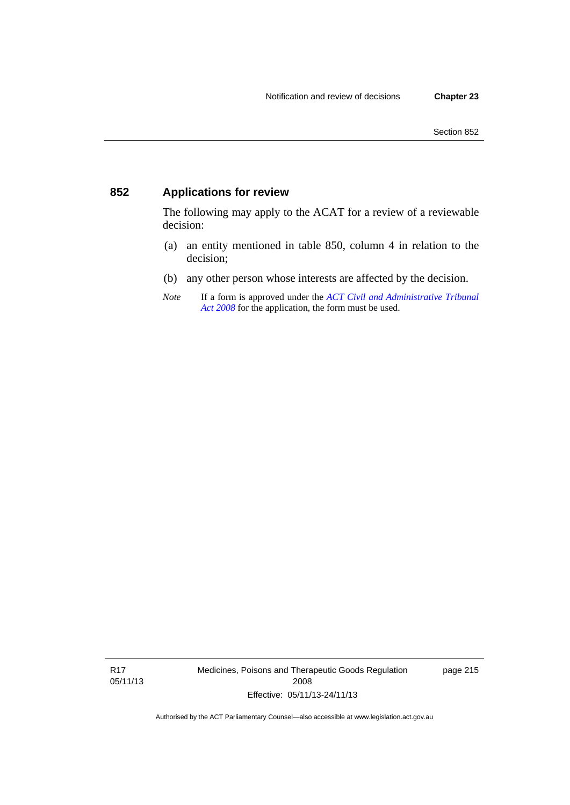## **852 Applications for review**

The following may apply to the ACAT for a review of a reviewable decision:

- (a) an entity mentioned in table 850, column 4 in relation to the decision;
- (b) any other person whose interests are affected by the decision.
- *Note* If a form is approved under the *[ACT Civil and Administrative Tribunal](http://www.legislation.act.gov.au/a/2008-35)  [Act 2008](http://www.legislation.act.gov.au/a/2008-35)* for the application, the form must be used.

R17 05/11/13 Medicines, Poisons and Therapeutic Goods Regulation 2008 Effective: 05/11/13-24/11/13

page 215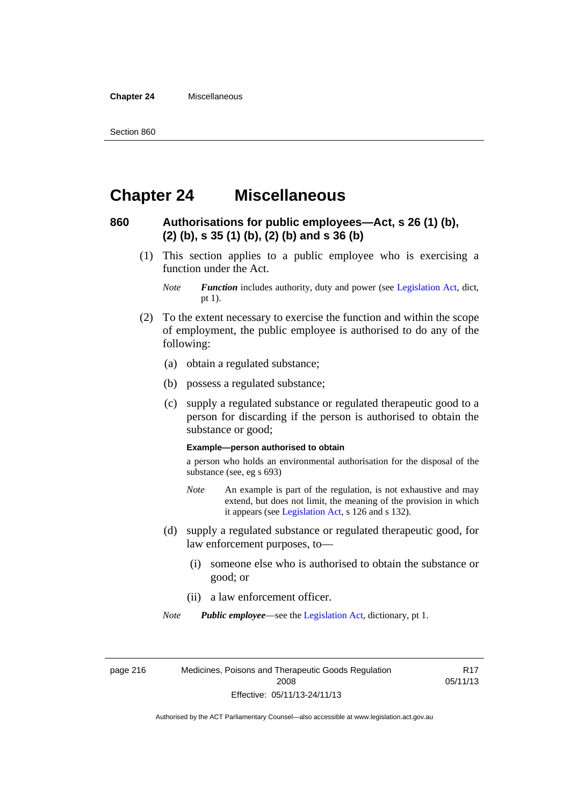**Chapter 24** Miscellaneous

## **Chapter 24 Miscellaneous**

#### **860 Authorisations for public employees—Act, s 26 (1) (b), (2) (b), s 35 (1) (b), (2) (b) and s 36 (b)**

 (1) This section applies to a public employee who is exercising a function under the Act.

- (2) To the extent necessary to exercise the function and within the scope of employment, the public employee is authorised to do any of the following:
	- (a) obtain a regulated substance;
	- (b) possess a regulated substance;
	- (c) supply a regulated substance or regulated therapeutic good to a person for discarding if the person is authorised to obtain the substance or good;

#### **Example—person authorised to obtain**

a person who holds an environmental authorisation for the disposal of the substance (see, eg s 693)

- *Note* An example is part of the regulation, is not exhaustive and may extend, but does not limit, the meaning of the provision in which it appears (see [Legislation Act,](http://www.legislation.act.gov.au/a/2001-14) s 126 and s 132).
- (d) supply a regulated substance or regulated therapeutic good, for law enforcement purposes, to—
	- (i) someone else who is authorised to obtain the substance or good; or
	- (ii) a law enforcement officer.

*Note Public employee*—see the [Legislation Act,](http://www.legislation.act.gov.au/a/2001-14) dictionary, pt 1.

page 216 Medicines, Poisons and Therapeutic Goods Regulation 2008 Effective: 05/11/13-24/11/13

R17 05/11/13

*Note Function* includes authority, duty and power (see [Legislation Act](http://www.legislation.act.gov.au/a/2001-14), dict, pt 1).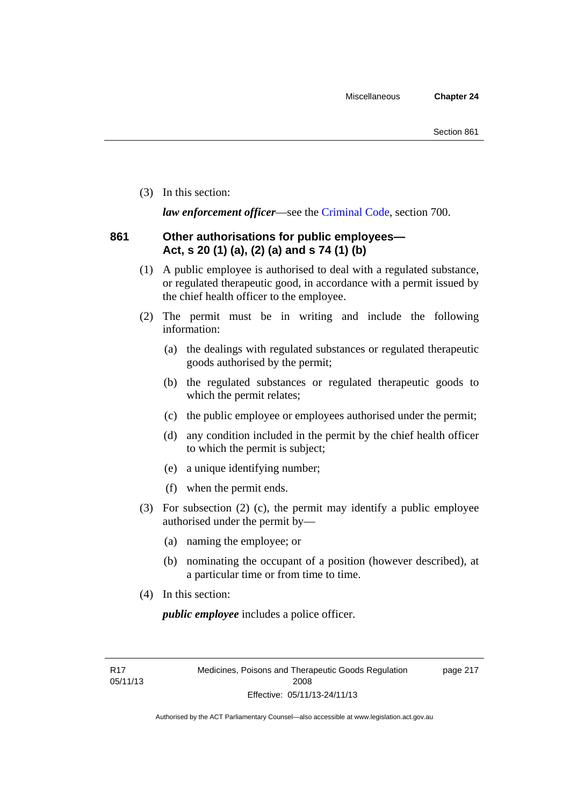(3) In this section:

*law enforcement officer*—see the [Criminal Code,](http://www.legislation.act.gov.au/a/2002-51) section 700.

## **861 Other authorisations for public employees— Act, s 20 (1) (a), (2) (a) and s 74 (1) (b)**

- (1) A public employee is authorised to deal with a regulated substance, or regulated therapeutic good, in accordance with a permit issued by the chief health officer to the employee.
- (2) The permit must be in writing and include the following information:
	- (a) the dealings with regulated substances or regulated therapeutic goods authorised by the permit;
	- (b) the regulated substances or regulated therapeutic goods to which the permit relates;
	- (c) the public employee or employees authorised under the permit;
	- (d) any condition included in the permit by the chief health officer to which the permit is subject;
	- (e) a unique identifying number;
	- (f) when the permit ends.
- (3) For subsection (2) (c), the permit may identify a public employee authorised under the permit by—
	- (a) naming the employee; or
	- (b) nominating the occupant of a position (however described), at a particular time or from time to time.
- (4) In this section:

*public employee* includes a police officer.

R17 05/11/13 page 217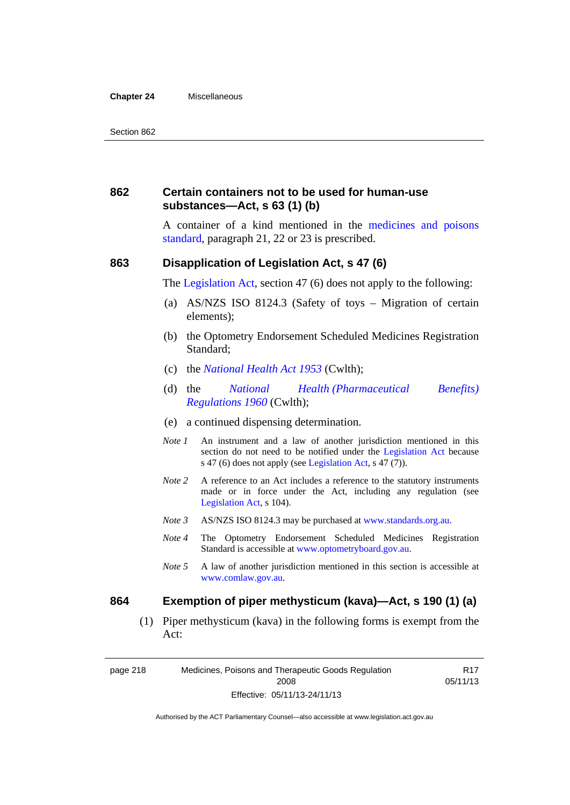#### **Chapter 24** Miscellaneous

#### **862 Certain containers not to be used for human-use substances—Act, s 63 (1) (b)**

A container of a kind mentioned in the [medicines and poisons](http://www.comlaw.gov.au/Series/F2012L01200)  [standard,](http://www.comlaw.gov.au/Series/F2012L01200) paragraph 21, 22 or 23 is prescribed.

#### **863 Disapplication of Legislation Act, s 47 (6)**

The [Legislation Act](http://www.legislation.act.gov.au/a/2001-14), section 47 (6) does not apply to the following:

- (a) AS/NZS ISO 8124.3 (Safety of toys Migration of certain elements);
- (b) the Optometry Endorsement Scheduled Medicines Registration Standard;
- (c) the *[National Health Act 1953](http://www.comlaw.gov.au/Series/C1953A00095)* (Cwlth);
- (d) the *[National Health \(Pharmaceutical Benefits\)](http://www.comlaw.gov.au/Series/F1996B02844)  [Regulations 1960](http://www.comlaw.gov.au/Series/F1996B02844)* (Cwlth);
- (e) a continued dispensing determination.
- *Note 1* An instrument and a law of another jurisdiction mentioned in this section do not need to be notified under the [Legislation Act](http://www.legislation.act.gov.au/a/2001-14) because s 47 (6) does not apply (see [Legislation Act](http://www.legislation.act.gov.au/a/2001-14), s 47 (7)).
- *Note* 2 A reference to an Act includes a reference to the statutory instruments made or in force under the Act, including any regulation (see [Legislation Act,](http://www.legislation.act.gov.au/a/2001-14) s 104).
- *Note 3* AS/NZS ISO 8124.3 may be purchased at [www.standards.org.au.](http://www.standards.org.au/)
- *Note 4* The Optometry Endorsement Scheduled Medicines Registration Standard is accessible at [www.optometryboard.gov.au](http://www.optometryboard.gov.au/).
- *Note 5* A law of another jurisdiction mentioned in this section is accessible at [www.comlaw.gov.au](http://www.comlaw.gov.au/).

#### **864 Exemption of piper methysticum (kava)—Act, s 190 (1) (a)**

 (1) Piper methysticum (kava) in the following forms is exempt from the Act:

page 218 Medicines, Poisons and Therapeutic Goods Regulation 2008 Effective: 05/11/13-24/11/13

R17 05/11/13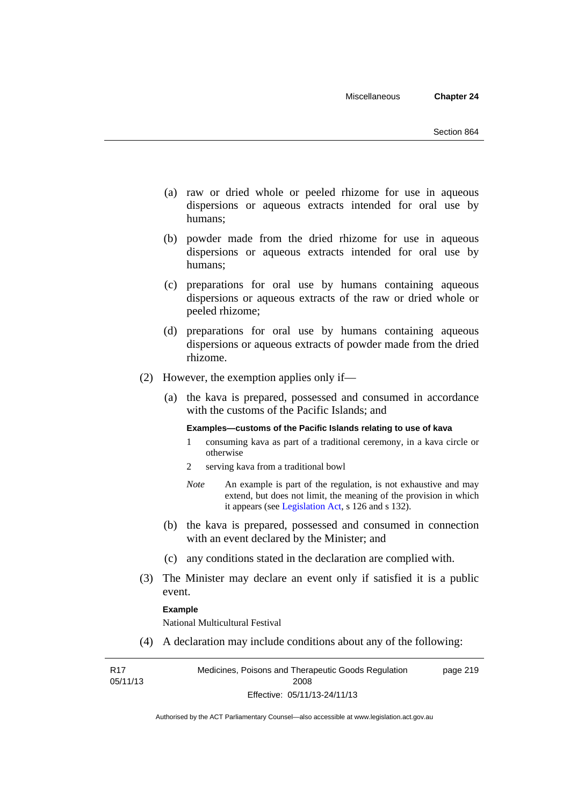- (a) raw or dried whole or peeled rhizome for use in aqueous dispersions or aqueous extracts intended for oral use by humans;
- (b) powder made from the dried rhizome for use in aqueous dispersions or aqueous extracts intended for oral use by humans;
- (c) preparations for oral use by humans containing aqueous dispersions or aqueous extracts of the raw or dried whole or peeled rhizome;
- (d) preparations for oral use by humans containing aqueous dispersions or aqueous extracts of powder made from the dried rhizome.
- (2) However, the exemption applies only if—
	- (a) the kava is prepared, possessed and consumed in accordance with the customs of the Pacific Islands; and

#### **Examples—customs of the Pacific Islands relating to use of kava**

- 1 consuming kava as part of a traditional ceremony, in a kava circle or otherwise
- 2 serving kava from a traditional bowl
- *Note* An example is part of the regulation, is not exhaustive and may extend, but does not limit, the meaning of the provision in which it appears (see [Legislation Act,](http://www.legislation.act.gov.au/a/2001-14) s 126 and s 132).
- (b) the kava is prepared, possessed and consumed in connection with an event declared by the Minister; and
- (c) any conditions stated in the declaration are complied with.
- (3) The Minister may declare an event only if satisfied it is a public event.

#### **Example**

National Multicultural Festival

(4) A declaration may include conditions about any of the following:

R17 05/11/13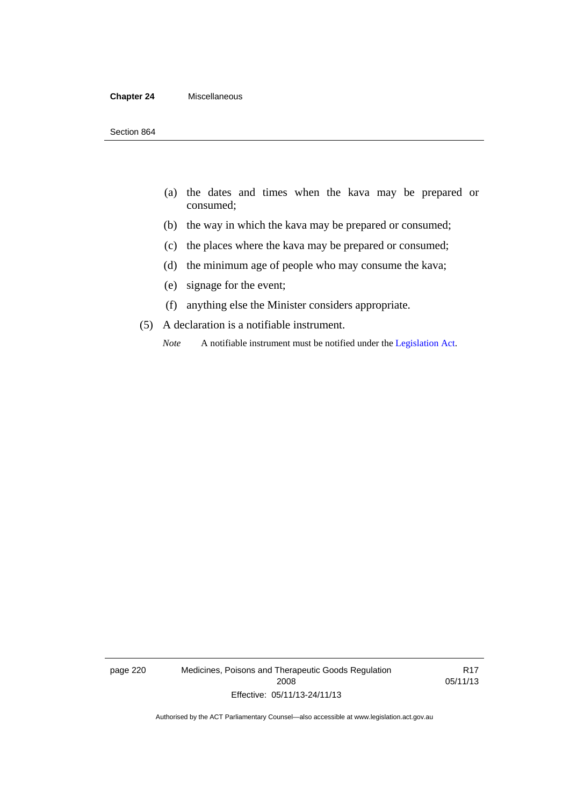#### **Chapter 24** Miscellaneous

- (a) the dates and times when the kava may be prepared or consumed;
- (b) the way in which the kava may be prepared or consumed;
- (c) the places where the kava may be prepared or consumed;
- (d) the minimum age of people who may consume the kava;
- (e) signage for the event;
- (f) anything else the Minister considers appropriate.
- (5) A declaration is a notifiable instrument.
	- *Note* A notifiable instrument must be notified under the [Legislation Act](http://www.legislation.act.gov.au/a/2001-14).

page 220 Medicines, Poisons and Therapeutic Goods Regulation 2008 Effective: 05/11/13-24/11/13

R17 05/11/13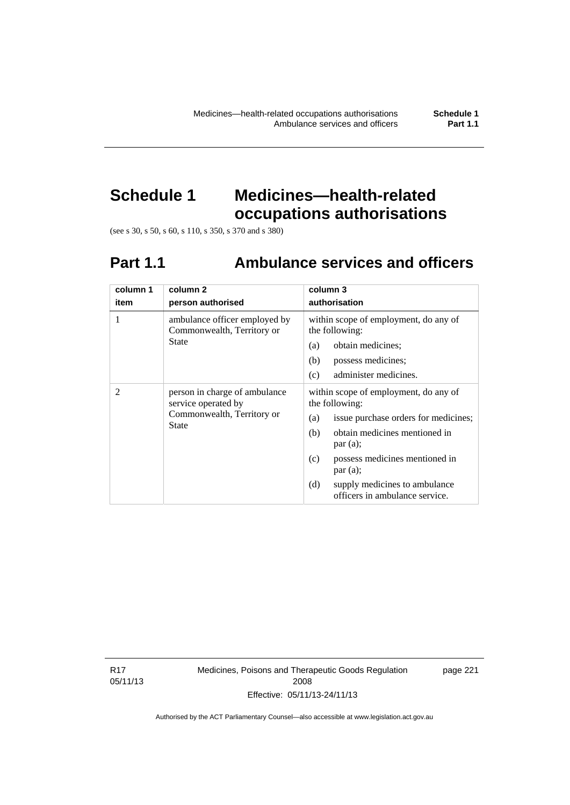# **Schedule 1 Medicines—health-related occupations authorisations**

(see s 30, s 50, s 60, s 110, s 350, s 370 and s 380)

# **Part 1.1 Ambulance services and officers**

| column 1<br>item | column <sub>2</sub><br>person authorised                                                           | column 3<br>authorisation                                                                                                                                                                                                                                                               |
|------------------|----------------------------------------------------------------------------------------------------|-----------------------------------------------------------------------------------------------------------------------------------------------------------------------------------------------------------------------------------------------------------------------------------------|
| 1                | ambulance officer employed by<br>Commonwealth, Territory or<br><b>State</b>                        | within scope of employment, do any of<br>the following:<br>obtain medicines;<br>(a)<br>possess medicines;<br>(b)<br>administer medicines.<br>(c)                                                                                                                                        |
| 2                | person in charge of ambulance<br>service operated by<br>Commonwealth, Territory or<br><b>State</b> | within scope of employment, do any of<br>the following:<br>issue purchase orders for medicines;<br>(a)<br>obtain medicines mentioned in<br>(b)<br>par(a);<br>possess medicines mentioned in<br>(c)<br>par(a);<br>(d)<br>supply medicines to ambulance<br>officers in ambulance service. |

R17 05/11/13 Medicines, Poisons and Therapeutic Goods Regulation 2008 Effective: 05/11/13-24/11/13

page 221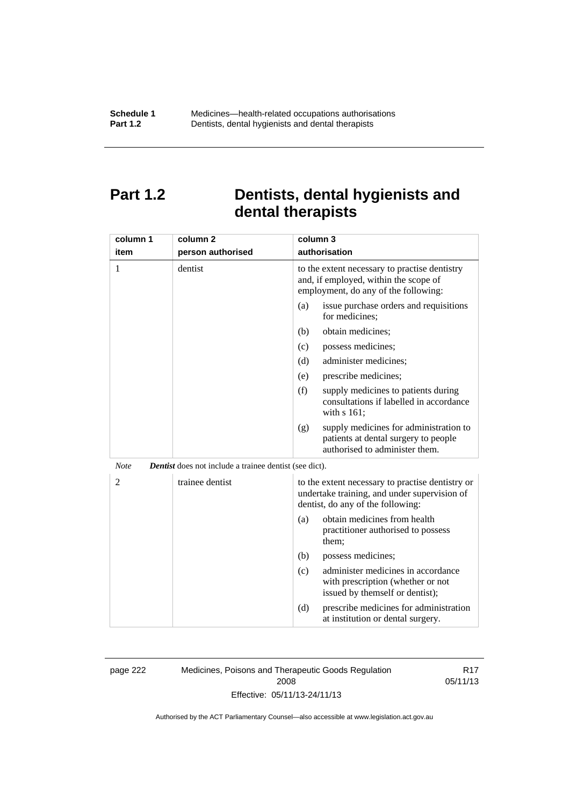## **Part 1.2 Dentists, dental hygienists and dental therapists**

| column 1       | column <sub>2</sub>                                           | column 3                                                                                                                              |
|----------------|---------------------------------------------------------------|---------------------------------------------------------------------------------------------------------------------------------------|
| item           | person authorised                                             | authorisation                                                                                                                         |
| 1              | dentist                                                       | to the extent necessary to practise dentistry<br>and, if employed, within the scope of<br>employment, do any of the following:        |
|                |                                                               | issue purchase orders and requisitions<br>(a)<br>for medicines;                                                                       |
|                |                                                               | obtain medicines;<br>(b)                                                                                                              |
|                |                                                               | possess medicines;<br>(c)                                                                                                             |
|                |                                                               | administer medicines;<br>(d)                                                                                                          |
|                |                                                               | prescribe medicines;<br>(e)                                                                                                           |
|                |                                                               | (f)<br>supply medicines to patients during<br>consultations if labelled in accordance<br>with s 161;                                  |
|                |                                                               | supply medicines for administration to<br>(g)<br>patients at dental surgery to people<br>authorised to administer them.               |
| <b>Note</b>    | <b>Dentist</b> does not include a trainee dentist (see dict). |                                                                                                                                       |
| $\overline{2}$ | trainee dentist                                               | to the extent necessary to practise dentistry or<br>undertake training, and under supervision of<br>dentist, do any of the following: |
|                |                                                               | obtain medicines from health<br>(a)<br>practitioner authorised to possess<br>them:                                                    |
|                |                                                               | (b)<br>possess medicines;                                                                                                             |
|                |                                                               | administer medicines in accordance<br>(c)<br>with prescription (whether or not<br>issued by themself or dentist);                     |
|                |                                                               | (d)<br>prescribe medicines for administration<br>at institution or dental surgery.                                                    |

page 222 Medicines, Poisons and Therapeutic Goods Regulation 2008 Effective: 05/11/13-24/11/13

R17 05/11/13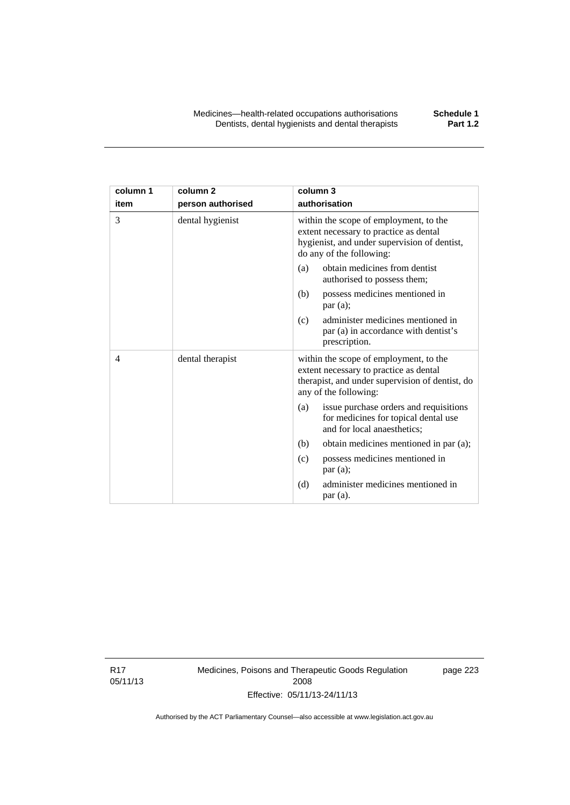| column 1 | column <sub>2</sub> | column 3                                                                                                                                                     |
|----------|---------------------|--------------------------------------------------------------------------------------------------------------------------------------------------------------|
| item     | person authorised   | authorisation                                                                                                                                                |
| 3        | dental hygienist    | within the scope of employment, to the<br>extent necessary to practice as dental<br>hygienist, and under supervision of dentist,<br>do any of the following: |
|          |                     | obtain medicines from dentist<br>(a)<br>authorised to possess them;                                                                                          |
|          |                     | possess medicines mentioned in<br>(b)<br>par(a);                                                                                                             |
|          |                     | administer medicines mentioned in<br>(c)<br>par (a) in accordance with dentist's<br>prescription.                                                            |
| 4        | dental therapist    | within the scope of employment, to the<br>extent necessary to practice as dental<br>therapist, and under supervision of dentist, do<br>any of the following: |
|          |                     | issue purchase orders and requisitions<br>(a)<br>for medicines for topical dental use<br>and for local anaesthetics;                                         |
|          |                     | obtain medicines mentioned in par (a);<br>(b)                                                                                                                |
|          |                     | possess medicines mentioned in<br>(c)<br>par(a);                                                                                                             |
|          |                     | administer medicines mentioned in<br>(d)<br>par(a).                                                                                                          |

R17 05/11/13 Medicines, Poisons and Therapeutic Goods Regulation 2008 Effective: 05/11/13-24/11/13

page 223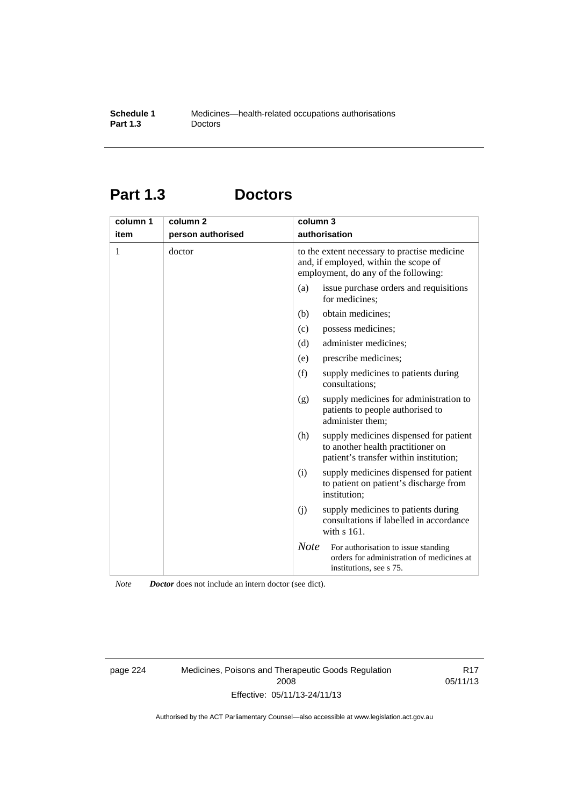# **Part 1.3 Doctors**

| column 1<br>item | column 2<br>person authorised | column 3    | authorisation                                                                                                                 |
|------------------|-------------------------------|-------------|-------------------------------------------------------------------------------------------------------------------------------|
| 1                | doctor                        |             | to the extent necessary to practise medicine<br>and, if employed, within the scope of<br>employment, do any of the following: |
|                  |                               | (a)         | issue purchase orders and requisitions<br>for medicines;                                                                      |
|                  |                               | (b)         | obtain medicines;                                                                                                             |
|                  |                               | (c)         | possess medicines;                                                                                                            |
|                  |                               | (d)         | administer medicines;                                                                                                         |
|                  |                               | (e)         | prescribe medicines;                                                                                                          |
|                  |                               | (f)         | supply medicines to patients during<br>consultations;                                                                         |
|                  |                               | (g)         | supply medicines for administration to<br>patients to people authorised to<br>administer them;                                |
|                  |                               | (h)         | supply medicines dispensed for patient<br>to another health practitioner on<br>patient's transfer within institution;         |
|                  |                               | (i)         | supply medicines dispensed for patient<br>to patient on patient's discharge from<br>institution;                              |
|                  |                               | (i)         | supply medicines to patients during<br>consultations if labelled in accordance<br>with s 161.                                 |
|                  |                               | <b>Note</b> | For authorisation to issue standing<br>orders for administration of medicines at<br>institutions, see s 75.                   |

*Note Doctor* does not include an intern doctor (see dict).

page 224 Medicines, Poisons and Therapeutic Goods Regulation 2008 Effective: 05/11/13-24/11/13

R17 05/11/13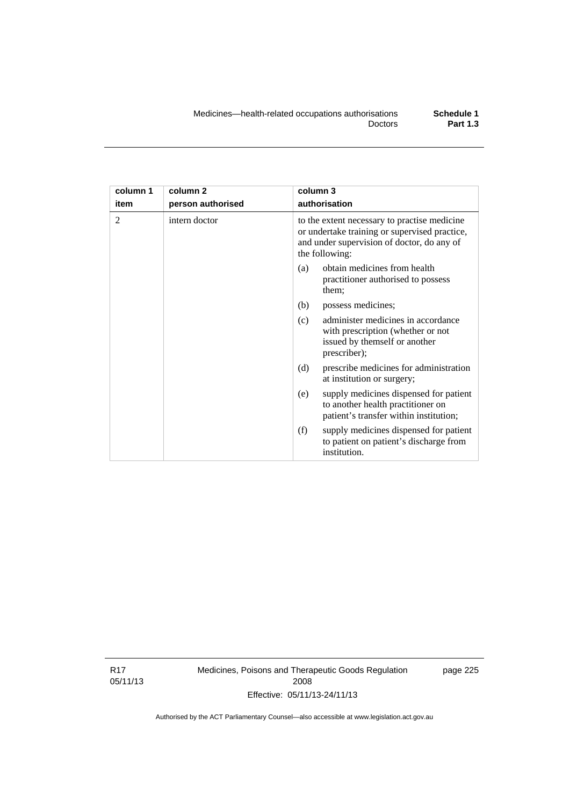| column 1<br>item | column <sub>2</sub><br>person authorised | column 3<br>authorisation                                                                                                                                     |  |
|------------------|------------------------------------------|---------------------------------------------------------------------------------------------------------------------------------------------------------------|--|
| $\overline{2}$   | intern doctor                            | to the extent necessary to practise medicine<br>or undertake training or supervised practice,<br>and under supervision of doctor, do any of<br>the following: |  |
|                  |                                          | obtain medicines from health<br>(a)<br>practitioner authorised to possess<br>them;                                                                            |  |
|                  |                                          | (b)<br>possess medicines;                                                                                                                                     |  |
|                  |                                          | administer medicines in accordance<br>(c)<br>with prescription (whether or not<br>issued by themself or another<br>prescriber);                               |  |
|                  |                                          | (d)<br>prescribe medicines for administration<br>at institution or surgery;                                                                                   |  |
|                  |                                          | supply medicines dispensed for patient<br>(e)<br>to another health practitioner on<br>patient's transfer within institution;                                  |  |
|                  |                                          | (f)<br>supply medicines dispensed for patient<br>to patient on patient's discharge from<br>institution.                                                       |  |

R17 05/11/13 Medicines, Poisons and Therapeutic Goods Regulation 2008 Effective: 05/11/13-24/11/13

page 225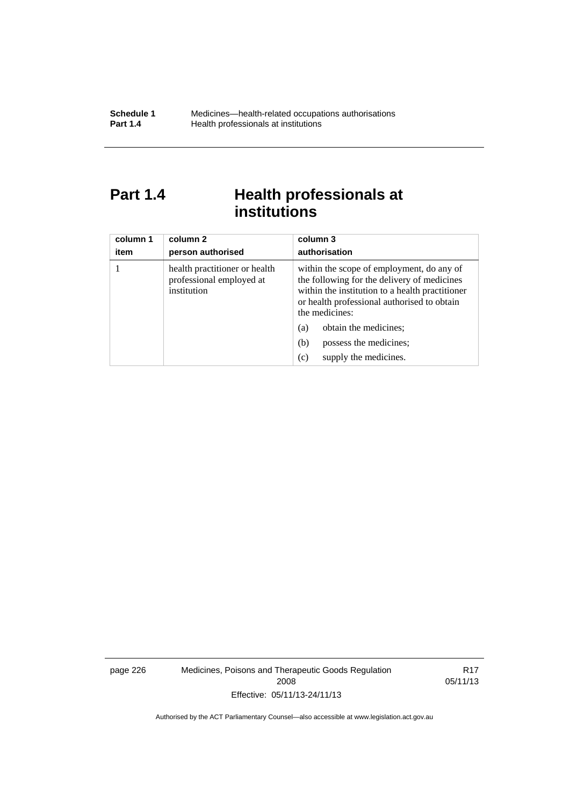# Part 1.4 **Health professionals at institutions**

| column 1<br>item | column 2<br>person authorised                                            | column 3<br>authorisation                                                                                                                                                                                    |
|------------------|--------------------------------------------------------------------------|--------------------------------------------------------------------------------------------------------------------------------------------------------------------------------------------------------------|
|                  | health practitioner or health<br>professional employed at<br>institution | within the scope of employment, do any of<br>the following for the delivery of medicines<br>within the institution to a health practitioner<br>or health professional authorised to obtain<br>the medicines: |
|                  |                                                                          | obtain the medicines;<br>(a)                                                                                                                                                                                 |
|                  |                                                                          | possess the medicines;<br>(b)                                                                                                                                                                                |
|                  |                                                                          | supply the medicines.<br>(c)                                                                                                                                                                                 |

page 226 Medicines, Poisons and Therapeutic Goods Regulation 2008 Effective: 05/11/13-24/11/13

R17 05/11/13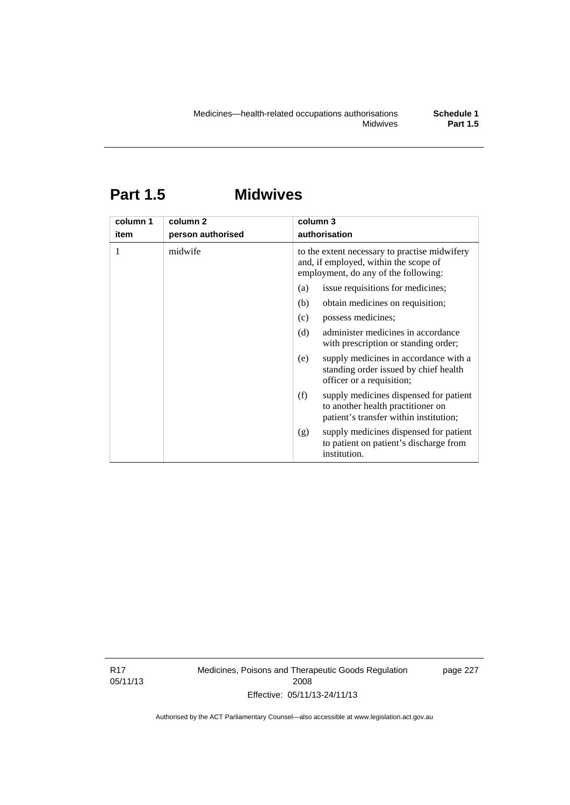# **Part 1.5 Midwives**

| column 1<br>item | column 2<br>person authorised | column 3<br>authorisation                                                                                                      |  |
|------------------|-------------------------------|--------------------------------------------------------------------------------------------------------------------------------|--|
|                  | midwife                       | to the extent necessary to practise midwifery<br>and, if employed, within the scope of<br>employment, do any of the following: |  |
|                  |                               | issue requisitions for medicines;<br>(a)                                                                                       |  |
|                  |                               | obtain medicines on requisition;<br>(b)                                                                                        |  |
|                  |                               | possess medicines;<br>(c)                                                                                                      |  |
|                  |                               | administer medicines in accordance<br>(d)<br>with prescription or standing order;                                              |  |
|                  |                               | supply medicines in accordance with a<br>(e)<br>standing order issued by chief health<br>officer or a requisition;             |  |
|                  |                               | (f)<br>supply medicines dispensed for patient<br>to another health practitioner on<br>patient's transfer within institution;   |  |
|                  |                               | supply medicines dispensed for patient<br>(g)<br>to patient on patient's discharge from<br>institution.                        |  |

R17 05/11/13 Medicines, Poisons and Therapeutic Goods Regulation 2008 Effective: 05/11/13-24/11/13

page 227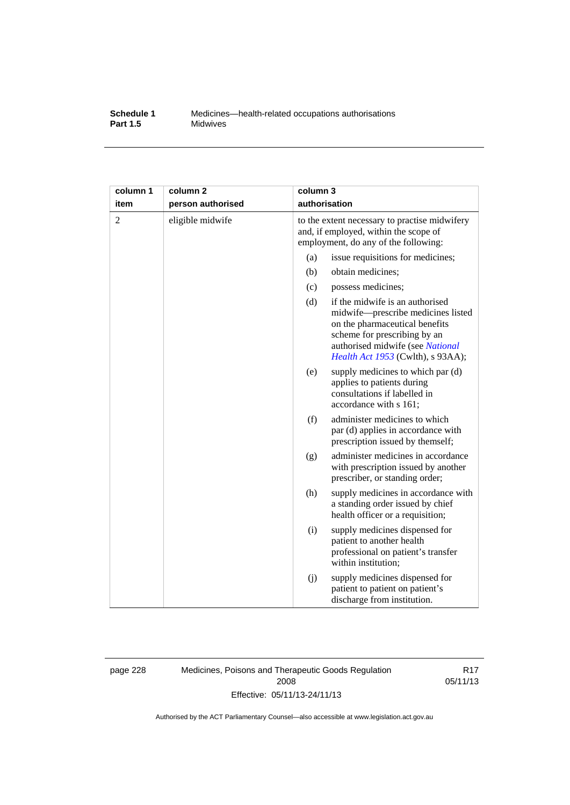#### **Schedule 1** Medicines—health-related occupations authorisations<br>**Part 1.5** Midwives **Midwives**

| column 1       | column <sub>2</sub> | column 3                                                                                                                       |                                                                                                                                                                                                                         |
|----------------|---------------------|--------------------------------------------------------------------------------------------------------------------------------|-------------------------------------------------------------------------------------------------------------------------------------------------------------------------------------------------------------------------|
| item           | person authorised   | authorisation                                                                                                                  |                                                                                                                                                                                                                         |
| $\overline{c}$ | eligible midwife    | to the extent necessary to practise midwifery<br>and, if employed, within the scope of<br>employment, do any of the following: |                                                                                                                                                                                                                         |
|                |                     | (a)                                                                                                                            | issue requisitions for medicines;                                                                                                                                                                                       |
|                |                     | (b)                                                                                                                            | obtain medicines;                                                                                                                                                                                                       |
|                |                     | (c)                                                                                                                            | possess medicines;                                                                                                                                                                                                      |
|                |                     | (d)                                                                                                                            | if the midwife is an authorised<br>midwife-prescribe medicines listed<br>on the pharmaceutical benefits<br>scheme for prescribing by an<br>authorised midwife (see National<br><i>Health Act 1953</i> (Cwlth), s 93AA); |
|                |                     | (e)                                                                                                                            | supply medicines to which par (d)<br>applies to patients during<br>consultations if labelled in<br>accordance with s 161;                                                                                               |
|                |                     | (f)                                                                                                                            | administer medicines to which<br>par (d) applies in accordance with<br>prescription issued by themself;                                                                                                                 |
|                |                     | (g)                                                                                                                            | administer medicines in accordance<br>with prescription issued by another<br>prescriber, or standing order;                                                                                                             |
|                |                     | (h)                                                                                                                            | supply medicines in accordance with<br>a standing order issued by chief<br>health officer or a requisition;                                                                                                             |
|                |                     | (i)                                                                                                                            | supply medicines dispensed for<br>patient to another health<br>professional on patient's transfer<br>within institution;                                                                                                |
|                |                     | (j)                                                                                                                            | supply medicines dispensed for<br>patient to patient on patient's<br>discharge from institution.                                                                                                                        |

page 228 Medicines, Poisons and Therapeutic Goods Regulation 2008 Effective: 05/11/13-24/11/13

R17 05/11/13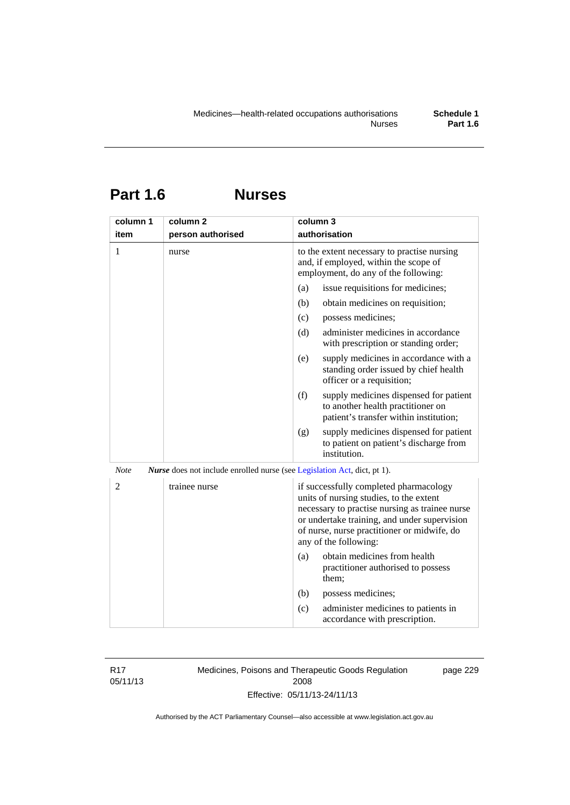# **Part 1.6 Nurses**

| column 1    | column <sub>2</sub>                                                             | column 3                                                                                                                                                                                                                                                    |
|-------------|---------------------------------------------------------------------------------|-------------------------------------------------------------------------------------------------------------------------------------------------------------------------------------------------------------------------------------------------------------|
| item        | person authorised                                                               | authorisation                                                                                                                                                                                                                                               |
| 1           | nurse                                                                           | to the extent necessary to practise nursing<br>and, if employed, within the scope of<br>employment, do any of the following:                                                                                                                                |
|             |                                                                                 | issue requisitions for medicines;<br>(a)                                                                                                                                                                                                                    |
|             |                                                                                 | (b)<br>obtain medicines on requisition;                                                                                                                                                                                                                     |
|             |                                                                                 | (c)<br>possess medicines;                                                                                                                                                                                                                                   |
|             |                                                                                 | administer medicines in accordance<br>(d)<br>with prescription or standing order;                                                                                                                                                                           |
|             |                                                                                 | (e)<br>supply medicines in accordance with a<br>standing order issued by chief health<br>officer or a requisition;                                                                                                                                          |
|             |                                                                                 | (f)<br>supply medicines dispensed for patient<br>to another health practitioner on<br>patient's transfer within institution;                                                                                                                                |
|             |                                                                                 | supply medicines dispensed for patient<br>(g)<br>to patient on patient's discharge from<br>institution.                                                                                                                                                     |
| <b>Note</b> | <i>Nurse</i> does not include enrolled nurse (see Legislation Act, dict, pt 1). |                                                                                                                                                                                                                                                             |
| 2           | trainee nurse                                                                   | if successfully completed pharmacology<br>units of nursing studies, to the extent<br>necessary to practise nursing as trainee nurse<br>or undertake training, and under supervision<br>of nurse, nurse practitioner or midwife, do<br>any of the following: |
|             |                                                                                 | obtain medicines from health<br>(a)<br>practitioner authorised to possess<br>them;                                                                                                                                                                          |
|             |                                                                                 | (b)<br>possess medicines;                                                                                                                                                                                                                                   |
|             |                                                                                 | administer medicines to patients in<br>(c)<br>accordance with prescription.                                                                                                                                                                                 |

R17 05/11/13 Medicines, Poisons and Therapeutic Goods Regulation 2008 Effective: 05/11/13-24/11/13

page 229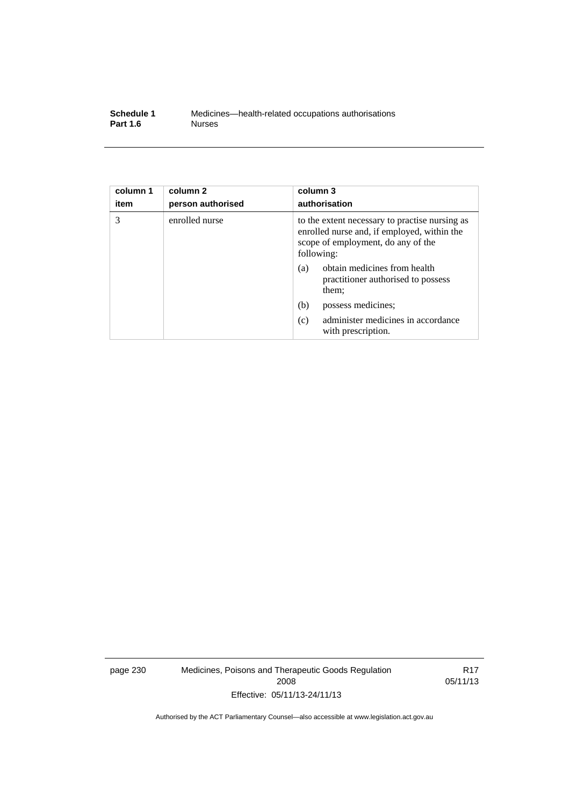| Schedule 1      | Medicines—health-related occupations authorisations |
|-----------------|-----------------------------------------------------|
| <b>Part 1.6</b> | <b>Nurses</b>                                       |

| column 1<br>item | column <sub>2</sub><br>person authorised | column 3<br>authorisation                                                                                                                         |
|------------------|------------------------------------------|---------------------------------------------------------------------------------------------------------------------------------------------------|
| 3                | enrolled nurse                           | to the extent necessary to practise nursing as<br>enrolled nurse and, if employed, within the<br>scope of employment, do any of the<br>following: |
|                  |                                          | obtain medicines from health<br>(a)<br>practitioner authorised to possess<br>them;                                                                |
|                  |                                          | (b)<br>possess medicines;                                                                                                                         |
|                  |                                          | administer medicines in accordance<br>(c)<br>with prescription.                                                                                   |

page 230 Medicines, Poisons and Therapeutic Goods Regulation 2008 Effective: 05/11/13-24/11/13

R17 05/11/13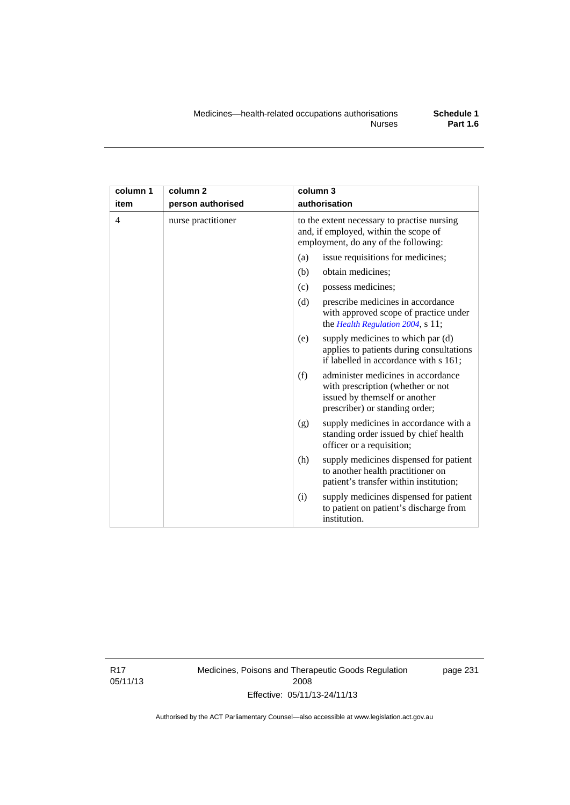| column 1       | column <sub>2</sub> | column 3                                                                                                                                          |  |
|----------------|---------------------|---------------------------------------------------------------------------------------------------------------------------------------------------|--|
| item           | person authorised   | authorisation                                                                                                                                     |  |
| $\overline{4}$ | nurse practitioner  | to the extent necessary to practise nursing<br>and, if employed, within the scope of<br>employment, do any of the following:                      |  |
|                |                     | issue requisitions for medicines;<br>(a)                                                                                                          |  |
|                |                     | (b)<br>obtain medicines;                                                                                                                          |  |
|                |                     | possess medicines;<br>(c)                                                                                                                         |  |
|                |                     | (d)<br>prescribe medicines in accordance<br>with approved scope of practice under<br>the Health Regulation 2004, s 11;                            |  |
|                |                     | supply medicines to which par (d)<br>(e)<br>applies to patients during consultations<br>if labelled in accordance with s 161;                     |  |
|                |                     | administer medicines in accordance<br>(f)<br>with prescription (whether or not<br>issued by themself or another<br>prescriber) or standing order; |  |
|                |                     | supply medicines in accordance with a<br>(g)<br>standing order issued by chief health<br>officer or a requisition;                                |  |
|                |                     | supply medicines dispensed for patient<br>(h)<br>to another health practitioner on<br>patient's transfer within institution;                      |  |
|                |                     | supply medicines dispensed for patient<br>(i)<br>to patient on patient's discharge from<br>institution.                                           |  |

R17 05/11/13 Medicines, Poisons and Therapeutic Goods Regulation 2008 Effective: 05/11/13-24/11/13

page 231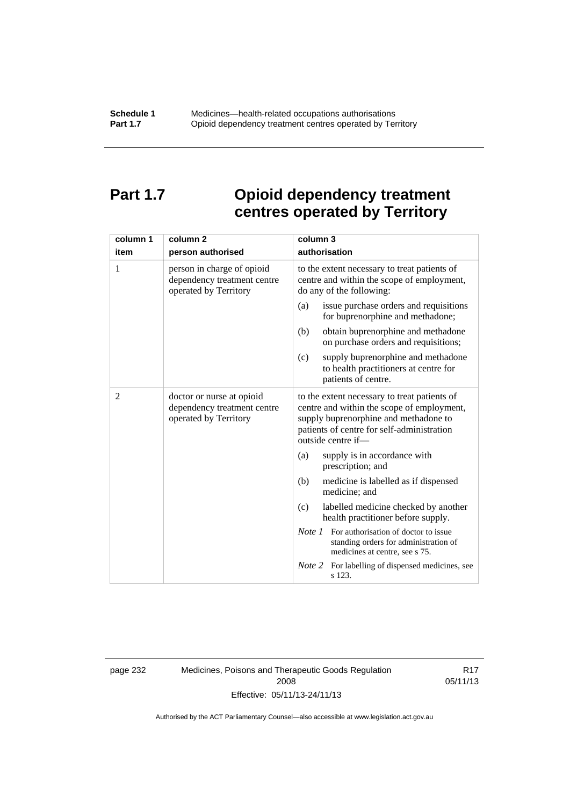# **Part 1.7 Opioid dependency treatment centres operated by Territory**

| column 1       | column <sub>2</sub>                                                                | column 3                                                                                                                                                                                                |  |
|----------------|------------------------------------------------------------------------------------|---------------------------------------------------------------------------------------------------------------------------------------------------------------------------------------------------------|--|
| item           | person authorised                                                                  | authorisation                                                                                                                                                                                           |  |
| 1              | person in charge of opioid<br>dependency treatment centre<br>operated by Territory | to the extent necessary to treat patients of<br>centre and within the scope of employment,<br>do any of the following:                                                                                  |  |
|                |                                                                                    | issue purchase orders and requisitions<br>(a)<br>for buprenorphine and methadone;                                                                                                                       |  |
|                |                                                                                    | obtain buprenorphine and methadone<br>(b)<br>on purchase orders and requisitions;                                                                                                                       |  |
|                |                                                                                    | supply buprenorphine and methadone<br>(c)<br>to health practitioners at centre for<br>patients of centre.                                                                                               |  |
| $\overline{2}$ | doctor or nurse at opioid<br>dependency treatment centre<br>operated by Territory  | to the extent necessary to treat patients of<br>centre and within the scope of employment,<br>supply buprenorphine and methadone to<br>patients of centre for self-administration<br>outside centre if- |  |
|                |                                                                                    | supply is in accordance with<br>(a)<br>prescription; and                                                                                                                                                |  |
|                |                                                                                    | (b)<br>medicine is labelled as if dispensed<br>medicine; and                                                                                                                                            |  |
|                |                                                                                    | (c)<br>labelled medicine checked by another<br>health practitioner before supply.                                                                                                                       |  |
|                |                                                                                    | <i>Note 1</i> For authorisation of doctor to issue<br>standing orders for administration of<br>medicines at centre, see s 75.                                                                           |  |
|                |                                                                                    | Note 2<br>For labelling of dispensed medicines, see<br>s 123.                                                                                                                                           |  |

page 232 Medicines, Poisons and Therapeutic Goods Regulation 2008 Effective: 05/11/13-24/11/13

R17 05/11/13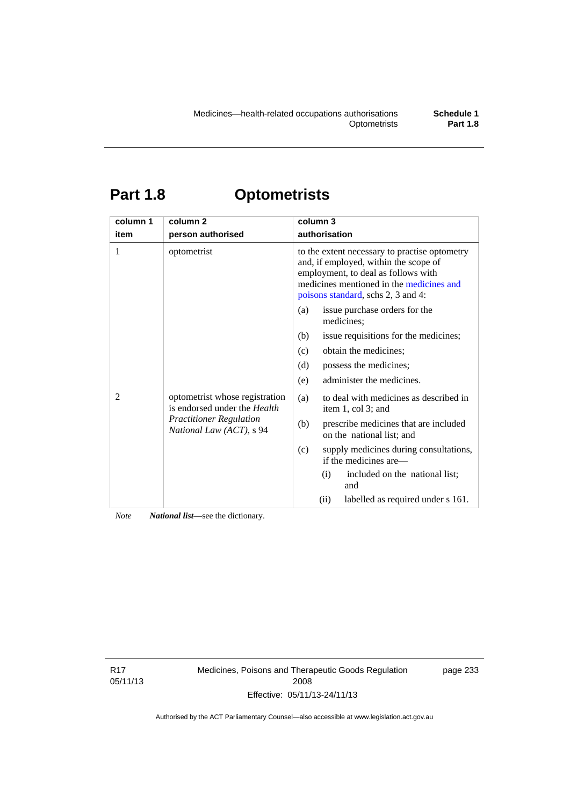# **Part 1.8 Optometrists**

| column 1 | column <sub>2</sub>                                                                                                                 | column 3                                                                                                                                                                                                        |
|----------|-------------------------------------------------------------------------------------------------------------------------------------|-----------------------------------------------------------------------------------------------------------------------------------------------------------------------------------------------------------------|
| item     | person authorised                                                                                                                   | authorisation                                                                                                                                                                                                   |
| 1        | optometrist                                                                                                                         | to the extent necessary to practise optometry<br>and, if employed, within the scope of<br>employment, to deal as follows with<br>medicines mentioned in the medicines and<br>poisons standard, schs 2, 3 and 4: |
|          |                                                                                                                                     | issue purchase orders for the<br>(a)<br>medicines;                                                                                                                                                              |
|          |                                                                                                                                     | issue requisitions for the medicines;<br>(b)                                                                                                                                                                    |
|          |                                                                                                                                     | obtain the medicines;<br>(c)                                                                                                                                                                                    |
|          |                                                                                                                                     | possess the medicines;<br>(d)                                                                                                                                                                                   |
|          |                                                                                                                                     | administer the medicines.<br>(e)                                                                                                                                                                                |
| 2        | optometrist whose registration<br>is endorsed under the <i>Health</i><br><b>Practitioner Regulation</b><br>National Law (ACT), s 94 | to deal with medicines as described in<br>(a)<br>item 1, col 3; and                                                                                                                                             |
|          |                                                                                                                                     | (b)<br>prescribe medicines that are included<br>on the national list; and                                                                                                                                       |
|          |                                                                                                                                     | (c)<br>supply medicines during consultations,<br>if the medicines are—                                                                                                                                          |
|          |                                                                                                                                     | included on the national list;<br>(i)<br>and                                                                                                                                                                    |
|          |                                                                                                                                     | (ii)<br>labelled as required under s 161.                                                                                                                                                                       |

*Note National list*—see the dictionary.

R17 05/11/13 Medicines, Poisons and Therapeutic Goods Regulation 2008 Effective: 05/11/13-24/11/13

page 233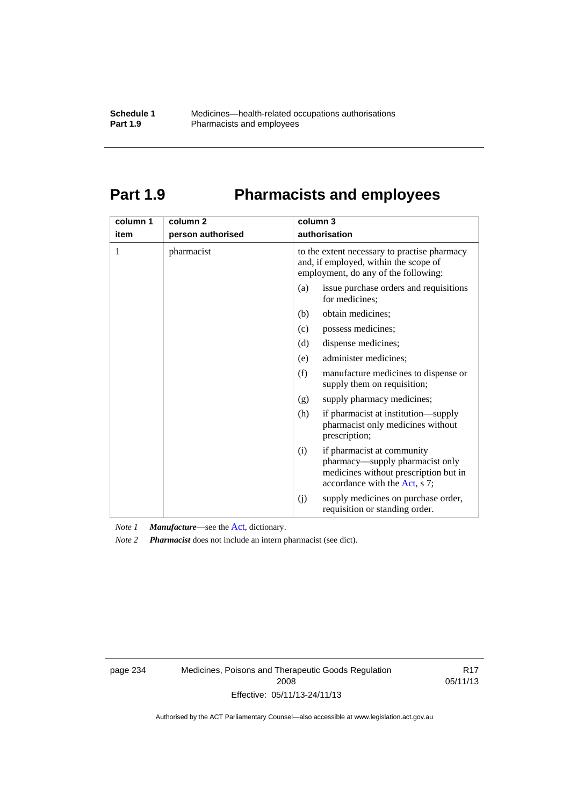# **Part 1.9 Pharmacists and employees**

| column 1 | column <sub>2</sub> | column 3                                                                                                                                       |
|----------|---------------------|------------------------------------------------------------------------------------------------------------------------------------------------|
| item     | person authorised   | authorisation                                                                                                                                  |
| 1        | pharmacist          | to the extent necessary to practise pharmacy<br>and, if employed, within the scope of<br>employment, do any of the following:                  |
|          |                     | issue purchase orders and requisitions<br>(a)<br>for medicines;                                                                                |
|          |                     | obtain medicines;<br>(b)                                                                                                                       |
|          |                     | (c)<br>possess medicines;                                                                                                                      |
|          |                     | dispense medicines;<br>(d)                                                                                                                     |
|          |                     | administer medicines;<br>(e)                                                                                                                   |
|          |                     | (f)<br>manufacture medicines to dispense or<br>supply them on requisition;                                                                     |
|          |                     | supply pharmacy medicines;<br>(g)                                                                                                              |
|          |                     | (h)<br>if pharmacist at institution—supply<br>pharmacist only medicines without<br>prescription;                                               |
|          |                     | if pharmacist at community<br>(i)<br>pharmacy—supply pharmacist only<br>medicines without prescription but in<br>accordance with the Act, s 7; |
|          |                     | supply medicines on purchase order,<br>(j)<br>requisition or standing order.                                                                   |

*Note 1 Manufacture*—see the [Act,](http://www.legislation.act.gov.au/a/2008-26/default.asp) dictionary.

*Note 2 Pharmacist* does not include an intern pharmacist (see dict).

page 234 Medicines, Poisons and Therapeutic Goods Regulation 2008 Effective: 05/11/13-24/11/13

R17 05/11/13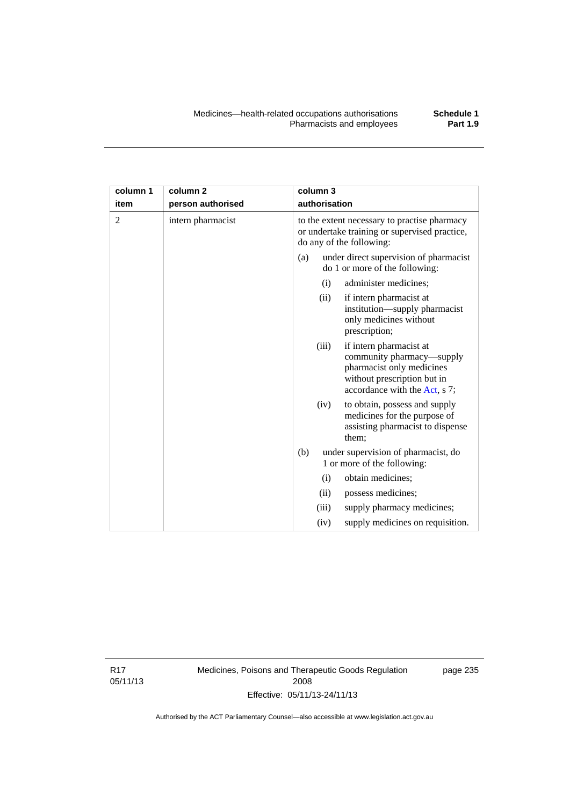| column 1 | column <sub>2</sub> |     | column 3      |                                                                                                                                                   |
|----------|---------------------|-----|---------------|---------------------------------------------------------------------------------------------------------------------------------------------------|
| item     | person authorised   |     | authorisation |                                                                                                                                                   |
| 2        | intern pharmacist   |     |               | to the extent necessary to practise pharmacy<br>or undertake training or supervised practice,<br>do any of the following:                         |
|          |                     | (a) |               | under direct supervision of pharmacist<br>do 1 or more of the following:                                                                          |
|          |                     |     | (i)           | administer medicines;                                                                                                                             |
|          |                     |     | (ii)          | if intern pharmacist at<br>institution-supply pharmacist<br>only medicines without<br>prescription;                                               |
|          |                     |     | (iii)         | if intern pharmacist at<br>community pharmacy—supply<br>pharmacist only medicines<br>without prescription but in<br>accordance with the Act, s 7; |
|          |                     |     | (iv)          | to obtain, possess and supply<br>medicines for the purpose of<br>assisting pharmacist to dispense<br>them;                                        |
|          |                     | (b) |               | under supervision of pharmacist, do<br>1 or more of the following:                                                                                |
|          |                     |     | (i)           | obtain medicines;                                                                                                                                 |
|          |                     |     | (ii)          | possess medicines;                                                                                                                                |
|          |                     |     | (iii)         | supply pharmacy medicines;                                                                                                                        |
|          |                     |     | (iv)          | supply medicines on requisition.                                                                                                                  |

R17 05/11/13 Medicines, Poisons and Therapeutic Goods Regulation 2008 Effective: 05/11/13-24/11/13

page 235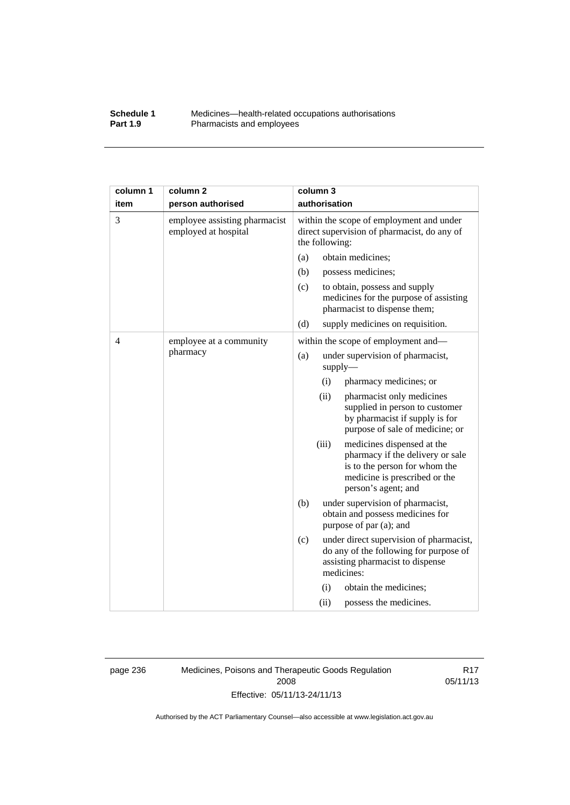#### **Schedule 1** Medicines—health-related occupations authorisations<br>**Part 1.9** Pharmacists and employees Pharmacists and employees

| column 1 | column <sub>2</sub>                                   | column 3                                                                                                                                                         |
|----------|-------------------------------------------------------|------------------------------------------------------------------------------------------------------------------------------------------------------------------|
| item     | person authorised                                     | authorisation                                                                                                                                                    |
| 3        | employee assisting pharmacist<br>employed at hospital | within the scope of employment and under<br>direct supervision of pharmacist, do any of<br>the following:                                                        |
|          |                                                       | obtain medicines;<br>(a)                                                                                                                                         |
|          |                                                       | (b)<br>possess medicines;                                                                                                                                        |
|          |                                                       | (c)<br>to obtain, possess and supply<br>medicines for the purpose of assisting<br>pharmacist to dispense them;                                                   |
|          |                                                       | (d)<br>supply medicines on requisition.                                                                                                                          |
| 4        | employee at a community                               | within the scope of employment and—                                                                                                                              |
| pharmacy | under supervision of pharmacist,<br>(a)<br>supply     |                                                                                                                                                                  |
|          |                                                       | (i)<br>pharmacy medicines; or                                                                                                                                    |
|          |                                                       | (ii)<br>pharmacist only medicines<br>supplied in person to customer<br>by pharmacist if supply is for<br>purpose of sale of medicine; or                         |
|          |                                                       | (iii)<br>medicines dispensed at the<br>pharmacy if the delivery or sale<br>is to the person for whom the<br>medicine is prescribed or the<br>person's agent; and |
|          |                                                       | (b)<br>under supervision of pharmacist,<br>obtain and possess medicines for<br>purpose of par (a); and                                                           |
|          |                                                       | (c)<br>under direct supervision of pharmacist,<br>do any of the following for purpose of<br>assisting pharmacist to dispense<br>medicines:                       |
|          |                                                       | obtain the medicines;<br>(i)                                                                                                                                     |
|          |                                                       | (ii)<br>possess the medicines.                                                                                                                                   |

page 236 Medicines, Poisons and Therapeutic Goods Regulation 2008 Effective: 05/11/13-24/11/13

R17 05/11/13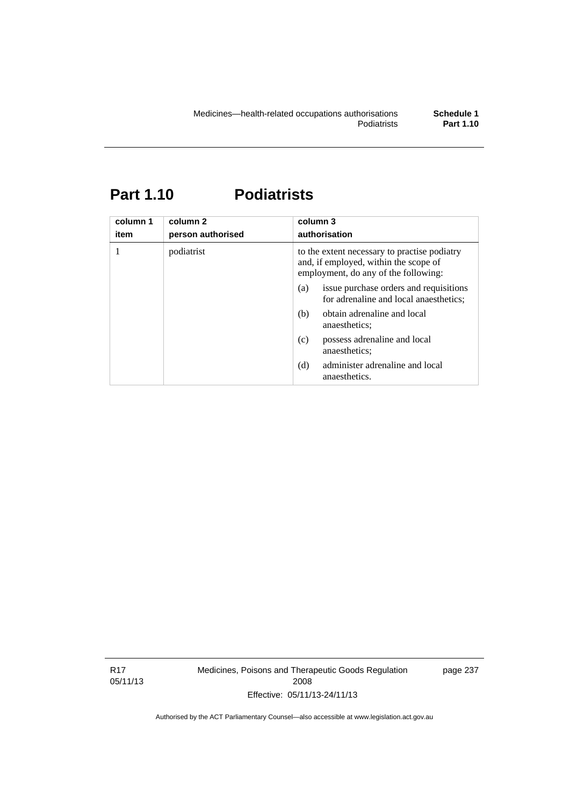# **Part 1.10 Podiatrists**

| column 1<br>item | column 2<br>person authorised | column 3<br>authorisation                                                                                                     |  |
|------------------|-------------------------------|-------------------------------------------------------------------------------------------------------------------------------|--|
| 1                | podiatrist                    | to the extent necessary to practise podiatry<br>and, if employed, within the scope of<br>employment, do any of the following: |  |
|                  |                               | issue purchase orders and requisitions<br>(a)<br>for adrenaline and local anaesthetics;                                       |  |
|                  |                               | obtain adrenaline and local<br>(b)<br>anaesthetics:                                                                           |  |
|                  |                               | possess adrenaline and local<br>(c)<br>anaesthetics;                                                                          |  |
|                  |                               | administer adrenaline and local<br>(d)<br>anaesthetics.                                                                       |  |

R17 05/11/13 Medicines, Poisons and Therapeutic Goods Regulation 2008 Effective: 05/11/13-24/11/13

page 237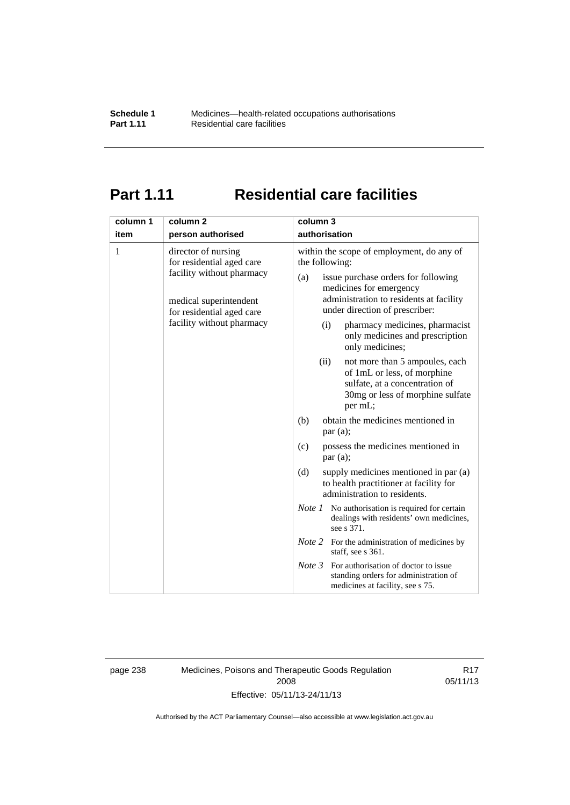# **Part 1.11 Residential care facilities**

| column 1<br>item | column <sub>2</sub><br>person authorised                                                                                                                          | column 3<br>authorisation                                                                                                                                                                                                                                                                                                                                  |
|------------------|-------------------------------------------------------------------------------------------------------------------------------------------------------------------|------------------------------------------------------------------------------------------------------------------------------------------------------------------------------------------------------------------------------------------------------------------------------------------------------------------------------------------------------------|
| 1                | director of nursing<br>for residential aged care<br>facility without pharmacy<br>medical superintendent<br>for residential aged care<br>facility without pharmacy | within the scope of employment, do any of<br>the following:<br>issue purchase orders for following<br>(a)<br>medicines for emergency<br>administration to residents at facility<br>under direction of prescriber:<br>pharmacy medicines, pharmacist<br>(i)<br>only medicines and prescription<br>only medicines;<br>not more than 5 ampoules, each<br>(ii) |
|                  |                                                                                                                                                                   | of 1mL or less, of morphine<br>sulfate, at a concentration of<br>30mg or less of morphine sulfate<br>per mL;                                                                                                                                                                                                                                               |
|                  |                                                                                                                                                                   | obtain the medicines mentioned in<br>(b)<br>par(a);                                                                                                                                                                                                                                                                                                        |
|                  |                                                                                                                                                                   | possess the medicines mentioned in<br>(c)<br>par(a);                                                                                                                                                                                                                                                                                                       |
|                  |                                                                                                                                                                   | (d)<br>supply medicines mentioned in par (a)<br>to health practitioner at facility for<br>administration to residents.                                                                                                                                                                                                                                     |
|                  |                                                                                                                                                                   | <i>Note 1</i> No authorisation is required for certain<br>dealings with residents' own medicines,<br>see s 371.                                                                                                                                                                                                                                            |
|                  |                                                                                                                                                                   | <i>Note</i> 2 For the administration of medicines by<br>staff, see s 361.                                                                                                                                                                                                                                                                                  |
|                  |                                                                                                                                                                   | Note 3<br>For authorisation of doctor to issue<br>standing orders for administration of<br>medicines at facility, see s 75.                                                                                                                                                                                                                                |

page 238 Medicines, Poisons and Therapeutic Goods Regulation 2008 Effective: 05/11/13-24/11/13

R17 05/11/13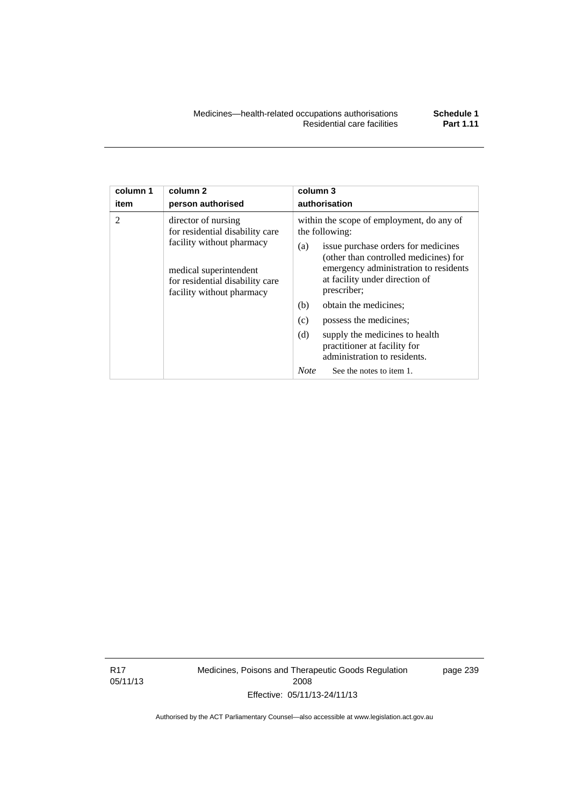| column 1 | column <sub>2</sub>                                                                                                                                                           | column 3                                                                                                                                                                                                                                                                                                                                                                                                                                                          |
|----------|-------------------------------------------------------------------------------------------------------------------------------------------------------------------------------|-------------------------------------------------------------------------------------------------------------------------------------------------------------------------------------------------------------------------------------------------------------------------------------------------------------------------------------------------------------------------------------------------------------------------------------------------------------------|
| item     | person authorised                                                                                                                                                             | authorisation                                                                                                                                                                                                                                                                                                                                                                                                                                                     |
| 2        | director of nursing<br>for residential disability care<br>facility without pharmacy<br>medical superintendent<br>for residential disability care<br>facility without pharmacy | within the scope of employment, do any of<br>the following:<br>issue purchase orders for medicines<br>(a)<br>(other than controlled medicines) for<br>emergency administration to residents<br>at facility under direction of<br>prescriber;<br>obtain the medicines;<br>(b)<br>(c)<br>possess the medicines;<br>(d)<br>supply the medicines to health<br>practitioner at facility for<br>administration to residents.<br><b>Note</b><br>See the notes to item 1. |

R17 05/11/13 Medicines, Poisons and Therapeutic Goods Regulation 2008 Effective: 05/11/13-24/11/13

page 239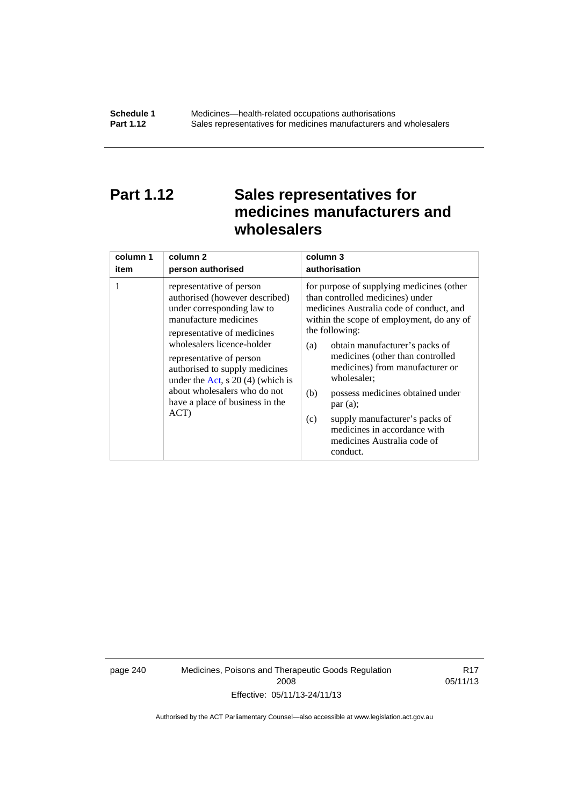## **Part 1.12 Sales representatives for medicines manufacturers and wholesalers**

| column 1 | column <sub>2</sub>                                                                                                                                                                                                                                                                                                                                           | column 3      |
|----------|---------------------------------------------------------------------------------------------------------------------------------------------------------------------------------------------------------------------------------------------------------------------------------------------------------------------------------------------------------------|---------------|
| item     | person authorised                                                                                                                                                                                                                                                                                                                                             | authorisation |
| 1        | representative of person<br>authorised (however described)<br>under corresponding law to<br>manufacture medicines<br>representative of medicines<br>wholesalers licence-holder<br>representative of person<br>authorised to supply medicines<br>under the Act, s $20(4)$ (which is<br>about wholesalers who do not<br>have a place of business in the<br>ACT) |               |

page 240 Medicines, Poisons and Therapeutic Goods Regulation 2008 Effective: 05/11/13-24/11/13

R17 05/11/13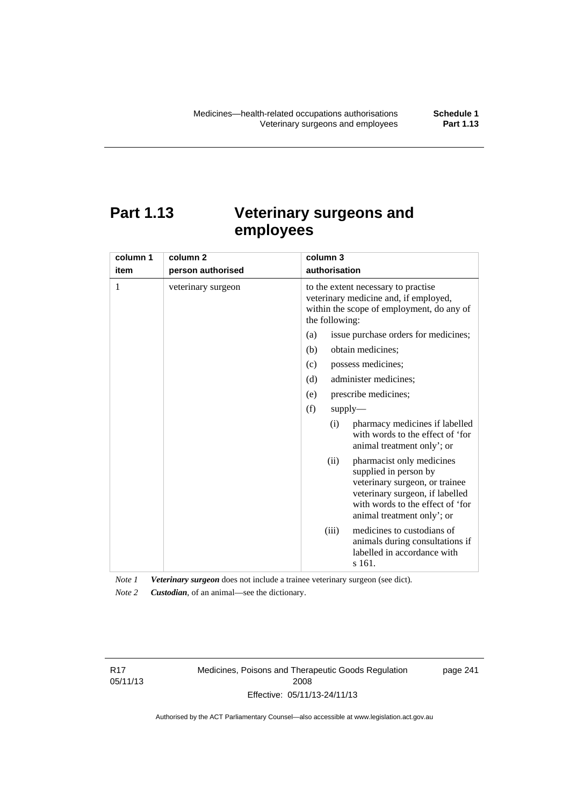# **Part 1.13 Veterinary surgeons and employees**

| column 1 | column <sub>2</sub> | column 3                                                                                                                                                                                          |  |  |
|----------|---------------------|---------------------------------------------------------------------------------------------------------------------------------------------------------------------------------------------------|--|--|
| item     | person authorised   | authorisation                                                                                                                                                                                     |  |  |
| 1        | veterinary surgeon  | to the extent necessary to practise<br>veterinary medicine and, if employed,<br>within the scope of employment, do any of<br>the following:                                                       |  |  |
|          |                     | issue purchase orders for medicines;<br>(a)                                                                                                                                                       |  |  |
|          |                     | (b)<br>obtain medicines;                                                                                                                                                                          |  |  |
|          |                     | possess medicines;<br>(c)                                                                                                                                                                         |  |  |
|          |                     | administer medicines;<br>(d)                                                                                                                                                                      |  |  |
|          |                     | prescribe medicines;<br>(e)                                                                                                                                                                       |  |  |
|          |                     | (f)<br>supply                                                                                                                                                                                     |  |  |
|          |                     | pharmacy medicines if labelled<br>(i)<br>with words to the effect of 'for<br>animal treatment only'; or                                                                                           |  |  |
|          |                     | pharmacist only medicines<br>(ii)<br>supplied in person by<br>veterinary surgeon, or trainee<br>veterinary surgeon, if labelled<br>with words to the effect of 'for<br>animal treatment only'; or |  |  |
|          |                     | medicines to custodians of<br>(iii)<br>animals during consultations if<br>labelled in accordance with<br>s 161.                                                                                   |  |  |

*Note 1 Veterinary surgeon* does not include a trainee veterinary surgeon (see dict). *Note 2 Custodian*, of an animal—see the dictionary.

R17 05/11/13 Medicines, Poisons and Therapeutic Goods Regulation 2008 Effective: 05/11/13-24/11/13

page 241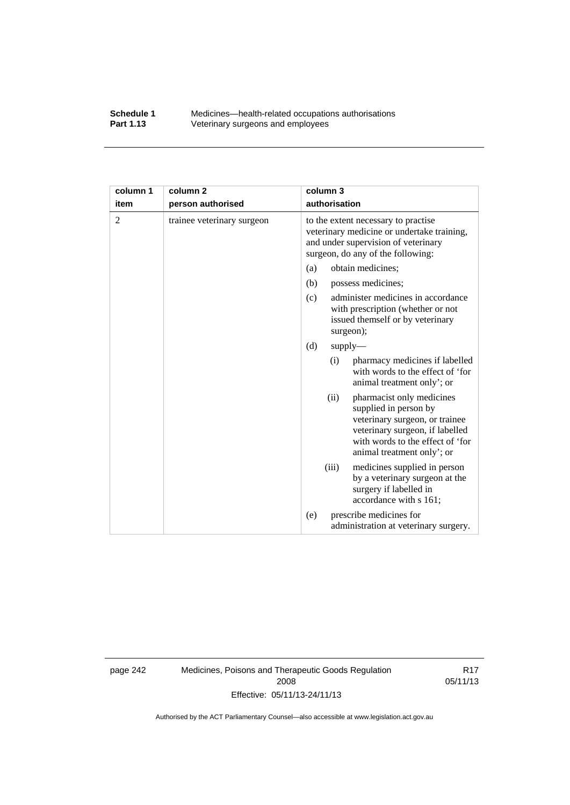#### **Schedule 1** Medicines—health-related occupations authorisations<br>**Part 1.13** Veterinary surgeons and employees Veterinary surgeons and employees

| column 1       | column <sub>2</sub>        | column 3                                                                                                                                                                                          |  |  |
|----------------|----------------------------|---------------------------------------------------------------------------------------------------------------------------------------------------------------------------------------------------|--|--|
| item           | person authorised          | authorisation                                                                                                                                                                                     |  |  |
| $\overline{2}$ | trainee veterinary surgeon | to the extent necessary to practise<br>veterinary medicine or undertake training,<br>and under supervision of veterinary<br>surgeon, do any of the following:                                     |  |  |
|                |                            | obtain medicines;<br>(a)                                                                                                                                                                          |  |  |
|                |                            | (b)<br>possess medicines;                                                                                                                                                                         |  |  |
|                |                            | administer medicines in accordance<br>(c)<br>with prescription (whether or not<br>issued themself or by veterinary<br>surgeon);                                                                   |  |  |
|                |                            | (d)<br>$supply-$                                                                                                                                                                                  |  |  |
|                |                            | pharmacy medicines if labelled<br>(i)<br>with words to the effect of 'for<br>animal treatment only'; or                                                                                           |  |  |
|                |                            | (ii)<br>pharmacist only medicines<br>supplied in person by<br>veterinary surgeon, or trainee<br>veterinary surgeon, if labelled<br>with words to the effect of 'for<br>animal treatment only'; or |  |  |
|                |                            | (iii)<br>medicines supplied in person<br>by a veterinary surgeon at the<br>surgery if labelled in<br>accordance with s 161;                                                                       |  |  |
|                |                            | prescribe medicines for<br>(e)<br>administration at veterinary surgery.                                                                                                                           |  |  |

page 242 Medicines, Poisons and Therapeutic Goods Regulation 2008 Effective: 05/11/13-24/11/13

R17 05/11/13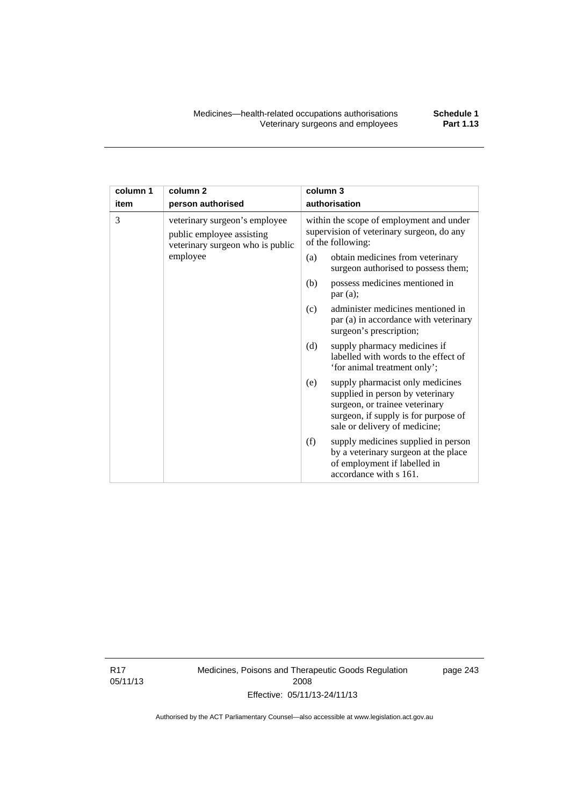| column 1 | column <sub>2</sub>                                                                            | column 3                                                                                                   |                                                                                                                                                                                 |
|----------|------------------------------------------------------------------------------------------------|------------------------------------------------------------------------------------------------------------|---------------------------------------------------------------------------------------------------------------------------------------------------------------------------------|
| item     | person authorised                                                                              | authorisation                                                                                              |                                                                                                                                                                                 |
| 3        | veterinary surgeon's employee<br>public employee assisting<br>veterinary surgeon who is public | within the scope of employment and under<br>supervision of veterinary surgeon, do any<br>of the following: |                                                                                                                                                                                 |
|          | employee                                                                                       | (a)                                                                                                        | obtain medicines from veterinary<br>surgeon authorised to possess them;                                                                                                         |
|          |                                                                                                | (b)                                                                                                        | possess medicines mentioned in<br>par(a);                                                                                                                                       |
|          |                                                                                                | (c)                                                                                                        | administer medicines mentioned in<br>par (a) in accordance with veterinary<br>surgeon's prescription;                                                                           |
|          |                                                                                                | (d)                                                                                                        | supply pharmacy medicines if<br>labelled with words to the effect of<br>'for animal treatment only';                                                                            |
|          |                                                                                                | (e)                                                                                                        | supply pharmacist only medicines<br>supplied in person by veterinary<br>surgeon, or trainee veterinary<br>surgeon, if supply is for purpose of<br>sale or delivery of medicine; |
|          |                                                                                                | (f)                                                                                                        | supply medicines supplied in person<br>by a veterinary surgeon at the place<br>of employment if labelled in<br>accordance with s 161.                                           |

R17 05/11/13 Medicines, Poisons and Therapeutic Goods Regulation 2008 Effective: 05/11/13-24/11/13

page 243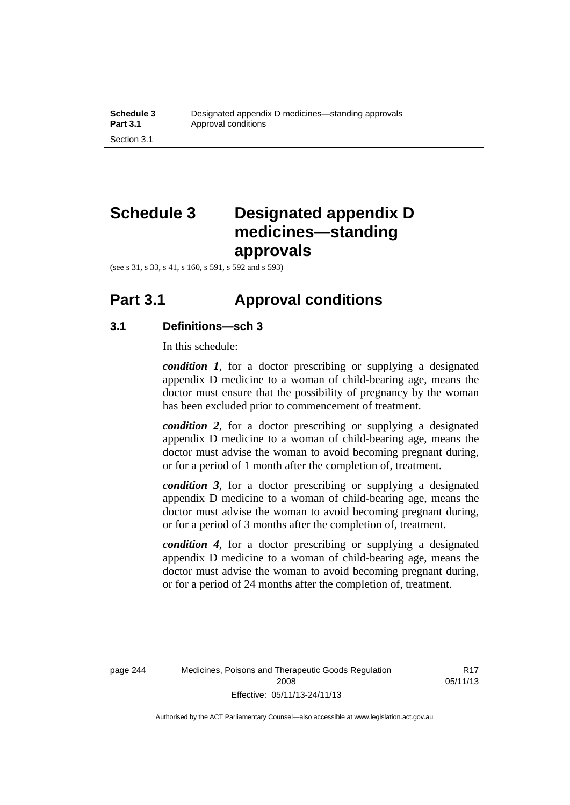# **Schedule 3 Designated appendix D medicines—standing approvals**

(see s 31, s 33, s 41, s 160, s 591, s 592 and s 593)

### **Part 3.1 Approval conditions**

### **3.1 Definitions—sch 3**

In this schedule:

*condition 1*, for a doctor prescribing or supplying a designated appendix D medicine to a woman of child-bearing age, means the doctor must ensure that the possibility of pregnancy by the woman has been excluded prior to commencement of treatment.

*condition 2*, for a doctor prescribing or supplying a designated appendix D medicine to a woman of child-bearing age, means the doctor must advise the woman to avoid becoming pregnant during, or for a period of 1 month after the completion of, treatment.

*condition 3*, for a doctor prescribing or supplying a designated appendix D medicine to a woman of child-bearing age, means the doctor must advise the woman to avoid becoming pregnant during, or for a period of 3 months after the completion of, treatment.

*condition 4*, for a doctor prescribing or supplying a designated appendix D medicine to a woman of child-bearing age, means the doctor must advise the woman to avoid becoming pregnant during, or for a period of 24 months after the completion of, treatment.

R17 05/11/13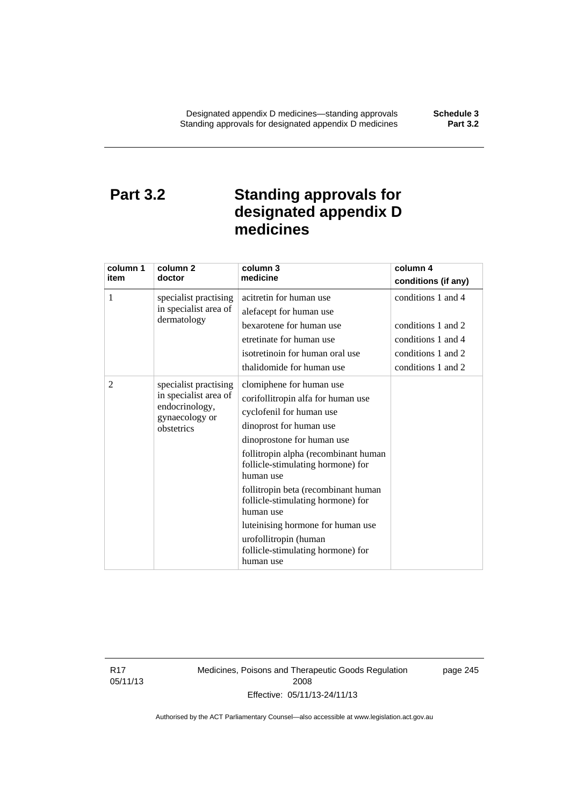## **Part 3.2 Standing approvals for designated appendix D medicines**

| column 1<br>item | column <sub>2</sub><br>doctor                                                                    | column 3<br>medicine                                                                                                                                                                                                                                                                                                                                                                                                                                   | column 4<br>conditions (if any)                                                                            |
|------------------|--------------------------------------------------------------------------------------------------|--------------------------------------------------------------------------------------------------------------------------------------------------------------------------------------------------------------------------------------------------------------------------------------------------------------------------------------------------------------------------------------------------------------------------------------------------------|------------------------------------------------------------------------------------------------------------|
| 1                | specialist practising<br>in specialist area of<br>dermatology                                    | acitretin for human use<br>alefacept for human use<br>bexarotene for human use<br>etretinate for human use<br>isotretinoin for human oral use<br>thalidomide for human use                                                                                                                                                                                                                                                                             | conditions 1 and 4<br>conditions 1 and 2<br>conditions 1 and 4<br>conditions 1 and 2<br>conditions 1 and 2 |
| 2                | specialist practising<br>in specialist area of<br>endocrinology,<br>gynaecology or<br>obstetrics | clomiphene for human use<br>corifollitropin alfa for human use<br>cyclofenil for human use<br>dinoprost for human use<br>dinoprostone for human use<br>follitropin alpha (recombinant human<br>follicle-stimulating hormone) for<br>human use<br>follitropin beta (recombinant human<br>follicle-stimulating hormone) for<br>human use<br>luteinising hormone for human use<br>urofollitropin (human<br>follicle-stimulating hormone) for<br>human use |                                                                                                            |

R17 05/11/13 Medicines, Poisons and Therapeutic Goods Regulation 2008 Effective: 05/11/13-24/11/13

page 245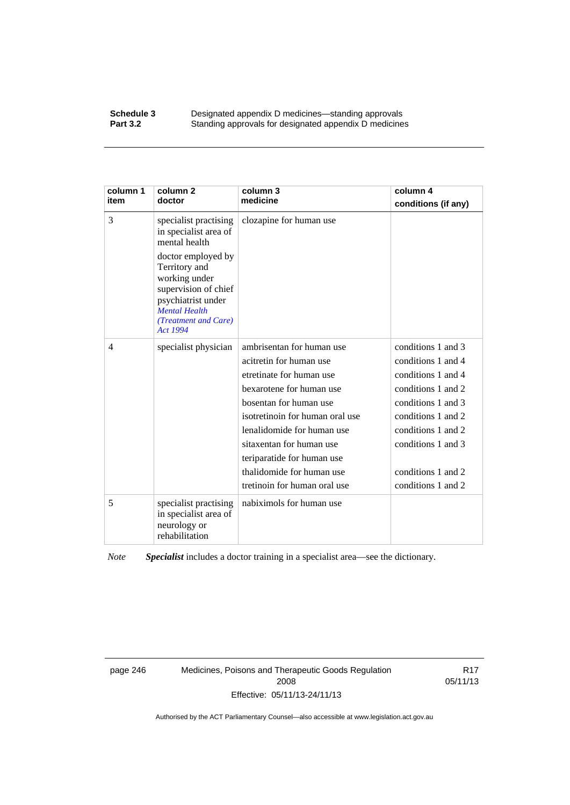#### **Schedule 3 Designated appendix D medicines—standing approvals**<br>**Part 3.2 Standing approvals for designated appendix D medicine** Standing approvals for designated appendix D medicines

| column 1<br>item | column 2<br>doctor                                                                                                                                             | column 3<br>medicine            | column 4<br>conditions (if any) |
|------------------|----------------------------------------------------------------------------------------------------------------------------------------------------------------|---------------------------------|---------------------------------|
| 3                | specialist practising<br>in specialist area of<br>mental health                                                                                                | clozapine for human use         |                                 |
|                  | doctor employed by<br>Territory and<br>working under<br>supervision of chief<br>psychiatrist under<br><b>Mental Health</b><br>(Treatment and Care)<br>Act 1994 |                                 |                                 |
| $\overline{4}$   | specialist physician                                                                                                                                           | ambrisentan for human use       | conditions 1 and 3              |
|                  |                                                                                                                                                                | acitretin for human use         | conditions 1 and 4              |
|                  |                                                                                                                                                                | etretinate for human use        | conditions 1 and 4              |
|                  |                                                                                                                                                                | bexarotene for human use        | conditions 1 and 2              |
|                  |                                                                                                                                                                | bosentan for human use          | conditions 1 and 3              |
|                  |                                                                                                                                                                | isotretinoin for human oral use | conditions 1 and 2              |
|                  |                                                                                                                                                                | lenalidomide for human use      | conditions 1 and 2              |
|                  |                                                                                                                                                                | sitaxentan for human use        | conditions 1 and 3              |
|                  |                                                                                                                                                                | teriparatide for human use      |                                 |
|                  |                                                                                                                                                                | thalidomide for human use       | conditions 1 and 2              |
|                  |                                                                                                                                                                | tretinoin for human oral use    | conditions 1 and 2              |
| 5                | specialist practising<br>in specialist area of<br>neurology or<br>rehabilitation                                                                               | nabiximols for human use        |                                 |

*Note Specialist* includes a doctor training in a specialist area—see the dictionary.

page 246 Medicines, Poisons and Therapeutic Goods Regulation 2008 Effective: 05/11/13-24/11/13

R17 05/11/13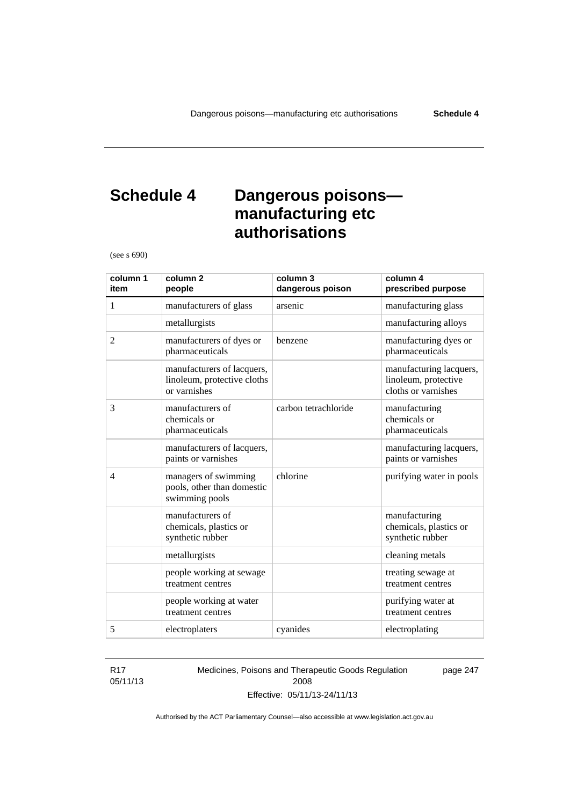## **Schedule 4 Dangerous poisons manufacturing etc authorisations**

(see s 690)

| column 1<br>item | column <sub>2</sub><br>people                                             | column 3<br>dangerous poison | column 4<br>prescribed purpose                                         |
|------------------|---------------------------------------------------------------------------|------------------------------|------------------------------------------------------------------------|
| 1                | manufacturers of glass                                                    | arsenic                      | manufacturing glass                                                    |
|                  | metallurgists                                                             |                              | manufacturing alloys                                                   |
| $\overline{2}$   | manufacturers of dyes or<br>pharmaceuticals                               | benzene                      | manufacturing dyes or<br>pharmaceuticals                               |
|                  | manufacturers of lacquers,<br>linoleum, protective cloths<br>or varnishes |                              | manufacturing lacquers,<br>linoleum, protective<br>cloths or varnishes |
| 3                | manufacturers of<br>chemicals or<br>pharmaceuticals                       | carbon tetrachloride         | manufacturing<br>chemicals or<br>pharmaceuticals                       |
|                  | manufacturers of lacquers,<br>paints or varnishes                         |                              | manufacturing lacquers,<br>paints or varnishes                         |
| $\overline{4}$   | managers of swimming<br>pools, other than domestic<br>swimming pools      | chlorine                     | purifying water in pools                                               |
|                  | manufacturers of<br>chemicals, plastics or<br>synthetic rubber            |                              | manufacturing<br>chemicals, plastics or<br>synthetic rubber            |
|                  | metallurgists                                                             |                              | cleaning metals                                                        |
|                  | people working at sewage<br>treatment centres                             |                              | treating sewage at<br>treatment centres                                |
|                  | people working at water<br>treatment centres                              |                              | purifying water at<br>treatment centres                                |
| 5                | electroplaters                                                            | cyanides                     | electroplating                                                         |

#### R17 05/11/13

Medicines, Poisons and Therapeutic Goods Regulation 2008 Effective: 05/11/13-24/11/13

page 247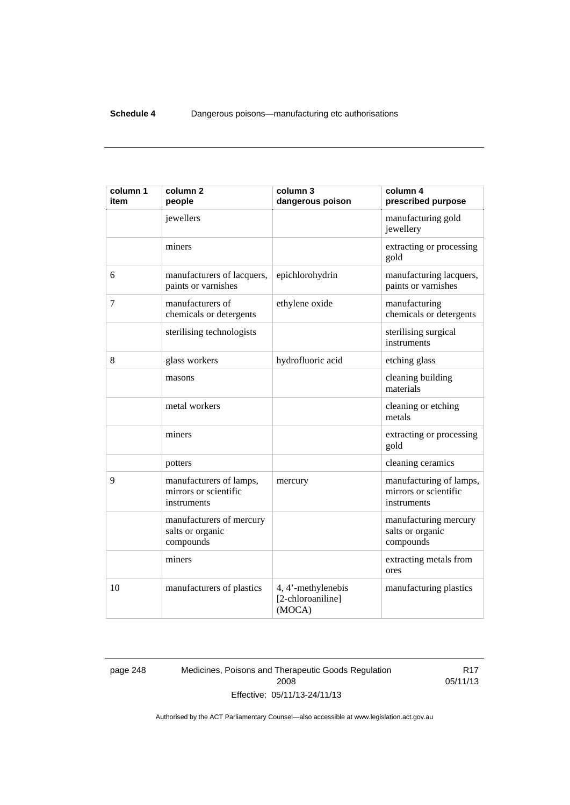| column 1<br>item | column <sub>2</sub><br>people                                   | column 3<br>dangerous poison                      | column 4<br>prescribed purpose                                  |
|------------------|-----------------------------------------------------------------|---------------------------------------------------|-----------------------------------------------------------------|
|                  | jewellers                                                       |                                                   | manufacturing gold<br>jewellery                                 |
|                  | miners                                                          |                                                   | extracting or processing<br>gold                                |
| 6                | manufacturers of lacquers,<br>paints or varnishes               | epichlorohydrin                                   | manufacturing lacquers,<br>paints or varnishes                  |
| 7                | manufacturers of<br>chemicals or detergents                     | ethylene oxide                                    | manufacturing<br>chemicals or detergents                        |
|                  | sterilising technologists                                       |                                                   | sterilising surgical<br>instruments                             |
| 8                | glass workers                                                   | hydrofluoric acid                                 | etching glass                                                   |
|                  | masons                                                          |                                                   | cleaning building<br>materials                                  |
|                  | metal workers                                                   |                                                   | cleaning or etching<br>metals                                   |
|                  | miners                                                          |                                                   | extracting or processing<br>gold                                |
|                  | potters                                                         |                                                   | cleaning ceramics                                               |
| 9                | manufacturers of lamps,<br>mirrors or scientific<br>instruments | mercury                                           | manufacturing of lamps,<br>mirrors or scientific<br>instruments |
|                  | manufacturers of mercury<br>salts or organic<br>compounds       |                                                   | manufacturing mercury<br>salts or organic<br>compounds          |
|                  | miners                                                          |                                                   | extracting metals from<br>ores                                  |
| 10               | manufacturers of plastics                                       | 4, 4'-methylenebis<br>[2-chloroaniline]<br>(MOCA) | manufacturing plastics                                          |

page 248 Medicines, Poisons and Therapeutic Goods Regulation 2008 Effective: 05/11/13-24/11/13

R17 05/11/13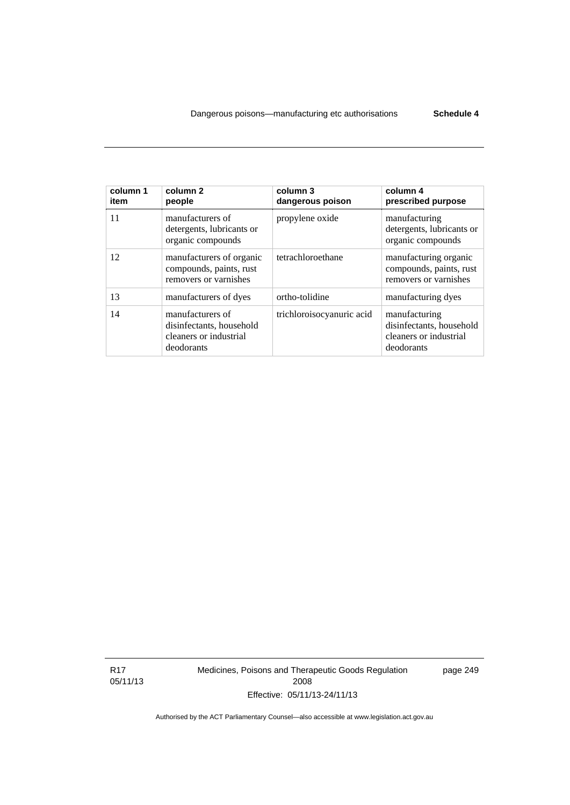| column 1<br>item | column <sub>2</sub><br>people                                                        | column 3<br>dangerous poison | column 4<br>prescribed purpose                                                    |
|------------------|--------------------------------------------------------------------------------------|------------------------------|-----------------------------------------------------------------------------------|
| 11               | manufacturers of<br>detergents, lubricants or<br>organic compounds                   | propylene oxide              | manufacturing<br>detergents, lubricants or<br>organic compounds                   |
| 12               | manufacturers of organic<br>compounds, paints, rust<br>removers or varnishes         | tetrachloroethane            | manufacturing organic<br>compounds, paints, rust<br>removers or varnishes         |
| 13               | manufacturers of dyes                                                                | ortho-tolidine               | manufacturing dyes                                                                |
| 14               | manufacturers of<br>disinfectants, household<br>cleaners or industrial<br>deodorants | trichloroisocyanuric acid    | manufacturing<br>disinfectants, household<br>cleaners or industrial<br>deodorants |

R17 05/11/13 Medicines, Poisons and Therapeutic Goods Regulation 2008 Effective: 05/11/13-24/11/13

page 249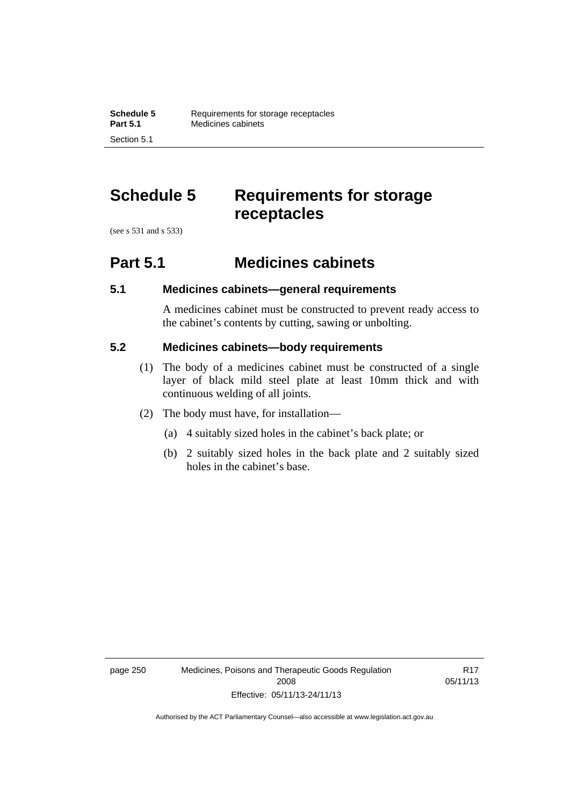## **Schedule 5 Requirements for storage receptacles**

(see s 531 and s 533)

Section 5.1

### **Part 5.1 Medicines cabinets**

### **5.1 Medicines cabinets—general requirements**

A medicines cabinet must be constructed to prevent ready access to the cabinet's contents by cutting, sawing or unbolting.

#### **5.2 Medicines cabinets—body requirements**

- (1) The body of a medicines cabinet must be constructed of a single layer of black mild steel plate at least 10mm thick and with continuous welding of all joints.
- (2) The body must have, for installation—
	- (a) 4 suitably sized holes in the cabinet's back plate; or
	- (b) 2 suitably sized holes in the back plate and 2 suitably sized holes in the cabinet's base.

page 250 Medicines, Poisons and Therapeutic Goods Regulation 2008 Effective: 05/11/13-24/11/13

R17 05/11/13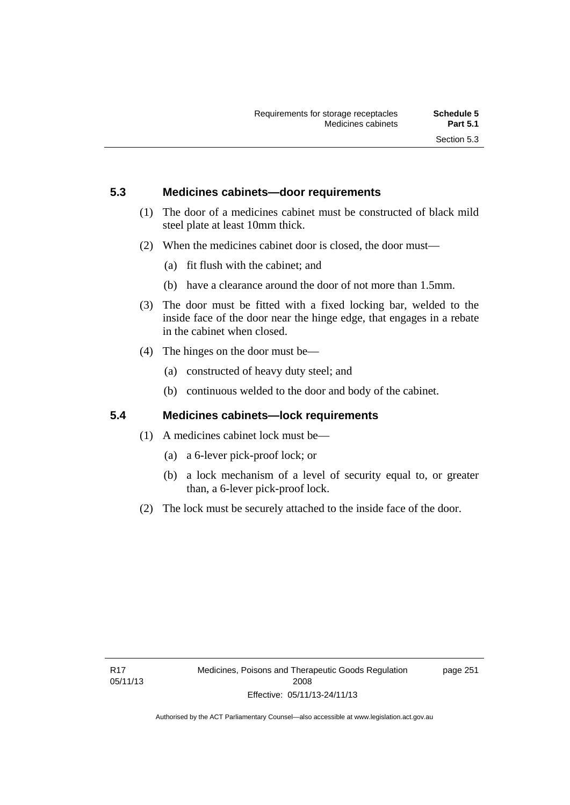### **5.3 Medicines cabinets—door requirements**

- (1) The door of a medicines cabinet must be constructed of black mild steel plate at least 10mm thick.
- (2) When the medicines cabinet door is closed, the door must—
	- (a) fit flush with the cabinet; and
	- (b) have a clearance around the door of not more than 1.5mm.
- (3) The door must be fitted with a fixed locking bar, welded to the inside face of the door near the hinge edge, that engages in a rebate in the cabinet when closed.
- (4) The hinges on the door must be—
	- (a) constructed of heavy duty steel; and
	- (b) continuous welded to the door and body of the cabinet.

#### **5.4 Medicines cabinets—lock requirements**

- (1) A medicines cabinet lock must be—
	- (a) a 6-lever pick-proof lock; or
	- (b) a lock mechanism of a level of security equal to, or greater than, a 6-lever pick-proof lock.
- (2) The lock must be securely attached to the inside face of the door.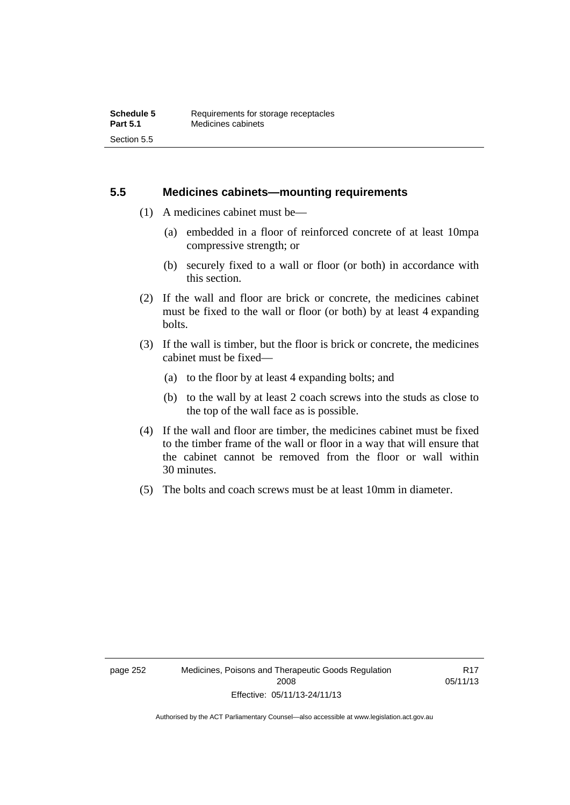#### **5.5 Medicines cabinets—mounting requirements**

- (1) A medicines cabinet must be—
	- (a) embedded in a floor of reinforced concrete of at least 10mpa compressive strength; or
	- (b) securely fixed to a wall or floor (or both) in accordance with this section.
- (2) If the wall and floor are brick or concrete, the medicines cabinet must be fixed to the wall or floor (or both) by at least 4 expanding bolts.
- (3) If the wall is timber, but the floor is brick or concrete, the medicines cabinet must be fixed—
	- (a) to the floor by at least 4 expanding bolts; and
	- (b) to the wall by at least 2 coach screws into the studs as close to the top of the wall face as is possible.
- (4) If the wall and floor are timber, the medicines cabinet must be fixed to the timber frame of the wall or floor in a way that will ensure that the cabinet cannot be removed from the floor or wall within 30 minutes.
- (5) The bolts and coach screws must be at least 10mm in diameter.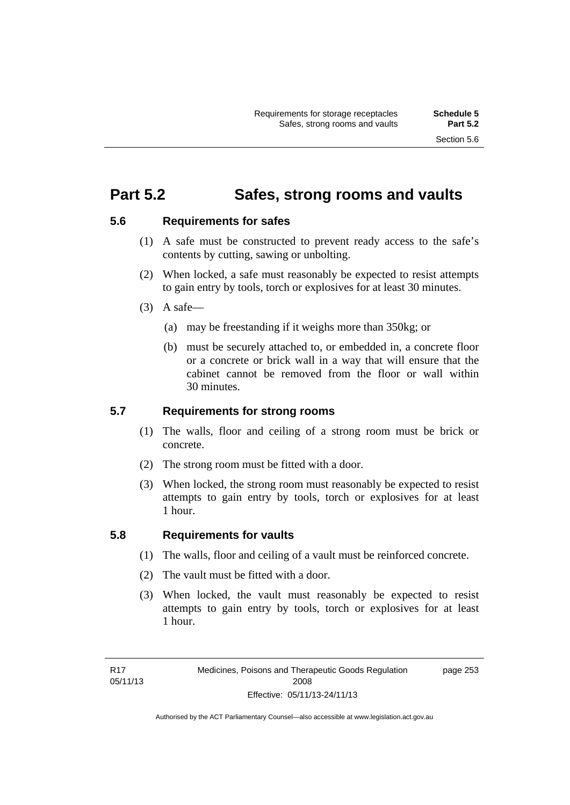### **Part 5.2 Safes, strong rooms and vaults**

### **5.6 Requirements for safes**

- (1) A safe must be constructed to prevent ready access to the safe's contents by cutting, sawing or unbolting.
- (2) When locked, a safe must reasonably be expected to resist attempts to gain entry by tools, torch or explosives for at least 30 minutes.
- $(3)$  A safe-
	- (a) may be freestanding if it weighs more than 350kg; or
	- (b) must be securely attached to, or embedded in, a concrete floor or a concrete or brick wall in a way that will ensure that the cabinet cannot be removed from the floor or wall within 30 minutes.

#### **5.7 Requirements for strong rooms**

- (1) The walls, floor and ceiling of a strong room must be brick or concrete.
- (2) The strong room must be fitted with a door.
- (3) When locked, the strong room must reasonably be expected to resist attempts to gain entry by tools, torch or explosives for at least 1 hour.

### **5.8 Requirements for vaults**

- (1) The walls, floor and ceiling of a vault must be reinforced concrete.
- (2) The vault must be fitted with a door.
- (3) When locked, the vault must reasonably be expected to resist attempts to gain entry by tools, torch or explosives for at least 1 hour.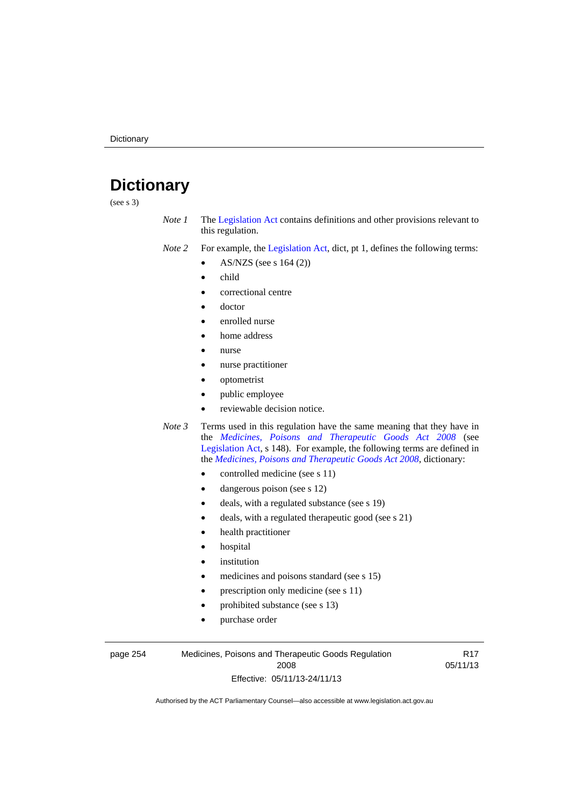# **Dictionary**

(see s 3)

- *Note 1* The [Legislation Act](http://www.legislation.act.gov.au/a/2001-14) contains definitions and other provisions relevant to this regulation.
- *Note 2* For example, the [Legislation Act,](http://www.legislation.act.gov.au/a/2001-14) dict, pt 1, defines the following terms:
	- AS/NZS (see s 164 (2))
	- child
	- correctional centre
	- doctor
	- enrolled nurse
	- home address
	- nurse
	- nurse practitioner
	- optometrist
	- public employee
	- reviewable decision notice.
- *Note 3* Terms used in this regulation have the same meaning that they have in the *[Medicines, Poisons and Therapeutic Goods Act 2008](http://www.legislation.act.gov.au/a/2008-26)* (see [Legislation Act,](http://www.legislation.act.gov.au/a/2001-14) s 148). For example, the following terms are defined in the *[Medicines, Poisons and Therapeutic Goods Act 2008](http://www.legislation.act.gov.au/a/2008-26)*, dictionary:
	- controlled medicine (see s 11)
	- dangerous poison (see s 12)
	- deals, with a regulated substance (see s 19)
	- deals, with a regulated therapeutic good (see s 21)
	- health practitioner
	- hospital
	- institution
	- medicines and poisons standard (see s 15)
	- prescription only medicine (see s 11)
	- prohibited substance (see s 13)
	- purchase order

page 254 Medicines, Poisons and Therapeutic Goods Regulation 2008 Effective: 05/11/13-24/11/13

R17 05/11/13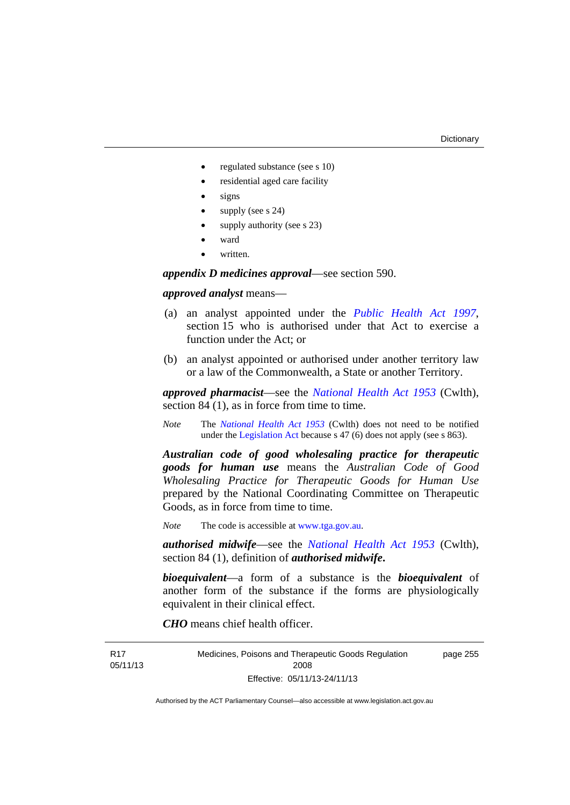- regulated substance (see s 10)
- residential aged care facility
- signs
- supply (see s 24)
- supply authority (see s 23)
- ward
- written.

*appendix D medicines approval*—see section 590.

#### *approved analyst* means—

- (a) an analyst appointed under the *[Public Health Act 1997](http://www.legislation.act.gov.au/a/1997-69)*, section 15 who is authorised under that Act to exercise a function under the Act; or
- (b) an analyst appointed or authorised under another territory law or a law of the Commonwealth, a State or another Territory.

*approved pharmacist*––see the *[National Health Act 1953](http://www.comlaw.gov.au/Series/C1953A00095)* (Cwlth), section 84 (1), as in force from time to time.

*Note* The *[National Health Act 1953](http://www.comlaw.gov.au/Series/C1953A00095)* (Cwlth) does not need to be notified under the [Legislation Act](http://www.legislation.act.gov.au/a/2001-14) because s 47 (6) does not apply (see s 863).

*Australian code of good wholesaling practice for therapeutic goods for human use* means the *Australian Code of Good Wholesaling Practice for Therapeutic Goods for Human Use*  prepared by the National Coordinating Committee on Therapeutic Goods, as in force from time to time.

*Note* The code is accessible at [www.tga.gov.au](http://www.tga.gov.au/).

*authorised midwife*—see the *[National Health Act 1953](http://www.comlaw.gov.au/Series/C1953A00095)* (Cwlth), section 84 (1), definition of *authorised midwife***.**

*bioequivalent*—a form of a substance is the *bioequivalent* of another form of the substance if the forms are physiologically equivalent in their clinical effect.

*CHO* means chief health officer.

R17 05/11/13 Medicines, Poisons and Therapeutic Goods Regulation 2008 Effective: 05/11/13-24/11/13 page 255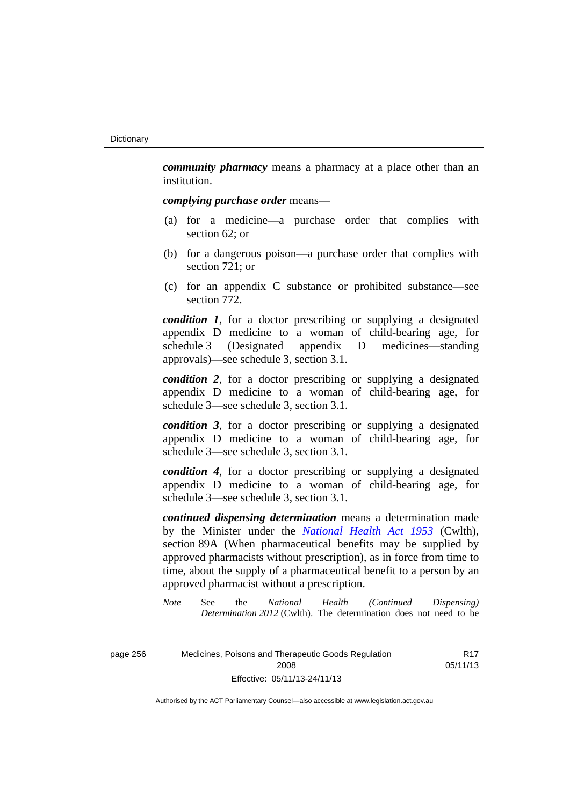*community pharmacy* means a pharmacy at a place other than an institution.

#### *complying purchase order* means—

- (a) for a medicine—a purchase order that complies with section 62; or
- (b) for a dangerous poison—a purchase order that complies with section 721; or
- (c) for an appendix C substance or prohibited substance—see section 772.

*condition 1*, for a doctor prescribing or supplying a designated appendix D medicine to a woman of child-bearing age, for schedule 3 (Designated appendix D medicines—standing approvals)—see schedule 3, section 3.1.

*condition 2*, for a doctor prescribing or supplying a designated appendix D medicine to a woman of child-bearing age, for schedule 3—see schedule 3, section 3.1.

*condition 3*, for a doctor prescribing or supplying a designated appendix D medicine to a woman of child-bearing age, for schedule 3—see schedule 3, section 3.1.

*condition 4*, for a doctor prescribing or supplying a designated appendix D medicine to a woman of child-bearing age, for schedule 3—see schedule 3, section 3.1.

*continued dispensing determination* means a determination made by the Minister under the *[National Health Act 1953](http://www.comlaw.gov.au/Series/C1953A00095)* (Cwlth), section 89A (When pharmaceutical benefits may be supplied by approved pharmacists without prescription), as in force from time to time, about the supply of a pharmaceutical benefit to a person by an approved pharmacist without a prescription.

*Note* See the *National Health (Continued Dispensing) Determination 2012* (Cwlth). The determination does not need to be

> R17 05/11/13

| page 256 | Medicines, Poisons and Therapeutic Goods Regulation |
|----------|-----------------------------------------------------|
|          | 2008                                                |
|          | Effective: 05/11/13-24/11/13                        |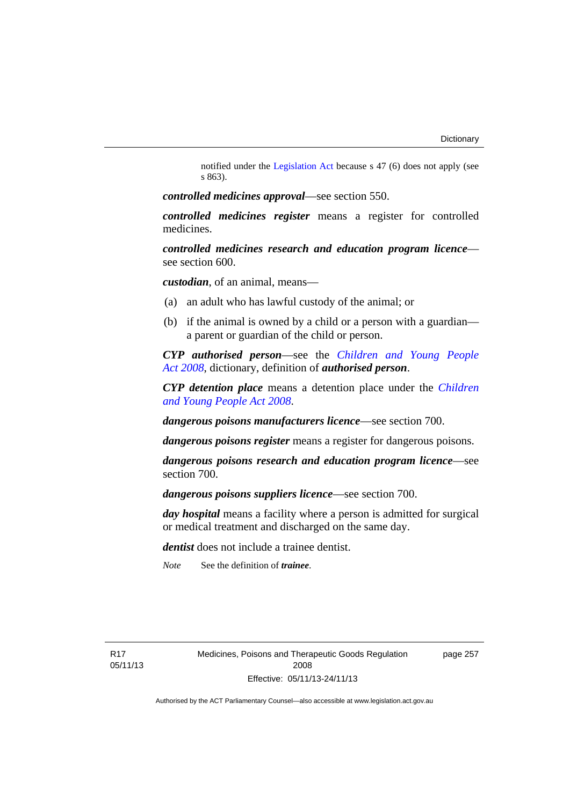notified under the [Legislation Act](http://www.legislation.act.gov.au/a/2001-14) because s 47 (6) does not apply (see s 863).

*controlled medicines approval*—see section 550.

*controlled medicines register* means a register for controlled medicines.

*controlled medicines research and education program licence* see section 600.

*custodian*, of an animal, means—

- (a) an adult who has lawful custody of the animal; or
- (b) if the animal is owned by a child or a person with a guardian a parent or guardian of the child or person.

*CYP authorised person*—see the *[Children and Young People](http://www.legislation.act.gov.au/a/2008-19)  [Act 2008](http://www.legislation.act.gov.au/a/2008-19)*, dictionary, definition of *authorised person*.

*CYP detention place* means a detention place under the *[Children](http://www.legislation.act.gov.au/a/2008-19)  [and Young People Act 2008](http://www.legislation.act.gov.au/a/2008-19)*.

*dangerous poisons manufacturers licence*—see section 700.

*dangerous poisons register* means a register for dangerous poisons.

*dangerous poisons research and education program licence*—see section 700.

*dangerous poisons suppliers licence*—see section 700.

*day hospital* means a facility where a person is admitted for surgical or medical treatment and discharged on the same day.

*dentist* does not include a trainee dentist.

*Note* See the definition of *trainee*.

Medicines, Poisons and Therapeutic Goods Regulation 2008 Effective: 05/11/13-24/11/13

page 257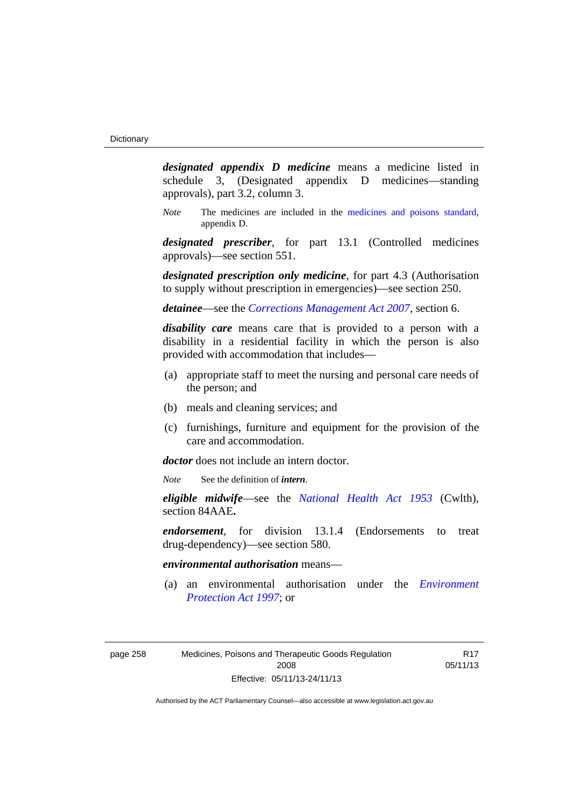*designated appendix D medicine* means a medicine listed in schedule 3, (Designated appendix D medicines—standing approvals), part 3.2, column 3.

*Note* The medicines are included in the [medicines and poisons standard,](http://www.comlaw.gov.au/Series/F2012L01200) appendix D.

*designated prescriber*, for part 13.1 (Controlled medicines approvals)—see section 551.

*designated prescription only medicine*, for part 4.3 (Authorisation to supply without prescription in emergencies)—see section 250.

*detainee*—see the *[Corrections Management Act 2007](http://www.legislation.act.gov.au/a/2007-15)*, section 6.

*disability care* means care that is provided to a person with a disability in a residential facility in which the person is also provided with accommodation that includes—

- (a) appropriate staff to meet the nursing and personal care needs of the person; and
- (b) meals and cleaning services; and
- (c) furnishings, furniture and equipment for the provision of the care and accommodation.

*doctor* does not include an intern doctor.

*Note* See the definition of *intern*.

*eligible midwife*—see the *[National Health Act 1953](http://www.comlaw.gov.au/Series/C1953A00095)* (Cwlth), section 84AAE**.**

*endorsement*, for division 13.1.4 (Endorsements to treat drug-dependency)—see section 580.

#### *environmental authorisation* means—

 (a) an environmental authorisation under the *[Environment](http://www.legislation.act.gov.au/a/1997-92)  [Protection Act 1997](http://www.legislation.act.gov.au/a/1997-92)*; or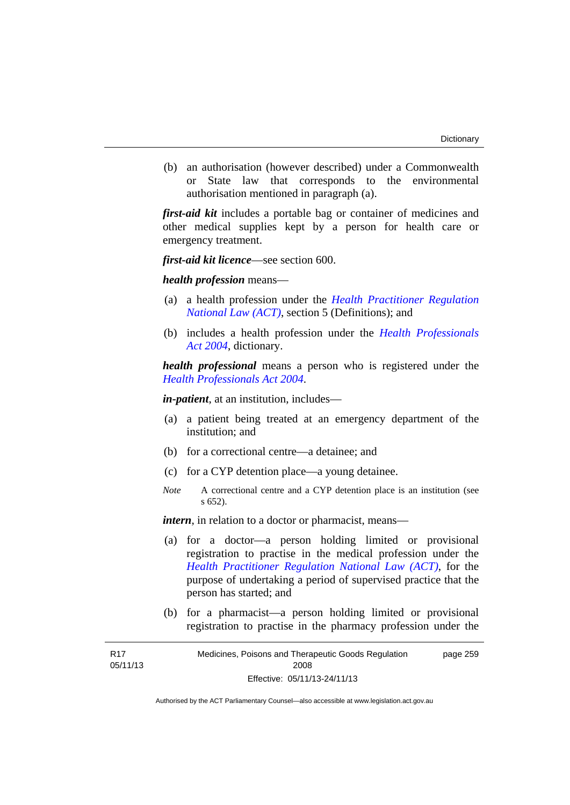(b) an authorisation (however described) under a Commonwealth or State law that corresponds to the environmental authorisation mentioned in paragraph (a).

*first-aid kit* includes a portable bag or container of medicines and other medical supplies kept by a person for health care or emergency treatment.

*first-aid kit licence*—see section 600.

*health profession* means—

- (a) a health profession under the *[Health Practitioner Regulation](http://www.legislation.act.gov.au/a/db_39269/default.asp)  [National Law \(ACT\)](http://www.legislation.act.gov.au/a/db_39269/default.asp)*, section 5 (Definitions); and
- (b) includes a health profession under the *[Health Professionals](http://www.legislation.act.gov.au/a/2004-38)  [Act 2004](http://www.legislation.act.gov.au/a/2004-38)*, dictionary.

*health professional* means a person who is registered under the *[Health Professionals Act 2004](http://www.legislation.act.gov.au/a/2004-38)*.

*in-patient*, at an institution, includes—

- (a) a patient being treated at an emergency department of the institution; and
- (b) for a correctional centre—a detainee; and
- (c) for a CYP detention place—a young detainee.
- *Note* A correctional centre and a CYP detention place is an institution (see s 652).

*intern*, in relation to a doctor or pharmacist, means—

- (a) for a doctor—a person holding limited or provisional registration to practise in the medical profession under the *[Health Practitioner Regulation National Law \(ACT\)](http://www.legislation.act.gov.au/a/db_39269/default.asp)*, for the purpose of undertaking a period of supervised practice that the person has started; and
- (b) for a pharmacist—a person holding limited or provisional registration to practise in the pharmacy profession under the

| R <sub>17</sub> | Medicines, Poisons and Therapeutic Goods Regulation | page 259 |
|-----------------|-----------------------------------------------------|----------|
| 05/11/13        | 2008                                                |          |
|                 | Effective: 05/11/13-24/11/13                        |          |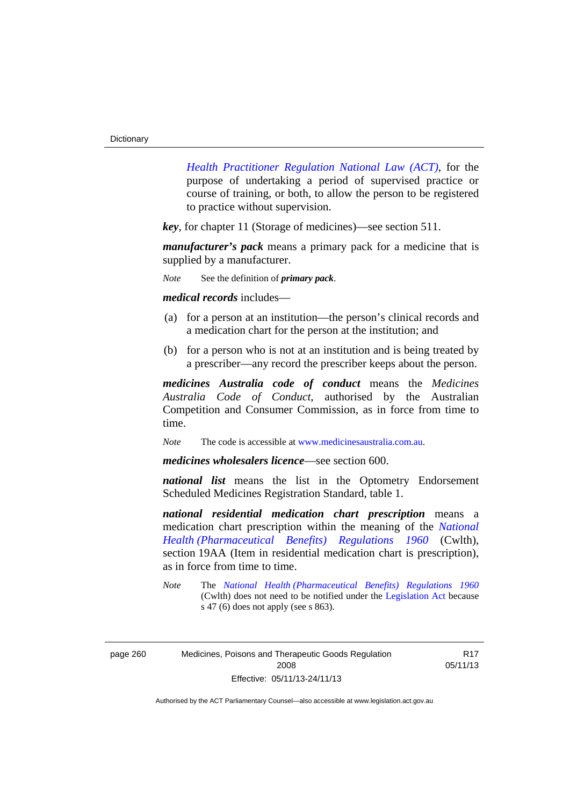*[Health Practitioner Regulation National Law \(ACT\)](http://www.legislation.act.gov.au/a/db_39269/default.asp)*, for the purpose of undertaking a period of supervised practice or course of training, or both, to allow the person to be registered to practice without supervision.

*key*, for chapter 11 (Storage of medicines)—see section 511.

*manufacturer's pack* means a primary pack for a medicine that is supplied by a manufacturer.

*Note* See the definition of *primary pack*.

*medical records* includes—

- (a) for a person at an institution—the person's clinical records and a medication chart for the person at the institution; and
- (b) for a person who is not at an institution and is being treated by a prescriber—any record the prescriber keeps about the person.

*medicines Australia code of conduct* means the *Medicines Australia Code of Conduct*, authorised by the Australian Competition and Consumer Commission, as in force from time to time.

*Note* The code is accessible at [www.medicinesaustralia.com.au.](http://www.medicinesaustralia.com.au/)

*medicines wholesalers licence*—see section 600.

*national list* means the list in the Optometry Endorsement Scheduled Medicines Registration Standard, table 1.

*national residential medication chart prescription* means a medication chart prescription within the meaning of the *[National](http://www.comlaw.gov.au/Series/F1996B02844)  [Health \(Pharmaceutical Benefits\) Regulations 1960](http://www.comlaw.gov.au/Series/F1996B02844)* (Cwlth), section 19AA (Item in residential medication chart is prescription), as in force from time to time.

R17 05/11/13

*Note* The *[National Health \(Pharmaceutical Benefits\) Regulations 1960](http://www.comlaw.gov.au/Series/F1996B02844)* (Cwlth) does not need to be notified under the [Legislation Act](http://www.legislation.act.gov.au/a/2001-14) because s 47 (6) does not apply (see s 863).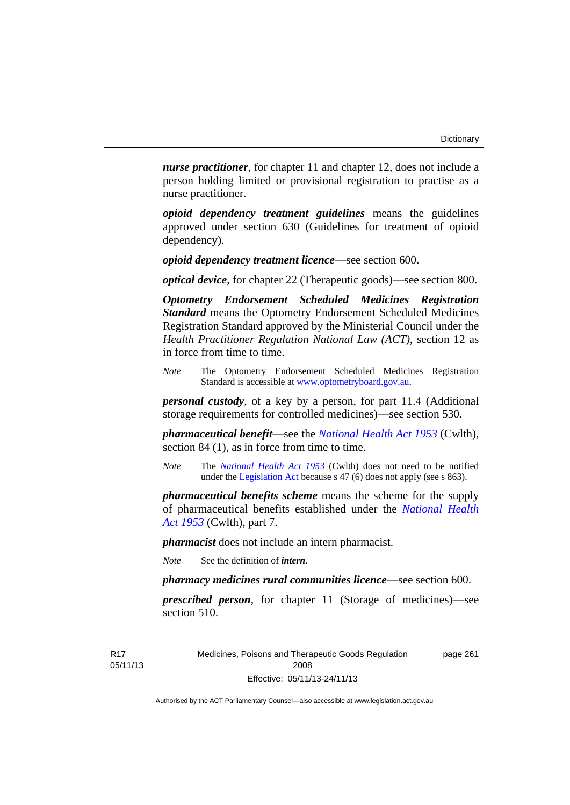*nurse practitioner*, for chapter 11 and chapter 12, does not include a person holding limited or provisional registration to practise as a nurse practitioner.

*opioid dependency treatment guidelines* means the guidelines approved under section 630 (Guidelines for treatment of opioid dependency).

*opioid dependency treatment licence*—see section 600.

*optical device*, for chapter 22 (Therapeutic goods)—see section 800.

*Optometry Endorsement Scheduled Medicines Registration Standard* means the Optometry Endorsement Scheduled Medicines Registration Standard approved by the Ministerial Council under the *Health Practitioner Regulation National Law (ACT)*, section 12 as in force from time to time.

*Note* The Optometry Endorsement Scheduled Medicines Registration Standard is accessible at [www.optometryboard.gov.au](http://www.optometryboard.gov.au/).

*personal custody*, of a key by a person, for part 11.4 (Additional storage requirements for controlled medicines)—see section 530.

*pharmaceutical benefit*—see the *[National Health Act 1953](http://www.comlaw.gov.au/Series/C1953A00095)* (Cwlth), section 84 (1), as in force from time to time.

*Note* The *[National Health Act 1953](http://www.comlaw.gov.au/Series/C1953A00095)* (Cwlth) does not need to be notified under the [Legislation Act](http://www.legislation.act.gov.au/a/2001-14) because s 47 (6) does not apply (see s 863).

*pharmaceutical benefits scheme* means the scheme for the supply of pharmaceutical benefits established under the *[National Health](http://www.comlaw.gov.au/Series/C1953A00095)  [Act 1953](http://www.comlaw.gov.au/Series/C1953A00095)* (Cwlth), part 7.

*pharmacist* does not include an intern pharmacist.

*Note* See the definition of *intern*.

*pharmacy medicines rural communities licence*—see section 600.

*prescribed person*, for chapter 11 (Storage of medicines)—see section 510.

Medicines, Poisons and Therapeutic Goods Regulation 2008 Effective: 05/11/13-24/11/13

page 261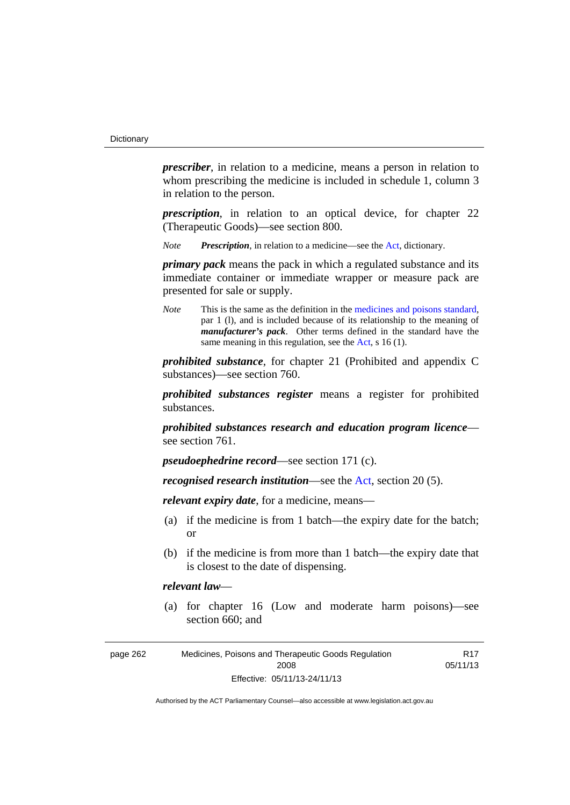*prescriber*, in relation to a medicine, means a person in relation to whom prescribing the medicine is included in schedule 1, column 3 in relation to the person.

*prescription*, in relation to an optical device, for chapter 22 (Therapeutic Goods)—see section 800.

*Note Prescription*, in relation to a medicine—see the [Act](http://www.legislation.act.gov.au/a/2008-26/default.asp), dictionary.

*primary pack* means the pack in which a regulated substance and its immediate container or immediate wrapper or measure pack are presented for sale or supply.

*Note* This is the same as the definition in the [medicines and poisons standard,](http://www.comlaw.gov.au/Series/F2012L01200) par 1 (l), and is included because of its relationship to the meaning of *manufacturer's pack*. Other terms defined in the standard have the same meaning in this regulation, see the [Act](http://www.legislation.act.gov.au/a/2008-26/default.asp), s 16 (1).

*prohibited substance*, for chapter 21 (Prohibited and appendix C substances)—see section 760.

*prohibited substances register* means a register for prohibited substances.

*prohibited substances research and education program licence* see section 761.

*pseudoephedrine record*—see section 171 (c).

*recognised research institution*—see the [Act](http://www.legislation.act.gov.au/a/2008-26/default.asp), section 20 (5).

*relevant expiry date*, for a medicine, means—

- (a) if the medicine is from 1 batch—the expiry date for the batch; or
- (b) if the medicine is from more than 1 batch—the expiry date that is closest to the date of dispensing.

#### *relevant law*—

 (a) for chapter 16 (Low and moderate harm poisons)—see section 660; and

| page 262 | Medicines, Poisons and Therapeutic Goods Regulation | R <sub>17</sub> |
|----------|-----------------------------------------------------|-----------------|
|          | 2008                                                | 05/11/13        |
|          | Effective: 05/11/13-24/11/13                        |                 |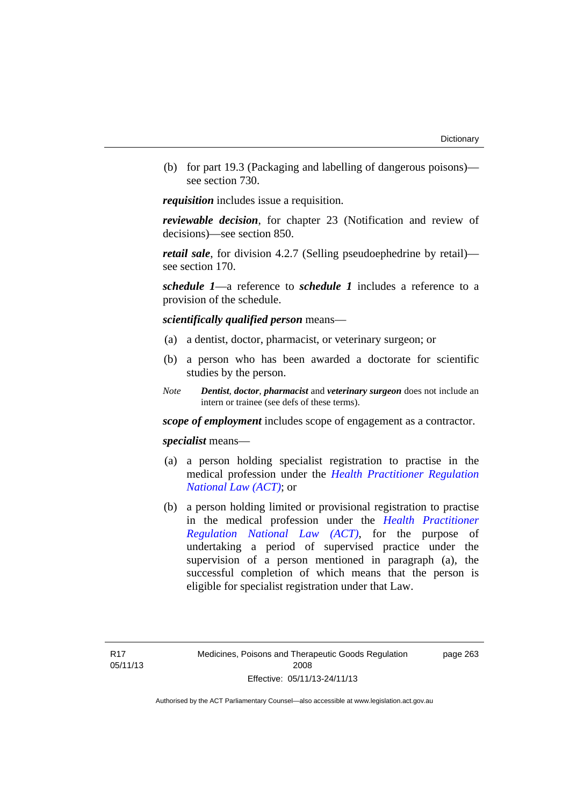(b) for part 19.3 (Packaging and labelling of dangerous poisons) see section 730.

*requisition* includes issue a requisition.

*reviewable decision*, for chapter 23 (Notification and review of decisions)—see section 850.

*retail sale*, for division 4.2.7 (Selling pseudoephedrine by retail) see section 170.

*schedule 1*—a reference to *schedule 1* includes a reference to a provision of the schedule.

*scientifically qualified person* means—

- (a) a dentist, doctor, pharmacist, or veterinary surgeon; or
- (b) a person who has been awarded a doctorate for scientific studies by the person.
- *Note Dentist*, *doctor*, *pharmacist* and *veterinary surgeon* does not include an intern or trainee (see defs of these terms).

*scope of employment* includes scope of engagement as a contractor.

*specialist* means—

- (a) a person holding specialist registration to practise in the medical profession under the *[Health Practitioner Regulation](http://www.legislation.act.gov.au/a/db_39269/default.asp)  [National Law \(ACT\)](http://www.legislation.act.gov.au/a/db_39269/default.asp)*; or
- (b) a person holding limited or provisional registration to practise in the medical profession under the *[Health Practitioner](http://www.legislation.act.gov.au/a/db_39269/default.asp)  [Regulation National Law \(ACT\)](http://www.legislation.act.gov.au/a/db_39269/default.asp)*, for the purpose of undertaking a period of supervised practice under the supervision of a person mentioned in paragraph (a), the successful completion of which means that the person is eligible for specialist registration under that Law.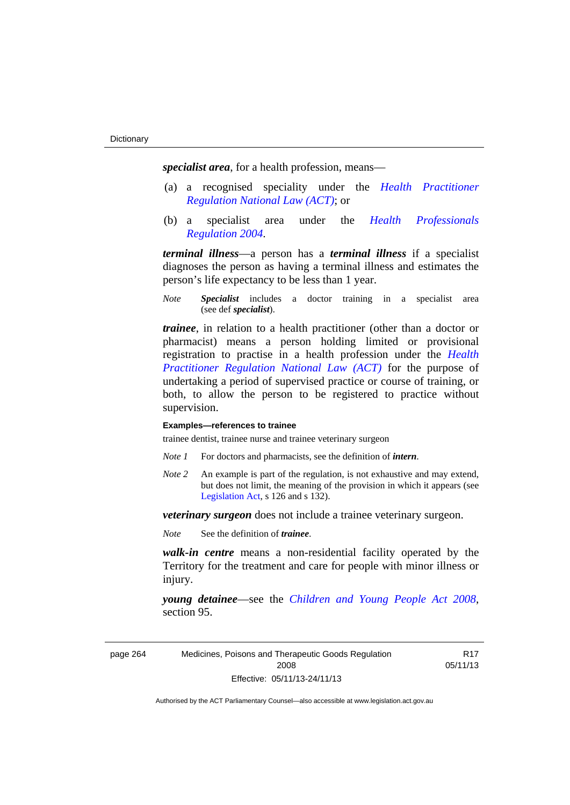*specialist area*, for a health profession, means—

- (a) a recognised speciality under the *[Health Practitioner](http://www.legislation.act.gov.au/a/db_39269/default.asp)  [Regulation National Law \(ACT\)](http://www.legislation.act.gov.au/a/db_39269/default.asp)*; or
- (b) a specialist area under the *[Health Professionals](http://www.legislation.act.gov.au/sl/2004-41)  [Regulation 2004](http://www.legislation.act.gov.au/sl/2004-41)*.

*terminal illness*—a person has a *terminal illness* if a specialist diagnoses the person as having a terminal illness and estimates the person's life expectancy to be less than 1 year.

*Note Specialist* includes a doctor training in a specialist area (see def *specialist*).

*trainee*, in relation to a health practitioner (other than a doctor or pharmacist) means a person holding limited or provisional registration to practise in a health profession under the *[Health](http://www.legislation.act.gov.au/a/db_39269/default.asp)  [Practitioner Regulation National Law \(ACT\)](http://www.legislation.act.gov.au/a/db_39269/default.asp)* for the purpose of undertaking a period of supervised practice or course of training, or both, to allow the person to be registered to practice without supervision.

#### **Examples—references to trainee**

trainee dentist, trainee nurse and trainee veterinary surgeon

- *Note 1* For doctors and pharmacists, see the definition of *intern*.
- *Note 2* An example is part of the regulation, is not exhaustive and may extend, but does not limit, the meaning of the provision in which it appears (see [Legislation Act,](http://www.legislation.act.gov.au/a/2001-14) s 126 and s 132).

*veterinary surgeon* does not include a trainee veterinary surgeon.

*Note* See the definition of *trainee*.

*walk-in centre* means a non-residential facility operated by the Territory for the treatment and care for people with minor illness or injury.

*young detainee*—see the *[Children and Young People Act 2008](http://www.legislation.act.gov.au/a/2008-19)*, section 95.

page 264 Medicines, Poisons and Therapeutic Goods Regulation 2008 Effective: 05/11/13-24/11/13

R17 05/11/13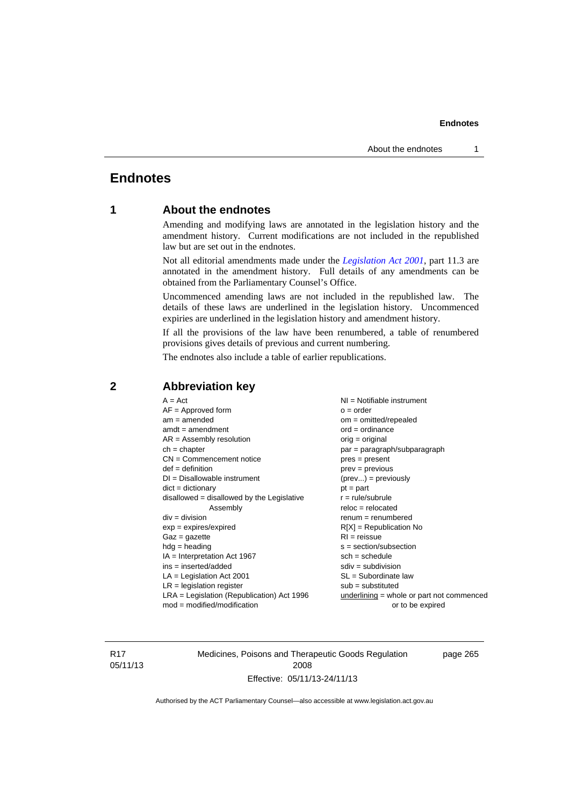# **Endnotes**

# **1 About the endnotes**

Amending and modifying laws are annotated in the legislation history and the amendment history. Current modifications are not included in the republished law but are set out in the endnotes.

Not all editorial amendments made under the *[Legislation Act 2001](http://www.legislation.act.gov.au/a/2001-14)*, part 11.3 are annotated in the amendment history. Full details of any amendments can be obtained from the Parliamentary Counsel's Office.

Uncommenced amending laws are not included in the republished law. The details of these laws are underlined in the legislation history. Uncommenced expiries are underlined in the legislation history and amendment history.

If all the provisions of the law have been renumbered, a table of renumbered provisions gives details of previous and current numbering.

The endnotes also include a table of earlier republications.

| $exp = expires/expired$<br>$R[X]$ = Republication No<br>$RI = reissue$<br>$Gaz = gazette$<br>$hdg = heading$<br>$s = section/subsection$<br>$IA = Interpretation Act 1967$<br>$sch = schedule$<br>$ins = inserted/added$<br>$sdiv = subdivision$<br>$SL = Subordinate$ law<br>$LA =$ Legislation Act 2001<br>$LR =$ legislation register<br>$sub =$ substituted<br>$LRA =$ Legislation (Republication) Act 1996<br>$underlining = whole or part not commenced$<br>$mod = modified/modification$<br>or to be expired |
|---------------------------------------------------------------------------------------------------------------------------------------------------------------------------------------------------------------------------------------------------------------------------------------------------------------------------------------------------------------------------------------------------------------------------------------------------------------------------------------------------------------------|
|---------------------------------------------------------------------------------------------------------------------------------------------------------------------------------------------------------------------------------------------------------------------------------------------------------------------------------------------------------------------------------------------------------------------------------------------------------------------------------------------------------------------|

# **2 Abbreviation key**

R17 05/11/13 Medicines, Poisons and Therapeutic Goods Regulation 2008 Effective: 05/11/13-24/11/13

page 265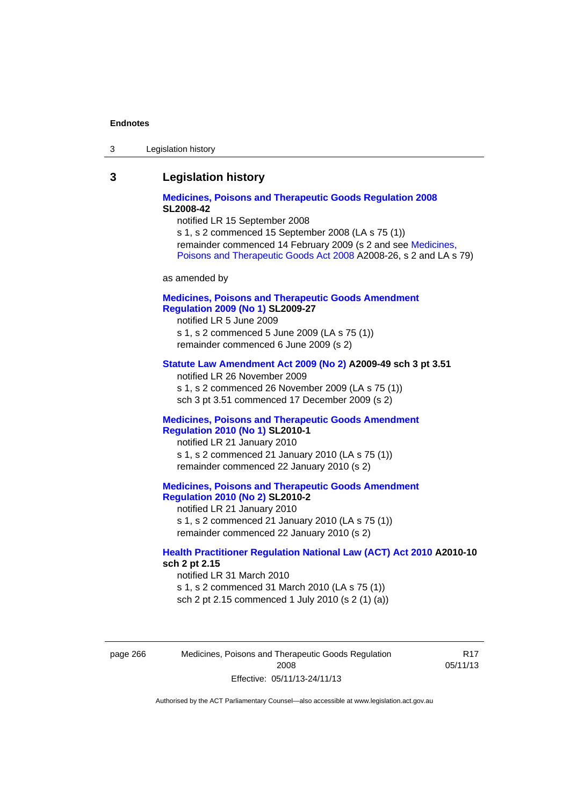| Legislation history<br>-3 |
|---------------------------|
|---------------------------|

# **3 Legislation history**

# **[Medicines, Poisons and Therapeutic Goods Regulation 2008](http://www.legislation.act.gov.au/sl/2008-42) SL2008-42**

notified LR 15 September 2008

s 1, s 2 commenced 15 September 2008 (LA s 75 (1)) remainder commenced 14 February 2009 (s 2 and see [Medicines,](http://www.legislation.act.gov.au/a/2008-26)  [Poisons and Therapeutic Goods Act 2008](http://www.legislation.act.gov.au/a/2008-26) A2008-26, s 2 and LA s 79)

as amended by

# **[Medicines, Poisons and Therapeutic Goods Amendment](http://www.legislation.act.gov.au/sl/2009-27)  [Regulation 2009 \(No 1\)](http://www.legislation.act.gov.au/sl/2009-27) SL2009-27**

notified LR 5 June 2009 s 1, s 2 commenced 5 June 2009 (LA s 75 (1)) remainder commenced 6 June 2009 (s 2)

### **[Statute Law Amendment Act 2009 \(No 2\)](http://www.legislation.act.gov.au/a/2009-49) A2009-49 sch 3 pt 3.51**

notified LR 26 November 2009 s 1, s 2 commenced 26 November 2009 (LA s 75 (1)) sch 3 pt 3.51 commenced 17 December 2009 (s 2)

#### **[Medicines, Poisons and Therapeutic Goods Amendment](http://www.legislation.act.gov.au/sl/2010-1)  [Regulation 2010 \(No 1\)](http://www.legislation.act.gov.au/sl/2010-1) SL2010-1**

notified LR 21 January 2010 s 1, s 2 commenced 21 January 2010 (LA s 75 (1)) remainder commenced 22 January 2010 (s 2)

### **[Medicines, Poisons and Therapeutic Goods Amendment](http://www.legislation.act.gov.au/sl/2010-2)  [Regulation 2010 \(No 2\)](http://www.legislation.act.gov.au/sl/2010-2) SL2010-2**

notified LR 21 January 2010 s 1, s 2 commenced 21 January 2010 (LA s 75 (1)) remainder commenced 22 January 2010 (s 2)

# **[Health Practitioner Regulation National Law \(ACT\) Act 2010](http://www.legislation.act.gov.au/a/2010-10) A2010-10 sch 2 pt 2.15**

notified LR 31 March 2010 s 1, s 2 commenced 31 March 2010 (LA s 75 (1)) sch 2 pt 2.15 commenced 1 July 2010 (s 2 (1) (a))

page 266 Medicines, Poisons and Therapeutic Goods Regulation 2008 Effective: 05/11/13-24/11/13

R17 05/11/13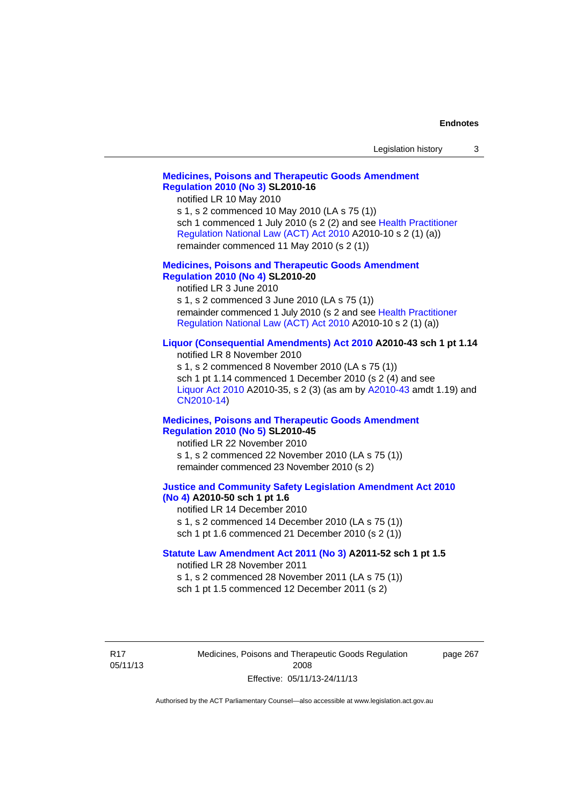| Legislation history |  |
|---------------------|--|
|---------------------|--|

# **[Medicines, Poisons and Therapeutic Goods Amendment](http://www.legislation.act.gov.au/sl/2010-16)  [Regulation 2010 \(No 3\)](http://www.legislation.act.gov.au/sl/2010-16) SL2010-16**

notified LR 10 May 2010

s 1, s 2 commenced 10 May 2010 (LA s 75 (1)) sch 1 commenced 1 July 2010 (s 2 (2) and see [Health Practitioner](http://www.legislation.act.gov.au/a/2010-10)  [Regulation National Law \(ACT\) Act 2010](http://www.legislation.act.gov.au/a/2010-10) A2010-10 s 2 (1) (a)) remainder commenced 11 May 2010 (s 2 (1))

#### **[Medicines, Poisons and Therapeutic Goods Amendment](http://www.legislation.act.gov.au/sl/2010-20)  [Regulation 2010 \(No 4\)](http://www.legislation.act.gov.au/sl/2010-20) SL2010-20**

notified LR 3 June 2010 s 1, s 2 commenced 3 June 2010 (LA s 75 (1)) remainder commenced 1 July 2010 (s 2 and see [Health Practitioner](http://www.legislation.act.gov.au/a/2010-10)  [Regulation National Law \(ACT\) Act 2010](http://www.legislation.act.gov.au/a/2010-10) A2010-10 s 2 (1) (a))

### **[Liquor \(Consequential Amendments\) Act 2010](http://www.legislation.act.gov.au/a/2010-43) A2010-43 sch 1 pt 1.14**

notified LR 8 November 2010 s 1, s 2 commenced 8 November 2010 (LA s 75 (1)) sch 1 pt 1.14 commenced 1 December 2010 (s 2 (4) and see [Liquor Act 2010](http://www.legislation.act.gov.au/a/2010-35) A2010-35, s 2 (3) (as am by [A2010-43](http://www.legislation.act.gov.au/a/2010-43) amdt 1.19) and [CN2010-14](http://www.legislation.act.gov.au/cn/2010-14/default.asp))

#### **[Medicines, Poisons and Therapeutic Goods Amendment](http://www.legislation.act.gov.au/sl/2010-45)  [Regulation 2010 \(No 5\)](http://www.legislation.act.gov.au/sl/2010-45) SL2010-45**

notified LR 22 November 2010 s 1, s 2 commenced 22 November 2010 (LA s 75 (1)) remainder commenced 23 November 2010 (s 2)

#### **[Justice and Community Safety Legislation Amendment Act 2010](http://www.legislation.act.gov.au/a/2010-50)  [\(No 4\)](http://www.legislation.act.gov.au/a/2010-50) A2010-50 sch 1 pt 1.6**

notified LR 14 December 2010 s 1, s 2 commenced 14 December 2010 (LA s 75 (1)) sch 1 pt 1.6 commenced 21 December 2010 (s 2 (1))

### **[Statute Law Amendment Act 2011 \(No 3\)](http://www.legislation.act.gov.au/a/2011-52) A2011-52 sch 1 pt 1.5**  notified LR 28 November 2011

s 1, s 2 commenced 28 November 2011 (LA s 75 (1))

sch 1 pt 1.5 commenced 12 December 2011 (s 2)

R17 05/11/13 Medicines, Poisons and Therapeutic Goods Regulation 2008 Effective: 05/11/13-24/11/13

page 267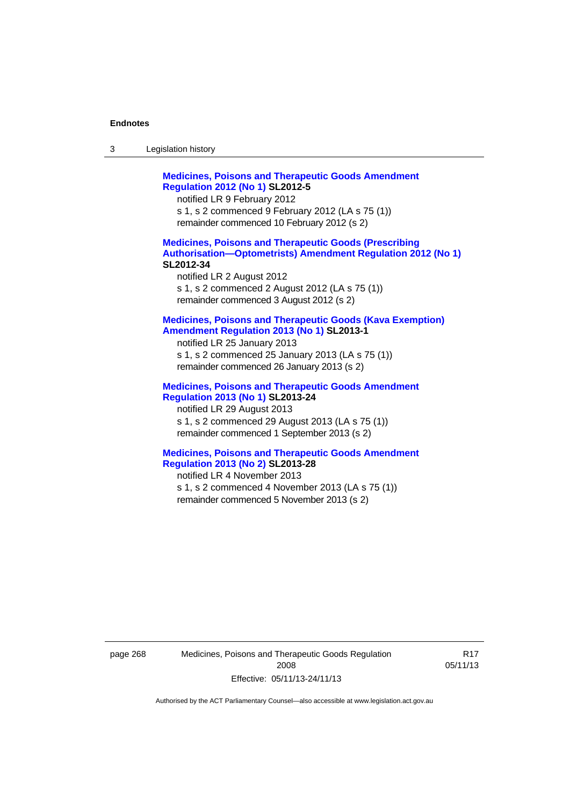| Legislation history<br>-3 |  |
|---------------------------|--|
|---------------------------|--|

**[Medicines, Poisons and Therapeutic Goods Amendment](http://www.legislation.act.gov.au/sl/2012-5)  [Regulation 2012 \(No 1\)](http://www.legislation.act.gov.au/sl/2012-5) SL2012-5**  notified LR 9 February 2012 s 1, s 2 commenced 9 February 2012 (LA s 75 (1)) remainder commenced 10 February 2012 (s 2)

### **[Medicines, Poisons and Therapeutic Goods \(Prescribing](http://www.legislation.act.gov.au/sl/2012-34)  [Authorisation—Optometrists\) Amendment Regulation 2012 \(No 1\)](http://www.legislation.act.gov.au/sl/2012-34) SL2012-34**

notified LR 2 August 2012 s 1, s 2 commenced 2 August 2012 (LA s 75 (1)) remainder commenced 3 August 2012 (s 2)

### **[Medicines, Poisons and Therapeutic Goods \(Kava Exemption\)](http://www.legislation.act.gov.au/sl/2013-1/default.asp)  [Amendment Regulation 2013 \(No 1\)](http://www.legislation.act.gov.au/sl/2013-1/default.asp) SL2013-1**

notified LR 25 January 2013 s 1, s 2 commenced 25 January 2013 (LA s 75 (1)) remainder commenced 26 January 2013 (s 2)

### **[Medicines, Poisons and Therapeutic Goods Amendment](http://www.legislation.act.gov.au/sl/2013-24/default.asp)  [Regulation 2013 \(No 1\)](http://www.legislation.act.gov.au/sl/2013-24/default.asp) SL2013-24**

notified LR 29 August 2013 s 1, s 2 commenced 29 August 2013 (LA s 75 (1)) remainder commenced 1 September 2013 (s 2)

#### **[Medicines, Poisons and Therapeutic Goods Amendment](http://www.legislation.act.gov.au/sl/2013-28)  [Regulation 2013 \(No 2\)](http://www.legislation.act.gov.au/sl/2013-28) SL2013-28**

notified LR 4 November 2013 s 1, s 2 commenced 4 November 2013 (LA s 75 (1)) remainder commenced 5 November 2013 (s 2)

page 268 Medicines, Poisons and Therapeutic Goods Regulation 2008 Effective: 05/11/13-24/11/13

R17 05/11/13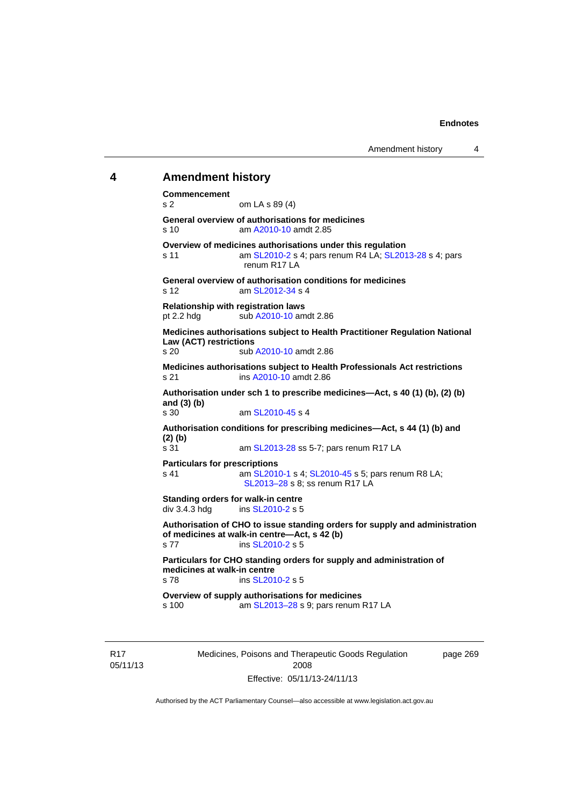# **4 Amendment history**

**Commencement**  s 2 om LA s 89 (4) **General overview of authorisations for medicines**  s 10 am [A2010-10](http://www.legislation.act.gov.au/a/2010-10) amdt 2.85 **Overview of medicines authorisations under this regulation**  s 11 am [SL2010-2](http://www.legislation.act.gov.au/sl/2010-2) s 4; pars renum R4 LA; [SL2013-28](http://www.legislation.act.gov.au/sl/2013-28) s 4; pars renum R17 LA **General overview of authorisation conditions for medicines**  s 12 am [SL2012-34](http://www.legislation.act.gov.au/sl/2012-34) s 4 **Relationship with registration laws**  pt 2.2 hdg sub [A2010-10](http://www.legislation.act.gov.au/a/2010-10) amdt 2.86 **Medicines authorisations subject to Health Practitioner Regulation National Law (ACT) restrictions**  sub [A2010-10](http://www.legislation.act.gov.au/a/2010-10) amdt 2.86 **Medicines authorisations subject to Health Professionals Act restrictions**  s 21 ins [A2010-10](http://www.legislation.act.gov.au/a/2010-10) amdt 2.86 **Authorisation under sch 1 to prescribe medicines—Act, s 40 (1) (b), (2) (b) and (3) (b)**  am [SL2010-45](http://www.legislation.act.gov.au/sl/2010-45) s 4 **Authorisation conditions for prescribing medicines—Act, s 44 (1) (b) and (2) (b)**  s 31 am [SL2013-28](http://www.legislation.act.gov.au/sl/2013-28) ss 5-7; pars renum R17 LA **Particulars for prescriptions**  s 41 **am [SL2010-1](http://www.legislation.act.gov.au/sl/2010-1) s 4; [SL2010-45](http://www.legislation.act.gov.au/sl/2010-45) s 5; pars renum R8 LA;** [SL2013–28](http://www.legislation.act.gov.au/sl/2013-28) s 8; ss renum R17 LA **Standing orders for walk-in centre**   $div 3.4.3$  hdg ins  $SL2010-2$  s 5 **Authorisation of CHO to issue standing orders for supply and administration of medicines at walk-in centre—Act, s 42 (b)**  s 77 ins [SL2010-2](http://www.legislation.act.gov.au/sl/2010-2) s 5 **Particulars for CHO standing orders for supply and administration of medicines at walk-in centre**  s 78 ins [SL2010-2](http://www.legislation.act.gov.au/sl/2010-2) s 5 **Overview of supply authorisations for medicines**  s 100 am [SL2013–28](http://www.legislation.act.gov.au/sl/2013-28) s 9; pars renum R17 LA

R17 05/11/13 Medicines, Poisons and Therapeutic Goods Regulation 2008 Effective: 05/11/13-24/11/13

page 269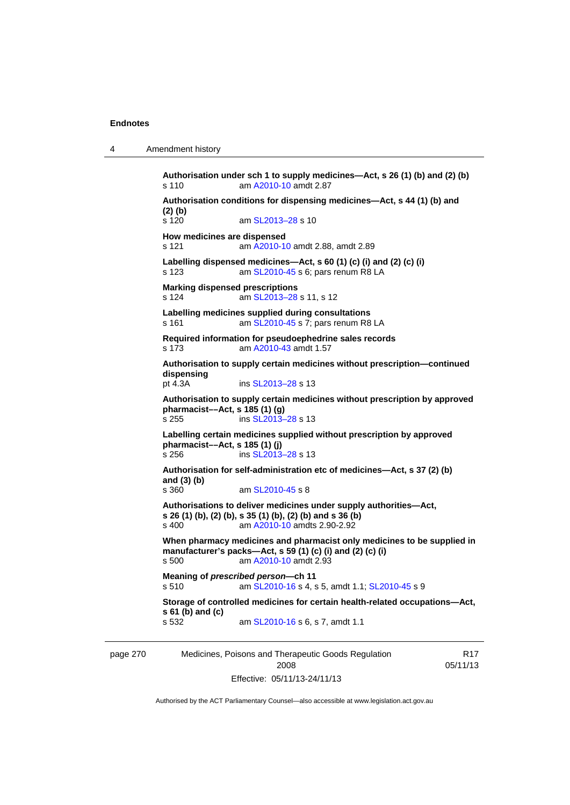4 Amendment history

page 270 Medicines, Poisons and Therapeutic Goods Regulation R17 **Authorisation under sch 1 to supply medicines—Act, s 26 (1) (b) and (2) (b)**  s 110 am [A2010-10](http://www.legislation.act.gov.au/a/2010-10) amdt 2.87 **Authorisation conditions for dispensing medicines—Act, s 44 (1) (b) and (2) (b)**  s 120 am SL2013-28 s 10 **How medicines are dispensed**  s 121 am [A2010-10](http://www.legislation.act.gov.au/a/2010-10) amdt 2.88, amdt 2.89 **Labelling dispensed medicines—Act, s 60 (1) (c) (i) and (2) (c) (i)**  s 123 am [SL2010-45](http://www.legislation.act.gov.au/sl/2010-45) s 6; pars renum R8 LA **Marking dispensed prescriptions**  s 124 am [SL2013–28](http://www.legislation.act.gov.au/sl/2013-28) s 11, s 12 **Labelling medicines supplied during consultations**  s 161 **am [SL2010-45](http://www.legislation.act.gov.au/sl/2010-45) s 7; pars renum R8 LA Required information for pseudoephedrine sales records**  s 173 am [A2010-43](http://www.legislation.act.gov.au/a/2010-43) amdt 1.57 **Authorisation to supply certain medicines without prescription—continued dispensing**  ins [SL2013–28](http://www.legislation.act.gov.au/sl/2013-28) s 13 **Authorisation to supply certain medicines without prescription by approved pharmacist––Act, s 185 (1) (g)**  s 255 ins [SL2013–28](http://www.legislation.act.gov.au/sl/2013-28) s 13 **Labelling certain medicines supplied without prescription by approved pharmacist––Act, s 185 (1) (j)**  s 256 ins [SL2013–28](http://www.legislation.act.gov.au/sl/2013-28) s 13 **Authorisation for self-administration etc of medicines—Act, s 37 (2) (b) and (3) (b)**  am [SL2010-45](http://www.legislation.act.gov.au/sl/2010-45) s 8 **Authorisations to deliver medicines under supply authorities—Act, s 26 (1) (b), (2) (b), s 35 (1) (b), (2) (b) and s 36 (b)**  s 400 am [A2010-10](http://www.legislation.act.gov.au/a/2010-10) amdts 2.90-2.92 **When pharmacy medicines and pharmacist only medicines to be supplied in manufacturer's packs—Act, s 59 (1) (c) (i) and (2) (c) (i)**  s 500 am [A2010-10](http://www.legislation.act.gov.au/a/2010-10) amdt 2.93 **Meaning of** *prescribed person***—ch 11**  s 510 am [SL2010-16](http://www.legislation.act.gov.au/sl/2010-16) s 4, s 5, amdt 1.1; [SL2010-45](http://www.legislation.act.gov.au/sl/2010-45) s 9 **Storage of controlled medicines for certain health-related occupations—Act, s 61 (b) and (c)**  s 532 am [SL2010-16](http://www.legislation.act.gov.au/sl/2010-16) s 6, s 7, amdt 1.1

2008 Effective: 05/11/13-24/11/13

Authorised by the ACT Parliamentary Counsel—also accessible at www.legislation.act.gov.au

05/11/13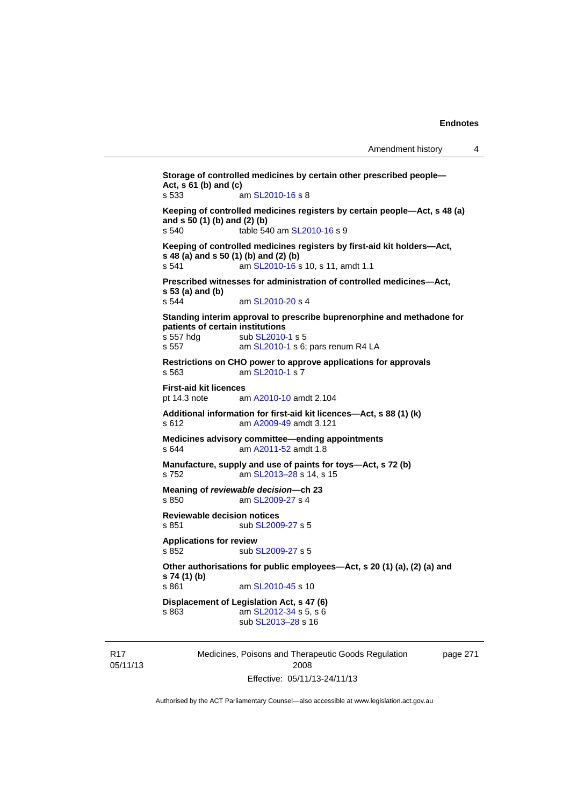```
Storage of controlled medicines by certain other prescribed people—
Act, s 61 (b) and (c) 
s 533 am SL2010-16 s 8 
Keeping of controlled medicines registers by certain people—Act, s 48 (a) 
and s 50 (1) (b) and (2) (b) 
s 540 table 540 am SL2010-16 s 9 
Keeping of controlled medicines registers by first-aid kit holders—Act, 
s 48 (a) and s 50 (1) (b) and (2) (b)<br>s 541 am SL 2010-16 s
                SL2010-16 s 10, s 11, amdt 1.1
Prescribed witnesses for administration of controlled medicines—Act, 
s 53 (a) and (b) 
                 SL2010-20 s 4
Standing interim approval to prescribe buprenorphine and methadone for 
patients of certain institutions 
SL2010-1 s 5
 SL2010-1 s 6; pars renum R4 LA
Restrictions on CHO power to approve applications for approvals 
s 563 am SL2010-1 s 7 
First-aid kit licences 
pt 14.3 note am A2010-10 amdt 2.104
Additional information for first-aid kit licences—Act, s 88 (1) (k) 
s 612 am A2009-49 amdt 3.121
Medicines advisory committee—ending appointments 
s 644 am A2011-52 amdt 1.8
Manufacture, supply and use of paints for toys—Act, s 72 (b) 
s 752 am SL2013–28 s 14, s 15 
Meaning of reviewable decision—ch 23 
s 850  SL2009-27 s 4
Reviewable decision notices 
SL2009-27 s 5
Applications for review 
SL2009-27 s 5
Other authorisations for public employees—Act, s 20 (1) (a), (2) (a) and 
s 74 (1) (b) 
                 SL2010-45 s 10
Displacement of Legislation Act, s 47 (6) 
s 863 SL2012-34 s 5, s 6
                 sub SL2013–28 s 16
```
R17 05/11/13 Medicines, Poisons and Therapeutic Goods Regulation 2008 Effective: 05/11/13-24/11/13

page 271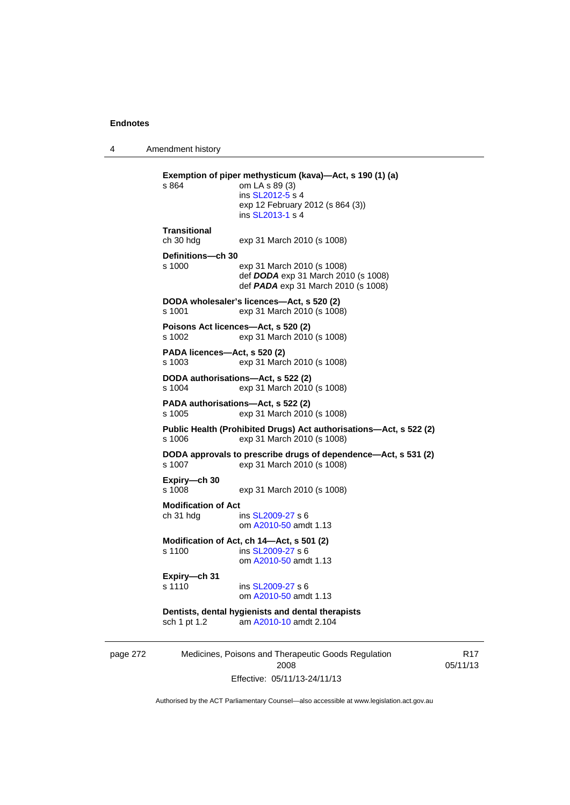4 Amendment history

| s 864                                   | Exemption of piper methysticum (kava)-Act, s 190 (1) (a)<br>om LA s 89 (3)<br>ins SL2012-5 s 4<br>exp 12 February 2012 (s 864 (3))<br>ins SL2013-1 s 4 |
|-----------------------------------------|--------------------------------------------------------------------------------------------------------------------------------------------------------|
| Transitional<br>ch 30 hdg               | exp 31 March 2010 (s 1008)                                                                                                                             |
| Definitions-ch 30<br>s 1000             | exp 31 March 2010 (s 1008)<br>def DODA exp 31 March 2010 (s 1008)<br>def <b>PADA</b> exp 31 March 2010 (s 1008)                                        |
| s 1001                                  | DODA wholesaler's licences-Act, s 520 (2)<br>exp 31 March 2010 (s 1008)                                                                                |
| s 1002                                  | Poisons Act licences-Act, s 520 (2)<br>exp 31 March 2010 (s 1008)                                                                                      |
| PADA licences-Act, s 520 (2)<br>s 1003  | exp 31 March 2010 (s 1008)                                                                                                                             |
| s 1004                                  | DODA authorisations—Act, s 522 (2)<br>exp 31 March 2010 (s 1008)                                                                                       |
| s 1005                                  | PADA authorisations—Act, s 522 (2)<br>exp 31 March 2010 (s 1008)                                                                                       |
| s 1006                                  | Public Health (Prohibited Drugs) Act authorisations-Act, s 522 (2)<br>exp 31 March 2010 (s 1008)                                                       |
| s 1007                                  | DODA approvals to prescribe drugs of dependence—Act, s 531 (2)<br>exp 31 March 2010 (s 1008)                                                           |
| Expiry—ch 30<br>s 1008                  | exp 31 March 2010 (s 1008)                                                                                                                             |
| <b>Modification of Act</b><br>ch 31 hdg | ins SL2009-27 s 6<br>om A2010-50 amdt 1.13                                                                                                             |
| s 1100                                  | Modification of Act, ch 14-Act, s 501 (2)<br>ins SL2009-27 s 6<br>om A2010-50 amdt 1.13                                                                |
| Expiry-ch 31<br>s 1110                  | ins SL2009-27 s 6<br>om A2010-50 amdt 1.13                                                                                                             |
| sch 1 pt 1.2                            | Dentists, dental hygienists and dental therapists<br>am A2010-10 amdt 2.104                                                                            |
|                                         |                                                                                                                                                        |

page 272 Medicines, Poisons and Therapeutic Goods Regulation 2008 Effective: 05/11/13-24/11/13

R17 05/11/13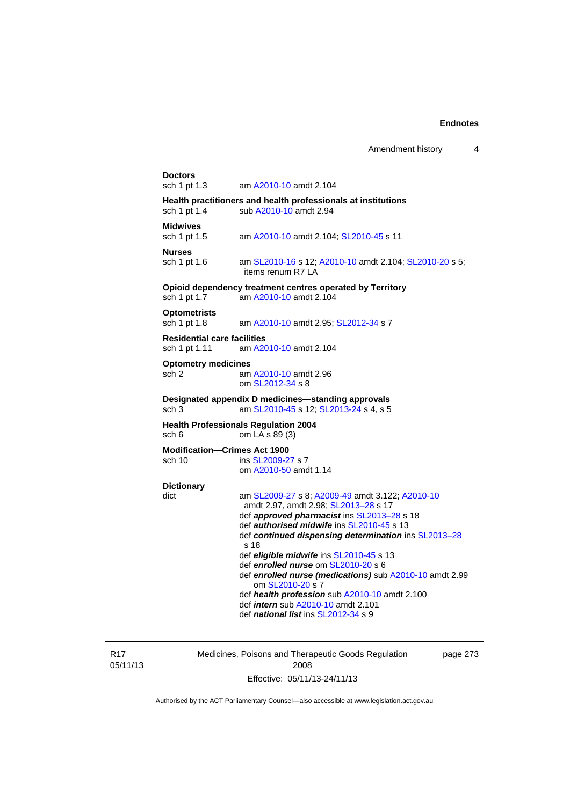| <b>Doctors</b><br>sch 1 pt 1.3                      | am A2010-10 amdt 2.104                                                                  |
|-----------------------------------------------------|-----------------------------------------------------------------------------------------|
|                                                     | Health practitioners and health professionals at institutions                           |
| sch 1 pt 1.4                                        | sub A2010-10 amdt 2.94                                                                  |
| <b>Midwives</b>                                     |                                                                                         |
| sch 1 pt 1.5                                        | am A2010-10 amdt 2.104; SL2010-45 s 11                                                  |
| <b>Nurses</b>                                       |                                                                                         |
| sch 1 pt 1.6                                        | am SL2010-16 s 12; A2010-10 amdt 2.104; SL2010-20 s 5;<br>items renum R7 LA             |
|                                                     | Opioid dependency treatment centres operated by Territory                               |
| sch 1 pt 1.7                                        | am A2010-10 amdt 2.104                                                                  |
| <b>Optometrists</b>                                 |                                                                                         |
| sch 1 pt 1.8                                        | am A2010-10 amdt 2.95; SL2012-34 s 7                                                    |
| <b>Residential care facilities</b><br>sch 1 pt 1.11 | am A2010-10 amdt 2.104                                                                  |
| <b>Optometry medicines</b>                          |                                                                                         |
| sch <sub>2</sub>                                    | am A2010-10 amdt 2.96                                                                   |
|                                                     | om SL2012-34 s 8                                                                        |
|                                                     | Designated appendix D medicines—standing approvals                                      |
| sch <sub>3</sub>                                    | am SL2010-45 s 12; SL2013-24 s 4, s 5                                                   |
|                                                     | <b>Health Professionals Regulation 2004</b>                                             |
| sch 6                                               | om LA s 89 (3)                                                                          |
| <b>Modification-Crimes Act 1900</b><br>sch 10       | ins SL2009-27 s 7                                                                       |
|                                                     | om A2010-50 amdt 1.14                                                                   |
| <b>Dictionary</b>                                   |                                                                                         |
| dict                                                | am SL2009-27 s 8; A2009-49 amdt 3.122; A2010-10                                         |
|                                                     | amdt 2.97, amdt 2.98; SL2013-28 s 17                                                    |
|                                                     | def approved pharmacist ins SL2013-28 s 18<br>def authorised midwife ins SL2010-45 s 13 |
|                                                     | def continued dispensing determination ins SL2013-28                                    |
|                                                     | s 18                                                                                    |
|                                                     | def eligible midwife ins SL2010-45 s 13                                                 |
|                                                     | def enrolled nurse om SL2010-20 s 6                                                     |
|                                                     | def enrolled nurse (medications) sub A2010-10 amdt 2.99<br>om SL2010-20 s 7             |
|                                                     | def health profession sub A2010-10 amdt 2.100                                           |
|                                                     | def <i>intern</i> sub A2010-10 amdt 2.101                                               |
|                                                     | def national list ins SL2012-34 s 9                                                     |

R17 05/11/13 Medicines, Poisons and Therapeutic Goods Regulation 2008 Effective: 05/11/13-24/11/13

page 273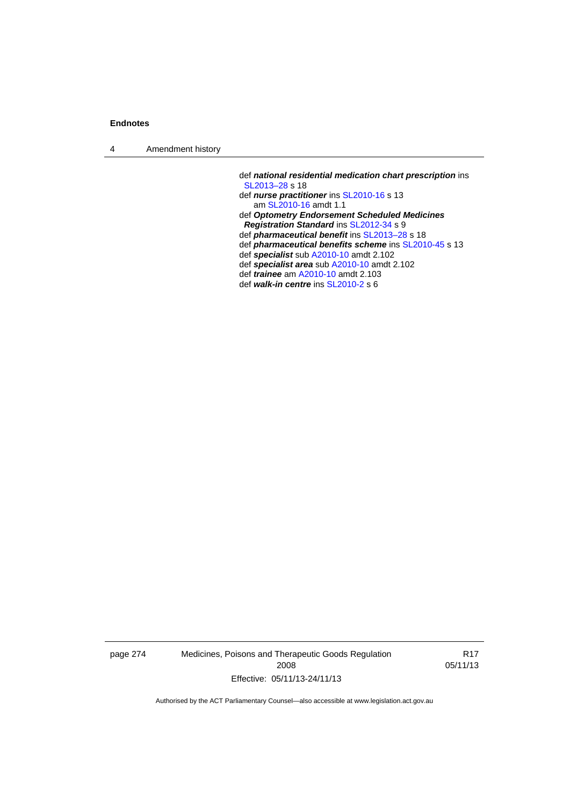4 Amendment history

 def *national residential medication chart prescription* ins [SL2013–28](http://www.legislation.act.gov.au/sl/2013-28) s 18 def *nurse practitioner* ins [SL2010-16](http://www.legislation.act.gov.au/sl/2010-16) s 13 am [SL2010-16](http://www.legislation.act.gov.au/sl/2010-16) amdt 1.1 def *Optometry Endorsement Scheduled Medicines Registration Standard* ins [SL2012-34](http://www.legislation.act.gov.au/sl/2012-34) s 9 def *pharmaceutical benefit* ins [SL2013–28](http://www.legislation.act.gov.au/sl/2013-28) s 18 def *pharmaceutical benefits scheme* ins [SL2010-45](http://www.legislation.act.gov.au/sl/2010-45) s 13 def *specialist* sub [A2010-10](http://www.legislation.act.gov.au/a/2010-10) amdt 2.102 def *specialist area* sub [A2010-10](http://www.legislation.act.gov.au/a/2010-10) amdt 2.102 def *trainee* am [A2010-10](http://www.legislation.act.gov.au/a/2010-10) amdt 2.103 def *walk-in centre* ins [SL2010-2](http://www.legislation.act.gov.au/sl/2010-2) s 6

page 274 Medicines, Poisons and Therapeutic Goods Regulation 2008 Effective: 05/11/13-24/11/13

R17 05/11/13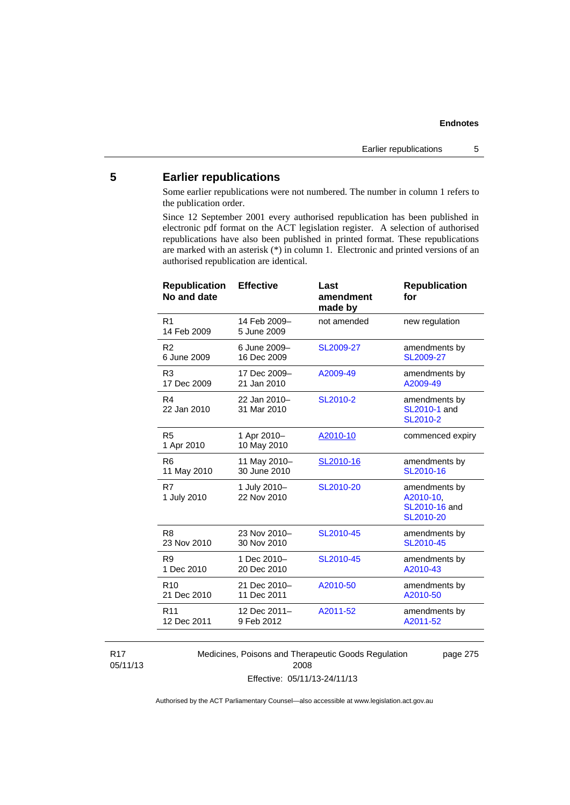# **5 Earlier republications**

Some earlier republications were not numbered. The number in column 1 refers to the publication order.

Since 12 September 2001 every authorised republication has been published in electronic pdf format on the ACT legislation register. A selection of authorised republications have also been published in printed format. These republications are marked with an asterisk (\*) in column 1. Electronic and printed versions of an authorised republication are identical.

| <b>Republication</b><br>No and date | <b>Effective</b>            | Last<br>amendment<br>made by | <b>Republication</b><br>for                              |
|-------------------------------------|-----------------------------|------------------------------|----------------------------------------------------------|
| R <sub>1</sub><br>14 Feb 2009       | 14 Feb 2009-<br>5 June 2009 | not amended                  | new regulation                                           |
| R <sub>2</sub>                      | 6 June 2009-                | SL2009-27                    | amendments by                                            |
| 6 June 2009                         | 16 Dec 2009                 |                              | SL2009-27                                                |
| R <sub>3</sub>                      | 17 Dec 2009-                | A2009-49                     | amendments by                                            |
| 17 Dec 2009                         | 21 Jan 2010                 |                              | A2009-49                                                 |
| R4<br>22 Jan 2010                   | 22 Jan 2010-<br>31 Mar 2010 | SL2010-2                     | amendments by<br>SL2010-1 and<br>SL2010-2                |
| R <sub>5</sub><br>1 Apr 2010        | 1 Apr 2010-<br>10 May 2010  | A2010-10                     | commenced expiry                                         |
| R <sub>6</sub>                      | 11 May 2010-                | SL2010-16                    | amendments by                                            |
| 11 May 2010                         | 30 June 2010                |                              | SL2010-16                                                |
| R7<br>1 July 2010                   | 1 July 2010-<br>22 Nov 2010 | SL2010-20                    | amendments by<br>A2010-10,<br>SL2010-16 and<br>SL2010-20 |
| R <sub>8</sub>                      | 23 Nov 2010-                | SL2010-45                    | amendments by                                            |
| 23 Nov 2010                         | 30 Nov 2010                 |                              | SL2010-45                                                |
| R <sub>9</sub>                      | 1 Dec 2010-                 | SL2010-45                    | amendments by                                            |
| 1 Dec 2010                          | 20 Dec 2010                 |                              | A2010-43                                                 |
| R <sub>10</sub>                     | 21 Dec 2010-                | A2010-50                     | amendments by                                            |
| 21 Dec 2010                         | 11 Dec 2011                 |                              | A2010-50                                                 |
| R <sub>11</sub>                     | 12 Dec 2011-                | A2011-52                     | amendments by                                            |
| 12 Dec 2011                         | 9 Feb 2012                  |                              | A2011-52                                                 |
|                                     |                             |                              |                                                          |

R17 05/11/13 Medicines, Poisons and Therapeutic Goods Regulation 2008 Effective: 05/11/13-24/11/13

page 275